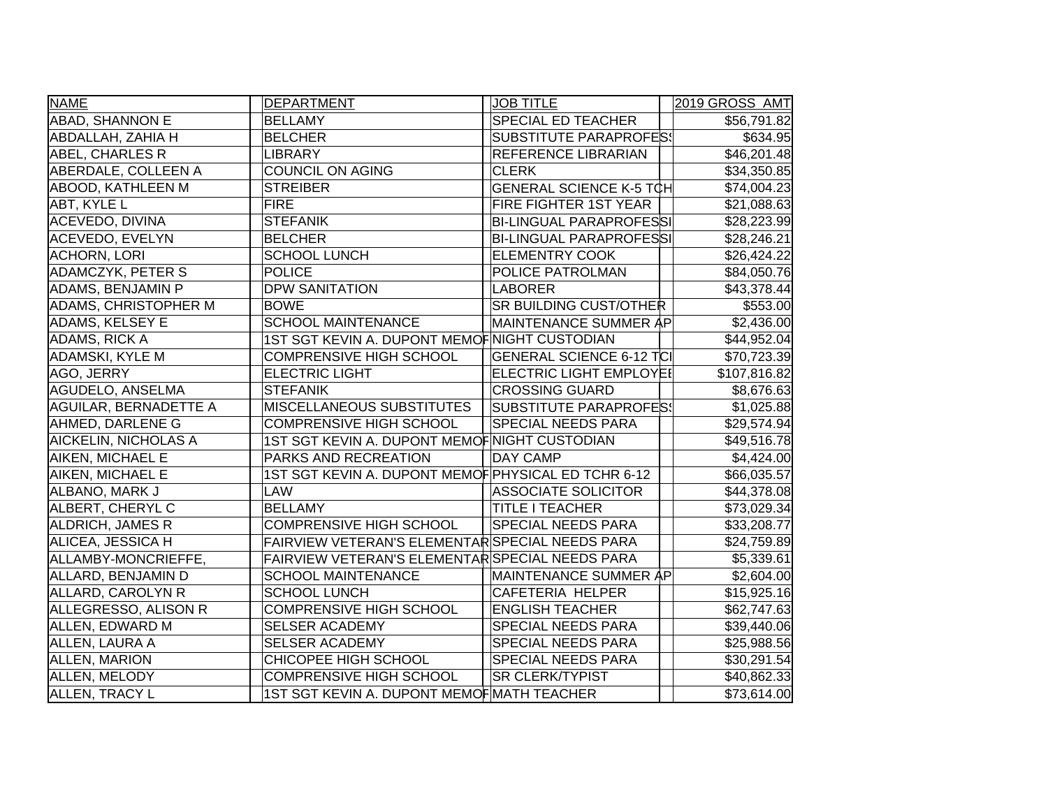| <b>NAME</b>                  | <b>DEPARTMENT</b>                                   | <b>JOB TITLE</b>                | 2019 GROSS AMT |
|------------------------------|-----------------------------------------------------|---------------------------------|----------------|
| <b>ABAD, SHANNON E</b>       | <b>BELLAMY</b>                                      | SPECIAL ED TEACHER              | \$56,791.82    |
| ABDALLAH, ZAHIA H            | <b>BELCHER</b>                                      | <b>SUBSTITUTE PARAPROFES!</b>   | \$634.95       |
| ABEL, CHARLES R              | <b>LIBRARY</b>                                      | REFERENCE LIBRARIAN             | \$46,201.48    |
| ABERDALE, COLLEEN A          | <b>COUNCIL ON AGING</b>                             | <b>CLERK</b>                    | \$34,350.85    |
| <b>ABOOD, KATHLEEN M</b>     | <b>STREIBER</b>                                     | GENERAL SCIENCE K-5 TCH         | \$74,004.23    |
| ABT, KYLE L                  | <b>FIRE</b>                                         | FIRE FIGHTER 1ST YEAR           | \$21,088.63    |
| <b>ACEVEDO, DIVINA</b>       | <b>STEFANIK</b>                                     | <b>BI-LINGUAL PARAPROFESSI</b>  | \$28,223.99    |
| <b>ACEVEDO, EVELYN</b>       | <b>BELCHER</b>                                      | <b>BI-LINGUAL PARAPROFESSI</b>  | \$28,246.21    |
| <b>ACHORN, LORI</b>          | <b>SCHOOL LUNCH</b>                                 | <b>ELEMENTRY COOK</b>           | \$26,424.22    |
| <b>ADAMCZYK, PETER S</b>     | <b>POLICE</b>                                       | POLICE PATROLMAN                | \$84,050.76    |
| ADAMS, BENJAMIN P            | <b>DPW SANITATION</b>                               | <b>LABORER</b>                  | \$43,378.44    |
| <b>ADAMS, CHRISTOPHER M</b>  | <b>BOWE</b>                                         | SR BUILDING CUST/OTHER          | \$553.00       |
| ADAMS, KELSEY E              | <b>SCHOOL MAINTENANCE</b>                           | MAINTENANCE SUMMER AP           | \$2,436.00     |
| <b>ADAMS, RICK A</b>         | 1ST SGT KEVIN A. DUPONT MEMOFINIGHT CUSTODIAN       |                                 | \$44,952.04    |
| <b>ADAMSKI, KYLE M</b>       | <b>COMPRENSIVE HIGH SCHOOL</b>                      | <b>GENERAL SCIENCE 6-12 TCI</b> | \$70,723.39    |
| AGO, JERRY                   | <b>ELECTRIC LIGHT</b>                               | <b>ELECTRIC LIGHT EMPLOYEI</b>  | \$107,816.82   |
| AGUDELO, ANSELMA             | <b>STEFANIK</b>                                     | <b>CROSSING GUARD</b>           | \$8,676.63     |
| <b>AGUILAR, BERNADETTE A</b> | <b>MISCELLANEOUS SUBSTITUTES</b>                    | SUBSTITUTE PARAPROFES!          | \$1,025.88     |
| AHMED, DARLENE G             | <b>COMPRENSIVE HIGH SCHOOL</b>                      | SPECIAL NEEDS PARA              | \$29,574.94    |
| AICKELIN, NICHOLAS A         | 1ST SGT KEVIN A. DUPONT MEMOF NIGHT CUSTODIAN       |                                 | \$49,516.78    |
| AIKEN, MICHAEL E             | PARKS AND RECREATION                                | <b>DAY CAMP</b>                 | \$4,424.00     |
| AIKEN, MICHAEL E             | 1ST SGT KEVIN A. DUPONT MEMOF PHYSICAL ED TCHR 6-12 |                                 | \$66,035.57    |
| ALBANO, MARK J               | <b>LAW</b>                                          | <b>ASSOCIATE SOLICITOR</b>      | \$44,378.08    |
| ALBERT, CHERYL C             | <b>BELLAMY</b>                                      | <b>TITLE I TEACHER</b>          | \$73,029.34    |
| <b>ALDRICH, JAMES R</b>      | <b>COMPRENSIVE HIGH SCHOOL</b>                      | <b>SPECIAL NEEDS PARA</b>       | \$33,208.77    |
| ALICEA, JESSICA H            | FAIRVIEW VETERAN'S ELEMENTAR SPECIAL NEEDS PARA     |                                 | \$24,759.89    |
| ALLAMBY-MONCRIEFFE,          | FAIRVIEW VETERAN'S ELEMENTAR SPECIAL NEEDS PARA     |                                 | \$5,339.61     |
| ALLARD, BENJAMIN D           | <b>SCHOOL MAINTENANCE</b>                           | <b>MAINTENANCE SUMMER AP</b>    | \$2,604.00     |
| ALLARD, CAROLYN R            | <b>SCHOOL LUNCH</b>                                 | CAFETERIA HELPER                | \$15,925.16    |
| ALLEGRESSO, ALISON R         | <b>COMPRENSIVE HIGH SCHOOL</b>                      | <b>ENGLISH TEACHER</b>          | \$62,747.63    |
| ALLEN, EDWARD M              | <b>SELSER ACADEMY</b>                               | SPECIAL NEEDS PARA              | \$39,440.06    |
| ALLEN, LAURA A               | <b>SELSER ACADEMY</b>                               | SPECIAL NEEDS PARA              | \$25,988.56    |
| <b>ALLEN, MARION</b>         | <b>CHICOPEE HIGH SCHOOL</b>                         | SPECIAL NEEDS PARA              | \$30,291.54    |
| ALLEN, MELODY                | <b>COMPRENSIVE HIGH SCHOOL</b>                      | <b>SR CLERK/TYPIST</b>          | \$40,862.33    |
| <b>ALLEN, TRACY L</b>        | 1ST SGT KEVIN A. DUPONT MEMOF MATH TEACHER          |                                 | \$73,614.00    |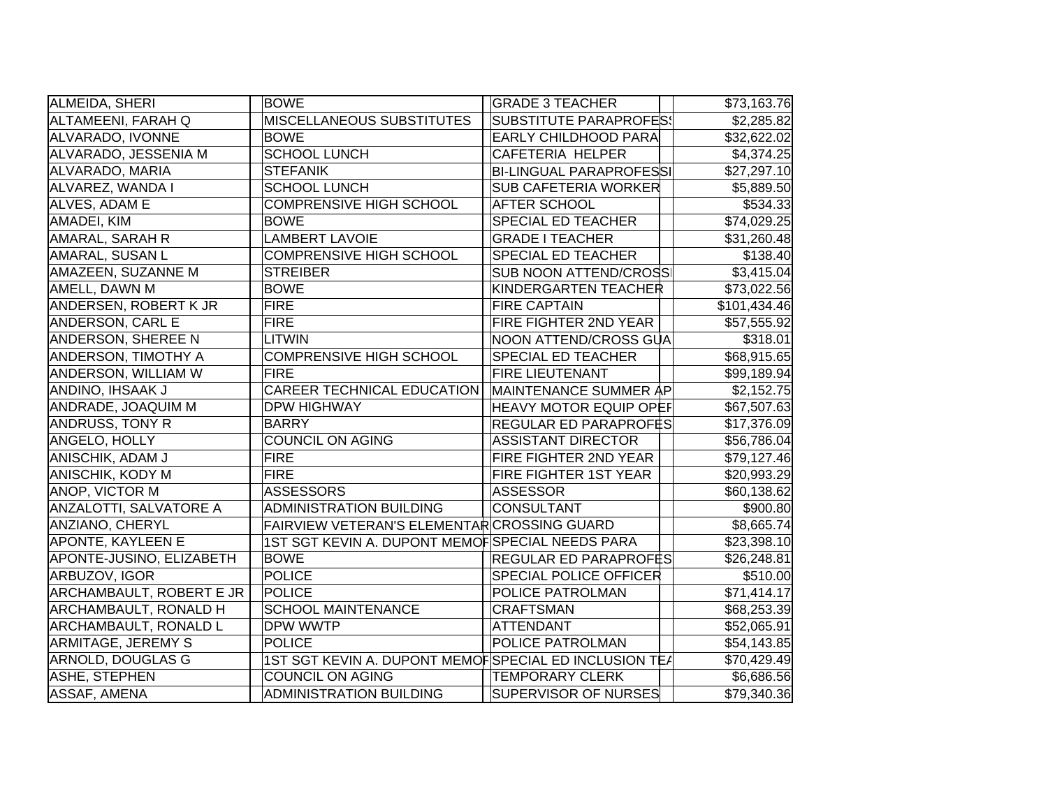| ALMEIDA, SHERI                  | <b>BOWE</b>                                           | <b>GRADE 3 TEACHER</b>         | \$73,163.76            |
|---------------------------------|-------------------------------------------------------|--------------------------------|------------------------|
| ALTAMEENI, FARAH Q              | <b>MISCELLANEOUS SUBSTITUTES</b>                      | <b>SUBSTITUTE PARAPROFES!</b>  | \$2,285.82             |
| ALVARADO, IVONNE                | <b>BOWE</b>                                           | <b>EARLY CHILDHOOD PARA</b>    | \$32,622.02            |
| ALVARADO, JESSENIA M            | <b>SCHOOL LUNCH</b>                                   | <b>CAFETERIA HELPER</b>        | \$4,374.25             |
| ALVARADO, MARIA                 | <b>STEFANIK</b>                                       | <b>BI-LINGUAL PARAPROFESSI</b> | \$27,297.10            |
| ALVAREZ, WANDA I                | <b>SCHOOL LUNCH</b>                                   | <b>SUB CAFETERIA WORKER</b>    | \$5,889.50             |
| ALVES, ADAM E                   | <b>COMPRENSIVE HIGH SCHOOL</b>                        | <b>AFTER SCHOOL</b>            | \$534.33               |
| AMADEI, KIM                     | <b>BOWE</b>                                           | <b>SPECIAL ED TEACHER</b>      | \$74,029.25            |
| AMARAL, SARAH R                 | <b>LAMBERT LAVOIE</b>                                 | <b>GRADE I TEACHER</b>         | \$31,260.48            |
| AMARAL, SUSAN L                 | <b>COMPRENSIVE HIGH SCHOOL</b>                        | <b>SPECIAL ED TEACHER</b>      | \$138.40               |
| AMAZEEN, SUZANNE M              | <b>STREIBER</b>                                       | <b>SUB NOON ATTEND/CROSS</b>   | \$3,415.04             |
| AMELL, DAWN M                   | <b>BOWE</b>                                           | KINDERGARTEN TEACHER           | \$73,022.56            |
| ANDERSEN, ROBERT K JR           | <b>FIRE</b>                                           | <b>FIRE CAPTAIN</b>            | \$101,434.46           |
| ANDERSON, CARL E                | <b>FIRE</b>                                           | FIRE FIGHTER 2ND YEAR          | \$57,555.92            |
| <b>ANDERSON, SHEREE N</b>       | <b>LITWIN</b>                                         | NOON ATTEND/CROSS GUA          | \$318.01               |
| <b>ANDERSON, TIMOTHY A</b>      | <b>COMPRENSIVE HIGH SCHOOL</b>                        | <b>SPECIAL ED TEACHER</b>      | \$68,915.65            |
| <b>ANDERSON, WILLIAM W</b>      | FIRE                                                  | <b>FIRE LIEUTENANT</b>         | \$99,189.94            |
| ANDINO, IHSAAK J                | <b>CAREER TECHNICAL EDUCATION</b>                     | MAINTENANCE SUMMER AP          | \$2,152.75             |
| ANDRADE, JOAQUIM M              | <b>DPW HIGHWAY</b>                                    | <b>HEAVY MOTOR EQUIP OPEF</b>  | \$67,507.63            |
| <b>ANDRUSS, TONY R</b>          | <b>BARRY</b>                                          | <b>REGULAR ED PARAPROFĖS</b>   | \$17,376.09            |
| ANGELO, HOLLY                   | <b>COUNCIL ON AGING</b>                               | <b>ASSISTANT DIRECTOR</b>      | \$56,786.04            |
| ANISCHIK, ADAM J                | <b>FIRE</b>                                           | FIRE FIGHTER 2ND YEAR          | \$79,127.46            |
| <b>ANISCHIK, KODY M</b>         | <b>FIRE</b>                                           | <b>FIRE FIGHTER 1ST YEAR</b>   | \$20,993.29            |
| ANOP, VICTOR M                  | <b>ASSESSORS</b>                                      | ASSESSOR                       | \$60,138.62            |
| <b>ANZALOTTI, SALVATORE A</b>   | ADMINISTRATION BUILDING                               | CONSULTANT                     | \$900.80               |
| ANZIANO, CHERYL                 | FAIRVIEW VETERAN'S ELEMENTAR CROSSING GUARD           |                                | \$8,665.74             |
| APONTE, KAYLEEN E               | 1ST SGT KEVIN A. DUPONT MEMOFSPECIAL NEEDS PARA       |                                | \$23,398.10            |
| APONTE-JUSINO, ELIZABETH        | <b>BOWE</b>                                           | <b>REGULAR ED PARAPROFES</b>   | \$26,248.81            |
| ARBUZOV, IGOR                   | <b>POLICE</b>                                         | <b>SPECIAL POLICE OFFICER</b>  | \$510.00               |
| <b>ARCHAMBAULT, ROBERT E JR</b> | POLICE                                                | POLICE PATROLMAN               | \$71,414.17            |
| <b>ARCHAMBAULT, RONALD H</b>    | <b>SCHOOL MAINTENANCE</b>                             | <b>CRAFTSMAN</b>               | \$68,253.39            |
| <b>ARCHAMBAULT, RONALD L</b>    | <b>DPW WWTP</b>                                       | <b>ATTENDANT</b>               | \$52,065.91            |
| <b>ARMITAGE, JEREMY S</b>       | <b>POLICE</b>                                         | <b>POLICE PATROLMAN</b>        | \$54,143.85            |
| ARNOLD, DOUGLAS G               | 1ST SGT KEVIN A. DUPONT MEMOFSPECIAL ED INCLUSION TEA |                                | \$70,429.49            |
| ASHE, STEPHEN                   | <b>COUNCIL ON AGING</b>                               | <b>TEMPORARY CLERK</b>         | $\overline{$6,686.56}$ |
| ASSAF, AMENA                    | <b>ADMINISTRATION BUILDING</b>                        | <b>SUPERVISOR OF NURSES</b>    | \$79,340.36            |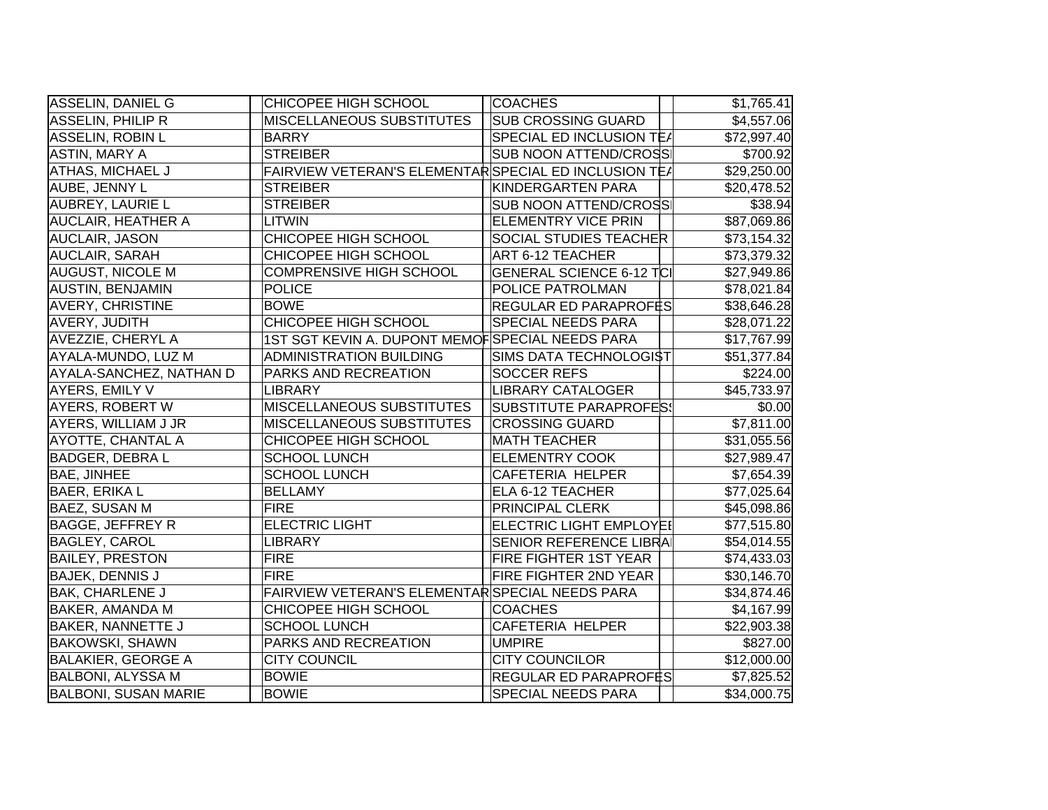| ASSELIN, DANIEL G           | CHICOPEE HIGH SCHOOL                                  | <b>COACHES</b>                  | \$1,765.41  |
|-----------------------------|-------------------------------------------------------|---------------------------------|-------------|
| <b>ASSELIN, PHILIP R</b>    | MISCELLANEOUS SUBSTITUTES                             | <b>SUB CROSSING GUARD</b>       | \$4,557.06  |
| ASSELIN, ROBIN L            | <b>BARRY</b>                                          | SPECIAL ED INCLUSION TE/        | \$72,997.40 |
| <b>ASTIN, MARY A</b>        | <b>STREIBER</b>                                       | <b>SUB NOON ATTEND/CROSS</b>    | \$700.92    |
| <b>ATHAS, MICHAEL J</b>     | FAIRVIEW VETERAN'S ELEMENTAR SPECIAL ED INCLUSION TEA |                                 | \$29,250.00 |
| AUBE, JENNY L               | <b>STREIBER</b>                                       | KINDERGARTEN PARA               | \$20,478.52 |
| <b>AUBREY, LAURIE L</b>     | <b>STREIBER</b>                                       | <b>SUB NOON ATTEND/CROSS</b>    | \$38.94     |
| <b>AUCLAIR, HEATHER A</b>   | LITWIN                                                | <b>ELEMENTRY VICE PRIN</b>      | \$87,069.86 |
| <b>AUCLAIR, JASON</b>       | <b>CHICOPEE HIGH SCHOOL</b>                           | <b>SOCIAL STUDIES TEACHER</b>   | \$73,154.32 |
| <b>AUCLAIR, SARAH</b>       | CHICOPEE HIGH SCHOOL                                  | ART 6-12 TEACHER                | \$73,379.32 |
| <b>AUGUST, NICOLE M</b>     | <b>COMPRENSIVE HIGH SCHOOL</b>                        | <b>GENERAL SCIENCE 6-12 TCI</b> | \$27,949.86 |
| <b>AUSTIN, BENJAMIN</b>     | <b>POLICE</b>                                         | POLICE PATROLMAN                | \$78,021.84 |
| <b>AVERY, CHRISTINE</b>     | <b>BOWE</b>                                           | <b>REGULAR ED PARAPROFĖS</b>    | \$38,646.28 |
| <b>AVERY, JUDITH</b>        | CHICOPEE HIGH SCHOOL                                  | <b>SPECIAL NEEDS PARA</b>       | \$28,071.22 |
| AVEZZIE, CHERYL A           | 1ST SGT KEVIN A. DUPONT MEMOFSPECIAL NEEDS PARA       |                                 | \$17,767.99 |
| AYALA-MUNDO, LUZ M          | <b>ADMINISTRATION BUILDING</b>                        | SIMS DATA TECHNOLOGI\$T         | \$51,377.84 |
| AYALA-SANCHEZ, NATHAN D     | PARKS AND RECREATION                                  | <b>SOCCER REFS</b>              | \$224.00    |
| <b>AYERS, EMILY V</b>       | <b>LIBRARY</b>                                        | <b>LIBRARY CATALOGER</b>        | \$45,733.97 |
| <b>AYERS, ROBERT W</b>      | <b>MISCELLANEOUS SUBSTITUTES</b>                      | <b>SUBSTITUTE PARAPROFES!</b>   | \$0.00      |
| <b>AYERS, WILLIAM J JR</b>  | <b>MISCELLANEOUS SUBSTITUTES</b>                      | <b>CROSSING GUARD</b>           | \$7,811.00  |
| <b>AYOTTE, CHANTAL A</b>    | CHICOPEE HIGH SCHOOL                                  | <b>MATH TEACHER</b>             | \$31,055.56 |
| <b>BADGER, DEBRA L</b>      | <b>SCHOOL LUNCH</b>                                   | <b>ELEMENTRY COOK</b>           | \$27,989.47 |
| <b>BAE, JINHEE</b>          | <b>SCHOOL LUNCH</b>                                   | <b>CAFETERIA HELPER</b>         | \$7,654.39  |
| <b>BAER, ERIKA L</b>        | <b>BELLAMY</b>                                        | ELA 6-12 TEACHER                | \$77,025.64 |
| <b>BAEZ, SUSAN M</b>        | <b>FIRE</b>                                           | <b>PRINCIPAL CLERK</b>          | \$45,098.86 |
| <b>BAGGE, JEFFREY R</b>     | <b>ELECTRIC LIGHT</b>                                 | <b>ELECTRIC LIGHT EMPLOYEI</b>  | \$77,515.80 |
| <b>BAGLEY, CAROL</b>        | <b>LIBRARY</b>                                        | SENIOR REFERENCE LIBRA          | \$54,014.55 |
| <b>BAILEY, PRESTON</b>      | <b>FIRE</b>                                           | FIRE FIGHTER 1ST YEAR           | \$74,433.03 |
| <b>BAJEK, DENNIS J</b>      | <b>FIRE</b>                                           | <b>FIRE FIGHTER 2ND YEAR</b>    | \$30,146.70 |
| <b>BAK, CHARLENE J</b>      | FAIRVIEW VETERAN'S ELEMENTAR SPECIAL NEEDS PARA       |                                 | \$34,874.46 |
| <b>BAKER, AMANDA M</b>      | CHICOPEE HIGH SCHOOL                                  | <b>COACHES</b>                  | \$4,167.99  |
| <b>BAKER, NANNETTE J</b>    | <b>SCHOOL LUNCH</b>                                   | CAFETERIA HELPER                | \$22,903.38 |
| <b>BAKOWSKI, SHAWN</b>      | PARKS AND RECREATION                                  | <b>UMPIRE</b>                   | \$827.00    |
| <b>BALAKIER, GEORGE A</b>   | <b>CITY COUNCIL</b>                                   | <b>CITY COUNCILOR</b>           | \$12,000.00 |
| <b>BALBONI, ALYSSA M</b>    | <b>BOWIE</b>                                          | REGULAR ED PARAPROFES           | \$7,825.52  |
| <b>BALBONI, SUSAN MARIE</b> | <b>BOWIE</b>                                          | SPECIAL NEEDS PARA              | \$34,000.75 |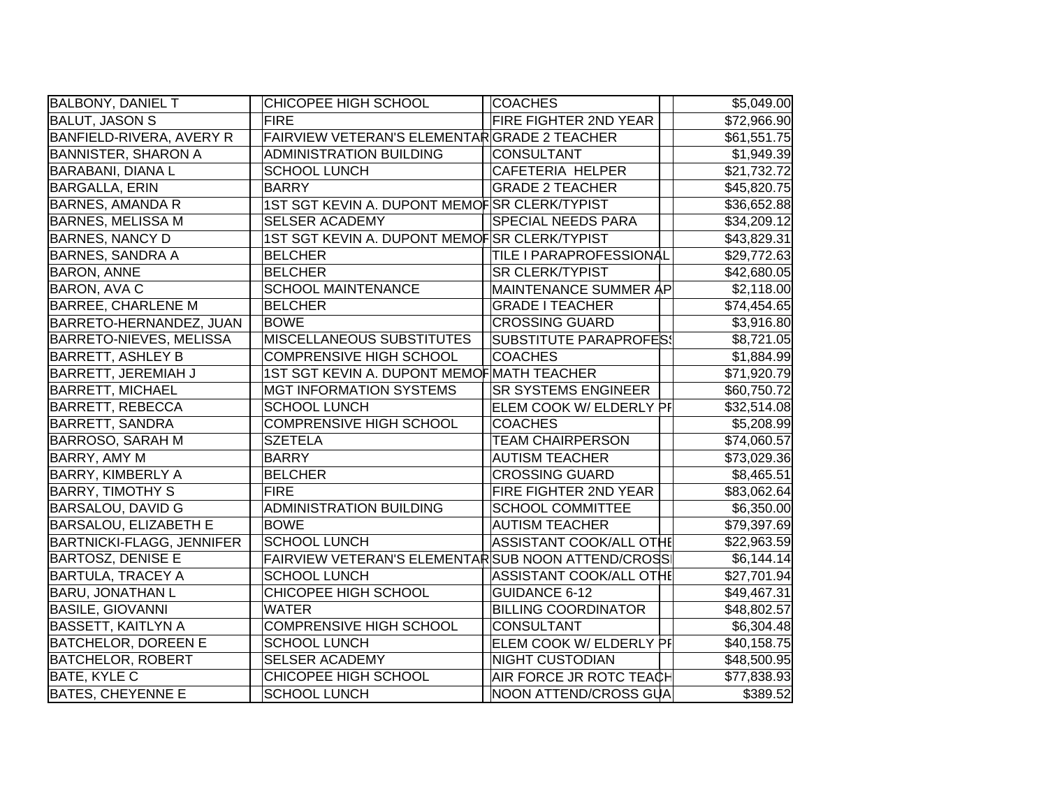| <b>BALBONY, DANIEL T</b>         | CHICOPEE HIGH SCHOOL                              | <b>COACHES</b>                 | \$5,049.00  |
|----------------------------------|---------------------------------------------------|--------------------------------|-------------|
| <b>BALUT, JASON S</b>            | <b>FIRE</b>                                       | <b>FIRE FIGHTER 2ND YEAR</b>   | \$72,966.90 |
| BANFIELD-RIVERA, AVERY R         | FAIRVIEW VETERAN'S ELEMENTARGRADE 2 TEACHER       |                                | \$61,551.75 |
| <b>BANNISTER, SHARON A</b>       | ADMINISTRATION BUILDING                           | CONSULTANT                     | \$1,949.39  |
| <b>BARABANI, DIANA L</b>         | <b>SCHOOL LUNCH</b>                               | CAFETERIA HELPER               | \$21,732.72 |
| <b>BARGALLA, ERIN</b>            | <b>BARRY</b>                                      | <b>GRADE 2 TEACHER</b>         | \$45,820.75 |
| <b>BARNES, AMANDA R</b>          | 1ST SGT KEVIN A. DUPONT MEMOFSR CLERK/TYPIST      |                                | \$36,652.88 |
| <b>BARNES, MELISSA M</b>         | <b>SELSER ACADEMY</b>                             | <b>SPECIAL NEEDS PARA</b>      | \$34,209.12 |
| <b>BARNES, NANCY D</b>           | 1ST SGT KEVIN A. DUPONT MEMOFSR CLERK/TYPIST      |                                | \$43,829.31 |
| <b>BARNES, SANDRA A</b>          | <b>BELCHER</b>                                    | <b>TILE I PARAPROFESSIONAL</b> | \$29,772.63 |
| <b>BARON, ANNE</b>               | <b>BELCHER</b>                                    | <b>SR CLERK/TYPIST</b>         | \$42,680.05 |
| <b>BARON, AVA C</b>              | <b>SCHOOL MAINTENANCE</b>                         | MAINTENANCE SUMMER AP          | \$2,118.00  |
| <b>BARREE, CHARLENE M</b>        | <b>BELCHER</b>                                    | <b>GRADE I TEACHER</b>         | \$74,454.65 |
| BARRETO-HERNANDEZ, JUAN          | <b>BOWE</b>                                       | <b>CROSSING GUARD</b>          | \$3,916.80  |
| BARRETO-NIEVES, MELISSA          | MISCELLANEOUS SUBSTITUTES                         | <b>SUBSTITUTE PARAPROFES!</b>  | \$8,721.05  |
| <b>BARRETT, ASHLEY B</b>         | <b>COMPRENSIVE HIGH SCHOOL</b>                    | <b>COACHES</b>                 | \$1,884.99  |
| <b>BARRETT, JEREMIAH J</b>       | 1ST SGT KEVIN A. DUPONT MEMOF MATH TEACHER        |                                | \$71,920.79 |
| <b>BARRETT, MICHAEL</b>          | <b>MGT INFORMATION SYSTEMS</b>                    | <b>SR SYSTEMS ENGINEER</b>     | \$60,750.72 |
| <b>BARRETT, REBECCA</b>          | <b>SCHOOL LUNCH</b>                               | ELEM COOK W/ ELDERLY PF        | \$32,514.08 |
| <b>BARRETT, SANDRA</b>           | <b>COMPRENSIVE HIGH SCHOOL</b>                    | <b>COACHES</b>                 | \$5,208.99  |
| <b>BARROSO, SARAH M</b>          | <b>SZETELA</b>                                    | <b>TEAM CHAIRPERSON</b>        | \$74,060.57 |
| <b>BARRY, AMY M</b>              | <b>BARRY</b>                                      | <b>AUTISM TEACHER</b>          | \$73,029.36 |
| <b>BARRY, KIMBERLY A</b>         | <b>BELCHER</b>                                    | <b>CROSSING GUARD</b>          | \$8,465.51  |
| <b>BARRY, TIMOTHY S</b>          | <b>FIRE</b>                                       | <b>FIRE FIGHTER 2ND YEAR</b>   | \$83,062.64 |
| <b>BARSALOU, DAVID G</b>         | <b>ADMINISTRATION BUILDING</b>                    | <b>SCHOOL COMMITTEE</b>        | \$6,350.00  |
| <b>BARSALOU, ELIZABETH E</b>     | <b>BOWE</b>                                       | <b>AUTISM TEACHER</b>          | \$79,397.69 |
| <b>BARTNICKI-FLAGG, JENNIFER</b> | <b>SCHOOL LUNCH</b>                               | ASSISTANT COOK/ALL OTHE        | \$22,963.59 |
| <b>BARTOSZ, DENISE E</b>         | FAIRVIEW VETERAN'S ELEMENTARSUB NOON ATTEND/CROSS |                                | \$6,144.14  |
| <b>BARTULA, TRACEY A</b>         | <b>SCHOOL LUNCH</b>                               | ASSISTANT COOK/ALL OTHE        | \$27,701.94 |
| <b>BARU, JONATHAN L</b>          | CHICOPEE HIGH SCHOOL                              | <b>GUIDANCE 6-12</b>           | \$49,467.31 |
| <b>BASILE, GIOVANNI</b>          | <b>WATER</b>                                      | <b>BILLING COORDINATOR</b>     | \$48,802.57 |
| <b>BASSETT, KAITLYN A</b>        | <b>COMPRENSIVE HIGH SCHOOL</b>                    | CONSULTANT                     | \$6,304.48  |
| <b>BATCHELOR, DOREEN E</b>       | <b>SCHOOL LUNCH</b>                               | ELEM COOK W/ ELDERLY PF        | \$40,158.75 |
| <b>BATCHELOR, ROBERT</b>         | <b>SELSER ACADEMY</b>                             | <b>NIGHT CUSTODIAN</b>         | \$48,500.95 |
| <b>BATE, KYLE C</b>              | CHICOPEE HIGH SCHOOL                              | AIR FORCE JR ROTC TEACH        | \$77,838.93 |
| <b>BATES, CHEYENNE E</b>         | <b>SCHOOL LUNCH</b>                               | NOON ATTEND/CROSS GUA          | \$389.52    |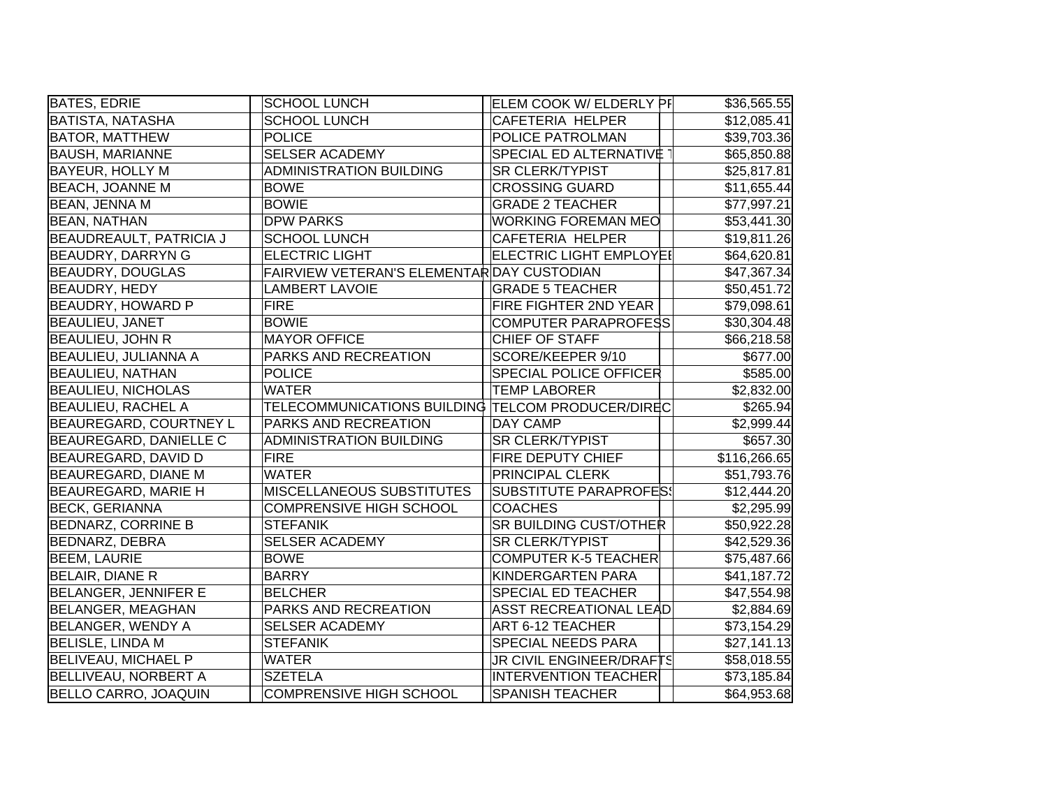| <b>BATES, EDRIE</b>            | <b>SCHOOL LUNCH</b>                               | ELEM COOK W/ ELDERLY PF         | \$36,565.55  |
|--------------------------------|---------------------------------------------------|---------------------------------|--------------|
| <b>BATISTA, NATASHA</b>        | <b>SCHOOL LUNCH</b>                               | <b>CAFETERIA HELPER</b>         | \$12,085.41  |
| <b>BATOR, MATTHEW</b>          | <b>POLICE</b>                                     | POLICE PATROLMAN                | \$39,703.36  |
| <b>BAUSH, MARIANNE</b>         | <b>SELSER ACADEMY</b>                             | SPECIAL ED ALTERNATIVE          | \$65,850.88  |
| <b>BAYEUR, HOLLY M</b>         | <b>ADMINISTRATION BUILDING</b>                    | <b>SR CLERK/TYPIST</b>          | \$25,817.81  |
| <b>BEACH, JOANNE M</b>         | <b>BOWE</b>                                       | <b>CROSSING GUARD</b>           | \$11,655.44  |
| <b>BEAN, JENNA M</b>           | <b>BOWIE</b>                                      | <b>GRADE 2 TEACHER</b>          | \$77,997.21  |
| <b>BEAN, NATHAN</b>            | <b>DPW PARKS</b>                                  | <b>WORKING FOREMAN MEO</b>      | \$53,441.30  |
| <b>BEAUDREAULT, PATRICIA J</b> | <b>SCHOOL LUNCH</b>                               | <b>CAFETERIA HELPER</b>         | \$19,811.26  |
| <b>BEAUDRY, DARRYN G</b>       | <b>ELECTRIC LIGHT</b>                             | ELECTRIC LIGHT EMPLOYEI         | \$64,620.81  |
| <b>BEAUDRY, DOUGLAS</b>        | FAIRVIEW VETERAN'S ELEMENTAR DAY CUSTODIAN        |                                 | \$47,367.34  |
| <b>BEAUDRY, HEDY</b>           | <b>LAMBERT LAVOIE</b>                             | <b>GRADE 5 TEACHER</b>          | \$50,451.72  |
| <b>BEAUDRY, HOWARD P</b>       | <b>FIRE</b>                                       | <b>FIRE FIGHTER 2ND YEAR</b>    | \$79,098.61  |
| <b>BEAULIEU, JANET</b>         | <b>BOWIE</b>                                      | <b>COMPUTER PARAPROFESS</b>     | \$30,304.48  |
| <b>BEAULIEU, JOHN R</b>        | <b>MAYOR OFFICE</b>                               | CHIEF OF STAFF                  | \$66,218.58  |
| BEAULIEU, JULIANNA A           | PARKS AND RECREATION                              | SCORE/KEEPER 9/10               | \$677.00     |
| <b>BEAULIEU, NATHAN</b>        | <b>POLICE</b>                                     | <b>SPECIAL POLICE OFFICER</b>   | \$585.00     |
| <b>BEAULIEU, NICHOLAS</b>      | <b>WATER</b>                                      | <b>TEMP LABORER</b>             | \$2,832.00   |
| <b>BEAULIEU, RACHEL A</b>      | TELECOMMUNICATIONS BUILDING TELCOM PRODUCER/DIREC |                                 | \$265.94     |
| BEAUREGARD, COURTNEY L         | PARKS AND RECREATION                              | <b>DAY CAMP</b>                 | \$2,999.44   |
| BEAUREGARD, DANIELLE C         | <b>ADMINISTRATION BUILDING</b>                    | <b>SR CLERK/TYPIST</b>          | \$657.30     |
| <b>BEAUREGARD, DAVID D</b>     | <b>FIRE</b>                                       | <b>FIRE DEPUTY CHIEF</b>        | \$116,266.65 |
| <b>BEAUREGARD, DIANE M</b>     | <b>WATER</b>                                      | <b>PRINCIPAL CLERK</b>          | \$51,793.76  |
| <b>BEAUREGARD, MARIE H</b>     | MISCELLANEOUS SUBSTITUTES                         | <b>SUBSTITUTE PARAPROFES!</b>   | \$12,444.20  |
| <b>BECK, GERIANNA</b>          | COMPRENSIVE HIGH SCHOOL                           | <b>COACHES</b>                  | \$2,295.99   |
| <b>BEDNARZ, CORRINE B</b>      | <b>STEFANIK</b>                                   | <b>SR BUILDING CUST/OTHER</b>   | \$50,922.28  |
| <b>BEDNARZ, DEBRA</b>          | <b>SELSER ACADEMY</b>                             | <b>SR CLERK/TYPIST</b>          | \$42,529.36  |
| <b>BEEM, LAURIE</b>            | <b>BOWE</b>                                       | <b>COMPUTER K-5 TEACHER</b>     | \$75,487.66  |
| <b>BELAIR, DIANE R</b>         | <b>BARRY</b>                                      | <b>KINDERGARTEN PARA</b>        | \$41,187.72  |
| BELANGER, JENNIFER E           | <b>BELCHER</b>                                    | <b>SPECIAL ED TEACHER</b>       | \$47,554.98  |
| BELANGER, MEAGHAN              | PARKS AND RECREATION                              | <b>ASST RECREATIONAL LEAD</b>   | \$2,884.69   |
| BELANGER, WENDY A              | SELSER ACADEMY                                    | ART 6-12 TEACHER                | \$73,154.29  |
| <b>BELISLE, LINDA M</b>        | <b>STEFANIK</b>                                   | SPECIAL NEEDS PARA              | \$27,141.13  |
| <b>BELIVEAU, MICHAEL P</b>     | <b>WATER</b>                                      | <b>JR CIVIL ENGINEER/DRAFTS</b> | \$58,018.55  |
| BELLIVEAU, NORBERT A           | <b>SZETELA</b>                                    | <b>INTERVENTION TEACHER</b>     | \$73,185.84  |
| <b>BELLO CARRO, JOAQUIN</b>    | <b>COMPRENSIVE HIGH SCHOOL</b>                    | <b>SPANISH TEACHER</b>          | \$64,953.68  |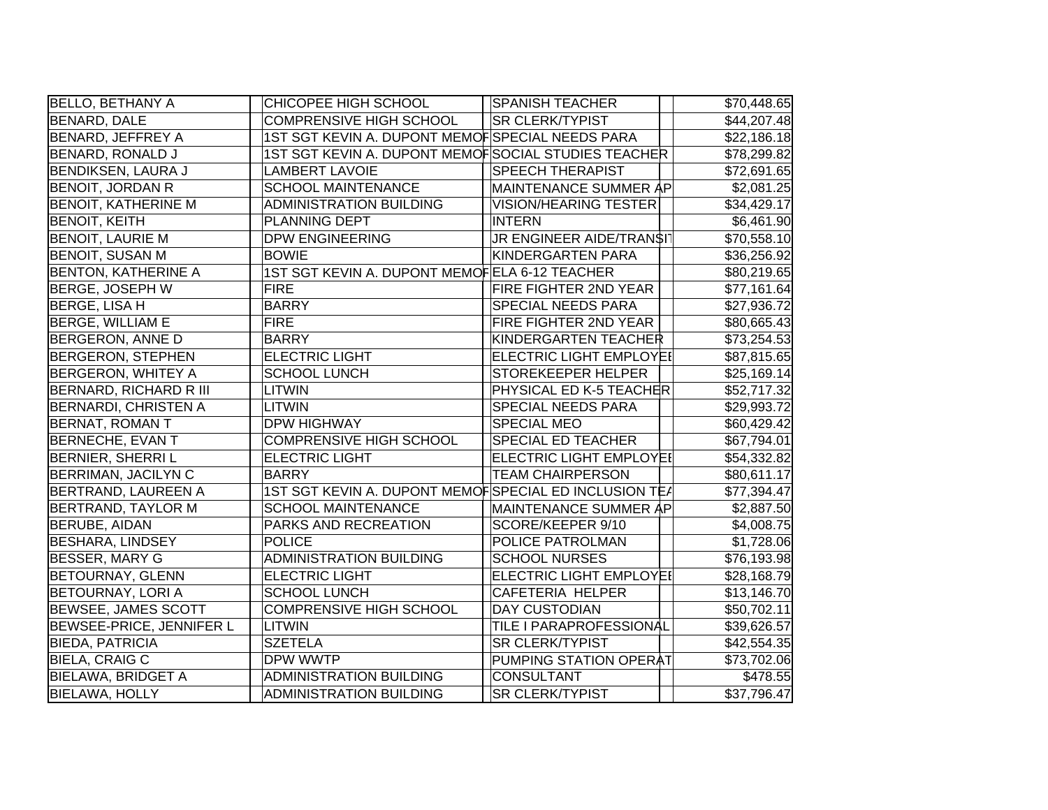| <b>BELLO, BETHANY A</b>     | CHICOPEE HIGH SCHOOL                                  | <b>SPANISH TEACHER</b>         | \$70,448.65 |
|-----------------------------|-------------------------------------------------------|--------------------------------|-------------|
| <b>BENARD, DALE</b>         | <b>COMPRENSIVE HIGH SCHOOL</b>                        | <b>SR CLERK/TYPIST</b>         | \$44,207.48 |
| BENARD, JEFFREY A           | 1ST SGT KEVIN A. DUPONT MEMOFSPECIAL NEEDS PARA       |                                | \$22,186.18 |
| BENARD, RONALD J            | 1ST SGT KEVIN A. DUPONT MEMOFSOCIAL STUDIES TEACHER   |                                | \$78,299.82 |
| <b>BENDIKSEN, LAURA J</b>   | <b>LAMBERT LAVOIE</b>                                 | <b>SPEECH THERAPIST</b>        | \$72,691.65 |
| <b>BENOIT, JORDAN R</b>     | <b>SCHOOL MAINTENANCE</b>                             | MAINTENANCE SUMMER AP          | \$2,081.25  |
| <b>BENOIT, KATHERINE M</b>  | <b>ADMINISTRATION BUILDING</b>                        | <b>VISION/HEARING TESTER</b>   | \$34,429.17 |
| <b>BENOIT, KEITH</b>        | PLANNING DEPT                                         | <b>INTERN</b>                  | \$6,461.90  |
| <b>BENOIT, LAURIE M</b>     | <b>DPW ENGINEERING</b>                                | JR ENGINEER AIDE/TRAN\$IT      | \$70,558.10 |
| <b>BENOIT, SUSAN M</b>      | <b>BOWIE</b>                                          | KINDERGARTEN PARA              | \$36,256.92 |
| <b>BENTON, KATHERINE A</b>  | 1ST SGT KEVIN A. DUPONT MEMOFELA 6-12 TEACHER         |                                | \$80,219.65 |
| <b>BERGE, JOSEPH W</b>      | <b>FIRE</b>                                           | FIRE FIGHTER 2ND YEAR          | \$77,161.64 |
| <b>BERGE, LISA H</b>        | <b>BARRY</b>                                          | SPECIAL NEEDS PARA             | \$27,936.72 |
| <b>BERGE, WILLIAM E</b>     | <b>FIRE</b>                                           | FIRE FIGHTER 2ND YEAR          | \$80,665.43 |
| <b>BERGERON, ANNE D</b>     | <b>BARRY</b>                                          | KINDERGARTEN TEACHER           | \$73,254.53 |
| <b>BERGERON, STEPHEN</b>    | <b>ELECTRIC LIGHT</b>                                 | <b>ELECTRIC LIGHT EMPLOYEI</b> | \$87,815.65 |
| <b>BERGERON, WHITEY A</b>   | <b>SCHOOL LUNCH</b>                                   | STOREKEEPER HELPER             | \$25,169.14 |
| BERNARD, RICHARD R III      | LITWIN                                                | PHYSICAL ED K-5 TEACHER        | \$52,717.32 |
| <b>BERNARDI, CHRISTEN A</b> | LITWIN                                                | SPECIAL NEEDS PARA             | \$29,993.72 |
| BERNAT, ROMAN T             | <b>DPW HIGHWAY</b>                                    | <b>SPECIAL MEO</b>             | \$60,429.42 |
| BERNECHE, EVAN T            | <b>COMPRENSIVE HIGH SCHOOL</b>                        | SPECIAL ED TEACHER             | \$67,794.01 |
| <b>BERNIER, SHERRI L</b>    | <b>ELECTRIC LIGHT</b>                                 | <b>ELECTRIC LIGHT EMPLOYEI</b> | \$54,332.82 |
| <b>BERRIMAN, JACILYN C</b>  | <b>BARRY</b>                                          | <b>TEAM CHAIRPERSON</b>        | \$80,611.17 |
| <b>BERTRAND, LAUREEN A</b>  | 1ST SGT KEVIN A. DUPONT MEMOFSPECIAL ED INCLUSION TEA |                                | \$77,394.47 |
| <b>BERTRAND, TAYLOR M</b>   | <b>SCHOOL MAINTENANCE</b>                             | MAINTENANCE SUMMER AP          | \$2,887.50  |
| BERUBE, AIDAN               | PARKS AND RECREATION                                  | SCORE/KEEPER 9/10              | \$4,008.75  |
| <b>BESHARA, LINDSEY</b>     | <b>POLICE</b>                                         | POLICE PATROLMAN               | \$1,728.06  |
| <b>BESSER, MARY G</b>       | <b>ADMINISTRATION BUILDING</b>                        | <b>SCHOOL NURSES</b>           | \$76,193.98 |
| <b>BETOURNAY, GLENN</b>     | <b>ELECTRIC LIGHT</b>                                 | ELECTRIC LIGHT EMPLOYEI        | \$28,168.79 |
| <b>BETOURNAY, LORI A</b>    | <b>SCHOOL LUNCH</b>                                   | CAFETERIA HELPER               | \$13,146.70 |
| <b>BEWSEE, JAMES SCOTT</b>  | <b>COMPRENSIVE HIGH SCHOOL</b>                        | <b>DAY CUSTODIAN</b>           | \$50,702.11 |
| BEWSEE-PRICE, JENNIFER L    | LITWIN                                                | TILE I PARAPROFESSIONAL        | \$39,626.57 |
| <b>BIEDA, PATRICIA</b>      | <b>SZETELA</b>                                        | <b>SR CLERK/TYPIST</b>         | \$42,554.35 |
| <b>BIELA, CRAIG C</b>       | DPW WWTP                                              | PUMPING STATION OPERAT         | \$73,702.06 |
| <b>BIELAWA, BRIDGET A</b>   | ADMINISTRATION BUILDING                               | <b>CONSULTANT</b>              | \$478.55    |
| <b>BIELAWA, HOLLY</b>       | <b>ADMINISTRATION BUILDING</b>                        | <b>SR CLERK/TYPIST</b>         | \$37,796.47 |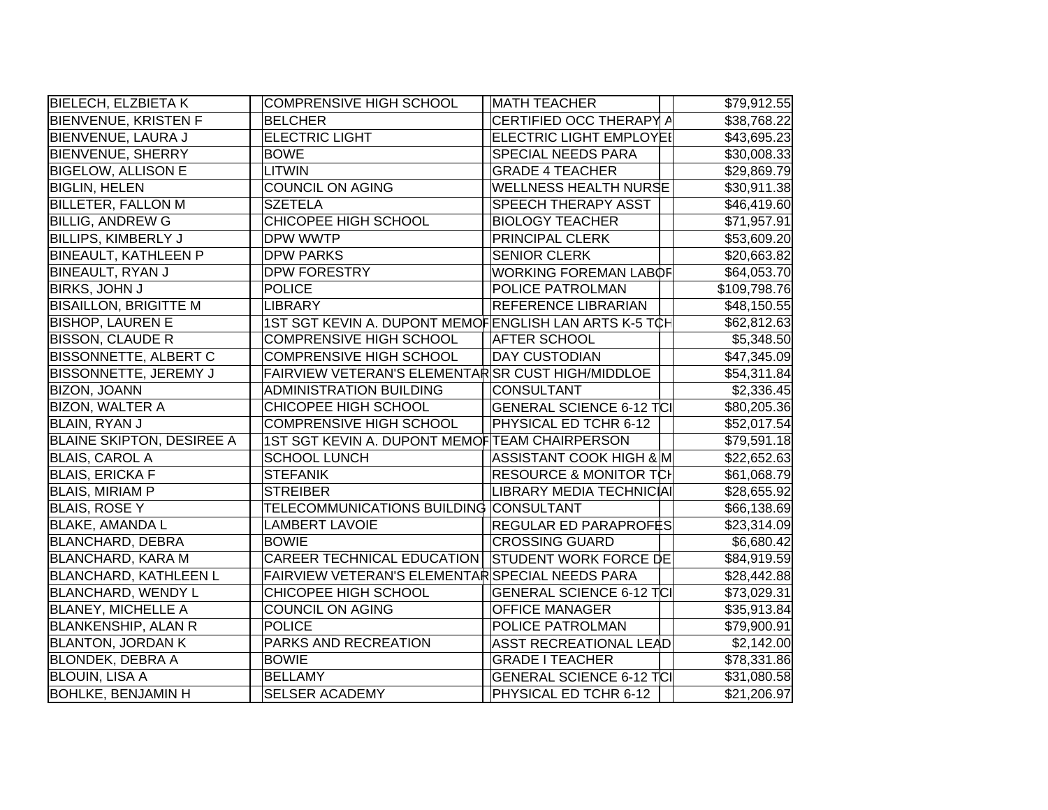| <b>BIELECH, ELZBIETAK</b>        | <b>COMPRENSIVE HIGH SCHOOL</b>                        | <b>MATH TEACHER</b>               | \$79,912.55  |
|----------------------------------|-------------------------------------------------------|-----------------------------------|--------------|
| <b>BIENVENUE, KRISTEN F</b>      | <b>BELCHER</b>                                        | CERTIFIED OCC THERAPY A           | \$38,768.22  |
| <b>BIENVENUE, LAURA J</b>        | <b>ELECTRIC LIGHT</b>                                 | ELECTRIC LIGHT EMPLOYEI           | \$43,695.23  |
| BIENVENUE, SHERRY                | <b>BOWE</b>                                           | <b>SPECIAL NEEDS PARA</b>         | \$30,008.33  |
| <b>BIGELOW, ALLISON E</b>        | LITWIN                                                | <b>GRADE 4 TEACHER</b>            | \$29,869.79  |
| <b>BIGLIN, HELEN</b>             | <b>COUNCIL ON AGING</b>                               | <b>WELLNESS HEALTH NURSE</b>      | \$30,911.38  |
| <b>BILLETER, FALLON M</b>        | <b>SZETELA</b>                                        | <b>SPEECH THERAPY ASST</b>        | \$46,419.60  |
| <b>BILLIG, ANDREW G</b>          | CHICOPEE HIGH SCHOOL                                  | <b>BIOLOGY TEACHER</b>            | \$71,957.91  |
| <b>BILLIPS, KIMBERLY J</b>       | DPW WWTP                                              | PRINCIPAL CLERK                   | \$53,609.20  |
| <b>BINEAULT, KATHLEEN P</b>      | <b>DPW PARKS</b>                                      | <b>SENIOR CLERK</b>               | \$20,663.82  |
| BINEAULT, RYAN J                 | <b>DPW FORESTRY</b>                                   | <b>WORKING FOREMAN LABOF</b>      | \$64,053.70  |
| <b>BIRKS, JOHN J</b>             | <b>POLICE</b>                                         | POLICE PATROLMAN                  | \$109,798.76 |
| <b>BISAILLON, BRIGITTE M</b>     | LIBRARY                                               | <b>REFERENCE LIBRARIAN</b>        | \$48,150.55  |
| <b>BISHOP, LAUREN E</b>          | 1ST SGT KEVIN A. DUPONT MEMOFENGLISH LAN ARTS K-5 TCH |                                   | \$62,812.63  |
| <b>BISSON, CLAUDE R</b>          | <b>COMPRENSIVE HIGH SCHOOL</b>                        | <b>AFTER SCHOOL</b>               | \$5,348.50   |
| <b>BISSONNETTE, ALBERT C</b>     | <b>COMPRENSIVE HIGH SCHOOL</b>                        | <b>DAY CUSTODIAN</b>              | \$47,345.09  |
| <b>BISSONNETTE, JEREMY J</b>     | FAIRVIEW VETERAN'S ELEMENTARSR CUST HIGH/MIDDLOE      |                                   | \$54,311.84  |
| <b>BIZON, JOANN</b>              | <b>ADMINISTRATION BUILDING</b>                        | CONSULTANT                        | \$2,336.45   |
| <b>BIZON, WALTER A</b>           | CHICOPEE HIGH SCHOOL                                  | <b>GENERAL SCIENCE 6-12 TCI</b>   | \$80,205.36  |
| BLAIN, RYAN J                    | <b>COMPRENSIVE HIGH SCHOOL</b>                        | PHYSICAL ED TCHR 6-12             | \$52,017.54  |
| <b>BLAINE SKIPTON, DESIREE A</b> | 1ST SGT KEVIN A. DUPONT MEMOF TEAM CHAIRPERSON        |                                   | \$79,591.18  |
| <b>BLAIS, CAROL A</b>            | <b>SCHOOL LUNCH</b>                                   | ASSISTANT COOK HIGH & M           | \$22,652.63  |
| <b>BLAIS, ERICKA F</b>           | <b>STEFANIK</b>                                       | <b>RESOURCE &amp; MONITOR TCH</b> | \$61,068.79  |
| <b>BLAIS, MIRIAM P</b>           | <b>STREIBER</b>                                       | LIBRARY MEDIA TECHNICIAI          | \$28,655.92  |
| <b>BLAIS, ROSE Y</b>             | TELECOMMUNICATIONS BUILDING CONSULTANT                |                                   | \$66,138.69  |
| <b>BLAKE, AMANDA L</b>           | <b>LAMBERT LAVOIE</b>                                 | <b>REGULAR ED PARAPROFES</b>      | \$23,314.09  |
| <b>BLANCHARD, DEBRA</b>          | <b>BOWIE</b>                                          | <b>CROSSING GUARD</b>             | \$6,680.42   |
| <b>BLANCHARD, KARA M</b>         | <b>CAREER TECHNICAL EDUCATION</b>                     | <b>STUDENT WORK FORCE DE</b>      | \$84,919.59  |
| <b>BLANCHARD, KATHLEEN L</b>     | FAIRVIEW VETERAN'S ELEMENTAR SPECIAL NEEDS PARA       |                                   | \$28,442.88  |
| <b>BLANCHARD, WENDY L</b>        | CHICOPEE HIGH SCHOOL                                  | <b>GENERAL SCIENCE 6-12 TCI</b>   | \$73,029.31  |
| <b>BLANEY, MICHELLE A</b>        | <b>COUNCIL ON AGING</b>                               | <b>OFFICE MANAGER</b>             | \$35,913.84  |
| <b>BLANKENSHIP, ALAN R</b>       | <b>POLICE</b>                                         | POLICE PATROLMAN                  | \$79,900.91  |
| <b>BLANTON, JORDAN K</b>         | PARKS AND RECREATION                                  | <b>ASST RECREATIONAL LEAD</b>     | \$2,142.00   |
| <b>BLONDEK, DEBRA A</b>          | <b>BOWIE</b>                                          | <b>GRADE I TEACHER</b>            | \$78,331.86  |
| <b>BLOUIN, LISA A</b>            | <b>BELLAMY</b>                                        | <b>GENERAL SCIENCE 6-12 TCI</b>   | \$31,080.58  |
| <b>BOHLKE, BENJAMIN H</b>        | <b>SELSER ACADEMY</b>                                 | PHYSICAL ED TCHR 6-12             | \$21,206.97  |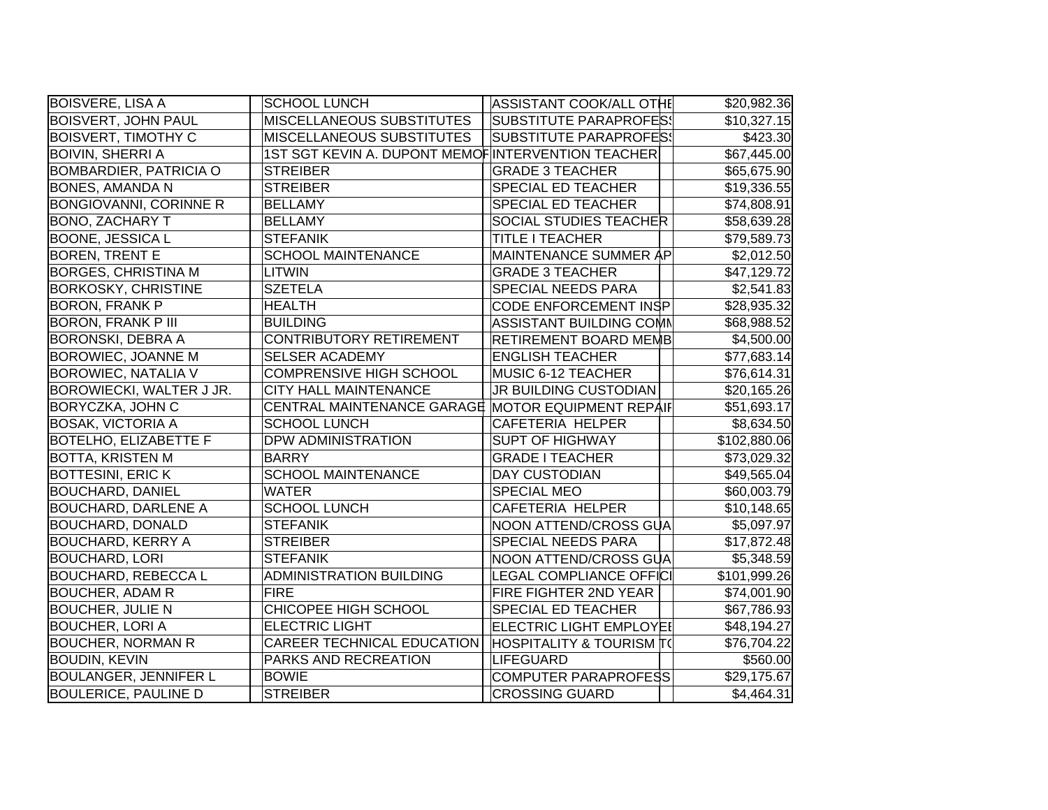| <b>BOISVERE, LISA A</b>       | <b>SCHOOL LUNCH</b>                               | ASSISTANT COOK/ALL OTHE             | \$20,982.36  |
|-------------------------------|---------------------------------------------------|-------------------------------------|--------------|
| <b>BOISVERT, JOHN PAUL</b>    | MISCELLANEOUS SUBSTITUTES                         | <b>SUBSTITUTE PARAPROFES!</b>       | \$10,327.15  |
| <b>BOISVERT, TIMOTHY C</b>    | MISCELLANEOUS SUBSTITUTES                         | <b>SUBSTITUTE PARAPROFES!</b>       | \$423.30     |
| BOIVIN, SHERRI A              | 1ST SGT KEVIN A. DUPONT MEMOFINTERVENTION TEACHER |                                     | \$67,445.00  |
| <b>BOMBARDIER, PATRICIA O</b> | <b>STREIBER</b>                                   | <b>GRADE 3 TEACHER</b>              | \$65,675.90  |
| <b>BONES, AMANDA N</b>        | <b>STREIBER</b>                                   | SPECIAL ED TEACHER                  | \$19,336.55  |
| <b>BONGIOVANNI, CORINNE R</b> | <b>BELLAMY</b>                                    | SPECIAL ED TEACHER                  | \$74,808.91  |
| <b>BONO, ZACHARY T</b>        | <b>BELLAMY</b>                                    | <b>SOCIAL STUDIES TEACHER</b>       | \$58,639.28  |
| <b>BOONE, JESSICA L</b>       | <b>STEFANIK</b>                                   | TITLE I TEACHER                     | \$79,589.73  |
| <b>BOREN, TRENT E</b>         | <b>SCHOOL MAINTENANCE</b>                         | MAINTENANCE SUMMER AP               | \$2,012.50   |
| <b>BORGES, CHRISTINA M</b>    | <b>LITWIN</b>                                     | <b>GRADE 3 TEACHER</b>              | \$47,129.72  |
| <b>BORKOSKY, CHRISTINE</b>    | <b>SZETELA</b>                                    | SPECIAL NEEDS PARA                  | \$2,541.83   |
| <b>BORON, FRANK P</b>         | <b>HEALTH</b>                                     | <b>CODE ENFORCEMENT INSP</b>        | \$28,935.32  |
| <b>BORON, FRANK P III</b>     | <b>BUILDING</b>                                   | ASSISTANT BUILDING COMM             | \$68,988.52  |
| <b>BORONSKI, DEBRA A</b>      | CONTRIBUTORY RETIREMENT                           | <b>RETIREMENT BOARD MEMB</b>        | \$4,500.00   |
| <b>BOROWIEC, JOANNE M</b>     | <b>SELSER ACADEMY</b>                             | <b>ENGLISH TEACHER</b>              | \$77,683.14  |
| <b>BOROWIEC, NATALIA V</b>    | <b>COMPRENSIVE HIGH SCHOOL</b>                    | MUSIC 6-12 TEACHER                  | \$76,614.31  |
| BOROWIECKI, WALTER J JR.      | <b>CITY HALL MAINTENANCE</b>                      | JR BUILDING CUSTODIAN               | \$20,165.26  |
| BORYCZKA, JOHN C              | CENTRAL MAINTENANCE GARAGE MOTOR EQUIPMENT REPAIF |                                     | \$51,693.17  |
| <b>BOSAK, VICTORIA A</b>      | <b>SCHOOL LUNCH</b>                               | <b>CAFETERIA HELPER</b>             | \$8,634.50   |
| <b>BOTELHO, ELIZABETTE F</b>  | DPW ADMINISTRATION                                | <b>SUPT OF HIGHWAY</b>              | \$102,880.06 |
| <b>BOTTA, KRISTEN M</b>       | <b>BARRY</b>                                      | <b>GRADE I TEACHER</b>              | \$73,029.32  |
| <b>BOTTESINI, ERIC K</b>      | <b>SCHOOL MAINTENANCE</b>                         | <b>DAY CUSTODIAN</b>                | \$49,565.04  |
| <b>BOUCHARD, DANIEL</b>       | <b>WATER</b>                                      | <b>SPECIAL MEO</b>                  | \$60,003.79  |
| <b>BOUCHARD, DARLENE A</b>    | <b>SCHOOL LUNCH</b>                               | CAFETERIA HELPER                    | \$10,148.65  |
| <b>BOUCHARD, DONALD</b>       | <b>STEFANIK</b>                                   | NOON ATTEND/CROSS GUA               | \$5,097.97   |
| <b>BOUCHARD, KERRY A</b>      | <b>STREIBER</b>                                   | SPECIAL NEEDS PARA                  | \$17,872.48  |
| <b>BOUCHARD, LORI</b>         | <b>STEFANIK</b>                                   | NOON ATTEND/CROSS GUA               | \$5,348.59   |
| <b>BOUCHARD, REBECCAL</b>     | <b>ADMINISTRATION BUILDING</b>                    | <b>LEGAL COMPLIANCE OFFICI</b>      | \$101,999.26 |
| <b>BOUCHER, ADAM R</b>        | <b>FIRE</b>                                       | <b>FIRE FIGHTER 2ND YEAR</b>        | \$74,001.90  |
| <b>BOUCHER, JULIE N</b>       | CHICOPEE HIGH SCHOOL                              | SPECIAL ED TEACHER                  | \$67,786.93  |
| <b>BOUCHER, LORI A</b>        | <b>ELECTRIC LIGHT</b>                             | <b>ELECTRIC LIGHT EMPLOYEI</b>      | \$48,194.27  |
| <b>BOUCHER, NORMAN R</b>      | <b>CAREER TECHNICAL EDUCATION</b>                 | <b>HOSPITALITY &amp; TOURISM T(</b> | \$76,704.22  |
| <b>BOUDIN, KEVIN</b>          | PARKS AND RECREATION                              | <b>LIFEGUARD</b>                    | \$560.00     |
| <b>BOULANGER, JENNIFER L</b>  | <b>BOWIE</b>                                      | COMPUTER PARAPROFESS                | \$29,175.67  |
| <b>BOULERICE, PAULINE D</b>   | <b>STREIBER</b>                                   | <b>CROSSING GUARD</b>               | \$4,464.31   |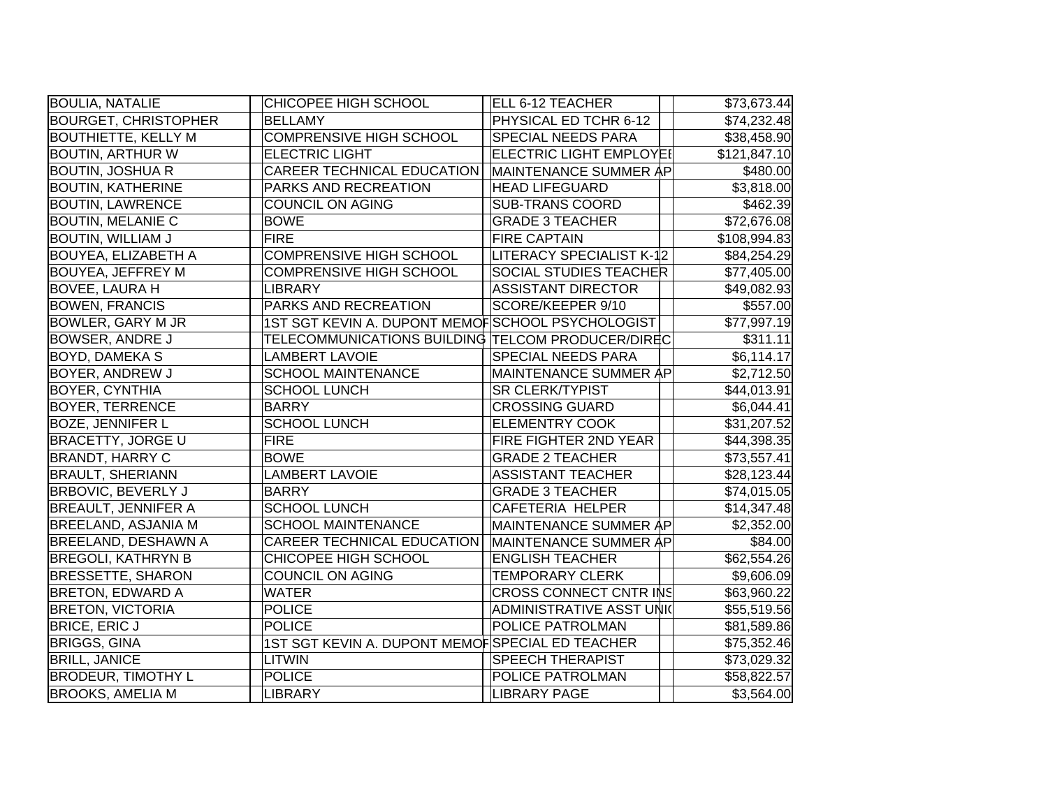| <b>BOULIA, NATALIE</b>      | CHICOPEE HIGH SCHOOL                              | ELL 6-12 TEACHER                | \$73,673.44  |
|-----------------------------|---------------------------------------------------|---------------------------------|--------------|
| <b>BOURGET, CHRISTOPHER</b> | <b>BELLAMY</b>                                    | PHYSICAL ED TCHR 6-12           | \$74,232.48  |
| <b>BOUTHIETTE, KELLY M</b>  | <b>COMPRENSIVE HIGH SCHOOL</b>                    | SPECIAL NEEDS PARA              | \$38,458.90  |
| <b>BOUTIN, ARTHUR W</b>     | <b>ELECTRIC LIGHT</b>                             | <b>ELECTRIC LIGHT EMPLOYEI</b>  | \$121,847.10 |
| <b>BOUTIN, JOSHUA R</b>     | CAREER TECHNICAL EDUCATION                        | MAINTENANCE SUMMER AP           | \$480.00     |
| <b>BOUTIN, KATHERINE</b>    | PARKS AND RECREATION                              | <b>HEAD LIFEGUARD</b>           | \$3,818.00   |
| <b>BOUTIN, LAWRENCE</b>     | <b>COUNCIL ON AGING</b>                           | <b>SUB-TRANS COORD</b>          | \$462.39     |
| <b>BOUTIN, MELANIE C</b>    | <b>BOWE</b>                                       | <b>GRADE 3 TEACHER</b>          | \$72,676.08  |
| <b>BOUTIN, WILLIAM J</b>    | <b>FIRE</b>                                       | <b>FIRE CAPTAIN</b>             | \$108,994.83 |
| <b>BOUYEA, ELIZABETH A</b>  | COMPRENSIVE HIGH SCHOOL                           | LITERACY SPECIALIST K-12        | \$84,254.29  |
| <b>BOUYEA, JEFFREY M</b>    | <b>COMPRENSIVE HIGH SCHOOL</b>                    | <b>SOCIAL STUDIES TEACHER</b>   | \$77,405.00  |
| <b>BOVEE, LAURA H</b>       | <b>LIBRARY</b>                                    | <b>ASSISTANT DIRECTOR</b>       | \$49,082.93  |
| <b>BOWEN, FRANCIS</b>       | PARKS AND RECREATION                              | SCORE/KEEPER 9/10               | \$557.00     |
| <b>BOWLER, GARY M JR</b>    | 1ST SGT KEVIN A. DUPONT MEMOFSCHOOL PSYCHOLOGIST  |                                 | \$77,997.19  |
| <b>BOWSER, ANDRE J</b>      | TELECOMMUNICATIONS BUILDING TELCOM PRODUCER/DIREC |                                 | \$311.11     |
| <b>BOYD, DAMEKA S</b>       | <b>LAMBERT LAVOIE</b>                             | SPECIAL NEEDS PARA              | \$6,114.17   |
| <b>BOYER, ANDREW J</b>      | <b>SCHOOL MAINTENANCE</b>                         | MAINTENANCE SUMMER AP           | \$2,712.50   |
| <b>BOYER, CYNTHIA</b>       | <b>SCHOOL LUNCH</b>                               | <b>SR CLERK/TYPIST</b>          | \$44,013.91  |
| <b>BOYER, TERRENCE</b>      | <b>BARRY</b>                                      | <b>CROSSING GUARD</b>           | \$6,044.41   |
| <b>BOZE, JENNIFER L</b>     | <b>SCHOOL LUNCH</b>                               | <b>ELEMENTRY COOK</b>           | \$31,207.52  |
| <b>BRACETTY, JORGE U</b>    | <b>FIRE</b>                                       | FIRE FIGHTER 2ND YEAR           | \$44,398.35  |
| <b>BRANDT, HARRY C</b>      | <b>BOWE</b>                                       | <b>GRADE 2 TEACHER</b>          | \$73,557.41  |
| <b>BRAULT, SHERIANN</b>     | <b>LAMBERT LAVOIE</b>                             | <b>ASSISTANT TEACHER</b>        | \$28,123.44  |
| <b>BRBOVIC, BEVERLY J</b>   | <b>BARRY</b>                                      | <b>GRADE 3 TEACHER</b>          | \$74,015.05  |
| <b>BREAULT, JENNIFER A</b>  | <b>SCHOOL LUNCH</b>                               | <b>CAFETERIA HELPER</b>         | \$14,347.48  |
| <b>BREELAND, ASJANIA M</b>  | <b>SCHOOL MAINTENANCE</b>                         | MAINTENANCE SUMMER AP           | \$2,352.00   |
| <b>BREELAND, DESHAWN A</b>  | CAREER TECHNICAL EDUCATION                        | MAINTENANCE SUMMER AP           | \$84.00      |
| <b>BREGOLI, KATHRYN B</b>   | CHICOPEE HIGH SCHOOL                              | <b>ENGLISH TEACHER</b>          | \$62,554.26  |
| <b>BRESSETTE, SHARON</b>    | <b>COUNCIL ON AGING</b>                           | <b>TEMPORARY CLERK</b>          | \$9,606.09   |
| <b>BRETON, EDWARD A</b>     | <b>WATER</b>                                      | CROSS CONNECT CNTR INS          | \$63,960.22  |
| <b>BRETON, VICTORIA</b>     | <b>POLICE</b>                                     | <b>ADMINISTRATIVE ASST UNIC</b> | \$55,519.56  |
| <b>BRICE, ERIC J</b>        | <b>POLICE</b>                                     | POLICE PATROLMAN                | \$81,589.86  |
| <b>BRIGGS, GINA</b>         | 1ST SGT KEVIN A. DUPONT MEMOFSPECIAL ED TEACHER   |                                 | \$75,352.46  |
| <b>BRILL, JANICE</b>        | <b>LITWIN</b>                                     | <b>SPEECH THERAPIST</b>         | \$73,029.32  |
| <b>BRODEUR, TIMOTHY L</b>   | <b>POLICE</b>                                     | POLICE PATROLMAN                | \$58,822.57  |
| <b>BROOKS, AMELIA M</b>     | <b>LIBRARY</b>                                    | <b>LIBRARY PAGE</b>             | \$3,564.00   |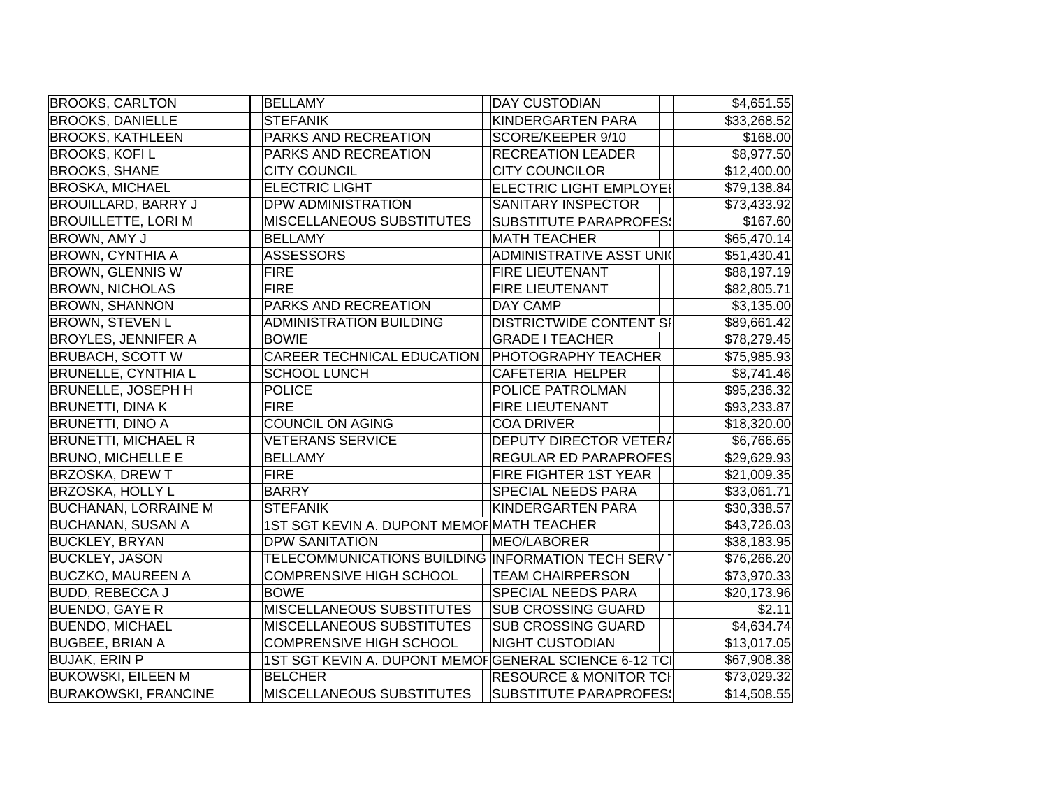| <b>BROOKS, CARLTON</b>      | <b>BELLAMY</b>                                        | <b>DAY CUSTODIAN</b>              | \$4,651.55  |
|-----------------------------|-------------------------------------------------------|-----------------------------------|-------------|
| <b>BROOKS, DANIELLE</b>     | <b>STEFANIK</b>                                       | KINDERGARTEN PARA                 | \$33,268.52 |
| <b>BROOKS, KATHLEEN</b>     | PARKS AND RECREATION                                  | SCORE/KEEPER 9/10                 | \$168.00    |
| <b>BROOKS, KOFI L</b>       | PARKS AND RECREATION                                  | <b>RECREATION LEADER</b>          | \$8,977.50  |
| <b>BROOKS, SHANE</b>        | <b>CITY COUNCIL</b>                                   | <b>CITY COUNCILOR</b>             | \$12,400.00 |
| <b>BROSKA, MICHAEL</b>      | <b>ELECTRIC LIGHT</b>                                 | ELECTRIC LIGHT EMPLOYEI           | \$79,138.84 |
| <b>BROUILLARD, BARRY J</b>  | <b>DPW ADMINISTRATION</b>                             | <b>SANITARY INSPECTOR</b>         | \$73,433.92 |
| <b>BROUILLETTE, LORI M</b>  | <b>MISCELLANEOUS SUBSTITUTES</b>                      | <b>SUBSTITUTE PARAPROFES!</b>     | \$167.60    |
| BROWN, AMY J                | <b>BELLAMY</b>                                        | <b>MATH TEACHER</b>               | \$65,470.14 |
| <b>BROWN, CYNTHIA A</b>     | <b>ASSESSORS</b>                                      | ADMINISTRATIVE ASST UNIC          | \$51,430.41 |
| <b>BROWN, GLENNIS W</b>     | <b>FIRE</b>                                           | <b>FIRE LIEUTENANT</b>            | \$88,197.19 |
| <b>BROWN, NICHOLAS</b>      | <b>FIRE</b>                                           | <b>FIRE LIEUTENANT</b>            | \$82,805.71 |
| <b>BROWN, SHANNON</b>       | PARKS AND RECREATION                                  | DAY CAMP                          | \$3,135.00  |
| <b>BROWN, STEVEN L</b>      | <b>ADMINISTRATION BUILDING</b>                        | <b>DISTRICTWIDE CONTENT SI</b>    | \$89,661.42 |
| <b>BROYLES, JENNIFER A</b>  | <b>BOWIE</b>                                          | <b>GRADE I TEACHER</b>            | \$78,279.45 |
| <b>BRUBACH, SCOTT W</b>     | <b>CAREER TECHNICAL EDUCATION</b>                     | <b>PHOTOGRAPHY TEACHER</b>        | \$75,985.93 |
| <b>BRUNELLE, CYNTHIA L</b>  | <b>SCHOOL LUNCH</b>                                   | CAFETERIA HELPER                  | \$8,741.46  |
| <b>BRUNELLE, JOSEPH H</b>   | <b>POLICE</b>                                         | <b>POLICE PATROLMAN</b>           | \$95,236.32 |
| <b>BRUNETTI, DINA K</b>     | <b>FIRE</b>                                           | <b>FIRE LIEUTENANT</b>            | \$93,233.87 |
| <b>BRUNETTI, DINO A</b>     | <b>COUNCIL ON AGING</b>                               | <b>COA DRIVER</b>                 | \$18,320.00 |
| <b>BRUNETTI, MICHAEL R</b>  | <b>VETERANS SERVICE</b>                               | DEPUTY DIRECTOR VETER/            | \$6,766.65  |
| <b>BRUNO, MICHELLE E</b>    | <b>BELLAMY</b>                                        | <b>REGULAR ED PARAPROF</b> ‡S     | \$29,629.93 |
| <b>BRZOSKA, DREW T</b>      | <b>FIRE</b>                                           | <b>FIRE FIGHTER 1ST YEAR</b>      | \$21,009.35 |
| <b>BRZOSKA, HOLLY L</b>     | <b>BARRY</b>                                          | <b>SPECIAL NEEDS PARA</b>         | \$33,061.71 |
| <b>BUCHANAN, LORRAINE M</b> | <b>STEFANIK</b>                                       | KINDERGARTEN PARA                 | \$30,338.57 |
| <b>BUCHANAN, SUSAN A</b>    | 1ST SGT KEVIN A. DUPONT MEMOF MATH TEACHER            |                                   | \$43,726.03 |
| <b>BUCKLEY, BRYAN</b>       | <b>DPW SANITATION</b>                                 | MEO/LABORER                       | \$38,183.95 |
| <b>BUCKLEY, JASON</b>       | TELECOMMUNICATIONS BUILDING INFORMATION TECH SERV     |                                   | \$76,266.20 |
| <b>BUCZKO, MAUREEN A</b>    | <b>COMPRENSIVE HIGH SCHOOL</b>                        | <b>TEAM CHAIRPERSON</b>           | \$73,970.33 |
| <b>BUDD, REBECCA J</b>      | <b>BOWE</b>                                           | <b>SPECIAL NEEDS PARA</b>         | \$20,173.96 |
| <b>BUENDO, GAYE R</b>       | <b>MISCELLANEOUS SUBSTITUTES</b>                      | <b>SUB CROSSING GUARD</b>         | \$2.11      |
| <b>BUENDO, MICHAEL</b>      | MISCELLANEOUS SUBSTITUTES                             | <b>SUB CROSSING GUARD</b>         | \$4,634.74  |
| <b>BUGBEE, BRIAN A</b>      | <b>COMPRENSIVE HIGH SCHOOL</b>                        | <b>NIGHT CUSTODIAN</b>            | \$13,017.05 |
| <b>BUJAK, ERIN P</b>        | 1ST SGT KEVIN A. DUPONT MEMOFGENERAL SCIENCE 6-12 TCI |                                   | \$67,908.38 |
| <b>BUKOWSKI, EILEEN M</b>   | <b>BELCHER</b>                                        | <b>RESOURCE &amp; MONITOR TCI</b> | \$73,029.32 |
| <b>BURAKOWSKI, FRANCINE</b> | <b>MISCELLANEOUS SUBSTITUTES</b>                      | SUBSTITUTE PARAPROFES!            | \$14,508.55 |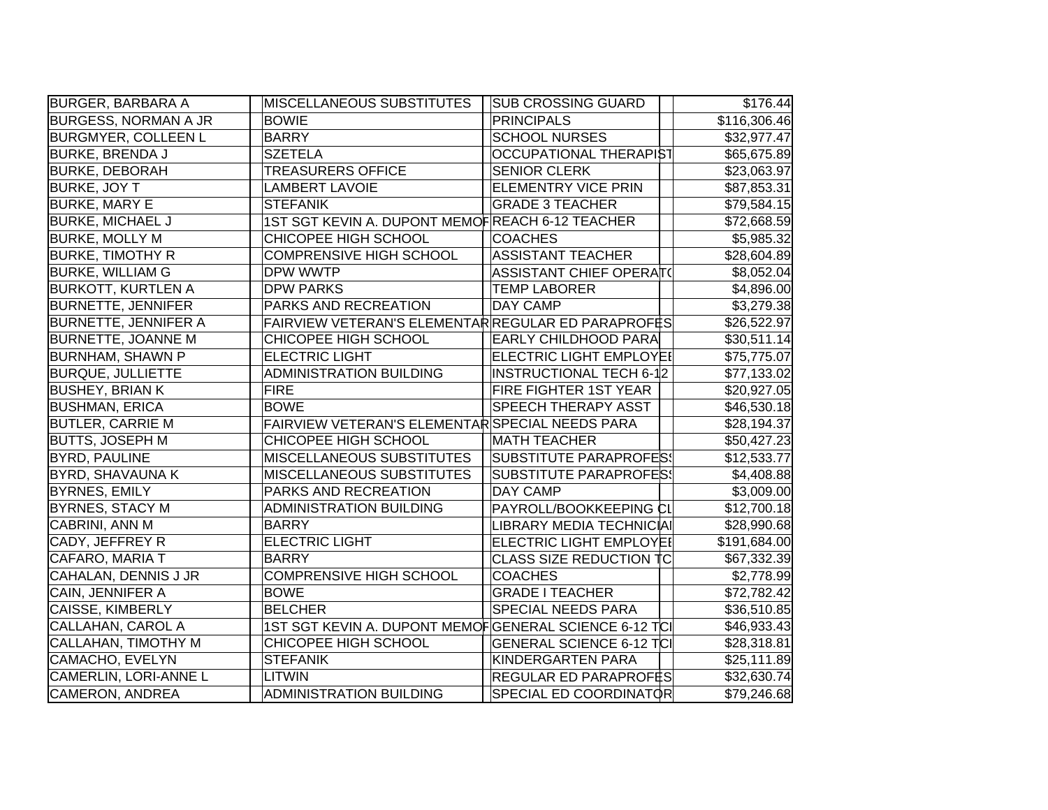| <b>BURGER, BARBARA A</b>    | MISCELLANEOUS SUBSTITUTES                             | <b>SUB CROSSING GUARD</b>       | \$176.44     |
|-----------------------------|-------------------------------------------------------|---------------------------------|--------------|
| <b>BURGESS, NORMAN A JR</b> | <b>BOWIE</b>                                          | <b>PRINCIPALS</b>               | \$116,306.46 |
| <b>BURGMYER, COLLEEN L</b>  | <b>BARRY</b>                                          | <b>SCHOOL NURSES</b>            | \$32,977.47  |
| <b>BURKE, BRENDA J</b>      | <b>SZETELA</b>                                        | OCCUPATIONAL THERAPIST          | \$65,675.89  |
| <b>BURKE, DEBORAH</b>       | <b>TREASURERS OFFICE</b>                              | <b>SENIOR CLERK</b>             | \$23,063.97  |
| <b>BURKE, JOY T</b>         | <b>LAMBERT LAVOIE</b>                                 | <b>ELEMENTRY VICE PRIN</b>      | \$87,853.31  |
| <b>BURKE, MARY E</b>        | <b>STEFANIK</b>                                       | <b>GRADE 3 TEACHER</b>          | \$79,584.15  |
| <b>BURKE, MICHAEL J</b>     | 1ST SGT KEVIN A. DUPONT MEMOFREACH 6-12 TEACHER       |                                 | \$72,668.59  |
| <b>BURKE, MOLLY M</b>       | CHICOPEE HIGH SCHOOL                                  | <b>COACHES</b>                  | \$5,985.32   |
| <b>BURKE, TIMOTHY R</b>     | <b>COMPRENSIVE HIGH SCHOOL</b>                        | <b>ASSISTANT TEACHER</b>        | \$28,604.89  |
| <b>BURKE, WILLIAM G</b>     | DPW WWTP                                              | ASSISTANT CHIEF OPERAT(         | \$8,052.04   |
| <b>BURKOTT, KURTLEN A</b>   | <b>DPW PARKS</b>                                      | <b>TEMP LABORER</b>             | \$4,896.00   |
| <b>BURNETTE, JENNIFER</b>   | PARKS AND RECREATION                                  | <b>DAY CAMP</b>                 | \$3,279.38   |
| <b>BURNETTE, JENNIFER A</b> | FAIRVIEW VETERAN'S ELEMENTAR REGULAR ED PARAPROFES    |                                 | \$26,522.97  |
| <b>BURNETTE, JOANNE M</b>   | CHICOPEE HIGH SCHOOL                                  | <b>EARLY CHILDHOOD PARA</b>     | \$30,511.14  |
| <b>BURNHAM, SHAWN P</b>     | <b>ELECTRIC LIGHT</b>                                 | ELECTRIC LIGHT EMPLOYEI         | \$75,775.07  |
| <b>BURQUE, JULLIETTE</b>    | <b>ADMINISTRATION BUILDING</b>                        | <b>INSTRUCTIONAL TECH 6-12</b>  | \$77,133.02  |
| <b>BUSHEY, BRIAN K</b>      | <b>FIRE</b>                                           | <b>FIRE FIGHTER 1ST YEAR</b>    | \$20,927.05  |
| <b>BUSHMAN, ERICA</b>       | <b>BOWE</b>                                           | <b>SPEECH THERAPY ASST</b>      | \$46,530.18  |
| <b>BUTLER, CARRIE M</b>     | FAIRVIEW VETERAN'S ELEMENTAR SPECIAL NEEDS PARA       |                                 | \$28,194.37  |
| BUTTS, JOSEPH M             | CHICOPEE HIGH SCHOOL                                  | <b>MATH TEACHER</b>             | \$50,427.23  |
| <b>BYRD, PAULINE</b>        | MISCELLANEOUS SUBSTITUTES                             | <b>SUBSTITUTE PARAPROFES!</b>   | \$12,533.77  |
| <b>BYRD, SHAVAUNA K</b>     | <b>MISCELLANEOUS SUBSTITUTES</b>                      | <b>SUBSTITUTE PARAPROFES!</b>   | \$4,408.88   |
| <b>BYRNES, EMILY</b>        | PARKS AND RECREATION                                  | <b>DAY CAMP</b>                 | \$3,009.00   |
| <b>BYRNES, STACY M</b>      | <b>ADMINISTRATION BUILDING</b>                        | PAYROLL/BOOKKEEPING CI          | \$12,700.18  |
| CABRINI, ANN M              | <b>BARRY</b>                                          | LIBRARY MEDIA TECHNICIAI        | \$28,990.68  |
| CADY, JEFFREY R             | <b>ELECTRIC LIGHT</b>                                 | <b>ELECTRIC LIGHT EMPLOYEI</b>  | \$191,684.00 |
| CAFARO, MARIA T             | <b>BARRY</b>                                          | CLASS SIZE REDUCTION TC         | \$67,332.39  |
| CAHALAN, DENNIS J JR        | <b>COMPRENSIVE HIGH SCHOOL</b>                        | <b>COACHES</b>                  | \$2,778.99   |
| CAIN, JENNIFER A            | <b>BOWE</b>                                           | <b>GRADE I TEACHER</b>          | \$72,782.42  |
| CAISSE, KIMBERLY            | <b>BELCHER</b>                                        | <b>SPECIAL NEEDS PARA</b>       | \$36,510.85  |
| CALLAHAN, CAROL A           | 1ST SGT KEVIN A. DUPONT MEMOFGENERAL SCIENCE 6-12 TCI |                                 | \$46,933.43  |
| CALLAHAN, TIMOTHY M         | CHICOPEE HIGH SCHOOL                                  | <b>GENERAL SCIENCE 6-12 TCI</b> | \$28,318.81  |
| CAMACHO, EVELYN             | <b>STEFANIK</b>                                       | KINDERGARTEN PARA               | \$25,111.89  |
| CAMERLIN, LORI-ANNE L       | LITWIN                                                | <b>REGULAR ED PARAPROFES</b>    | \$32,630.74  |
| CAMERON, ANDREA             | <b>ADMINISTRATION BUILDING</b>                        | <b>SPECIAL ED COORDINATOR</b>   | \$79,246.68  |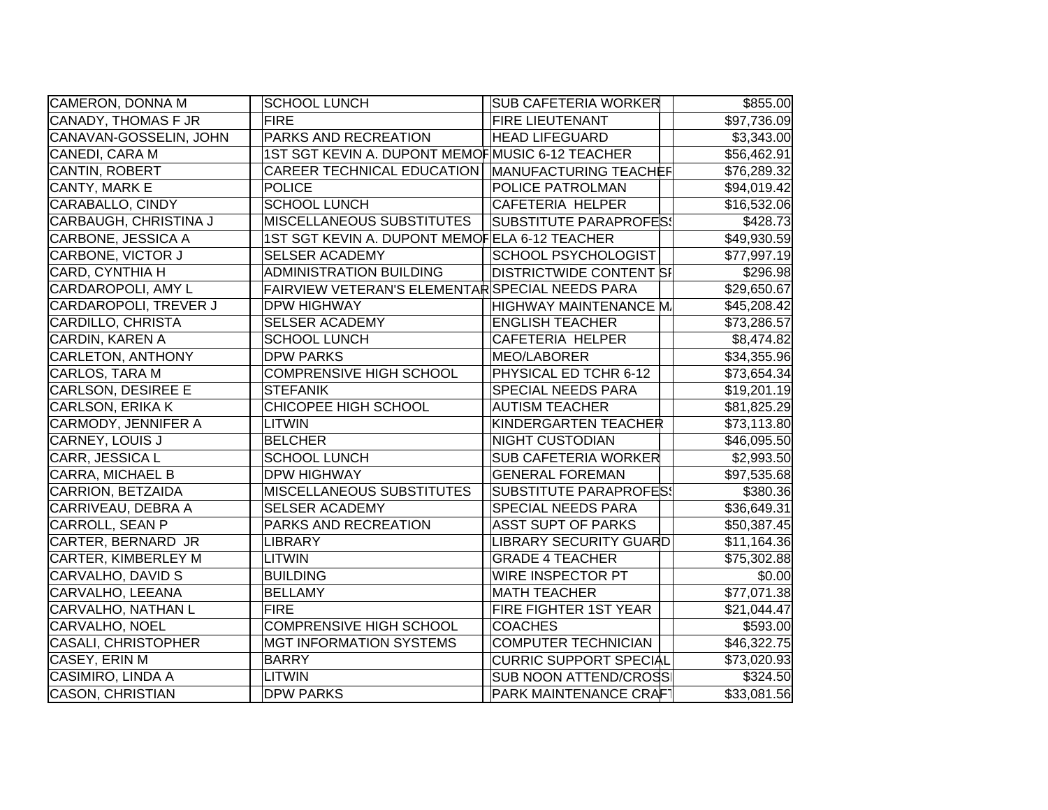| CAMERON, DONNA M           | <b>SCHOOL LUNCH</b>                                | <b>SUB CAFETERIA WORKER</b>    | \$855.00    |
|----------------------------|----------------------------------------------------|--------------------------------|-------------|
| <b>CANADY, THOMAS F JR</b> | <b>FIRE</b>                                        | <b>FIRE LIEUTENANT</b>         | \$97,736.09 |
| CANAVAN-GOSSELIN, JOHN     | PARKS AND RECREATION                               | <b>HEAD LIFEGUARD</b>          | \$3,343.00  |
| CANEDI, CARA M             | 1ST SGT KEVIN A. DUPONT MEMOF MUSIC 6-12 TEACHER   |                                | \$56,462.91 |
| CANTIN, ROBERT             | CAREER TECHNICAL EDUCATION   MANUFACTURING TEACHEF |                                | \$76,289.32 |
| CANTY, MARK E              | <b>POLICE</b>                                      | <b>POLICE PATROLMAN</b>        | \$94,019.42 |
| CARABALLO, CINDY           | <b>SCHOOL LUNCH</b>                                | CAFETERIA HELPER               | \$16,532.06 |
| CARBAUGH, CHRISTINA J      | <b>MISCELLANEOUS SUBSTITUTES</b>                   | <b>SUBSTITUTE PARAPROFES!</b>  | \$428.73    |
| CARBONE, JESSICA A         | 1ST SGT KEVIN A. DUPONT MEMOFELA 6-12 TEACHER      |                                | \$49,930.59 |
| CARBONE, VICTOR J          | <b>SELSER ACADEMY</b>                              | <b>SCHOOL PSYCHOLOGIST</b>     | \$77,997.19 |
| CARD, CYNTHIA H            | ADMINISTRATION BUILDING                            | <b>DISTRICTWIDE CONTENT SI</b> | \$296.98    |
| CARDAROPOLI, AMY L         | FAIRVIEW VETERAN'S ELEMENTAR SPECIAL NEEDS PARA    |                                | \$29,650.67 |
| CARDAROPOLI, TREVER J      | <b>DPW HIGHWAY</b>                                 | HIGHWAY MAINTENANCE M.         | \$45,208.42 |
| CARDILLO, CHRISTA          | <b>SELSER ACADEMY</b>                              | <b>ENGLISH TEACHER</b>         | \$73,286.57 |
| <b>CARDIN, KAREN A</b>     | <b>SCHOOL LUNCH</b>                                | CAFETERIA HELPER               | \$8,474.82  |
| <b>CARLETON, ANTHONY</b>   | <b>DPW PARKS</b>                                   | MEO/LABORER                    | \$34,355.96 |
| CARLOS, TARA M             | <b>COMPRENSIVE HIGH SCHOOL</b>                     | PHYSICAL ED TCHR 6-12          | \$73,654.34 |
| <b>CARLSON, DESIREE E</b>  | <b>STEFANIK</b>                                    | <b>SPECIAL NEEDS PARA</b>      | \$19,201.19 |
| CARLSON, ERIKA K           | CHICOPEE HIGH SCHOOL                               | <b>AUTISM TEACHER</b>          | \$81,825.29 |
| CARMODY, JENNIFER A        | LITWIN                                             | KINDERGARTEN TEACHER           | \$73,113.80 |
| CARNEY, LOUIS J            | <b>BELCHER</b>                                     | <b>NIGHT CUSTODIAN</b>         | \$46,095.50 |
| CARR, JESSICA L            | <b>SCHOOL LUNCH</b>                                | <b>SUB CAFETERIA WORKER</b>    | \$2,993.50  |
| CARRA, MICHAEL B           | <b>DPW HIGHWAY</b>                                 | <b>GENERAL FOREMAN</b>         | \$97,535.68 |
| CARRION, BETZAIDA          | <b>MISCELLANEOUS SUBSTITUTES</b>                   | <b>SUBSTITUTE PARAPROFES!</b>  | \$380.36    |
| CARRIVEAU, DEBRA A         | <b>SELSER ACADEMY</b>                              | <b>SPECIAL NEEDS PARA</b>      | \$36,649.31 |
| CARROLL, SEAN P            | PARKS AND RECREATION                               | <b>ASST SUPT OF PARKS</b>      | \$50,387.45 |
| CARTER, BERNARD JR         | <b>LIBRARY</b>                                     | LIBRARY SECURITY GUARD         | \$11,164.36 |
| CARTER, KIMBERLEY M        | <b>LITWIN</b>                                      | <b>GRADE 4 TEACHER</b>         | \$75,302.88 |
| CARVALHO, DAVID S          | <b>BUILDING</b>                                    | WIRE INSPECTOR PT              | \$0.00      |
| CARVALHO, LEEANA           | <b>BELLAMY</b>                                     | <b>MATH TEACHER</b>            | \$77,071.38 |
| CARVALHO, NATHAN L         | <b>FIRE</b>                                        | FIRE FIGHTER 1ST YEAR          | \$21,044.47 |
| CARVALHO, NOEL             | <b>COMPRENSIVE HIGH SCHOOL</b>                     | <b>COACHES</b>                 | \$593.00    |
| <b>CASALI, CHRISTOPHER</b> | <b>MGT INFORMATION SYSTEMS</b>                     | <b>COMPUTER TECHNICIAN</b>     | \$46,322.75 |
| CASEY, ERIN M              | <b>BARRY</b>                                       | <b>CURRIC SUPPORT SPECIAL</b>  | \$73,020.93 |
| CASIMIRO, LINDA A          | <b>LITWIN</b>                                      | <b>SUB NOON ATTEND/CROSS</b>   | \$324.50    |
| CASON, CHRISTIAN           | <b>DPW PARKS</b>                                   | <b>PARK MAINTENANCE CRAFT</b>  | \$33,081.56 |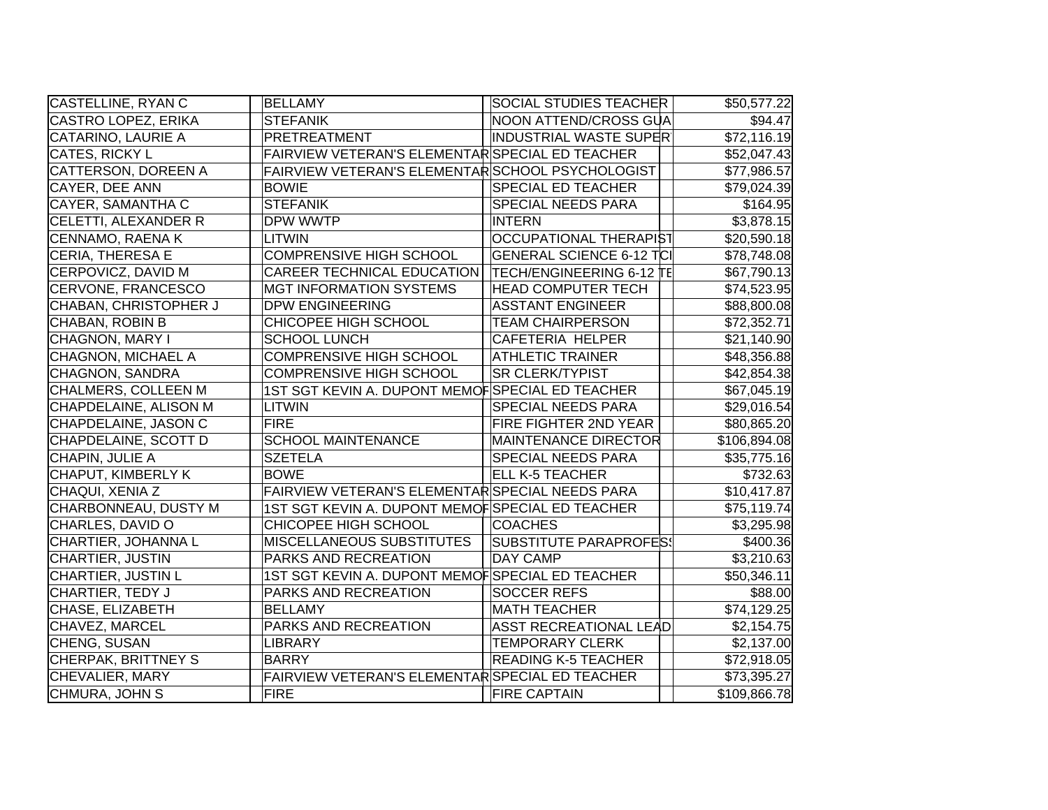| CASTELLINE, RYAN C        | <b>BELLAMY</b>                                   | <b>SOCIAL STUDIES TEACHER</b>   | \$50,577.22  |
|---------------------------|--------------------------------------------------|---------------------------------|--------------|
| CASTRO LOPEZ, ERIKA       | <b>STEFANIK</b>                                  | NOON ATTEND/CROSS GUA           | \$94.47      |
| <b>CATARINO, LAURIE A</b> | <b>PRETREATMENT</b>                              | <b>INDUSTRIAL WASTE SUPER</b>   | \$72,116.19  |
| CATES, RICKY L            | FAIRVIEW VETERAN'S ELEMENTAR SPECIAL ED TEACHER  |                                 | \$52,047.43  |
| CATTERSON, DOREEN A       | FAIRVIEW VETERAN'S ELEMENTAR SCHOOL PSYCHOLOGIST |                                 | \$77,986.57  |
| CAYER, DEE ANN            | <b>BOWIE</b>                                     | <b>SPECIAL ED TEACHER</b>       | \$79,024.39  |
| <b>CAYER, SAMANTHA C</b>  | <b>STEFANIK</b>                                  | <b>SPECIAL NEEDS PARA</b>       | \$164.95     |
| CELETTI, ALEXANDER R      | DPW WWTP                                         | <b>INTERN</b>                   | \$3,878.15   |
| CENNAMO, RAENA K          | LITWIN                                           | <b>OCCUPATIONAL THERAPIST</b>   | \$20,590.18  |
| CERIA, THERESA E          | <b>COMPRENSIVE HIGH SCHOOL</b>                   | <b>GENERAL SCIENCE 6-12 TCI</b> | \$78,748.08  |
| CERPOVICZ, DAVID M        | CAREER TECHNICAL EDUCATION                       | <b>TECH/ENGINEERING 6-12 TE</b> | \$67,790.13  |
| CERVONE, FRANCESCO        | <b>MGT INFORMATION SYSTEMS</b>                   | <b>HEAD COMPUTER TECH</b>       | \$74,523.95  |
| CHABAN, CHRISTOPHER J     | <b>DPW ENGINEERING</b>                           | <b>ASSTANT ENGINEER</b>         | \$88,800.08  |
| CHABAN, ROBIN B           | CHICOPEE HIGH SCHOOL                             | <b>TEAM CHAIRPERSON</b>         | \$72,352.71  |
| CHAGNON, MARY I           | <b>SCHOOL LUNCH</b>                              | <b>CAFETERIA HELPER</b>         | \$21,140.90  |
| CHAGNON, MICHAEL A        | <b>COMPRENSIVE HIGH SCHOOL</b>                   | <b>ATHLETIC TRAINER</b>         | \$48,356.88  |
| CHAGNON, SANDRA           | <b>COMPRENSIVE HIGH SCHOOL</b>                   | <b>SR CLERK/TYPIST</b>          | \$42,854.38  |
| CHALMERS, COLLEEN M       | 1ST SGT KEVIN A. DUPONT MEMOF SPECIAL ED TEACHER |                                 | \$67,045.19  |
| CHAPDELAINE, ALISON M     | LITWIN                                           | <b>SPECIAL NEEDS PARA</b>       | \$29,016.54  |
| CHAPDELAINE, JASON C      | <b>FIRE</b>                                      | <b>FIRE FIGHTER 2ND YEAR</b>    | \$80,865.20  |
| CHAPDELAINE, SCOTT D      | <b>SCHOOL MAINTENANCE</b>                        | MAINTENANCE DIRECTOR            | \$106,894.08 |
| CHAPIN, JULIE A           | <b>SZETELA</b>                                   | <b>SPECIAL NEEDS PARA</b>       | \$35,775.16  |
| CHAPUT, KIMBERLY K        | <b>BOWE</b>                                      | <b>ELL K-5 TEACHER</b>          | \$732.63     |
| CHAQUI, XENIA Z           | FAIRVIEW VETERAN'S ELEMENTAR SPECIAL NEEDS PARA  |                                 | \$10,417.87  |
| CHARBONNEAU, DUSTY M      | 1ST SGT KEVIN A. DUPONT MEMOFSPECIAL ED TEACHER  |                                 | \$75,119.74  |
| CHARLES, DAVID O          | CHICOPEE HIGH SCHOOL                             | <b>COACHES</b>                  | \$3,295.98   |
| CHARTIER, JOHANNA L       | <b>MISCELLANEOUS SUBSTITUTES</b>                 | SUBSTITUTE PARAPROFES!          | \$400.36     |
| CHARTIER, JUSTIN          | PARKS AND RECREATION                             | <b>DAY CAMP</b>                 | \$3,210.63   |
| <b>CHARTIER, JUSTIN L</b> | 1ST SGT KEVIN A. DUPONT MEMOFSPECIAL ED TEACHER  |                                 | \$50,346.11  |
| CHARTIER, TEDY J          | PARKS AND RECREATION                             | <b>SOCCER REFS</b>              | \$88.00      |
| CHASE, ELIZABETH          | <b>BELLAMY</b>                                   | <b>MATH TEACHER</b>             | \$74,129.25  |
| CHAVEZ, MARCEL            | PARKS AND RECREATION                             | <b>ASST RECREATIONAL LEAD</b>   | \$2,154.75   |
| CHENG, SUSAN              | LIBRARY                                          | <b>TEMPORARY CLERK</b>          | \$2,137.00   |
| CHERPAK, BRITTNEY S       | <b>BARRY</b>                                     | <b>READING K-5 TEACHER</b>      | \$72,918.05  |
| CHEVALIER, MARY           | FAIRVIEW VETERAN'S ELEMENTAR SPECIAL ED TEACHER  |                                 | \$73,395.27  |
| CHMURA, JOHN S            | <b>FIRE</b>                                      | <b>FIRE CAPTAIN</b>             | \$109,866.78 |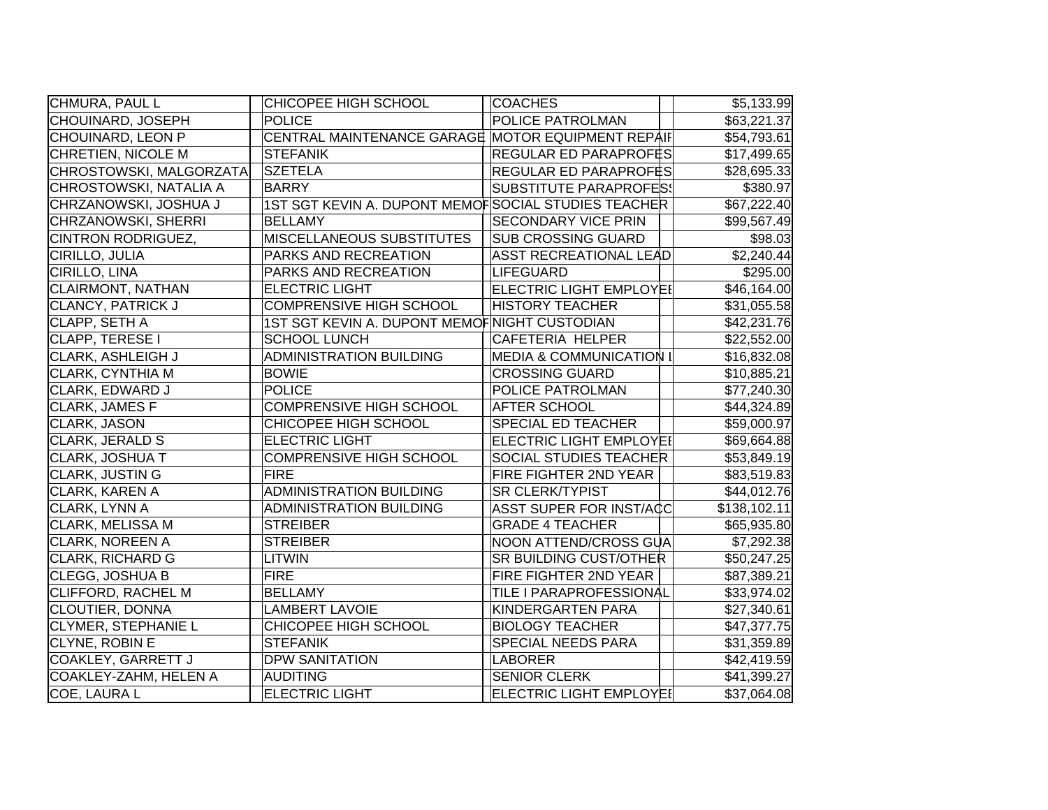| CHMURA, PAUL L             | CHICOPEE HIGH SCHOOL                                | <b>COACHES</b>                 | \$5,133.99   |
|----------------------------|-----------------------------------------------------|--------------------------------|--------------|
| CHOUINARD, JOSEPH          | <b>POLICE</b>                                       | POLICE PATROLMAN               | \$63,221.37  |
| CHOUINARD, LEON P          | CENTRAL MAINTENANCE GARAGE MOTOR EQUIPMENT REPAIF   |                                | \$54,793.61  |
| CHRETIEN, NICOLE M         | <b>STEFANIK</b>                                     | <b>REGULAR ED PARAPROF</b> ËS  | \$17,499.65  |
| CHROSTOWSKI, MALGORZATA    | <b>SZETELA</b>                                      | REGULAR ED PARAPROFËS          | \$28,695.33  |
| CHROSTOWSKI, NATALIA A     | <b>BARRY</b>                                        | SUBSTITUTE PARAPROFES!         | \$380.97     |
| CHRZANOWSKI, JOSHUA J      | 1ST SGT KEVIN A. DUPONT MEMOFSOCIAL STUDIES TEACHER |                                | \$67,222.40  |
| CHRZANOWSKI, SHERRI        | <b>BELLAMY</b>                                      | <b>SECONDARY VICE PRIN</b>     | \$99,567.49  |
| <b>CINTRON RODRIGUEZ,</b>  | <b>MISCELLANEOUS SUBSTITUTES</b>                    | <b>SUB CROSSING GUARD</b>      | \$98.03      |
| CIRILLO, JULIA             | PARKS AND RECREATION                                | <b>ASST RECREATIONAL LEAD</b>  | \$2,240.44   |
| CIRILLO, LINA              | PARKS AND RECREATION                                | LIFEGUARD                      | \$295.00     |
| <b>CLAIRMONT, NATHAN</b>   | <b>ELECTRIC LIGHT</b>                               | <b>ELECTRIC LIGHT EMPLOYEI</b> | \$46,164.00  |
| CLANCY, PATRICK J          | <b>COMPRENSIVE HIGH SCHOOL</b>                      | <b>HISTORY TEACHER</b>         | \$31,055.58  |
| CLAPP, SETH A              | 1ST SGT KEVIN A. DUPONT MEMOF NIGHT CUSTODIAN       |                                | \$42,231.76  |
| CLAPP, TERESE I            | <b>SCHOOL LUNCH</b>                                 | CAFETERIA HELPER               | \$22,552.00  |
| <b>CLARK, ASHLEIGH J</b>   | <b>ADMINISTRATION BUILDING</b>                      | MEDIA & COMMUNICATION I        | \$16,832.08  |
| CLARK, CYNTHIA M           | <b>BOWIE</b>                                        | <b>CROSSING GUARD</b>          | \$10,885.21  |
| CLARK, EDWARD J            | <b>POLICE</b>                                       | POLICE PATROLMAN               | \$77,240.30  |
| CLARK, JAMES F             | COMPRENSIVE HIGH SCHOOL                             | <b>AFTER SCHOOL</b>            | \$44,324.89  |
| CLARK, JASON               | CHICOPEE HIGH SCHOOL                                | <b>SPECIAL ED TEACHER</b>      | \$59,000.97  |
| CLARK, JERALD S            | <b>ELECTRIC LIGHT</b>                               | ELECTRIC LIGHT EMPLOYEI        | \$69,664.88  |
| <b>CLARK, JOSHUA T</b>     | COMPRENSIVE HIGH SCHOOL                             | <b>SOCIAL STUDIES TEACHER</b>  | \$53,849.19  |
| <b>CLARK, JUSTIN G</b>     | <b>FIRE</b>                                         | FIRE FIGHTER 2ND YEAR          | \$83,519.83  |
| <b>CLARK, KAREN A</b>      | <b>ADMINISTRATION BUILDING</b>                      | <b>SR CLERK/TYPIST</b>         | \$44,012.76  |
| CLARK, LYNN A              | <b>ADMINISTRATION BUILDING</b>                      | ASST SUPER FOR INST/ACC        | \$138,102.11 |
| CLARK, MELISSA M           | <b>STREIBER</b>                                     | <b>GRADE 4 TEACHER</b>         | \$65,935.80  |
| <b>CLARK, NOREEN A</b>     | <b>STREIBER</b>                                     | NOON ATTEND/CROSS GUA          | \$7,292.38   |
| <b>CLARK, RICHARD G</b>    | <b>LITWIN</b>                                       | <b>SR BUILDING CUST/OTHER</b>  | \$50,247.25  |
| CLEGG, JOSHUA B            | <b>FIRE</b>                                         | FIRE FIGHTER 2ND YEAR          | \$87,389.21  |
| <b>CLIFFORD, RACHEL M</b>  | <b>BELLAMY</b>                                      | TILE I PARAPROFESSIONAL        | \$33,974.02  |
| CLOUTIER, DONNA            | <b>LAMBERT LAVOIE</b>                               | KINDERGARTEN PARA              | \$27,340.61  |
| <b>CLYMER, STEPHANIE L</b> | CHICOPEE HIGH SCHOOL                                | <b>BIOLOGY TEACHER</b>         | \$47,377.75  |
| CLYNE, ROBIN E             | <b>STEFANIK</b>                                     | SPECIAL NEEDS PARA             | \$31,359.89  |
| COAKLEY, GARRETT J         | <b>DPW SANITATION</b>                               | <b>LABORER</b>                 | \$42,419.59  |
| COAKLEY-ZAHM, HELEN A      | <b>AUDITING</b>                                     | <b>SENIOR CLERK</b>            | \$41,399.27  |
| COE, LAURA L               | <b>ELECTRIC LIGHT</b>                               | <b>ELECTRIC LIGHT EMPLOYEI</b> | \$37,064.08  |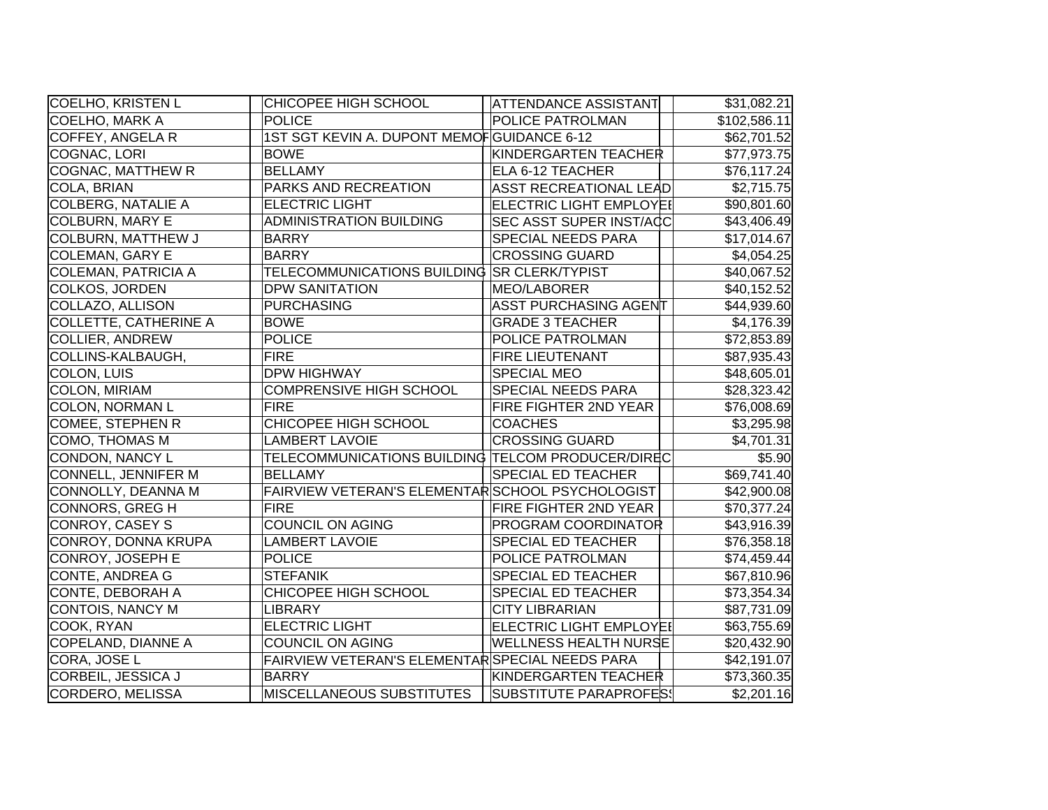| COELHO, KRISTEN L            | CHICOPEE HIGH SCHOOL                              | <b>ATTENDANCE ASSISTANT</b>    | \$31,082.21  |
|------------------------------|---------------------------------------------------|--------------------------------|--------------|
| <b>COELHO, MARK A</b>        | <b>POLICE</b>                                     | POLICE PATROLMAN               | \$102,586.11 |
| COFFEY, ANGELA R             | 1ST SGT KEVIN A. DUPONT MEMOFGUIDANCE 6-12        |                                | \$62,701.52  |
| COGNAC, LORI                 | <b>BOWE</b>                                       | KINDERGARTEN TEACHER           | \$77,973.75  |
| <b>COGNAC, MATTHEW R</b>     | <b>BELLAMY</b>                                    | ELA 6-12 TEACHER               | \$76,117.24  |
| COLA, BRIAN                  | PARKS AND RECREATION                              | <b>ASST RECREATIONAL LEAD</b>  | \$2,715.75   |
| <b>COLBERG, NATALIE A</b>    | <b>ELECTRIC LIGHT</b>                             | <b>ELECTRIC LIGHT EMPLOYEI</b> | \$90,801.60  |
| <b>COLBURN, MARY E</b>       | <b>ADMINISTRATION BUILDING</b>                    | <b>SEC ASST SUPER INST/ACC</b> | \$43,406.49  |
| COLBURN, MATTHEW J           | <b>BARRY</b>                                      | SPECIAL NEEDS PARA             | \$17,014.67  |
| <b>COLEMAN, GARY E</b>       | <b>BARRY</b>                                      | <b>CROSSING GUARD</b>          | \$4,054.25   |
| <b>COLEMAN, PATRICIA A</b>   | TELECOMMUNICATIONS BUILDING SR CLERK/TYPIST       |                                | \$40,067.52  |
| <b>COLKOS, JORDEN</b>        | <b>DPW SANITATION</b>                             | MEO/LABORER                    | \$40,152.52  |
| COLLAZO, ALLISON             | <b>PURCHASING</b>                                 | ASST PURCHASING AGENT          | \$44,939.60  |
| <b>COLLETTE, CATHERINE A</b> | <b>BOWE</b>                                       | <b>GRADE 3 TEACHER</b>         | \$4,176.39   |
| <b>COLLIER, ANDREW</b>       | <b>POLICE</b>                                     | POLICE PATROLMAN               | \$72,853.89  |
| COLLINS-KALBAUGH,            | <b>FIRE</b>                                       | <b>FIRE LIEUTENANT</b>         | \$87,935.43  |
| <b>COLON, LUIS</b>           | <b>DPW HIGHWAY</b>                                | <b>SPECIAL MEO</b>             | \$48,605.01  |
| COLON, MIRIAM                | <b>COMPRENSIVE HIGH SCHOOL</b>                    | <b>SPECIAL NEEDS PARA</b>      | \$28,323.42  |
| <b>COLON, NORMAN L</b>       | <b>FIRE</b>                                       | <b>FIRE FIGHTER 2ND YEAR</b>   | \$76,008.69  |
| COMEE, STEPHEN R             | CHICOPEE HIGH SCHOOL                              | <b>COACHES</b>                 | \$3,295.98   |
| COMO, THOMAS M               | <b>LAMBERT LAVOIE</b>                             | <b>CROSSING GUARD</b>          | \$4,701.31   |
| CONDON, NANCY L              | TELECOMMUNICATIONS BUILDING TELCOM PRODUCER/DIREC |                                | \$5.90       |
| CONNELL, JENNIFER M          | <b>BELLAMY</b>                                    | <b>SPECIAL ED TEACHER</b>      | \$69,741.40  |
| CONNOLLY, DEANNA M           | FAIRVIEW VETERAN'S ELEMENTAR SCHOOL PSYCHOLOGIST  |                                | \$42,900.08  |
| <b>CONNORS, GREG H</b>       | <b>FIRE</b>                                       | FIRE FIGHTER 2ND YEAR          | \$70,377.24  |
| <b>CONROY, CASEY S</b>       | <b>COUNCIL ON AGING</b>                           | <b>PROGRAM COORDINATOR</b>     | \$43,916.39  |
| CONROY, DONNA KRUPA          | <b>LAMBERT LAVOIE</b>                             | <b>SPECIAL ED TEACHER</b>      | \$76,358.18  |
| CONROY, JOSEPH E             | <b>POLICE</b>                                     | POLICE PATROLMAN               | \$74,459.44  |
| <b>CONTE, ANDREA G</b>       | <b>STEFANIK</b>                                   | SPECIAL ED TEACHER             | \$67,810.96  |
| <b>CONTE, DEBORAH A</b>      | CHICOPEE HIGH SCHOOL                              | <b>SPECIAL ED TEACHER</b>      | \$73,354.34  |
| CONTOIS, NANCY M             | LIBRARY                                           | <b>CITY LIBRARIAN</b>          | \$87,731.09  |
| COOK, RYAN                   | <b>ELECTRIC LIGHT</b>                             | ELECTRIC LIGHT EMPLOYEI        | \$63,755.69  |
| COPELAND, DIANNE A           | COUNCIL ON AGING                                  | <b>WELLNESS HEALTH NURSE</b>   | \$20,432.90  |
| CORA, JOSE L                 | FAIRVIEW VETERAN'S ELEMENTAR SPECIAL NEEDS PARA   |                                | \$42,191.07  |
| CORBEIL, JESSICA J           | <b>BARRY</b>                                      | KINDERGARTEN TEACHER           | \$73,360.35  |
| CORDERO, MELISSA             | <b>MISCELLANEOUS SUBSTITUTES</b>                  | SUBSTITUTE PARAPROFES!         | \$2,201.16   |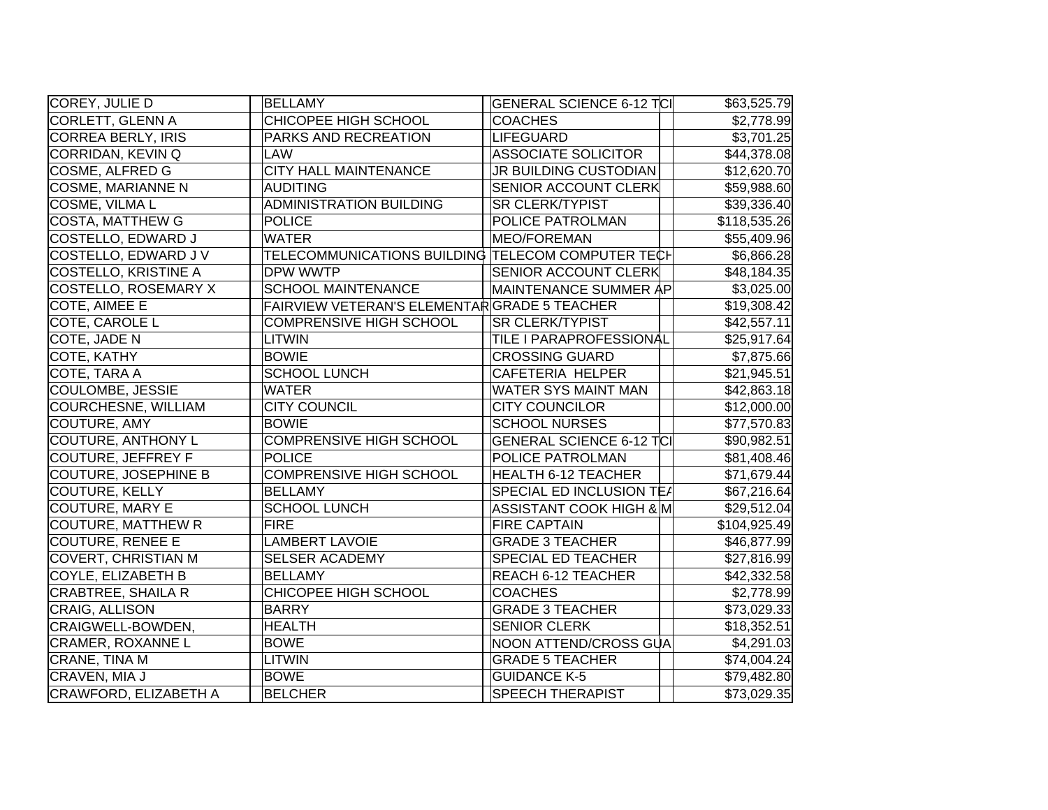| COREY, JULIE D              | <b>BELLAMY</b>                                    | <b>GENERAL SCIENCE 6-12 TCI</b> | \$63,525.79  |
|-----------------------------|---------------------------------------------------|---------------------------------|--------------|
| CORLETT, GLENN A            | CHICOPEE HIGH SCHOOL                              | <b>COACHES</b>                  | \$2,778.99   |
| CORREA BERLY, IRIS          | PARKS AND RECREATION                              | LIFEGUARD                       | \$3,701.25   |
| CORRIDAN, KEVIN Q           | <b>LAW</b>                                        | <b>ASSOCIATE SOLICITOR</b>      | \$44,378.08  |
| COSME, ALFRED G             | <b>CITY HALL MAINTENANCE</b>                      | JR BUILDING CUSTODIAN           | \$12,620.70  |
| COSME, MARIANNE N           | <b>AUDITING</b>                                   | <b>SENIOR ACCOUNT CLERK</b>     | \$59,988.60  |
| COSME, VILMA L              | <b>ADMINISTRATION BUILDING</b>                    | <b>SR CLERK/TYPIST</b>          | \$39,336.40  |
| <b>COSTA, MATTHEW G</b>     | <b>POLICE</b>                                     | POLICE PATROLMAN                | \$118,535.26 |
| COSTELLO, EDWARD J          | <b>WATER</b>                                      | MEO/FOREMAN                     | \$55,409.96  |
| COSTELLO, EDWARD J V        | TELECOMMUNICATIONS BUILDING TELECOM COMPUTER TECH |                                 | \$6,866.28   |
| <b>COSTELLO, KRISTINE A</b> | DPW WWTP                                          | <b>SENIOR ACCOUNT CLERK</b>     | \$48,184.35  |
| <b>COSTELLO, ROSEMARY X</b> | <b>SCHOOL MAINTENANCE</b>                         | MAINTENANCE SUMMER AP           | \$3,025.00   |
| COTE, AIMEE E               | FAIRVIEW VETERAN'S ELEMENTARGRADE 5 TEACHER       |                                 | \$19,308.42  |
| COTE, CAROLE L              | <b>COMPRENSIVE HIGH SCHOOL</b>                    | <b>SR CLERK/TYPIST</b>          | \$42,557.11  |
| COTE, JADE N                | <b>LITWIN</b>                                     | TILE I PARAPROFESSIONAL         | \$25,917.64  |
| COTE, KATHY                 | <b>BOWIE</b>                                      | <b>CROSSING GUARD</b>           | \$7,875.66   |
| COTE, TARA A                | <b>SCHOOL LUNCH</b>                               | CAFETERIA HELPER                | \$21,945.51  |
| COULOMBE, JESSIE            | <b>WATER</b>                                      | <b>WATER SYS MAINT MAN</b>      | \$42,863.18  |
| COURCHESNE, WILLIAM         | <b>CITY COUNCIL</b>                               | <b>CITY COUNCILOR</b>           | \$12,000.00  |
| COUTURE, AMY                | <b>BOWIE</b>                                      | <b>SCHOOL NURSES</b>            | \$77,570.83  |
| <b>COUTURE, ANTHONY L</b>   | <b>COMPRENSIVE HIGH SCHOOL</b>                    | <b>GENERAL SCIENCE 6-12 TCI</b> | \$90,982.51  |
| COUTURE, JEFFREY F          | <b>POLICE</b>                                     | POLICE PATROLMAN                | \$81,408.46  |
| COUTURE, JOSEPHINE B        | <b>COMPRENSIVE HIGH SCHOOL</b>                    | <b>HEALTH 6-12 TEACHER</b>      | \$71,679.44  |
| COUTURE, KELLY              | <b>BELLAMY</b>                                    | SPECIAL ED INCLUSION TEA        | \$67,216.64  |
| COUTURE, MARY E             | <b>SCHOOL LUNCH</b>                               | ASSISTANT COOK HIGH & M         | \$29,512.04  |
| <b>COUTURE, MATTHEW R</b>   | <b>FIRE</b>                                       | <b>FIRE CAPTAIN</b>             | \$104,925.49 |
| <b>COUTURE, RENEE E</b>     | <b>LAMBERT LAVOIE</b>                             | <b>GRADE 3 TEACHER</b>          | \$46,877.99  |
| COVERT, CHRISTIAN M         | <b>SELSER ACADEMY</b>                             | SPECIAL ED TEACHER              | \$27,816.99  |
| COYLE, ELIZABETH B          | <b>BELLAMY</b>                                    | REACH 6-12 TEACHER              | \$42,332.58  |
| <b>CRABTREE, SHAILA R</b>   | CHICOPEE HIGH SCHOOL                              | <b>COACHES</b>                  | \$2,778.99   |
| CRAIG, ALLISON              | <b>BARRY</b>                                      | <b>GRADE 3 TEACHER</b>          | \$73,029.33  |
| CRAIGWELL-BOWDEN,           | <b>HEALTH</b>                                     | <b>SENIOR CLERK</b>             | \$18,352.51  |
| CRAMER, ROXANNE L           | <b>BOWE</b>                                       | NOON ATTEND/CROSS GUA           | \$4,291.03   |
| CRANE, TINA M               | <b>LITWIN</b>                                     | <b>GRADE 5 TEACHER</b>          | \$74,004.24  |
| CRAVEN, MIA J               | <b>BOWE</b>                                       | <b>GUIDANCE K-5</b>             | \$79,482.80  |
| CRAWFORD, ELIZABETH A       | <b>BELCHER</b>                                    | <b>SPEECH THERAPIST</b>         | \$73,029.35  |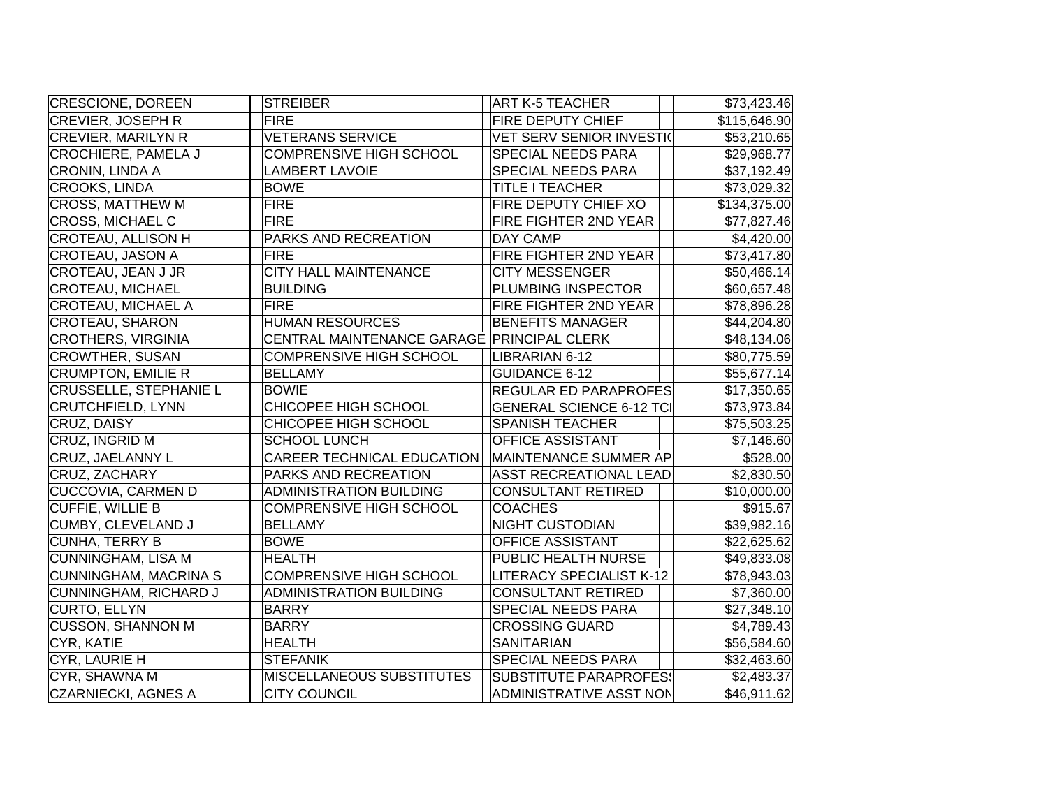| CRESCIONE, DOREEN             | <b>STREIBER</b>                            | <b>ART K-5 TEACHER</b>          | \$73,423.46  |
|-------------------------------|--------------------------------------------|---------------------------------|--------------|
| CREVIER, JOSEPH R             | <b>FIRE</b>                                | FIRE DEPUTY CHIEF               | \$115,646.90 |
| <b>CREVIER, MARILYN R</b>     | <b>VETERANS SERVICE</b>                    | <b>VET SERV SENIOR INVESTI(</b> | \$53,210.65  |
| CROCHIERE, PAMELA J           | COMPRENSIVE HIGH SCHOOL                    | SPECIAL NEEDS PARA              | \$29,968.77  |
| CRONIN, LINDA A               | <b>LAMBERT LAVOIE</b>                      | SPECIAL NEEDS PARA              | \$37,192.49  |
| CROOKS, LINDA                 | <b>BOWE</b>                                | TITLE I TEACHER                 | \$73,029.32  |
| <b>CROSS, MATTHEW M</b>       | <b>FIRE</b>                                | FIRE DEPUTY CHIEF XO            | \$134,375.00 |
| CROSS, MICHAEL C              | <b>FIRE</b>                                | FIRE FIGHTER 2ND YEAR           | \$77,827.46  |
| CROTEAU, ALLISON H            | PARKS AND RECREATION                       | <b>DAY CAMP</b>                 | \$4,420.00   |
| CROTEAU, JASON A              | <b>FIRE</b>                                | FIRE FIGHTER 2ND YEAR           | \$73,417.80  |
| CROTEAU, JEAN J JR            | <b>CITY HALL MAINTENANCE</b>               | <b>CITY MESSENGER</b>           | \$50,466.14  |
| <b>CROTEAU, MICHAEL</b>       | <b>BUILDING</b>                            | PLUMBING INSPECTOR              | \$60,657.48  |
| CROTEAU, MICHAEL A            | <b>FIRE</b>                                | FIRE FIGHTER 2ND YEAR           | \$78,896.28  |
| CROTEAU, SHARON               | <b>HUMAN RESOURCES</b>                     | <b>BENEFITS MANAGER</b>         | \$44,204.80  |
| CROTHERS, VIRGINIA            | CENTRAL MAINTENANCE GARAGE PRINCIPAL CLERK |                                 | \$48,134.06  |
| <b>CROWTHER, SUSAN</b>        | COMPRENSIVE HIGH SCHOOL                    | LIBRARIAN 6-12                  | \$80,775.59  |
| <b>CRUMPTON, EMILIE R</b>     | <b>BELLAMY</b>                             | <b>GUIDANCE 6-12</b>            | \$55,677.14  |
| <b>CRUSSELLE, STEPHANIE L</b> | <b>BOWIE</b>                               | REGULAR ED PARAPROFËS           | \$17,350.65  |
| CRUTCHFIELD, LYNN             | CHICOPEE HIGH SCHOOL                       | <b>GENERAL SCIENCE 6-12 TCI</b> | \$73,973.84  |
| CRUZ, DAISY                   | CHICOPEE HIGH SCHOOL                       | <b>SPANISH TEACHER</b>          | \$75,503.25  |
| CRUZ, INGRID M                | <b>SCHOOL LUNCH</b>                        | <b>OFFICE ASSISTANT</b>         | \$7,146.60   |
| CRUZ, JAELANNY L              | CAREER TECHNICAL EDUCATION                 | MAINTENANCE SUMMER AP           | \$528.00     |
| CRUZ, ZACHARY                 | PARKS AND RECREATION                       | <b>ASST RECREATIONAL LEAD</b>   | \$2,830.50   |
| <b>CUCCOVIA, CARMEN D</b>     | <b>ADMINISTRATION BUILDING</b>             | <b>CONSULTANT RETIRED</b>       | \$10,000.00  |
| CUFFIE, WILLIE B              | COMPRENSIVE HIGH SCHOOL                    | <b>COACHES</b>                  | \$915.67     |
| CUMBY, CLEVELAND J            | <b>BELLAMY</b>                             | <b>NIGHT CUSTODIAN</b>          | \$39,982.16  |
| CUNHA, TERRY B                | <b>BOWE</b>                                | OFFICE ASSISTANT                | \$22,625.62  |
| CUNNINGHAM, LISA M            | <b>HEALTH</b>                              | PUBLIC HEALTH NURSE             | \$49,833.08  |
| <b>CUNNINGHAM, MACRINA S</b>  | COMPRENSIVE HIGH SCHOOL                    | LITERACY SPECIALIST K-12        | \$78,943.03  |
| CUNNINGHAM, RICHARD J         | <b>ADMINISTRATION BUILDING</b>             | <b>CONSULTANT RETIRED</b>       | \$7,360.00   |
| CURTO, ELLYN                  | <b>BARRY</b>                               | <b>SPECIAL NEEDS PARA</b>       | \$27,348.10  |
| <b>CUSSON, SHANNON M</b>      | <b>BARRY</b>                               | <b>CROSSING GUARD</b>           | \$4,789.43   |
| CYR, KATIE                    | <b>HEALTH</b>                              | <b>SANITARIAN</b>               | \$56,584.60  |
| CYR, LAURIE H                 | <b>STEFANIK</b>                            | SPECIAL NEEDS PARA              | \$32,463.60  |
| CYR, SHAWNA M                 | MISCELLANEOUS SUBSTITUTES                  | <b>SUBSTITUTE PARAPROFES!</b>   | \$2,483.37   |
| <b>CZARNIECKI, AGNES A</b>    | <b>CITY COUNCIL</b>                        | ADMINISTRATIVE ASST NON         | \$46,911.62  |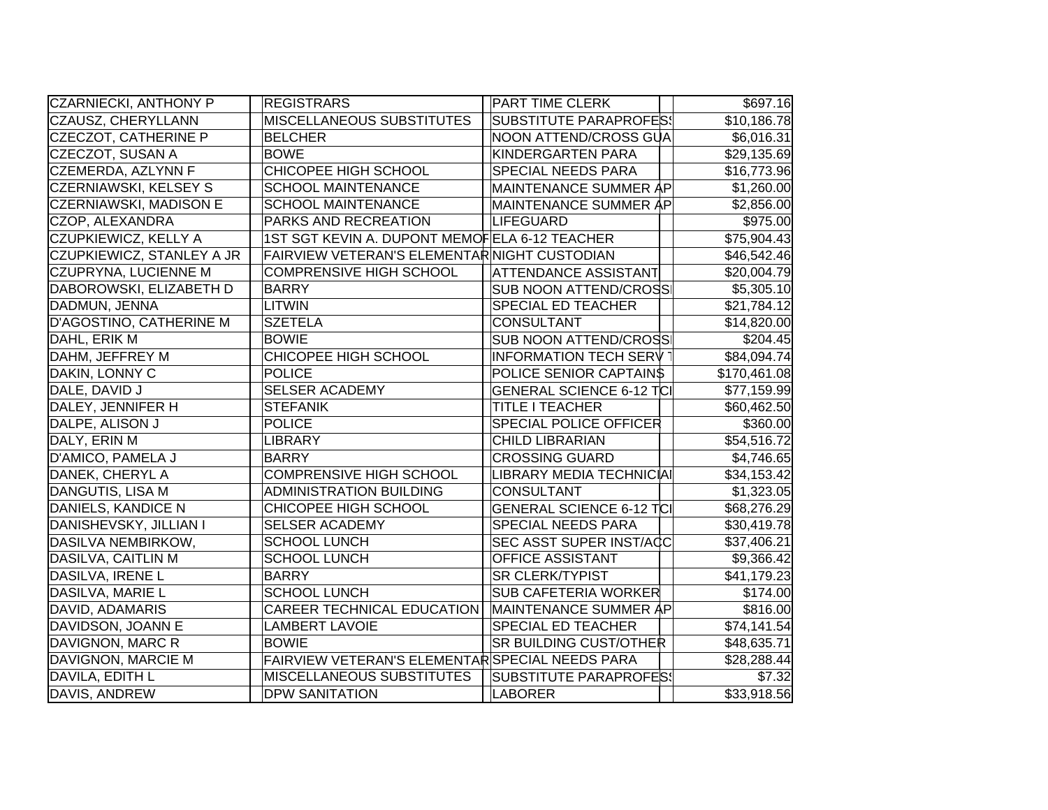| CZARNIECKI, ANTHONY P        | <b>REGISTRARS</b>                               | <b>PART TIME CLERK</b>          | \$697.16     |
|------------------------------|-------------------------------------------------|---------------------------------|--------------|
| CZAUSZ, CHERYLLANN           | MISCELLANEOUS SUBSTITUTES                       | SUBSTITUTE PARAPROFES!          | \$10,186.78  |
| <b>CZECZOT, CATHERINE P</b>  | <b>BELCHER</b>                                  | NOON ATTEND/CROSS GUA           | \$6,016.31   |
| CZECZOT, SUSAN A             | <b>BOWE</b>                                     | KINDERGARTEN PARA               | \$29,135.69  |
| CZEMERDA, AZLYNN F           | CHICOPEE HIGH SCHOOL                            | <b>SPECIAL NEEDS PARA</b>       | \$16,773.96  |
| <b>CZERNIAWSKI, KELSEY S</b> | <b>SCHOOL MAINTENANCE</b>                       | MAINTENANCE SUMMER AP           | \$1,260.00   |
| CZERNIAWSKI, MADISON E       | <b>SCHOOL MAINTENANCE</b>                       | MAINTENANCE SUMMER AP           | \$2,856.00   |
| CZOP, ALEXANDRA              | PARKS AND RECREATION                            | LIFEGUARD                       | \$975.00     |
| CZUPKIEWICZ, KELLY A         | 1ST SGT KEVIN A. DUPONT MEMOFELA 6-12 TEACHER   |                                 | \$75,904.43  |
| CZUPKIEWICZ, STANLEY A JR    | FAIRVIEW VETERAN'S ELEMENTARNIGHT CUSTODIAN     |                                 | \$46,542.46  |
| <b>CZUPRYNA, LUCIENNE M</b>  | <b>COMPRENSIVE HIGH SCHOOL</b>                  | <b>ATTENDANCE ASSISTANT</b>     | \$20,004.79  |
| DABOROWSKI, ELIZABETH D      | <b>BARRY</b>                                    | <b>SUB NOON ATTEND/CROSS</b>    | \$5,305.10   |
| DADMUN, JENNA                | <b>LITWIN</b>                                   | <b>SPECIAL ED TEACHER</b>       | \$21,784.12  |
| D'AGOSTINO, CATHERINE M      | <b>SZETELA</b>                                  | <b>CONSULTANT</b>               | \$14,820.00  |
| DAHL, ERIK M                 | <b>BOWIE</b>                                    | <b>SUB NOON ATTEND/CROSS</b>    | \$204.45     |
| DAHM, JEFFREY M              | CHICOPEE HIGH SCHOOL                            | <b>INFORMATION TECH SERV</b>    | \$84,094.74  |
| DAKIN, LONNY C               | <b>POLICE</b>                                   | POLICE SENIOR CAPTAIN\$         | \$170,461.08 |
| DALE, DAVID J                | <b>SELSER ACADEMY</b>                           | <b>GENERAL SCIENCE 6-12 TCI</b> | \$77,159.99  |
| DALEY, JENNIFER H            | <b>STEFANIK</b>                                 | <b>TITLE I TEACHER</b>          | \$60,462.50  |
| DALPE, ALISON J              | POLICE                                          | <b>SPECIAL POLICE OFFICER</b>   | \$360.00     |
| DALY, ERIN M                 | <b>LIBRARY</b>                                  | <b>CHILD LIBRARIAN</b>          | \$54,516.72  |
| D'AMICO, PAMELA J            | <b>BARRY</b>                                    | <b>CROSSING GUARD</b>           | \$4,746.65   |
| DANEK, CHERYL A              | <b>COMPRENSIVE HIGH SCHOOL</b>                  | LIBRARY MEDIA TECHNICIAI        | \$34,153.42  |
| DANGUTIS, LISA M             | <b>ADMINISTRATION BUILDING</b>                  | <b>CONSULTANT</b>               | \$1,323.05   |
| DANIELS, KANDICE N           | CHICOPEE HIGH SCHOOL                            | <b>GENERAL SCIENCE 6-12 TCI</b> | \$68,276.29  |
| DANISHEVSKY, JILLIAN I       | <b>SELSER ACADEMY</b>                           | <b>SPECIAL NEEDS PARA</b>       | \$30,419.78  |
| DASILVA NEMBIRKOW,           | <b>SCHOOL LUNCH</b>                             | <b>SEC ASST SUPER INST/ACC</b>  | \$37,406.21  |
| DASILVA, CAITLIN M           | <b>SCHOOL LUNCH</b>                             | <b>OFFICE ASSISTANT</b>         | \$9,366.42   |
| DASILVA, IRENE L             | <b>BARRY</b>                                    | <b>SR CLERK/TYPIST</b>          | \$41,179.23  |
| DASILVA, MARIE L             | <b>SCHOOL LUNCH</b>                             | <b>SUB CAFETERIA WORKER</b>     | \$174.00     |
| DAVID, ADAMARIS              | <b>CAREER TECHNICAL EDUCATION</b>               | MAINTENANCE SUMMER AP           | \$816.00     |
| DAVIDSON, JOANN E            | <b>LAMBERT LAVOIE</b>                           | <b>SPECIAL ED TEACHER</b>       | \$74,141.54  |
| DAVIGNON, MARC R             | <b>BOWIE</b>                                    | <b>SR BUILDING CUST/OTHER</b>   | \$48,635.71  |
| DAVIGNON, MARCIE M           | FAIRVIEW VETERAN'S ELEMENTAR SPECIAL NEEDS PARA |                                 | \$28,288.44  |
| DAVILA, EDITH L              | <b>MISCELLANEOUS SUBSTITUTES</b>                | SUBSTITUTE PARAPROFES!          | \$7.32       |
| DAVIS, ANDREW                | <b>DPW SANITATION</b>                           | LABORER                         | \$33,918.56  |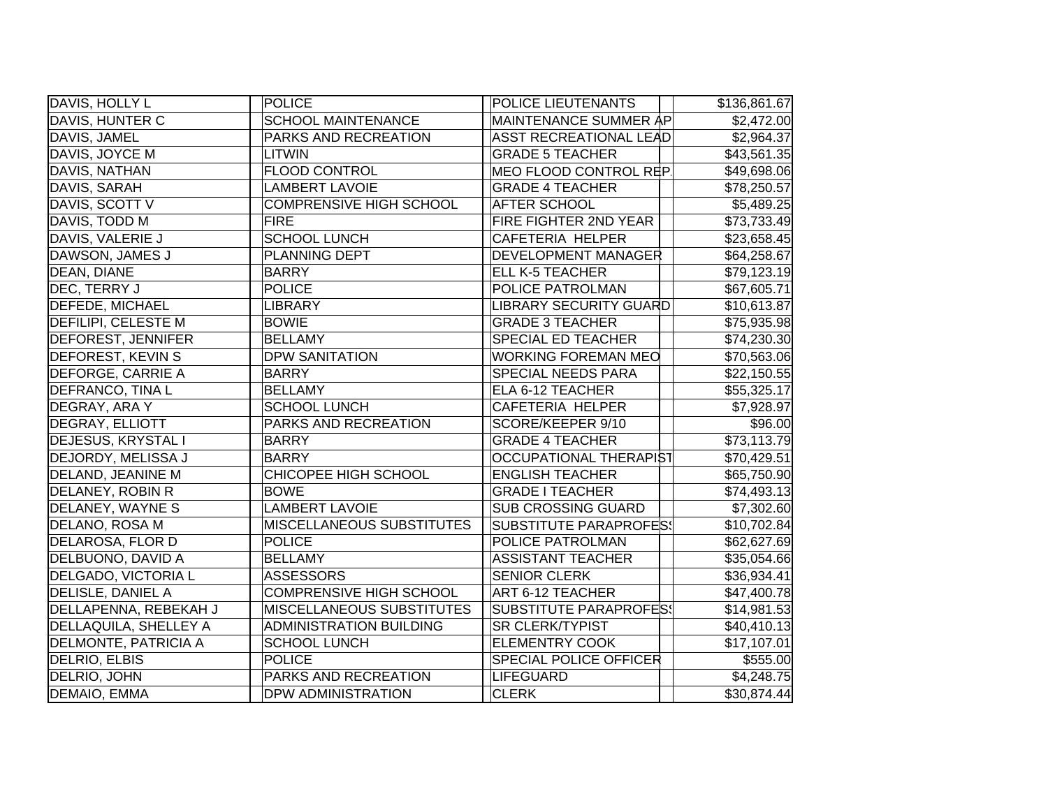| DAVIS, HOLLY L              | POLICE                           | POLICE LIEUTENANTS            | \$136,861.67 |
|-----------------------------|----------------------------------|-------------------------------|--------------|
| DAVIS, HUNTER C             | <b>SCHOOL MAINTENANCE</b>        | MAINTENANCE SUMMER AP         | \$2,472.00   |
| DAVIS, JAMEL                | PARKS AND RECREATION             | <b>ASST RECREATIONAL LEAD</b> | \$2,964.37   |
| DAVIS, JOYCE M              | <b>LITWIN</b>                    | <b>GRADE 5 TEACHER</b>        | \$43,561.35  |
| DAVIS, NATHAN               | <b>FLOOD CONTROL</b>             | MEO FLOOD CONTROL REP         | \$49,698.06  |
| DAVIS, SARAH                | <b>LAMBERT LAVOIE</b>            | <b>GRADE 4 TEACHER</b>        | \$78,250.57  |
| DAVIS, SCOTT V              | <b>COMPRENSIVE HIGH SCHOOL</b>   | <b>AFTER SCHOOL</b>           | \$5,489.25   |
| DAVIS, TODD M               | <b>FIRE</b>                      | <b>FIRE FIGHTER 2ND YEAR</b>  | \$73,733.49  |
| DAVIS, VALERIE J            | <b>SCHOOL LUNCH</b>              | <b>CAFETERIA HELPER</b>       | \$23,658.45  |
| DAWSON, JAMES J             | PLANNING DEPT                    | <b>DEVELOPMENT MANAGER</b>    | \$64,258.67  |
| DEAN, DIANE                 | <b>BARRY</b>                     | <b>ELL K-5 TEACHER</b>        | \$79,123.19  |
| DEC, TERRY J                | <b>POLICE</b>                    | POLICE PATROLMAN              | \$67,605.71  |
| <b>DEFEDE, MICHAEL</b>      | <b>LIBRARY</b>                   | <b>LIBRARY SECURITY GUARD</b> | \$10,613.87  |
| <b>DEFILIPI, CELESTE M</b>  | <b>BOWIE</b>                     | <b>GRADE 3 TEACHER</b>        | \$75,935.98  |
| <b>DEFOREST, JENNIFER</b>   | <b>BELLAMY</b>                   | SPECIAL ED TEACHER            | \$74,230.30  |
| <b>DEFOREST, KEVIN S</b>    | <b>DPW SANITATION</b>            | <b>WORKING FOREMAN MEO</b>    | \$70,563.06  |
| <b>DEFORGE, CARRIE A</b>    | <b>BARRY</b>                     | SPECIAL NEEDS PARA            | \$22,150.55  |
| <b>DEFRANCO, TINA L</b>     | <b>BELLAMY</b>                   | ELA 6-12 TEACHER              | \$55,325.17  |
| DEGRAY, ARA Y               | <b>SCHOOL LUNCH</b>              | <b>CAFETERIA HELPER</b>       | \$7,928.97   |
| <b>DEGRAY, ELLIOTT</b>      | PARKS AND RECREATION             | SCORE/KEEPER 9/10             | \$96.00      |
| <b>DEJESUS, KRYSTAL I</b>   | <b>BARRY</b>                     | <b>GRADE 4 TEACHER</b>        | \$73,113.79  |
| DEJORDY, MELISSA J          | <b>BARRY</b>                     | OCCUPATIONAL THERAPIST        | \$70,429.51  |
| <b>DELAND, JEANINE M</b>    | CHICOPEE HIGH SCHOOL             | <b>ENGLISH TEACHER</b>        | \$65,750.90  |
| <b>DELANEY, ROBIN R</b>     | <b>BOWE</b>                      | <b>GRADE I TEACHER</b>        | \$74,493.13  |
| DELANEY, WAYNE S            | <b>LAMBERT LAVOIE</b>            | <b>SUB CROSSING GUARD</b>     | \$7,302.60   |
| DELANO, ROSA M              | <b>MISCELLANEOUS SUBSTITUTES</b> | <b>SUBSTITUTE PARAPROFES!</b> | \$10,702.84  |
| DELAROSA, FLOR D            | POLICE                           | POLICE PATROLMAN              | \$62,627.69  |
| DELBUONO, DAVID A           | <b>BELLAMY</b>                   | <b>ASSISTANT TEACHER</b>      | \$35,054.66  |
| DELGADO, VICTORIA L         | ASSESSORS                        | <b>SENIOR CLERK</b>           | \$36,934.41  |
| <b>DELISLE, DANIEL A</b>    | COMPRENSIVE HIGH SCHOOL          | ART 6-12 TEACHER              | \$47,400.78  |
| DELLAPENNA, REBEKAH J       | <b>MISCELLANEOUS SUBSTITUTES</b> | <b>SUBSTITUTE PARAPROFES!</b> | \$14,981.53  |
| DELLAQUILA, SHELLEY A       | <b>ADMINISTRATION BUILDING</b>   | SR CLERK/TYPIST               | \$40,410.13  |
| <b>DELMONTE, PATRICIA A</b> | <b>SCHOOL LUNCH</b>              | <b>ELEMENTRY COOK</b>         | \$17,107.01  |
| DELRIO, ELBIS               | <b>POLICE</b>                    | <b>SPECIAL POLICE OFFICER</b> | \$555.00     |
| <b>DELRIO, JOHN</b>         | PARKS AND RECREATION             | LIFEGUARD                     | \$4,248.75   |
| <b>DEMAIO, EMMA</b>         | <b>DPW ADMINISTRATION</b>        | <b>CLERK</b>                  | \$30,874.44  |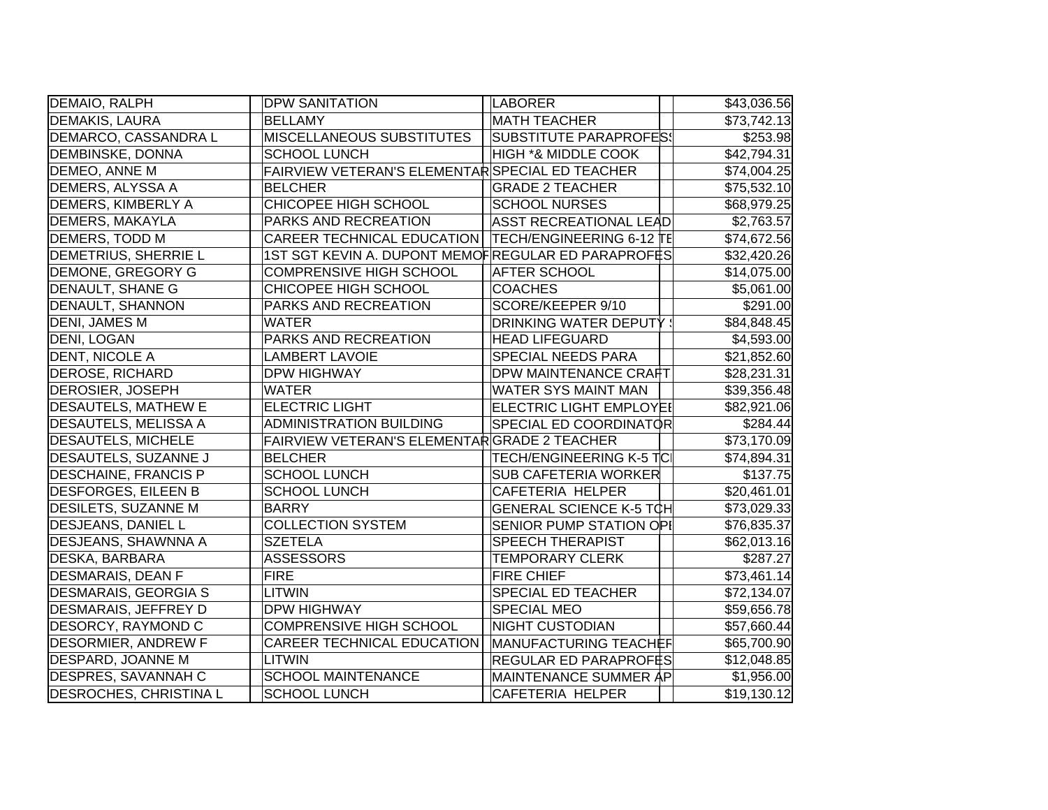| DEMAIO, RALPH                 | <b>DPW SANITATION</b>                                 | LABORER                         | \$43,036.56 |
|-------------------------------|-------------------------------------------------------|---------------------------------|-------------|
| <b>DEMAKIS, LAURA</b>         | <b>BELLAMY</b>                                        | <b>MATH TEACHER</b>             | \$73,742.13 |
| DEMARCO, CASSANDRA L          | MISCELLANEOUS SUBSTITUTES                             | SUBSTITUTE PARAPROFES!          | \$253.98    |
| <b>DEMBINSKE, DONNA</b>       | <b>SCHOOL LUNCH</b>                                   | <b>HIGH *&amp; MIDDLE COOK</b>  | \$42,794.31 |
| DEMEO, ANNE M                 | FAIRVIEW VETERAN'S ELEMENTAR SPECIAL ED TEACHER       |                                 | \$74,004.25 |
| <b>DEMERS, ALYSSA A</b>       | <b>BELCHER</b>                                        | <b>GRADE 2 TEACHER</b>          | \$75,532.10 |
| DEMERS, KIMBERLY A            | CHICOPEE HIGH SCHOOL                                  | <b>SCHOOL NURSES</b>            | \$68,979.25 |
| <b>DEMERS, MAKAYLA</b>        | PARKS AND RECREATION                                  | <b>ASST RECREATIONAL LEAD</b>   | \$2,763.57  |
| <b>DEMERS, TODD M</b>         | CAREER TECHNICAL EDUCATION   TECH/ENGINEERING 6-12 TE |                                 | \$74,672.56 |
| <b>DEMETRIUS, SHERRIE L</b>   | 1ST SGT KEVIN A. DUPONT MEMOFREGULAR ED PARAPROFES    |                                 | \$32,420.26 |
| <b>DEMONE, GREGORY G</b>      | <b>COMPRENSIVE HIGH SCHOOL</b>                        | <b>AFTER SCHOOL</b>             | \$14,075.00 |
| <b>DENAULT, SHANE G</b>       | CHICOPEE HIGH SCHOOL                                  | <b>COACHES</b>                  | \$5,061.00  |
| <b>DENAULT, SHANNON</b>       | PARKS AND RECREATION                                  | SCORE/KEEPER 9/10               | \$291.00    |
| DENI, JAMES M                 | <b>WATER</b>                                          | <b>DRINKING WATER DEPUTY :</b>  | \$84,848.45 |
| DENI, LOGAN                   | PARKS AND RECREATION                                  | <b>HEAD LIFEGUARD</b>           | \$4,593.00  |
| <b>DENT, NICOLE A</b>         | <b>LAMBERT LAVOIE</b>                                 | SPECIAL NEEDS PARA              | \$21,852.60 |
| <b>DEROSE, RICHARD</b>        | <b>DPW HIGHWAY</b>                                    | <b>DPW MAINTENANCE CRAFT</b>    | \$28,231.31 |
| <b>DEROSIER, JOSEPH</b>       | <b>WATER</b>                                          | <b>WATER SYS MAINT MAN</b>      | \$39,356.48 |
| <b>DESAUTELS, MATHEW E</b>    | <b>ELECTRIC LIGHT</b>                                 | <b>ELECTRIC LIGHT EMPLOYEI</b>  | \$82,921.06 |
| <b>DESAUTELS, MELISSA A</b>   | <b>ADMINISTRATION BUILDING</b>                        | SPECIAL ED COORDINATOR          | \$284.44    |
| <b>DESAUTELS, MICHELE</b>     | FAIRVIEW VETERAN'S ELEMENTARGRADE 2 TEACHER           |                                 | \$73,170.09 |
| DESAUTELS, SUZANNE J          | <b>BELCHER</b>                                        | <b>TECH/ENGINEERING K-5 TCI</b> | \$74,894.31 |
| <b>DESCHAINE, FRANCIS P</b>   | <b>SCHOOL LUNCH</b>                                   | <b>SUB CAFETERIA WORKER</b>     | \$137.75    |
| <b>DESFORGES, EILEEN B</b>    | <b>SCHOOL LUNCH</b>                                   | <b>CAFETERIA HELPER</b>         | \$20,461.01 |
| <b>DESILETS, SUZANNE M</b>    | <b>BARRY</b>                                          | <b>GENERAL SCIENCE K-5 TCH</b>  | \$73,029.33 |
| <b>DESJEANS, DANIEL L</b>     | <b>COLLECTION SYSTEM</b>                              | SENIOR PUMP STATION OPI         | \$76,835.37 |
| DESJEANS, SHAWNNA A           | <b>SZETELA</b>                                        | <b>SPEECH THERAPIST</b>         | \$62,013.16 |
| <b>DESKA, BARBARA</b>         | <b>ASSESSORS</b>                                      | <b>TEMPORARY CLERK</b>          | \$287.27    |
| <b>DESMARAIS, DEAN F</b>      | <b>FIRE</b>                                           | <b>FIRE CHIEF</b>               | \$73,461.14 |
| <b>DESMARAIS, GEORGIA S</b>   | LITWIN                                                | <b>SPECIAL ED TEACHER</b>       | \$72,134.07 |
| <b>DESMARAIS, JEFFREY D</b>   | <b>DPW HIGHWAY</b>                                    | <b>SPECIAL MEO</b>              | \$59,656.78 |
| <b>DESORCY, RAYMOND C</b>     | <b>COMPRENSIVE HIGH SCHOOL</b>                        | <b>NIGHT CUSTODIAN</b>          | \$57,660.44 |
| <b>DESORMIER, ANDREW F</b>    | <b>CAREER TECHNICAL EDUCATION</b>                     | MANUFACTURING TEACHEF           | \$65,700.90 |
| <b>DESPARD, JOANNE M</b>      | LITWIN                                                | REGULAR ED PARAPROFES           | \$12,048.85 |
| <b>DESPRES, SAVANNAH C</b>    | <b>SCHOOL MAINTENANCE</b>                             | MAINTENANCE SUMMER AP           | \$1,956.00  |
| <b>DESROCHES, CHRISTINA L</b> | <b>SCHOOL LUNCH</b>                                   | <b>CAFETERIA HELPER</b>         | \$19,130.12 |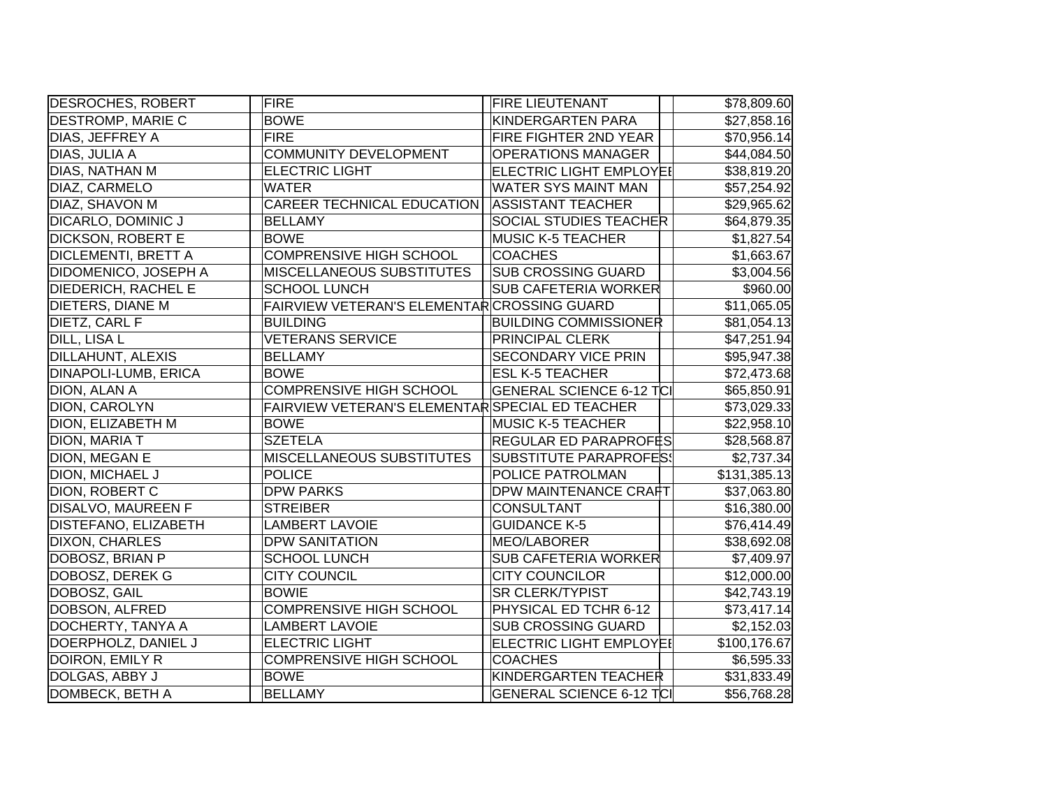| <b>DESROCHES, ROBERT</b>    | FIRE                                            | <b>FIRE LIEUTENANT</b>          | \$78,809.60  |
|-----------------------------|-------------------------------------------------|---------------------------------|--------------|
| <b>DESTROMP, MARIE C</b>    | <b>BOWE</b>                                     | <b>KINDERGARTEN PARA</b>        | \$27,858.16  |
| DIAS, JEFFREY A             | <b>FIRE</b>                                     | FIRE FIGHTER 2ND YEAR           | \$70,956.14  |
| DIAS, JULIA A               | <b>COMMUNITY DEVELOPMENT</b>                    | <b>OPERATIONS MANAGER</b>       | \$44,084.50  |
| DIAS, NATHAN M              | <b>ELECTRIC LIGHT</b>                           | ELECTRIC LIGHT EMPLOYEI         | \$38,819.20  |
| DIAZ, CARMELO               | <b>WATER</b>                                    | <b>WATER SYS MAINT MAN</b>      | \$57,254.92  |
| DIAZ, SHAVON M              | <b>CAREER TECHNICAL EDUCATION</b>               | <b>ASSISTANT TEACHER</b>        | \$29,965.62  |
| <b>DICARLO, DOMINIC J</b>   | <b>BELLAMY</b>                                  | <b>SOCIAL STUDIES TEACHER</b>   | \$64,879.35  |
| <b>DICKSON, ROBERT E</b>    | <b>BOWE</b>                                     | <b>MUSIC K-5 TEACHER</b>        | \$1,827.54   |
| <b>DICLEMENTI, BRETT A</b>  | <b>COMPRENSIVE HIGH SCHOOL</b>                  | <b>COACHES</b>                  | \$1,663.67   |
| <b>DIDOMENICO, JOSEPH A</b> | <b>MISCELLANEOUS SUBSTITUTES</b>                | <b>SUB CROSSING GUARD</b>       | \$3,004.56   |
| <b>DIEDERICH, RACHEL E</b>  | <b>SCHOOL LUNCH</b>                             | <b>SUB CAFETERIA WORKER</b>     | \$960.00     |
| <b>DIETERS, DIANE M</b>     | FAIRVIEW VETERAN'S ELEMENTAR CROSSING GUARD     |                                 | \$11,065.05  |
| <b>DIETZ, CARL F</b>        | <b>BUILDING</b>                                 | <b>BUILDING COMMISSIONER</b>    | \$81,054.13  |
| DILL, LISA L                | <b>VETERANS SERVICE</b>                         | <b>PRINCIPAL CLERK</b>          | \$47,251.94  |
| <b>DILLAHUNT, ALEXIS</b>    | <b>BELLAMY</b>                                  | <b>SECONDARY VICE PRIN</b>      | \$95,947.38  |
| DINAPOLI-LUMB, ERICA        | <b>BOWE</b>                                     | <b>ESL K-5 TEACHER</b>          | \$72,473.68  |
| DION, ALAN A                | <b>COMPRENSIVE HIGH SCHOOL</b>                  | GENERAL SCIENCE 6-12 TCI        | \$65,850.91  |
| DION, CAROLYN               | FAIRVIEW VETERAN'S ELEMENTAR SPECIAL ED TEACHER |                                 | \$73,029.33  |
| DION, ELIZABETH M           | <b>BOWE</b>                                     | <b>MUSIC K-5 TEACHER</b>        | \$22,958.10  |
| DION, MARIA T               | <b>SZETELA</b>                                  | REGULAR ED PARAPROFES           | \$28,568.87  |
| DION, MEGAN E               | <b>MISCELLANEOUS SUBSTITUTES</b>                | SUBSTITUTE PARAPROFES!          | \$2,737.34   |
| <b>DION, MICHAEL J</b>      | <b>POLICE</b>                                   | POLICE PATROLMAN                | \$131,385.13 |
| DION, ROBERT C              | <b>DPW PARKS</b>                                | <b>DPW MAINTENANCE CRAFT</b>    | \$37,063.80  |
| <b>DISALVO, MAUREEN F</b>   | <b>STREIBER</b>                                 | <b>CONSULTANT</b>               | \$16,380.00  |
| DISTEFANO, ELIZABETH        | <b>LAMBERT LAVOIE</b>                           | <b>GUIDANCE K-5</b>             | \$76,414.49  |
| <b>DIXON, CHARLES</b>       | <b>DPW SANITATION</b>                           | MEO/LABORER                     | \$38,692.08  |
| DOBOSZ, BRIAN P             | <b>SCHOOL LUNCH</b>                             | <b>SUB CAFETERIA WORKER</b>     | \$7,409.97   |
| DOBOSZ, DEREK G             | <b>CITY COUNCIL</b>                             | <b>CITY COUNCILOR</b>           | \$12,000.00  |
| DOBOSZ, GAIL                | <b>BOWIE</b>                                    | <b>SR CLERK/TYPIST</b>          | \$42,743.19  |
| DOBSON, ALFRED              | <b>COMPRENSIVE HIGH SCHOOL</b>                  | PHYSICAL ED TCHR 6-12           | \$73,417.14  |
| DOCHERTY, TANYA A           | <b>LAMBERT LAVOIE</b>                           | <b>SUB CROSSING GUARD</b>       | \$2,152.03   |
| DOERPHOLZ, DANIEL J         | <b>ELECTRIC LIGHT</b>                           | <b>ELECTRIC LIGHT EMPLOYE!</b>  | \$100,176.67 |
| DOIRON, EMILY R             | <b>COMPRENSIVE HIGH SCHOOL</b>                  | <b>COACHES</b>                  | \$6,595.33   |
| DOLGAS, ABBY J              | <b>BOWE</b>                                     | KINDERGARTEN TEACHER            | \$31,833.49  |
| DOMBECK, BETH A             | <b>BELLAMY</b>                                  | <b>GENERAL SCIENCE 6-12 TCI</b> | \$56,768.28  |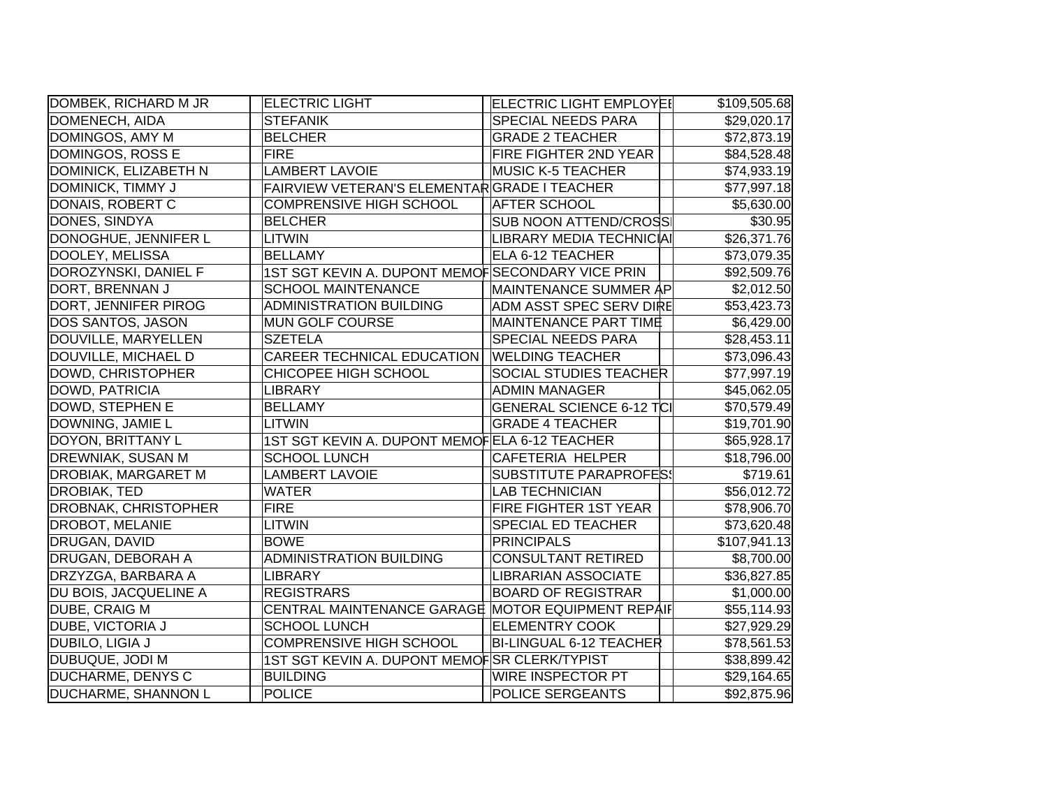| DOMBEK, RICHARD M JR        | <b>ELECTRIC LIGHT</b>                             | ELECTRIC LIGHT EMPLOYEI         | \$109,505.68 |
|-----------------------------|---------------------------------------------------|---------------------------------|--------------|
| DOMENECH, AIDA              | <b>STEFANIK</b>                                   | <b>SPECIAL NEEDS PARA</b>       | \$29,020.17  |
| DOMINGOS, AMY M             | <b>BELCHER</b>                                    | <b>GRADE 2 TEACHER</b>          | \$72,873.19  |
| DOMINGOS, ROSS E            | <b>FIRE</b>                                       | FIRE FIGHTER 2ND YEAR           | \$84,528.48  |
| DOMINICK, ELIZABETH N       | <b>LAMBERT LAVOIE</b>                             | <b>MUSIC K-5 TEACHER</b>        | \$74,933.19  |
| DOMINICK, TIMMY J           | FAIRVIEW VETERAN'S ELEMENTARGRADE I TEACHER       |                                 | \$77,997.18  |
| DONAIS, ROBERT C            | <b>COMPRENSIVE HIGH SCHOOL</b>                    | <b>AFTER SCHOOL</b>             | \$5,630.00   |
| DONES, SINDYA               | <b>BELCHER</b>                                    | <b>SUB NOON ATTEND/CROSS</b>    | \$30.95      |
| DONOGHUE, JENNIFER L        | <b>LITWIN</b>                                     | LIBRARY MEDIA TECHNICIAI        | \$26,371.76  |
| DOOLEY, MELISSA             | <b>BELLAMY</b>                                    | ELA 6-12 TEACHER                | \$73,079.35  |
| DOROZYNSKI, DANIEL F        | 1ST SGT KEVIN A. DUPONT MEMOFSECONDARY VICE PRIN  |                                 | \$92,509.76  |
| DORT, BRENNAN J             | <b>SCHOOL MAINTENANCE</b>                         | MAINTENANCE SUMMER AP           | \$2,012.50   |
| DORT, JENNIFER PIROG        | <b>ADMINISTRATION BUILDING</b>                    | ADM ASST SPEC SERV DIRE         | \$53,423.73  |
| <b>DOS SANTOS, JASON</b>    | <b>MUN GOLF COURSE</b>                            | <b>MAINTENANCE PART TIME</b>    | \$6,429.00   |
| DOUVILLE, MARYELLEN         | <b>SZETELA</b>                                    | SPECIAL NEEDS PARA              | \$28,453.11  |
| DOUVILLE, MICHAEL D         | CAREER TECHNICAL EDUCATION                        | <b>WELDING TEACHER</b>          | \$73,096.43  |
| DOWD, CHRISTOPHER           | CHICOPEE HIGH SCHOOL                              | SOCIAL STUDIES TEACHER          | \$77,997.19  |
| DOWD, PATRICIA              | <b>LIBRARY</b>                                    | <b>ADMIN MANAGER</b>            | \$45,062.05  |
| DOWD, STEPHEN E             | <b>BELLAMY</b>                                    | <b>GENERAL SCIENCE 6-12 TCI</b> | \$70,579.49  |
| DOWNING, JAMIE L            | <b>LITWIN</b>                                     | <b>GRADE 4 TEACHER</b>          | \$19,701.90  |
| DOYON, BRITTANY L           | 1ST SGT KEVIN A. DUPONT MEMOFELA 6-12 TEACHER     |                                 | \$65,928.17  |
| <b>DREWNIAK, SUSAN M</b>    | <b>SCHOOL LUNCH</b>                               | <b>CAFETERIA HELPER</b>         | \$18,796.00  |
| <b>DROBIAK, MARGARET M</b>  | <b>LAMBERT LAVOIE</b>                             | <b>SUBSTITUTE PARAPROFES!</b>   | \$719.61     |
| DROBIAK, TED                | <b>WATER</b>                                      | <b>LAB TECHNICIAN</b>           | \$56,012.72  |
| <b>DROBNAK, CHRISTOPHER</b> | <b>FIRE</b>                                       | FIRE FIGHTER 1ST YEAR           | \$78,906.70  |
| <b>DROBOT, MELANIE</b>      | <b>LITWIN</b>                                     | SPECIAL ED TEACHER              | \$73,620.48  |
| DRUGAN, DAVID               | <b>BOWE</b>                                       | <b>PRINCIPALS</b>               | \$107,941.13 |
| DRUGAN, DEBORAH A           | <b>ADMINISTRATION BUILDING</b>                    | <b>CONSULTANT RETIRED</b>       | \$8,700.00   |
| DRZYZGA, BARBARA A          | <b>LIBRARY</b>                                    | <b>LIBRARIAN ASSOCIATE</b>      | \$36,827.85  |
| DU BOIS, JACQUELINE A       | <b>REGISTRARS</b>                                 | <b>BOARD OF REGISTRAR</b>       | \$1,000.00   |
| <b>DUBE, CRAIG M</b>        | CENTRAL MAINTENANCE GARAGE MOTOR EQUIPMENT REPAIF |                                 | \$55,114.93  |
| <b>DUBE, VICTORIA J</b>     | <b>SCHOOL LUNCH</b>                               | <b>ELEMENTRY COOK</b>           | \$27,929.29  |
| DUBILO, LIGIA J             | <b>COMPRENSIVE HIGH SCHOOL</b>                    | <b>BI-LINGUAL 6-12 TEACHER</b>  | \$78,561.53  |
| DUBUQUE, JODI M             | 1ST SGT KEVIN A. DUPONT MEMOFSR CLERK/TYPIST      |                                 | \$38,899.42  |
| <b>DUCHARME, DENYS C</b>    | <b>BUILDING</b>                                   | <b>WIRE INSPECTOR PT</b>        | \$29,164.65  |
| <b>DUCHARME, SHANNON L</b>  | <b>POLICE</b>                                     | <b>POLICE SERGEANTS</b>         | \$92,875.96  |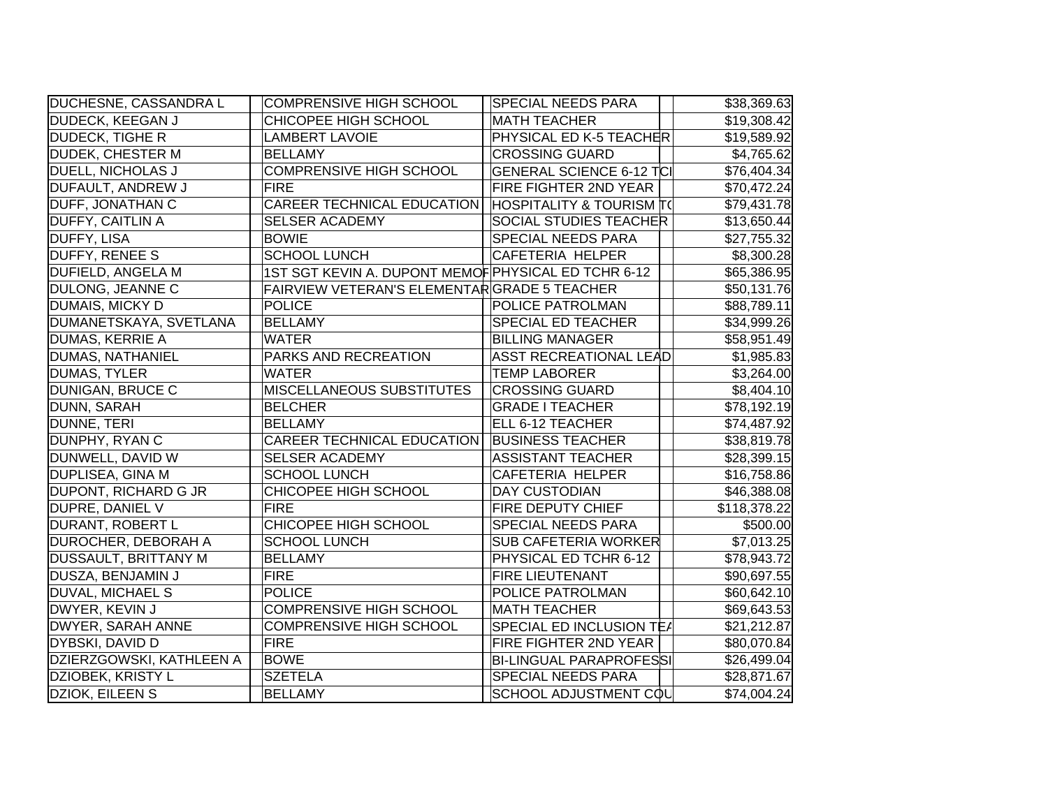| <b>DUCHESNE, CASSANDRA L</b> | <b>COMPRENSIVE HIGH SCHOOL</b>                      | <b>SPECIAL NEEDS PARA</b>           | \$38,369.63  |
|------------------------------|-----------------------------------------------------|-------------------------------------|--------------|
| <b>DUDECK, KEEGAN J</b>      | CHICOPEE HIGH SCHOOL                                | <b>MATH TEACHER</b>                 | \$19,308.42  |
| <b>DUDECK, TIGHE R</b>       | <b>LAMBERT LAVOIE</b>                               | PHYSICAL ED K-5 TEACHER             | \$19,589.92  |
| <b>DUDEK, CHESTER M</b>      | <b>BELLAMY</b>                                      | <b>CROSSING GUARD</b>               | \$4,765.62   |
| <b>DUELL, NICHOLAS J</b>     | <b>COMPRENSIVE HIGH SCHOOL</b>                      | <b>GENERAL SCIENCE 6-12 TCI</b>     | \$76,404.34  |
| <b>DUFAULT, ANDREW J</b>     | <b>FIRE</b>                                         | <b>FIRE FIGHTER 2ND YEAR</b>        | \$70,472.24  |
| <b>DUFF, JONATHAN C</b>      | <b>CAREER TECHNICAL EDUCATION</b>                   | <b>HOSPITALITY &amp; TOURISM T(</b> | \$79,431.78  |
| <b>DUFFY, CAITLIN A</b>      | <b>SELSER ACADEMY</b>                               | <b>SOCIAL STUDIES TEACHER</b>       | \$13,650.44  |
| <b>DUFFY, LISA</b>           | <b>BOWIE</b>                                        | <b>SPECIAL NEEDS PARA</b>           | \$27,755.32  |
| <b>DUFFY, RENEE S</b>        | <b>SCHOOL LUNCH</b>                                 | CAFETERIA HELPER                    | \$8,300.28   |
| <b>DUFIELD, ANGELA M</b>     | 1ST SGT KEVIN A. DUPONT MEMOF PHYSICAL ED TCHR 6-12 |                                     | \$65,386.95  |
| DULONG, JEANNE C             | FAIRVIEW VETERAN'S ELEMENTARGRADE 5 TEACHER         |                                     | \$50,131.76  |
| DUMAIS, MICKY D              | <b>POLICE</b>                                       | <b>POLICE PATROLMAN</b>             | \$88,789.11  |
| DUMANETSKAYA, SVETLANA       | <b>BELLAMY</b>                                      | <b>SPECIAL ED TEACHER</b>           | \$34,999.26  |
| DUMAS, KERRIE A              | <b>WATER</b>                                        | <b>BILLING MANAGER</b>              | \$58,951.49  |
| <b>DUMAS, NATHANIEL</b>      | PARKS AND RECREATION                                | <b>ASST RECREATIONAL LEAD</b>       | \$1,985.83   |
| DUMAS, TYLER                 | <b>WATER</b>                                        | <b>TEMP LABORER</b>                 | \$3,264.00   |
| <b>DUNIGAN, BRUCE C</b>      | <b>MISCELLANEOUS SUBSTITUTES</b>                    | <b>CROSSING GUARD</b>               | \$8,404.10   |
| DUNN, SARAH                  | <b>BELCHER</b>                                      | <b>GRADE I TEACHER</b>              | \$78,192.19  |
| DUNNE, TERI                  | <b>BELLAMY</b>                                      | ELL 6-12 TEACHER                    | \$74,487.92  |
| DUNPHY, RYAN C               | <b>CAREER TECHNICAL EDUCATION</b>                   | <b>BUSINESS TEACHER</b>             | \$38,819.78  |
| DUNWELL, DAVID W             | <b>SELSER ACADEMY</b>                               | <b>ASSISTANT TEACHER</b>            | \$28,399.15  |
| <b>DUPLISEA, GINA M</b>      | <b>SCHOOL LUNCH</b>                                 | CAFETERIA HELPER                    | \$16,758.86  |
| <b>DUPONT, RICHARD G JR</b>  | CHICOPEE HIGH SCHOOL                                | <b>DAY CUSTODIAN</b>                | \$46,388.08  |
| DUPRE, DANIEL V              | <b>FIRE</b>                                         | <b>FIRE DEPUTY CHIEF</b>            | \$118,378.22 |
| DURANT, ROBERT L             | CHICOPEE HIGH SCHOOL                                | <b>SPECIAL NEEDS PARA</b>           | \$500.00     |
| <b>DUROCHER, DEBORAH A</b>   | <b>SCHOOL LUNCH</b>                                 | <b>SUB CAFETERIA WORKER</b>         | \$7,013.25   |
| <b>DUSSAULT, BRITTANY M</b>  | <b>BELLAMY</b>                                      | PHYSICAL ED TCHR 6-12               | \$78,943.72  |
| DUSZA, BENJAMIN J            | <b>FIRE</b>                                         | <b>FIRE LIEUTENANT</b>              | \$90,697.55  |
| DUVAL, MICHAEL S             | <b>POLICE</b>                                       | <b>POLICE PATROLMAN</b>             | \$60,642.10  |
| DWYER, KEVIN J               | <b>COMPRENSIVE HIGH SCHOOL</b>                      | <b>MATH TEACHER</b>                 | \$69,643.53  |
| <b>DWYER, SARAH ANNE</b>     | <b>COMPRENSIVE HIGH SCHOOL</b>                      | SPECIAL ED INCLUSION TEA            | \$21,212.87  |
| <b>DYBSKI, DAVID D</b>       | <b>FIRE</b>                                         | <b>FIRE FIGHTER 2ND YEAR</b>        | \$80,070.84  |
| DZIERZGOWSKI, KATHLEEN A     | <b>BOWE</b>                                         | <b>BI-LINGUAL PARAPROFESSI</b>      | \$26,499.04  |
| DZIOBEK, KRISTY L            | <b>SZETELA</b>                                      | <b>SPECIAL NEEDS PARA</b>           | \$28,871.67  |
| DZIOK, EILEEN S              | <b>BELLAMY</b>                                      | SCHOOL ADJUSTMENT COL               | \$74,004.24  |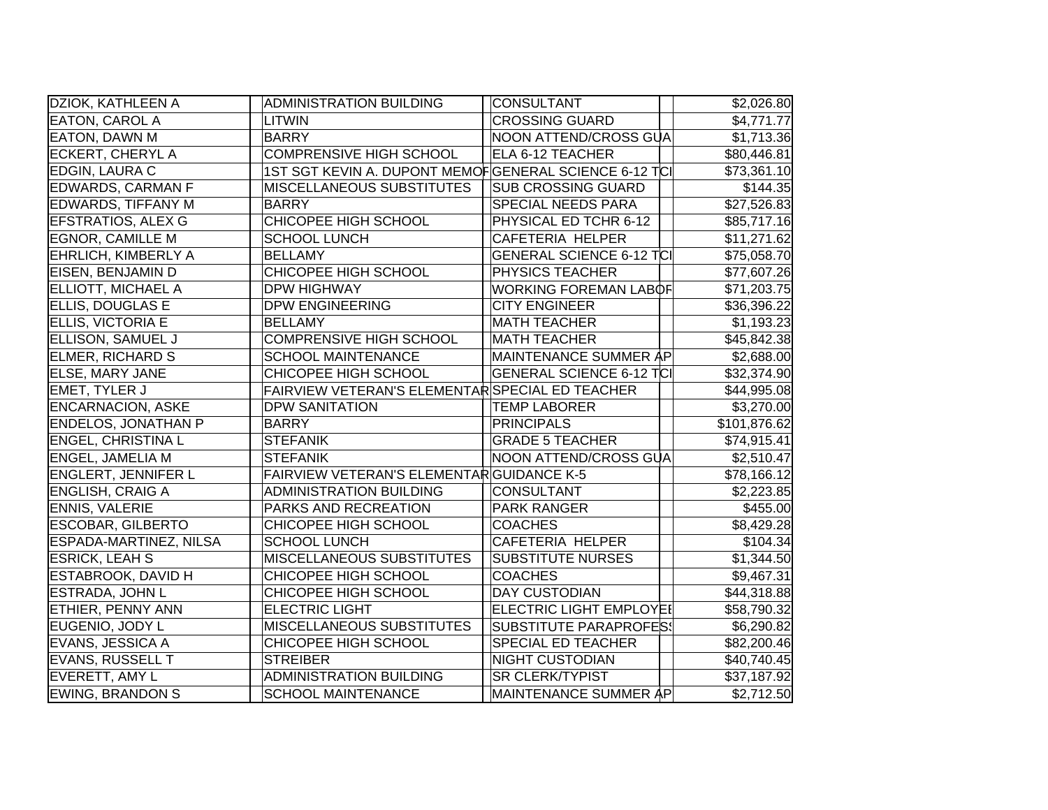| DZIOK, KATHLEEN A             | <b>ADMINISTRATION BUILDING</b>                        | CONSULTANT                      | \$2,026.80   |
|-------------------------------|-------------------------------------------------------|---------------------------------|--------------|
| <b>EATON, CAROL A</b>         | <b>LITWIN</b>                                         | <b>CROSSING GUARD</b>           | \$4,771.77   |
| <b>EATON, DAWN M</b>          | <b>BARRY</b>                                          | NOON ATTEND/CROSS GUA           | \$1,713.36   |
| <b>ECKERT, CHERYL A</b>       | <b>COMPRENSIVE HIGH SCHOOL</b>                        | <b>ELA 6-12 TEACHER</b>         | \$80,446.81  |
| <b>EDGIN, LAURA C</b>         | 1ST SGT KEVIN A. DUPONT MEMOFGENERAL SCIENCE 6-12 TCI |                                 | \$73,361.10  |
| <b>EDWARDS, CARMAN F</b>      | MISCELLANEOUS SUBSTITUTES                             | <b>SUB CROSSING GUARD</b>       | \$144.35     |
| <b>EDWARDS, TIFFANY M</b>     | <b>BARRY</b>                                          | <b>SPECIAL NEEDS PARA</b>       | \$27,526.83  |
| <b>EFSTRATIOS, ALEX G</b>     | CHICOPEE HIGH SCHOOL                                  | PHYSICAL ED TCHR 6-12           | \$85,717.16  |
| <b>EGNOR, CAMILLE M</b>       | <b>SCHOOL LUNCH</b>                                   | <b>CAFETERIA HELPER</b>         | \$11,271.62  |
| <b>EHRLICH, KIMBERLY A</b>    | <b>BELLAMY</b>                                        | <b>GENERAL SCIENCE 6-12 TCI</b> | \$75,058.70  |
| EISEN, BENJAMIN D             | CHICOPEE HIGH SCHOOL                                  | <b>PHYSICS TEACHER</b>          | \$77,607.26  |
| <b>ELLIOTT, MICHAEL A</b>     | <b>DPW HIGHWAY</b>                                    | <b>WORKING FOREMAN LABOF</b>    | \$71,203.75  |
| ELLIS, DOUGLAS E              | <b>DPW ENGINEERING</b>                                | <b>CITY ENGINEER</b>            | \$36,396.22  |
| <b>ELLIS, VICTORIA E</b>      | <b>BELLAMY</b>                                        | <b>MATH TEACHER</b>             | \$1,193.23   |
| <b>ELLISON, SAMUEL J</b>      | <b>COMPRENSIVE HIGH SCHOOL</b>                        | <b>MATH TEACHER</b>             | \$45,842.38  |
| <b>ELMER, RICHARD S</b>       | <b>SCHOOL MAINTENANCE</b>                             | MAINTENANCE SUMMER AP           | \$2,688.00   |
| <b>ELSE, MARY JANE</b>        | CHICOPEE HIGH SCHOOL                                  | <b>GENERAL SCIENCE 6-12 TCI</b> | \$32,374.90  |
| <b>EMET, TYLER J</b>          | FAIRVIEW VETERAN'S ELEMENTAR SPECIAL ED TEACHER       |                                 | \$44,995.08  |
| <b>ENCARNACION, ASKE</b>      | <b>DPW SANITATION</b>                                 | <b>TEMP LABORER</b>             | \$3,270.00   |
| <b>ENDELOS, JONATHAN P</b>    | <b>BARRY</b>                                          | PRINCIPALS                      | \$101,876.62 |
| <b>ENGEL, CHRISTINA L</b>     | <b>STEFANIK</b>                                       | <b>GRADE 5 TEACHER</b>          | \$74,915.41  |
| <b>ENGEL, JAMELIA M</b>       | <b>STEFANIK</b>                                       | NOON ATTEND/CROSS GUA           | \$2,510.47   |
| <b>ENGLERT, JENNIFER L</b>    | FAIRVIEW VETERAN'S ELEMENTAR GUIDANCE K-5             |                                 | \$78,166.12  |
| <b>ENGLISH, CRAIG A</b>       | <b>ADMINISTRATION BUILDING</b>                        | CONSULTANT                      | \$2,223.85   |
| <b>ENNIS, VALERIE</b>         | PARKS AND RECREATION                                  | <b>PARK RANGER</b>              | \$455.00     |
| <b>ESCOBAR, GILBERTO</b>      | CHICOPEE HIGH SCHOOL                                  | <b>COACHES</b>                  | \$8,429.28   |
| <b>ESPADA-MARTINEZ, NILSA</b> | <b>SCHOOL LUNCH</b>                                   | <b>CAFETERIA HELPER</b>         | \$104.34     |
| <b>ESRICK, LEAH S</b>         | MISCELLANEOUS SUBSTITUTES                             | <b>SUBSTITUTE NURSES</b>        | \$1,344.50   |
| <b>ESTABROOK, DAVID H</b>     | CHICOPEE HIGH SCHOOL                                  | <b>COACHES</b>                  | \$9,467.31   |
| ESTRADA, JOHN L               | CHICOPEE HIGH SCHOOL                                  | <b>DAY CUSTODIAN</b>            | \$44,318.88  |
| <b>ETHIER, PENNY ANN</b>      | <b>ELECTRIC LIGHT</b>                                 | <b>ELECTRIC LIGHT EMPLOYEI</b>  | \$58,790.32  |
| EUGENIO, JODY L               | <b>MISCELLANEOUS SUBSTITUTES</b>                      | SUBSTITUTE PARAPROFES!          | \$6,290.82   |
| <b>EVANS, JESSICA A</b>       | CHICOPEE HIGH SCHOOL                                  | <b>SPECIAL ED TEACHER</b>       | \$82,200.46  |
| <b>EVANS, RUSSELL T</b>       | <b>STREIBER</b>                                       | <b>NIGHT CUSTODIAN</b>          | \$40,740.45  |
| EVERETT, AMY L                | <b>ADMINISTRATION BUILDING</b>                        | <b>SR CLERK/TYPIST</b>          | \$37,187.92  |
| <b>EWING, BRANDON S</b>       | <b>SCHOOL MAINTENANCE</b>                             | MAINTENANCE SUMMER AP           | \$2,712.50   |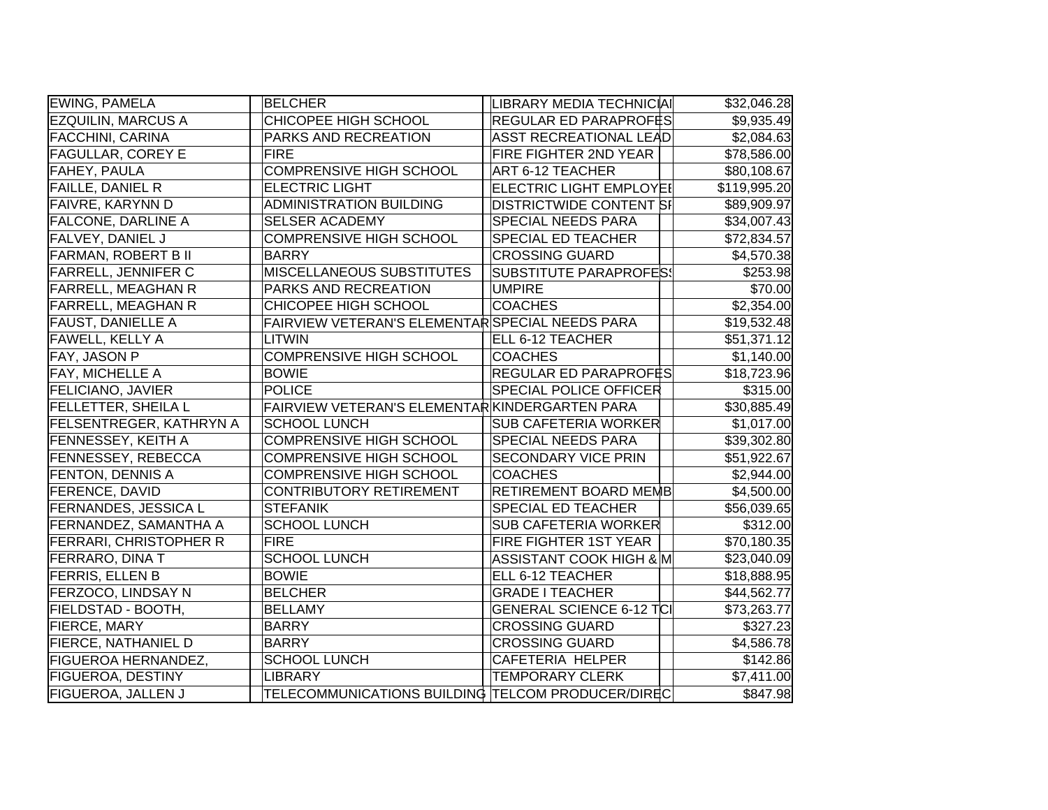| EWING, PAMELA                  | <b>BELCHER</b>                                    | LIBRARY MEDIA TECHNICIAI        | \$32,046.28            |
|--------------------------------|---------------------------------------------------|---------------------------------|------------------------|
| <b>EZQUILIN, MARCUS A</b>      | CHICOPEE HIGH SCHOOL                              | REGULAR ED PARAPROFES           | \$9,935.49             |
| <b>FACCHINI, CARINA</b>        | PARKS AND RECREATION                              | <b>ASST RECREATIONAL LEAD</b>   | \$2,084.63             |
| <b>FAGULLAR, COREY E</b>       | FIRE                                              | <b>FIRE FIGHTER 2ND YEAR</b>    | \$78,586.00            |
| <b>FAHEY, PAULA</b>            | <b>COMPRENSIVE HIGH SCHOOL</b>                    | <b>ART 6-12 TEACHER</b>         | \$80,108.67            |
| <b>FAILLE, DANIEL R</b>        | <b>ELECTRIC LIGHT</b>                             | ELECTRIC LIGHT EMPLOYEI         | \$119,995.20           |
| <b>FAIVRE, KARYNN D</b>        | <b>ADMINISTRATION BUILDING</b>                    | <b>DISTRICTWIDE CONTENT SI</b>  | \$89,909.97            |
| <b>FALCONE, DARLINE A</b>      | <b>SELSER ACADEMY</b>                             | SPECIAL NEEDS PARA              | \$34,007.43            |
| FALVEY, DANIEL J               | <b>COMPRENSIVE HIGH SCHOOL</b>                    | SPECIAL ED TEACHER              | \$72,834.57            |
| <b>FARMAN, ROBERT B II</b>     | <b>BARRY</b>                                      | <b>CROSSING GUARD</b>           | \$4,570.38             |
| <b>FARRELL, JENNIFER C</b>     | MISCELLANEOUS SUBSTITUTES                         | <b>SUBSTITUTE PARAPROFES!</b>   | \$253.98               |
| <b>FARRELL, MEAGHAN R</b>      | PARKS AND RECREATION                              | <b>UMPIRE</b>                   | \$70.00                |
| <b>FARRELL, MEAGHAN R</b>      | CHICOPEE HIGH SCHOOL                              | <b>COACHES</b>                  | \$2,354.00             |
| <b>FAUST, DANIELLE A</b>       | FAIRVIEW VETERAN'S ELEMENTAR SPECIAL NEEDS PARA   |                                 | \$19,532.48            |
| <b>FAWELL, KELLY A</b>         | LITWIN                                            | ELL 6-12 TEACHER                | \$51,371.12            |
| FAY, JASON P                   | <b>COMPRENSIVE HIGH SCHOOL</b>                    | <b>COACHES</b>                  | \$1,140.00             |
| <b>FAY, MICHELLE A</b>         | <b>BOWIE</b>                                      | <b>REGULAR ED PARAPROFĖS</b>    | \$18,723.96            |
| <b>FELICIANO, JAVIER</b>       | POLICE                                            | <b>SPECIAL POLICE OFFICER</b>   | \$315.00               |
| <b>FELLETTER, SHEILA L</b>     | FAIRVIEW VETERAN'S ELEMENTARKINDERGARTEN PARA     |                                 | \$30,885.49            |
| <b>FELSENTREGER, KATHRYN A</b> | <b>SCHOOL LUNCH</b>                               | <b>SUB CAFETERIA WORKER</b>     | \$1,017.00             |
| <b>FENNESSEY, KEITH A</b>      | <b>COMPRENSIVE HIGH SCHOOL</b>                    | SPECIAL NEEDS PARA              | \$39,302.80            |
| <b>FENNESSEY, REBECCA</b>      | <b>COMPRENSIVE HIGH SCHOOL</b>                    | <b>SECONDARY VICE PRIN</b>      | \$51,922.67            |
| <b>FENTON, DENNIS A</b>        | <b>COMPRENSIVE HIGH SCHOOL</b>                    | <b>COACHES</b>                  | \$2,944.00             |
| <b>FERENCE, DAVID</b>          | CONTRIBUTORY RETIREMENT                           | RETIREMENT BOARD MEMB           | \$4,500.00             |
| <b>FERNANDES, JESSICA L</b>    | <b>STEFANIK</b>                                   | SPECIAL ED TEACHER              | \$56,039.65            |
| <b>FERNANDEZ, SAMANTHA A</b>   | <b>SCHOOL LUNCH</b>                               | <b>SUB CAFETERIA WORKER</b>     | \$312.00               |
| <b>FERRARI, CHRISTOPHER R</b>  | <b>FIRE</b>                                       | FIRE FIGHTER 1ST YEAR           | \$70,180.35            |
| <b>FERRARO, DINA T</b>         | <b>SCHOOL LUNCH</b>                               | ASSISTANT COOK HIGH & M         | \$23,040.09            |
| <b>FERRIS, ELLEN B</b>         | <b>BOWIE</b>                                      | ELL 6-12 TEACHER                | \$18,888.95            |
| FERZOCO, LINDSAY N             | <b>BELCHER</b>                                    | <b>GRADE I TEACHER</b>          | \$44,562.77            |
| FIELDSTAD - BOOTH,             | <b>BELLAMY</b>                                    | <b>GENERAL SCIENCE 6-12 TCI</b> | \$73,263.77            |
| <b>FIERCE, MARY</b>            | <b>BARRY</b>                                      | <b>CROSSING GUARD</b>           | \$327.23               |
| <b>FIERCE, NATHANIEL D</b>     | <b>BARRY</b>                                      | <b>CROSSING GUARD</b>           | \$4,586.78             |
| <b>FIGUEROA HERNANDEZ,</b>     | <b>SCHOOL LUNCH</b>                               | CAFETERIA HELPER                | \$142.86               |
| <b>FIGUEROA, DESTINY</b>       | LIBRARY                                           | <b>TEMPORARY CLERK</b>          | $\overline{57,411.00}$ |
| <b>FIGUEROA, JALLEN J</b>      | TELECOMMUNICATIONS BUILDING TELCOM PRODUCER/DIREC |                                 | \$847.98               |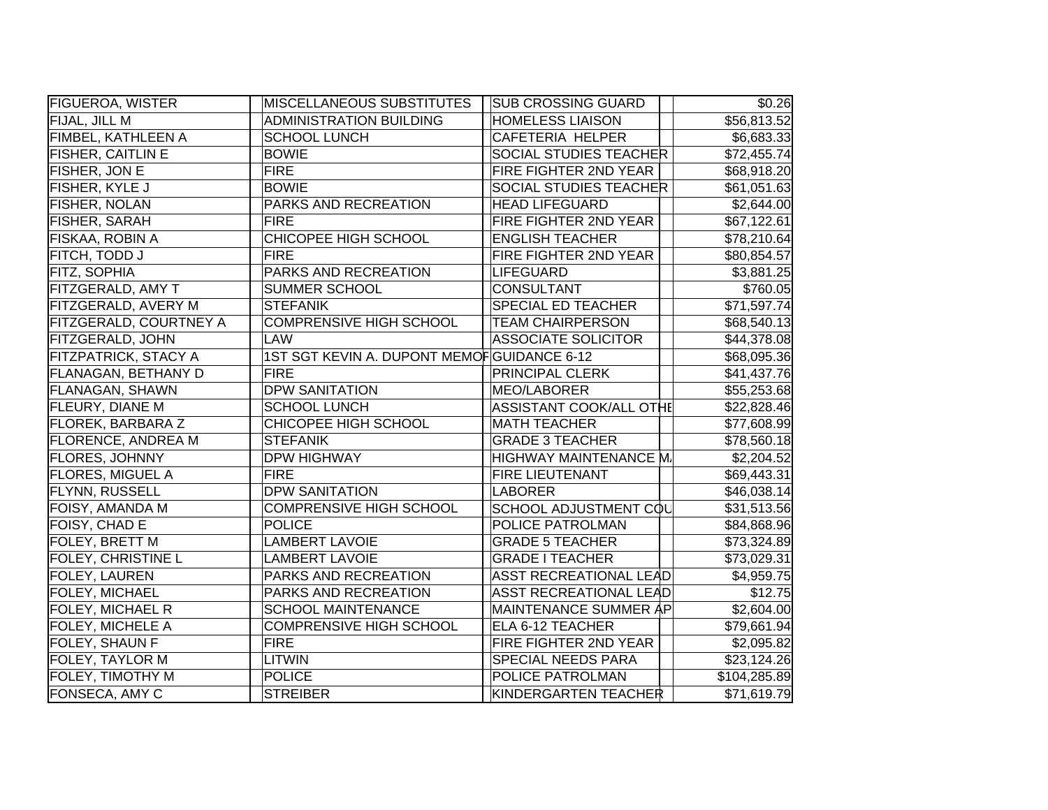| <b>FIGUEROA, WISTER</b>     | MISCELLANEOUS SUBSTITUTES                  | <b>SUB CROSSING GUARD</b>      | \$0.26                 |
|-----------------------------|--------------------------------------------|--------------------------------|------------------------|
| FIJAL, JILL M               | <b>ADMINISTRATION BUILDING</b>             | <b>HOMELESS LIAISON</b>        | \$56,813.52            |
| FIMBEL, KATHLEEN A          | <b>SCHOOL LUNCH</b>                        | CAFETERIA HELPER               | \$6,683.33             |
| <b>FISHER, CAITLIN E</b>    | <b>BOWIE</b>                               | SOCIAL STUDIES TEACHER         | \$72,455.74            |
| <b>FISHER, JON E</b>        | <b>FIRE</b>                                | FIRE FIGHTER 2ND YEAR          | \$68,918.20            |
| <b>FISHER, KYLE J</b>       | <b>BOWIE</b>                               | <b>SOCIAL STUDIES TEACHER</b>  | \$61,051.63            |
| <b>FISHER, NOLAN</b>        | PARKS AND RECREATION                       | <b>HEAD LIFEGUARD</b>          | \$2,644.00             |
| <b>FISHER, SARAH</b>        | <b>FIRE</b>                                | FIRE FIGHTER 2ND YEAR          | \$67,122.61            |
| FISKAA, ROBIN A             | CHICOPEE HIGH SCHOOL                       | <b>ENGLISH TEACHER</b>         | \$78,210.64            |
| FITCH, TODD J               | <b>FIRE</b>                                | FIRE FIGHTER 2ND YEAR          | \$80,854.57            |
| FITZ, SOPHIA                | PARKS AND RECREATION                       | LIFEGUARD                      | \$3,881.25             |
| FITZGERALD, AMY T           | <b>SUMMER SCHOOL</b>                       | <b>CONSULTANT</b>              | \$760.05               |
| FITZGERALD, AVERY M         | <b>STEFANIK</b>                            | <b>SPECIAL ED TEACHER</b>      | \$71,597.74            |
| FITZGERALD, COURTNEY A      | <b>COMPRENSIVE HIGH SCHOOL</b>             | <b>TEAM CHAIRPERSON</b>        | \$68,540.13            |
| <b>FITZGERALD, JOHN</b>     | LAW                                        | <b>ASSOCIATE SOLICITOR</b>     | \$44,378.08            |
| <b>FITZPATRICK, STACY A</b> | 1ST SGT KEVIN A. DUPONT MEMOFGUIDANCE 6-12 |                                | \$68,095.36            |
| <b>FLANAGAN, BETHANY D</b>  | <b>FIRE</b>                                | <b>PRINCIPAL CLERK</b>         | \$41,437.76            |
| <b>FLANAGAN, SHAWN</b>      | <b>DPW SANITATION</b>                      | MEO/LABORER                    | \$55,253.68            |
| <b>FLEURY, DIANE M</b>      | <b>SCHOOL LUNCH</b>                        | <b>ASSISTANT COOK/ALL OTHE</b> | \$22,828.46            |
| <b>FLOREK, BARBARA Z</b>    | CHICOPEE HIGH SCHOOL                       | <b>MATH TEACHER</b>            | \$77,608.99            |
| <b>FLORENCE, ANDREA M</b>   | <b>STEFANIK</b>                            | <b>GRADE 3 TEACHER</b>         | \$78,560.18            |
| <b>FLORES, JOHNNY</b>       | <b>DPW HIGHWAY</b>                         | HIGHWAY MAINTENANCE M.         | \$2,204.52             |
| <b>FLORES, MIGUEL A</b>     | <b>FIRE</b>                                | <b>FIRE LIEUTENANT</b>         | \$69,443.31            |
| <b>FLYNN, RUSSELL</b>       | <b>DPW SANITATION</b>                      | <b>LABORER</b>                 | \$46,038.14            |
| FOISY, AMANDA M             | COMPRENSIVE HIGH SCHOOL                    | SCHOOL ADJUSTMENT COL          | \$31,513.56            |
| FOISY, CHAD E               | <b>POLICE</b>                              | POLICE PATROLMAN               | \$84,868.96            |
| FOLEY, BRETT M              | <b>LAMBERT LAVOIE</b>                      | <b>GRADE 5 TEACHER</b>         | \$73,324.89            |
| <b>FOLEY, CHRISTINE L</b>   | <b>LAMBERT LAVOIE</b>                      | <b>GRADE I TEACHER</b>         | \$73,029.31            |
| FOLEY, LAUREN               | PARKS AND RECREATION                       | <b>ASST RECREATIONAL LEAD</b>  | $\overline{$4,959.75}$ |
| <b>FOLEY, MICHAEL</b>       | PARKS AND RECREATION                       | <b>ASST RECREATIONAL LEAD</b>  | \$12.75                |
| <b>FOLEY, MICHAEL R</b>     | <b>SCHOOL MAINTENANCE</b>                  | MAINTENANCE SUMMER AP          | \$2,604.00             |
| <b>FOLEY, MICHELE A</b>     | <b>COMPRENSIVE HIGH SCHOOL</b>             | ELA 6-12 TEACHER               | \$79,661.94            |
| FOLEY, SHAUN F              | <b>FIRE</b>                                | FIRE FIGHTER 2ND YEAR          | \$2,095.82             |
| FOLEY, TAYLOR M             | <b>LITWIN</b>                              | SPECIAL NEEDS PARA             | \$23,124.26            |
| <b>FOLEY, TIMOTHY M</b>     | <b>POLICE</b>                              | POLICE PATROLMAN               | \$104,285.89           |
| <b>FONSECA, AMY C</b>       | <b>STREIBER</b>                            | KINDERGARTEN TEACHER           | \$71,619.79            |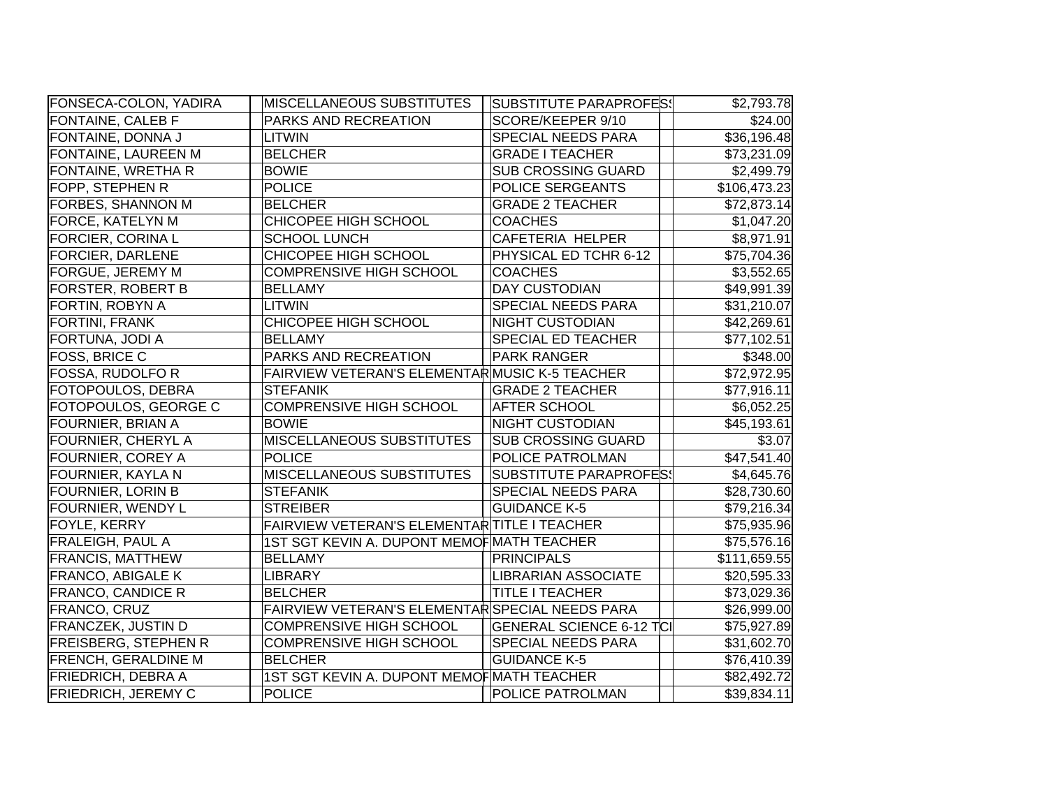| <b>FONSECA-COLON, YADIRA</b> | <b>MISCELLANEOUS SUBSTITUTES</b>                | SUBSTITUTE PARAPROFES!          | \$2,793.78   |
|------------------------------|-------------------------------------------------|---------------------------------|--------------|
| <b>FONTAINE, CALEB F</b>     | PARKS AND RECREATION                            | SCORE/KEEPER 9/10               | \$24.00      |
| FONTAINE, DONNA J            | <b>LITWIN</b>                                   | <b>SPECIAL NEEDS PARA</b>       | \$36,196.48  |
| FONTAINE, LAUREEN M          | <b>BELCHER</b>                                  | <b>GRADE I TEACHER</b>          | \$73,231.09  |
| FONTAINE, WRETHA R           | <b>BOWIE</b>                                    | <b>SUB CROSSING GUARD</b>       | \$2,499.79   |
| FOPP, STEPHEN R              | POLICE                                          | POLICE SERGEANTS                | \$106,473.23 |
| FORBES, SHANNON M            | <b>BELCHER</b>                                  | <b>GRADE 2 TEACHER</b>          | \$72,873.14  |
| <b>FORCE, KATELYN M</b>      | CHICOPEE HIGH SCHOOL                            | <b>COACHES</b>                  | \$1,047.20   |
| <b>FORCIER, CORINA L</b>     | <b>SCHOOL LUNCH</b>                             | <b>CAFETERIA HELPER</b>         | \$8,971.91   |
| <b>FORCIER, DARLENE</b>      | CHICOPEE HIGH SCHOOL                            | PHYSICAL ED TCHR 6-12           | \$75,704.36  |
| <b>FORGUE, JEREMY M</b>      | <b>COMPRENSIVE HIGH SCHOOL</b>                  | <b>COACHES</b>                  | \$3,552.65   |
| <b>FORSTER, ROBERT B</b>     | <b>BELLAMY</b>                                  | <b>DAY CUSTODIAN</b>            | \$49,991.39  |
| FORTIN, ROBYN A              | <b>LITWIN</b>                                   | <b>SPECIAL NEEDS PARA</b>       | \$31,210.07  |
| <b>FORTINI, FRANK</b>        | CHICOPEE HIGH SCHOOL                            | <b>NIGHT CUSTODIAN</b>          | \$42,269.61  |
| FORTUNA, JODI A              | <b>BELLAMY</b>                                  | <b>SPECIAL ED TEACHER</b>       | \$77,102.51  |
| FOSS, BRICE C                | PARKS AND RECREATION                            | <b>PARK RANGER</b>              | \$348.00     |
| <b>FOSSA, RUDOLFO R</b>      | FAIRVIEW VETERAN'S ELEMENTARMUSIC K-5 TEACHER   |                                 | \$72,972.95  |
| FOTOPOULOS, DEBRA            | <b>STEFANIK</b>                                 | <b>GRADE 2 TEACHER</b>          | \$77,916.11  |
| FOTOPOULOS, GEORGE C         | <b>COMPRENSIVE HIGH SCHOOL</b>                  | <b>AFTER SCHOOL</b>             | \$6,052.25   |
| <b>FOURNIER, BRIAN A</b>     | <b>BOWIE</b>                                    | <b>NIGHT CUSTODIAN</b>          | \$45,193.61  |
| <b>FOURNIER, CHERYL A</b>    | <b>MISCELLANEOUS SUBSTITUTES</b>                | <b>SUB CROSSING GUARD</b>       | \$3.07       |
| <b>FOURNIER, COREY A</b>     | <b>POLICE</b>                                   | <b>POLICE PATROLMAN</b>         | \$47,541.40  |
| <b>FOURNIER, KAYLA N</b>     | <b>MISCELLANEOUS SUBSTITUTES</b>                | <b>SUBSTITUTE PARAPROFES!</b>   | \$4,645.76   |
| <b>FOURNIER, LORIN B</b>     | <b>STEFANIK</b>                                 | <b>SPECIAL NEEDS PARA</b>       | \$28,730.60  |
| FOURNIER, WENDY L            | <b>STREIBER</b>                                 | <b>GUIDANCE K-5</b>             | \$79,216.34  |
| FOYLE, KERRY                 | FAIRVIEW VETERAN'S ELEMENTAR TITLE I TEACHER    |                                 | \$75,935.96  |
| FRALEIGH, PAUL A             | 1ST SGT KEVIN A. DUPONT MEMOF MATH TEACHER      |                                 | \$75,576.16  |
| <b>FRANCIS, MATTHEW</b>      | <b>BELLAMY</b>                                  | PRINCIPALS                      | \$111,659.55 |
| <b>FRANCO, ABIGALE K</b>     | <b>LIBRARY</b>                                  | <b>LIBRARIAN ASSOCIATE</b>      | \$20,595.33  |
| <b>FRANCO, CANDICE R</b>     | <b>BELCHER</b>                                  | <b>TITLE I TEACHER</b>          | \$73,029.36  |
| FRANCO, CRUZ                 | FAIRVIEW VETERAN'S ELEMENTAR SPECIAL NEEDS PARA |                                 | \$26,999.00  |
| <b>FRANCZEK, JUSTIN D</b>    | <b>COMPRENSIVE HIGH SCHOOL</b>                  | <b>GENERAL SCIENCE 6-12 TCI</b> | \$75,927.89  |
| <b>FREISBERG, STEPHEN R</b>  | COMPRENSIVE HIGH SCHOOL                         | <b>SPECIAL NEEDS PARA</b>       | \$31,602.70  |
| <b>FRENCH, GERALDINE M</b>   | <b>BELCHER</b>                                  | <b>GUIDANCE K-5</b>             | \$76,410.39  |
| <b>FRIEDRICH, DEBRA A</b>    | 1ST SGT KEVIN A. DUPONT MEMOF MATH TEACHER      |                                 | \$82,492.72  |
| <b>FRIEDRICH, JEREMY C</b>   | POLICE                                          | <b>POLICE PATROLMAN</b>         | \$39,834.11  |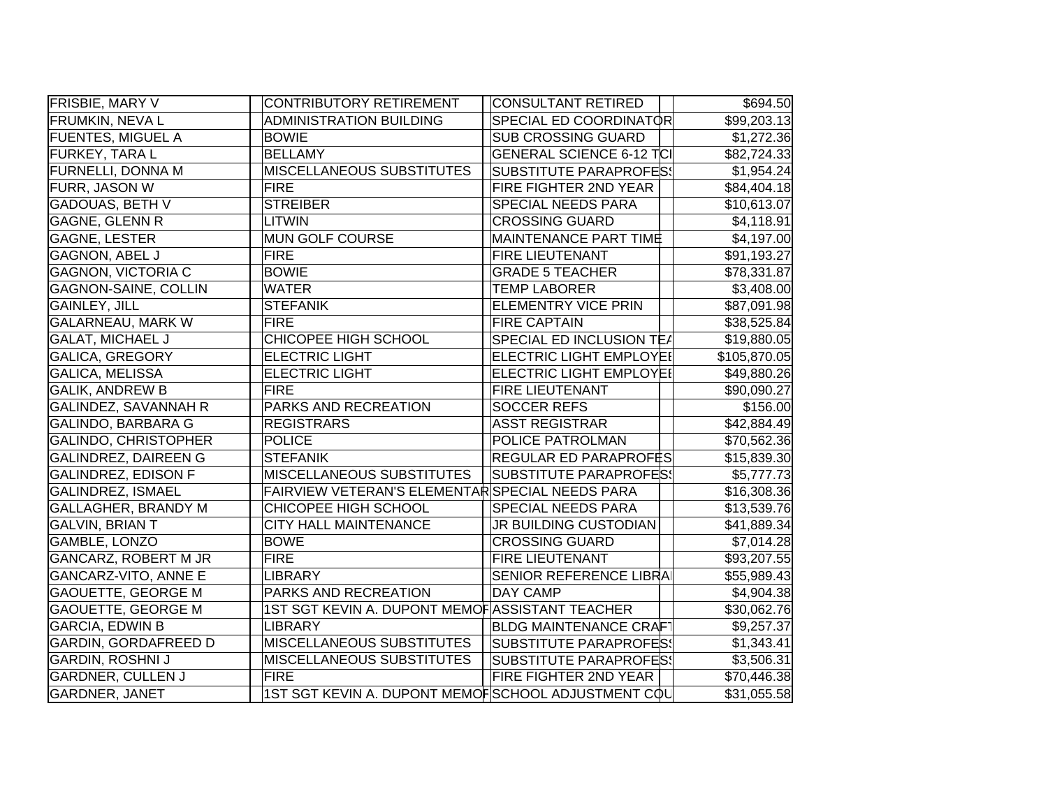| <b>FRISBIE, MARY V</b>      | <b>CONTRIBUTORY RETIREMENT</b>                     | CONSULTANT RETIRED              | \$694.50                |
|-----------------------------|----------------------------------------------------|---------------------------------|-------------------------|
| <b>FRUMKIN, NEVAL</b>       | <b>ADMINISTRATION BUILDING</b>                     | SPECIAL ED COORDINATOR          | \$99,203.13             |
| <b>FUENTES, MIGUEL A</b>    | <b>BOWIE</b>                                       | <b>SUB CROSSING GUARD</b>       | \$1,272.36              |
| FURKEY, TARA L              | <b>BELLAMY</b>                                     | <b>GENERAL SCIENCE 6-12 TCI</b> | \$82,724.33             |
| FURNELLI, DONNA M           | MISCELLANEOUS SUBSTITUTES                          | <b>SUBSTITUTE PARAPROFES!</b>   | \$1,954.24              |
| FURR, JASON W               | <b>FIRE</b>                                        | FIRE FIGHTER 2ND YEAR           | \$84,404.18             |
| <b>GADOUAS, BETH V</b>      | <b>STREIBER</b>                                    | <b>SPECIAL NEEDS PARA</b>       | \$10,613.07             |
| <b>GAGNE, GLENN R</b>       | LITWIN                                             | <b>CROSSING GUARD</b>           | \$4,118.91              |
| <b>GAGNE, LESTER</b>        | <b>MUN GOLF COURSE</b>                             | <b>MAINTENANCE PART TIME</b>    | \$4,197.00              |
| <b>GAGNON, ABEL J</b>       | <b>FIRE</b>                                        | <b>FIRE LIEUTENANT</b>          | \$91,193.27             |
| <b>GAGNON, VICTORIA C</b>   | <b>BOWIE</b>                                       | <b>GRADE 5 TEACHER</b>          | \$78,331.87             |
| <b>GAGNON-SAINE, COLLIN</b> | <b>WATER</b>                                       | <b>TEMP LABORER</b>             | \$3,408.00              |
| <b>GAINLEY, JILL</b>        | <b>STEFANIK</b>                                    | <b>ELEMENTRY VICE PRIN</b>      | \$87,091.98             |
| <b>GALARNEAU, MARK W</b>    | <b>FIRE</b>                                        | <b>FIRE CAPTAIN</b>             | \$38,525.84             |
| <b>GALAT, MICHAEL J</b>     | CHICOPEE HIGH SCHOOL                               | SPECIAL ED INCLUSION TEA        | \$19,880.05             |
| <b>GALICA, GREGORY</b>      | <b>ELECTRIC LIGHT</b>                              | <b>ELECTRIC LIGHT EMPLOYEI</b>  | \$105,870.05            |
| <b>GALICA, MELISSA</b>      | <b>ELECTRIC LIGHT</b>                              | ELECTRIC LIGHT EMPLOYEI         | \$49,880.26             |
| <b>GALIK, ANDREW B</b>      | <b>FIRE</b>                                        | <b>FIRE LIEUTENANT</b>          | \$90,090.27             |
| GALINDEZ, SAVANNAH R        | PARKS AND RECREATION                               | <b>SOCCER REFS</b>              | \$156.00                |
| <b>GALINDO, BARBARA G</b>   | <b>REGISTRARS</b>                                  | <b>ASST REGISTRAR</b>           | \$42,884.49             |
| GALINDO, CHRISTOPHER        | <b>POLICE</b>                                      | POLICE PATROLMAN                | \$70,562.36             |
| GALINDREZ, DAIREEN G        | <b>STEFANIK</b>                                    | REGULAR ED PARAPROFËS           | \$15,839.30             |
| <b>GALINDREZ, EDISON F</b>  | <b>MISCELLANEOUS SUBSTITUTES</b>                   | SUBSTITUTE PARAPROFES!          | \$5,777.73              |
| <b>GALINDREZ, ISMAEL</b>    | FAIRVIEW VETERAN'S ELEMENTAR SPECIAL NEEDS PARA    |                                 | \$16,308.36             |
| GALLAGHER, BRANDY M         | CHICOPEE HIGH SCHOOL                               | <b>SPECIAL NEEDS PARA</b>       | \$13,539.76             |
| <b>GALVIN, BRIAN T</b>      | <b>CITY HALL MAINTENANCE</b>                       | JR BUILDING CUSTODIAN           | \$41,889.34             |
| GAMBLE, LONZO               | <b>BOWE</b>                                        | <b>CROSSING GUARD</b>           | \$7,014.28              |
| GANCARZ, ROBERT M JR        | <b>FIRE</b>                                        | <b>FIRE LIEUTENANT</b>          | \$93,207.55             |
| <b>GANCARZ-VITO, ANNE E</b> | <b>LIBRARY</b>                                     | <b>SENIOR REFERENCE LIBRA</b>   | \$55,989.43             |
| <b>GAOUETTE, GEORGE M</b>   | PARKS AND RECREATION                               | <b>DAY CAMP</b>                 | \$4,904.38              |
| <b>GAOUETTE, GEORGE M</b>   | 1ST SGT KEVIN A. DUPONT MEMOF ASSISTANT TEACHER    |                                 | \$30,062.76             |
| <b>GARCIA, EDWIN B</b>      | LIBRARY                                            | <b>BLDG MAINTENANCE CRAF</b>    | \$9,257.37              |
| <b>GARDIN, GORDAFREED D</b> | <b>MISCELLANEOUS SUBSTITUTES</b>                   | SUBSTITUTE PARAPROFES!          | \$1,343.41              |
| <b>GARDIN, ROSHNI J</b>     | <b>MISCELLANEOUS SUBSTITUTES</b>                   | <b>SUBSTITUTE PARAPROFES</b>    | \$3,506.31              |
| <b>GARDNER, CULLEN J</b>    | <b>FIRE</b>                                        | <b>FIRE FIGHTER 2ND YEAR</b>    | \$70,446.38             |
| <b>GARDNER, JANET</b>       | 1ST SGT KEVIN A. DUPONT MEMOFSCHOOL ADJUSTMENT COL |                                 | $\overline{$31,055.58}$ |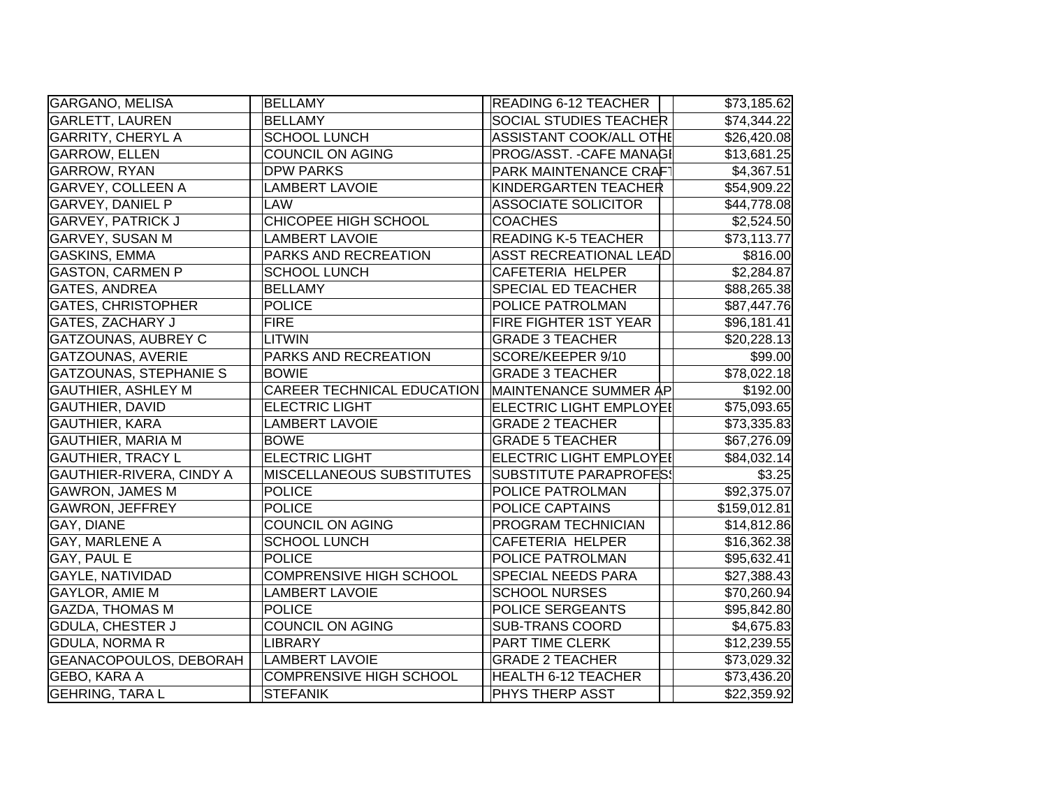| GARGANO, MELISA               | <b>BELLAMY</b>                    | <b>READING 6-12 TEACHER</b>    | \$73,185.62  |
|-------------------------------|-----------------------------------|--------------------------------|--------------|
| <b>GARLETT, LAUREN</b>        | <b>BELLAMY</b>                    | <b>SOCIAL STUDIES TEACHER</b>  | \$74,344.22  |
| <b>GARRITY, CHERYL A</b>      | <b>SCHOOL LUNCH</b>               | ASSISTANT COOK/ALL OTHE        | \$26,420.08  |
| <b>GARROW, ELLEN</b>          | <b>COUNCIL ON AGING</b>           | PROG/ASST. - CAFE MANAGI       | \$13,681.25  |
| GARROW, RYAN                  | <b>DPW PARKS</b>                  | PARK MAINTENANCE CRAFT         | \$4,367.51   |
| <b>GARVEY, COLLEEN A</b>      | <b>LAMBERT LAVOIE</b>             | KINDERGARTEN TEACHER           | \$54,909.22  |
| <b>GARVEY, DANIEL P</b>       | LAW                               | <b>ASSOCIATE SOLICITOR</b>     | \$44,778.08  |
| <b>GARVEY, PATRICK J</b>      | <b>CHICOPEE HIGH SCHOOL</b>       | <b>COACHES</b>                 | \$2,524.50   |
| <b>GARVEY, SUSAN M</b>        | <b>LAMBERT LAVOIE</b>             | <b>READING K-5 TEACHER</b>     | \$73,113.77  |
| GASKINS, EMMA                 | PARKS AND RECREATION              | <b>ASST RECREATIONAL LEAD</b>  | \$816.00     |
| <b>GASTON, CARMEN P</b>       | <b>SCHOOL LUNCH</b>               | CAFETERIA HELPER               | \$2,284.87   |
| <b>GATES, ANDREA</b>          | <b>BELLAMY</b>                    | <b>SPECIAL ED TEACHER</b>      | \$88,265.38  |
| <b>GATES, CHRISTOPHER</b>     | <b>POLICE</b>                     | POLICE PATROLMAN               | \$87,447.76  |
| <b>GATES, ZACHARY J</b>       | <b>FIRE</b>                       | FIRE FIGHTER 1ST YEAR          | \$96,181.41  |
| GATZOUNAS, AUBREY C           | <b>LITWIN</b>                     | <b>GRADE 3 TEACHER</b>         | \$20,228.13  |
| GATZOUNAS, AVERIE             | PARKS AND RECREATION              | SCORE/KEEPER 9/10              | \$99.00      |
| <b>GATZOUNAS, STEPHANIE S</b> | <b>BOWIE</b>                      | <b>GRADE 3 TEACHER</b>         | \$78,022.18  |
| <b>GAUTHIER, ASHLEY M</b>     | <b>CAREER TECHNICAL EDUCATION</b> | MAINTENANCE SUMMER AP          | \$192.00     |
| <b>GAUTHIER, DAVID</b>        | <b>ELECTRIC LIGHT</b>             | <b>ELECTRIC LIGHT EMPLOYEI</b> | \$75,093.65  |
| <b>GAUTHIER, KARA</b>         | <b>LAMBERT LAVOIE</b>             | <b>GRADE 2 TEACHER</b>         | \$73,335.83  |
| <b>GAUTHIER, MARIA M</b>      | <b>BOWE</b>                       | <b>GRADE 5 TEACHER</b>         | \$67,276.09  |
| <b>GAUTHIER, TRACY L</b>      | <b>ELECTRIC LIGHT</b>             | <b>ELECTRIC LIGHT EMPLOYEI</b> | \$84,032.14  |
| GAUTHIER-RIVERA, CINDY A      | MISCELLANEOUS SUBSTITUTES         | <b>SUBSTITUTE PARAPROFES!</b>  | \$3.25       |
| <b>GAWRON, JAMES M</b>        | <b>POLICE</b>                     | POLICE PATROLMAN               | \$92,375.07  |
| <b>GAWRON, JEFFREY</b>        | <b>POLICE</b>                     | <b>POLICE CAPTAINS</b>         | \$159,012.81 |
| GAY, DIANE                    | <b>COUNCIL ON AGING</b>           | <b>PROGRAM TECHNICIAN</b>      | \$14,812.86  |
| <b>GAY, MARLENE A</b>         | <b>SCHOOL LUNCH</b>               | <b>CAFETERIA HELPER</b>        | \$16,362.38  |
| GAY, PAUL E                   | <b>POLICE</b>                     | POLICE PATROLMAN               | \$95,632.41  |
| <b>GAYLE, NATIVIDAD</b>       | <b>COMPRENSIVE HIGH SCHOOL</b>    | <b>SPECIAL NEEDS PARA</b>      | \$27,388.43  |
| <b>GAYLOR, AMIE M</b>         | <b>LAMBERT LAVOIE</b>             | <b>SCHOOL NURSES</b>           | \$70,260.94  |
| <b>GAZDA, THOMAS M</b>        | <b>POLICE</b>                     | POLICE SERGEANTS               | \$95,842.80  |
| <b>GDULA, CHESTER J</b>       | <b>COUNCIL ON AGING</b>           | <b>SUB-TRANS COORD</b>         | \$4,675.83   |
| <b>GDULA, NORMA R</b>         | LIBRARY                           | <b>PART TIME CLERK</b>         | \$12,239.55  |
| GEANACOPOULOS, DEBORAH        | <b>LAMBERT LAVOIE</b>             | <b>GRADE 2 TEACHER</b>         | \$73,029.32  |
| <b>GEBO, KARA A</b>           | <b>COMPRENSIVE HIGH SCHOOL</b>    | <b>HEALTH 6-12 TEACHER</b>     | \$73,436.20  |
| <b>GEHRING, TARAL</b>         | <b>STEFANIK</b>                   | <b>PHYS THERP ASST</b>         | \$22,359.92  |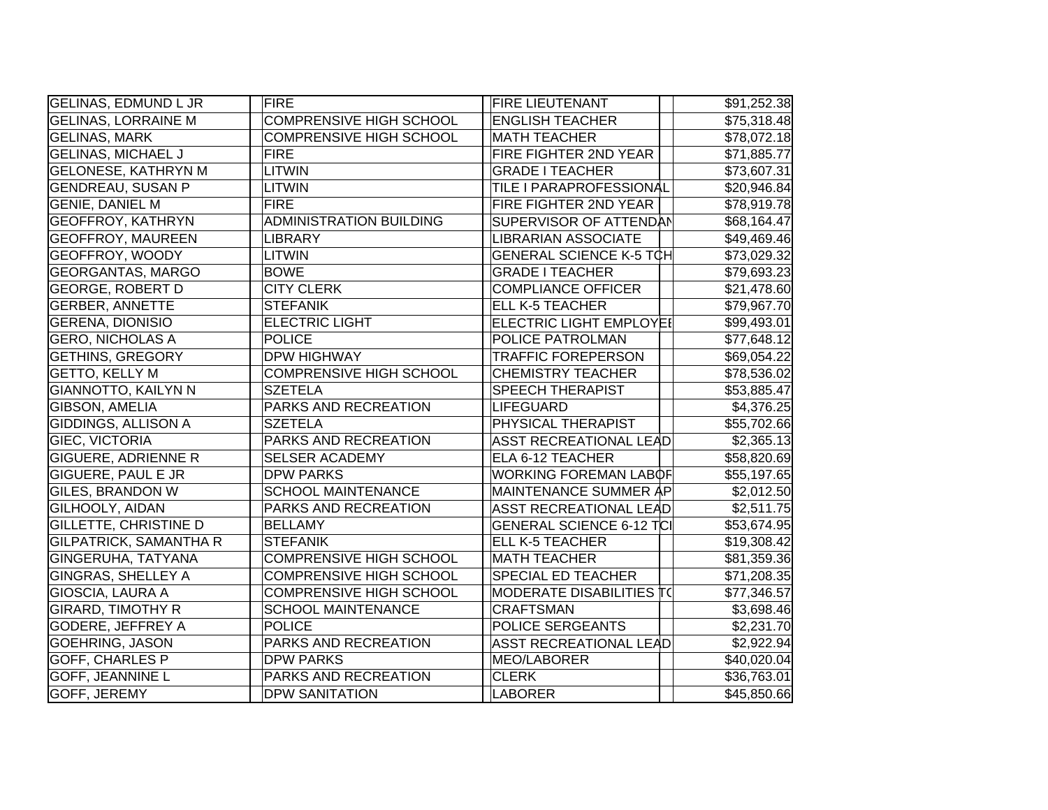| <b>GELINAS, EDMUND L JR</b>   | <b>FIRE</b>                    | <b>FIRE LIEUTENANT</b>          | \$91,252.38 |
|-------------------------------|--------------------------------|---------------------------------|-------------|
| <b>GELINAS, LORRAINE M</b>    | <b>COMPRENSIVE HIGH SCHOOL</b> | <b>ENGLISH TEACHER</b>          | \$75,318.48 |
| <b>GELINAS, MARK</b>          | COMPRENSIVE HIGH SCHOOL        | <b>MATH TEACHER</b>             | \$78,072.18 |
| <b>GELINAS, MICHAEL J</b>     | FIRE                           | FIRE FIGHTER 2ND YEAR           | \$71,885.77 |
| <b>GELONESE, KATHRYN M</b>    | <b>LITWIN</b>                  | <b>GRADE I TEACHER</b>          | \$73,607.31 |
| <b>GENDREAU, SUSAN P</b>      | LITWIN                         | TILE I PARAPROFESSIONAL         | \$20,946.84 |
| <b>GENIE, DANIEL M</b>        | <b>FIRE</b>                    | <b>FIRE FIGHTER 2ND YEAR</b>    | \$78,919.78 |
| <b>GEOFFROY, KATHRYN</b>      | <b>ADMINISTRATION BUILDING</b> | SUPERVISOR OF ATTENDAN          | \$68,164.47 |
| <b>GEOFFROY, MAUREEN</b>      | <b>LIBRARY</b>                 | <b>LIBRARIAN ASSOCIATE</b>      | \$49,469.46 |
| <b>GEOFFROY, WOODY</b>        | <b>LITWIN</b>                  | <b>GENERAL SCIENCE K-5 TCH</b>  | \$73,029.32 |
| <b>GEORGANTAS, MARGO</b>      | <b>BOWE</b>                    | <b>GRADE I TEACHER</b>          | \$79,693.23 |
| <b>GEORGE, ROBERT D</b>       | <b>CITY CLERK</b>              | <b>COMPLIANCE OFFICER</b>       | \$21,478.60 |
| <b>GERBER, ANNETTE</b>        | <b>STEFANIK</b>                | <b>ELL K-5 TEACHER</b>          | \$79,967.70 |
| <b>GERENA, DIONISIO</b>       | <b>ELECTRIC LIGHT</b>          | <b>ELECTRIC LIGHT EMPLOYEI</b>  | \$99,493.01 |
| <b>GERO, NICHOLAS A</b>       | <b>POLICE</b>                  | POLICE PATROLMAN                | \$77,648.12 |
| <b>GETHINS, GREGORY</b>       | <b>DPW HIGHWAY</b>             | <b>TRAFFIC FOREPERSON</b>       | \$69,054.22 |
| <b>GETTO, KELLY M</b>         | <b>COMPRENSIVE HIGH SCHOOL</b> | <b>CHEMISTRY TEACHER</b>        | \$78,536.02 |
| GIANNOTTO, KAILYN N           | <b>SZETELA</b>                 | <b>SPEECH THERAPIST</b>         | \$53,885.47 |
| GIBSON, AMELIA                | PARKS AND RECREATION           | <b>LIFEGUARD</b>                | \$4,376.25  |
| <b>GIDDINGS, ALLISON A</b>    | <b>SZETELA</b>                 | PHYSICAL THERAPIST              | \$55,702.66 |
| <b>GIEC, VICTORIA</b>         | PARKS AND RECREATION           | <b>ASST RECREATIONAL LEAD</b>   | \$2,365.13  |
| <b>GIGUERE, ADRIENNE R</b>    | <b>SELSER ACADEMY</b>          | ELA 6-12 TEACHER                | \$58,820.69 |
| <b>GIGUERE, PAUL E JR</b>     | <b>DPW PARKS</b>               | <b>WORKING FOREMAN LABOF</b>    | \$55,197.65 |
| <b>GILES, BRANDON W</b>       | <b>SCHOOL MAINTENANCE</b>      | MAINTENANCE SUMMER AP           | \$2,012.50  |
| GILHOOLY, AIDAN               | PARKS AND RECREATION           | <b>ASST RECREATIONAL LEAD</b>   | \$2,511.75  |
| GILLETTE, CHRISTINE D         | <b>BELLAMY</b>                 | <b>GENERAL SCIENCE 6-12 TCI</b> | \$53,674.95 |
| <b>GILPATRICK, SAMANTHA R</b> | <b>STEFANIK</b>                | <b>ELL K-5 TEACHER</b>          | \$19,308.42 |
| GINGERUHA, TATYANA            | <b>COMPRENSIVE HIGH SCHOOL</b> | <b>MATH TEACHER</b>             | \$81,359.36 |
| GINGRAS, SHELLEY A            | <b>COMPRENSIVE HIGH SCHOOL</b> | <b>SPECIAL ED TEACHER</b>       | \$71,208.35 |
| GIOSCIA, LAURA A              | <b>COMPRENSIVE HIGH SCHOOL</b> | MODERATE DISABILITIES T(        | \$77,346.57 |
| <b>GIRARD, TIMOTHY R</b>      | <b>SCHOOL MAINTENANCE</b>      | <b>CRAFTSMAN</b>                | \$3,698.46  |
| <b>GODERE, JEFFREY A</b>      | <b>POLICE</b>                  | POLICE SERGEANTS                | \$2,231.70  |
| <b>GOEHRING, JASON</b>        | <b>PARKS AND RECREATION</b>    | <b>ASST RECREATIONAL LEAD</b>   | \$2,922.94  |
| GOFF, CHARLES P               | <b>DPW PARKS</b>               | MEO/LABORER                     | \$40,020.04 |
| <b>GOFF, JEANNINE L</b>       | PARKS AND RECREATION           | <b>CLERK</b>                    | \$36,763.01 |
| <b>GOFF, JEREMY</b>           | <b>DPW SANITATION</b>          | LABORER                         | \$45,850.66 |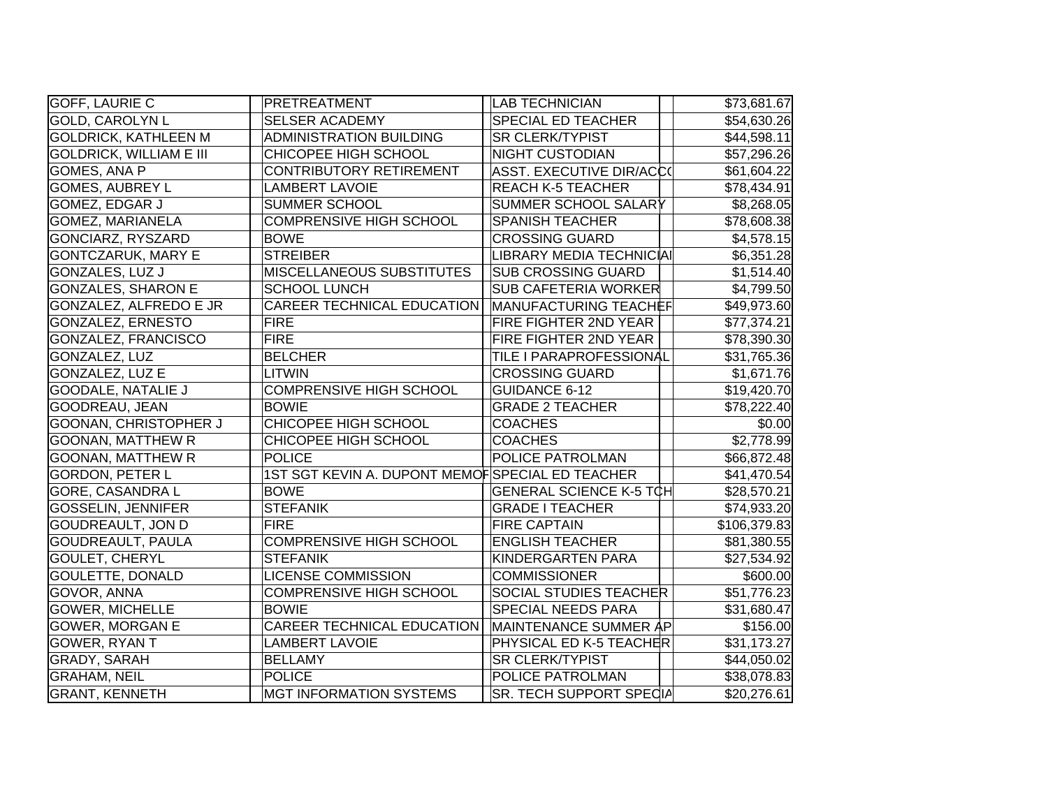| <b>GOFF, LAURIE C</b>          | PRETREATMENT                                    | <b>LAB TECHNICIAN</b>           | \$73,681.67  |
|--------------------------------|-------------------------------------------------|---------------------------------|--------------|
| <b>GOLD, CAROLYN L</b>         | <b>SELSER ACADEMY</b>                           | <b>SPECIAL ED TEACHER</b>       | \$54,630.26  |
| <b>GOLDRICK, KATHLEEN M</b>    | <b>ADMINISTRATION BUILDING</b>                  | <b>SR CLERK/TYPIST</b>          | \$44,598.11  |
| <b>GOLDRICK, WILLIAM E III</b> | CHICOPEE HIGH SCHOOL                            | <b>NIGHT CUSTODIAN</b>          | \$57,296.26  |
| GOMES, ANA P                   | <b>CONTRIBUTORY RETIREMENT</b>                  | <b>ASST. EXECUTIVE DIR/ACC(</b> | \$61,604.22  |
| <b>GOMES, AUBREY L</b>         | <b>LAMBERT LAVOIE</b>                           | <b>REACH K-5 TEACHER</b>        | \$78,434.91  |
| GOMEZ, EDGAR J                 | <b>SUMMER SCHOOL</b>                            | SUMMER SCHOOL SALARY            | \$8,268.05   |
| <b>GOMEZ, MARIANELA</b>        | <b>COMPRENSIVE HIGH SCHOOL</b>                  | <b>SPANISH TEACHER</b>          | \$78,608.38  |
| <b>GONCIARZ, RYSZARD</b>       | <b>BOWE</b>                                     | <b>CROSSING GUARD</b>           | \$4,578.15   |
| <b>GONTCZARUK, MARY E</b>      | <b>STREIBER</b>                                 | LIBRARY MEDIA TECHNICIAI        | \$6,351.28   |
| <b>GONZALES, LUZ J</b>         | <b>MISCELLANEOUS SUBSTITUTES</b>                | <b>SUB CROSSING GUARD</b>       | \$1,514.40   |
| <b>GONZALES, SHARON E</b>      | <b>SCHOOL LUNCH</b>                             | <b>SUB CAFETERIA WORKER</b>     | \$4,799.50   |
| GONZALEZ, ALFREDO E JR         | CAREER TECHNICAL EDUCATION                      | MANUFACTURING TEACHEF           | \$49,973.60  |
| GONZALEZ, ERNESTO              | <b>FIRE</b>                                     | FIRE FIGHTER 2ND YEAR           | \$77,374.21  |
| GONZALEZ, FRANCISCO            | <b>FIRE</b>                                     | FIRE FIGHTER 2ND YEAR           | \$78,390.30  |
| GONZALEZ, LUZ                  | <b>BELCHER</b>                                  | TILE I PARAPROFESSIONAL         | \$31,765.36  |
| GONZALEZ, LUZ E                | LITWIN                                          | <b>CROSSING GUARD</b>           | \$1,671.76   |
| <b>GOODALE, NATALIE J</b>      | <b>COMPRENSIVE HIGH SCHOOL</b>                  | <b>GUIDANCE 6-12</b>            | \$19,420.70  |
| GOODREAU, JEAN                 | <b>BOWIE</b>                                    | <b>GRADE 2 TEACHER</b>          | \$78,222.40  |
| <b>GOONAN, CHRISTOPHER J</b>   | <b>CHICOPEE HIGH SCHOOL</b>                     | <b>COACHES</b>                  | \$0.00       |
| <b>GOONAN, MATTHEW R</b>       | CHICOPEE HIGH SCHOOL                            | <b>COACHES</b>                  | \$2,778.99   |
| <b>GOONAN, MATTHEW R</b>       | <b>POLICE</b>                                   | POLICE PATROLMAN                | \$66,872.48  |
| <b>GORDON, PETER L</b>         | 1ST SGT KEVIN A. DUPONT MEMOFSPECIAL ED TEACHER |                                 | \$41,470.54  |
| <b>GORE, CASANDRA L</b>        | <b>BOWE</b>                                     | <b>GENERAL SCIENCE K-5 TCH</b>  | \$28,570.21  |
| <b>GOSSELIN, JENNIFER</b>      | <b>STEFANIK</b>                                 | <b>GRADE I TEACHER</b>          | \$74,933.20  |
| <b>GOUDREAULT, JON D</b>       | <b>FIRE</b>                                     | <b>FIRE CAPTAIN</b>             | \$106,379.83 |
| <b>GOUDREAULT, PAULA</b>       | COMPRENSIVE HIGH SCHOOL                         | <b>ENGLISH TEACHER</b>          | \$81,380.55  |
| <b>GOULET, CHERYL</b>          | <b>STEFANIK</b>                                 | <b>KINDERGARTEN PARA</b>        | \$27,534.92  |
| <b>GOULETTE, DONALD</b>        | <b>LICENSE COMMISSION</b>                       | <b>COMMISSIONER</b>             | \$600.00     |
| GOVOR, ANNA                    | <b>COMPRENSIVE HIGH SCHOOL</b>                  | <b>SOCIAL STUDIES TEACHER</b>   | \$51,776.23  |
| <b>GOWER, MICHELLE</b>         | <b>BOWIE</b>                                    | <b>SPECIAL NEEDS PARA</b>       | \$31,680.47  |
| <b>GOWER, MORGAN E</b>         | <b>CAREER TECHNICAL EDUCATION</b>               | MAINTENANCE SUMMER AP           | \$156.00     |
| <b>GOWER, RYAN T</b>           | <b>LAMBERT LAVOIE</b>                           | PHYSICAL ED K-5 TEACHER         | \$31,173.27  |
| GRADY, SARAH                   | <b>BELLAMY</b>                                  | <b>SR CLERK/TYPIST</b>          | \$44,050.02  |
| <b>GRAHAM, NEIL</b>            | <b>POLICE</b>                                   | POLICE PATROLMAN                | \$38,078.83  |
| <b>GRANT, KENNETH</b>          | <b>MGT INFORMATION SYSTEMS</b>                  | SR. TECH SUPPORT SPECIA         | \$20,276.61  |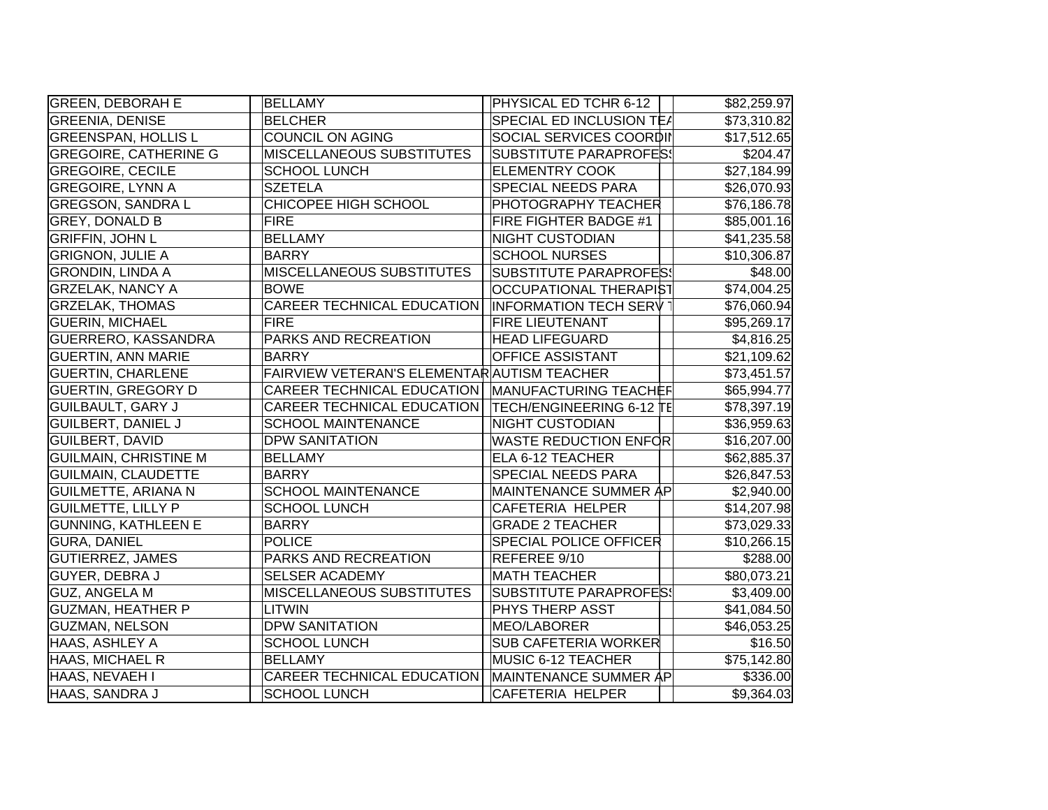| <b>GREEN, DEBORAH E</b>      | <b>BELLAMY</b>                                     | PHYSICAL ED TCHR 6-12         | \$82,259.97            |
|------------------------------|----------------------------------------------------|-------------------------------|------------------------|
| <b>GREENIA, DENISE</b>       | <b>BELCHER</b>                                     | SPECIAL ED INCLUSION TE/      | \$73,310.82            |
| <b>GREENSPAN, HOLLIS L</b>   | <b>COUNCIL ON AGING</b>                            | SOCIAL SERVICES COORDII       | \$17,512.65            |
| <b>GREGOIRE, CATHERINE G</b> | <b>MISCELLANEOUS SUBSTITUTES</b>                   | <b>SUBSTITUTE PARAPROFES!</b> | \$204.47               |
| <b>GREGOIRE, CECILE</b>      | <b>SCHOOL LUNCH</b>                                | <b>ELEMENTRY COOK</b>         | \$27,184.99            |
| <b>GREGOIRE, LYNN A</b>      | <b>SZETELA</b>                                     | SPECIAL NEEDS PARA            | \$26,070.93            |
| <b>GREGSON, SANDRA L</b>     | <b>CHICOPEE HIGH SCHOOL</b>                        | PHOTOGRAPHY TEACHER           | \$76,186.78            |
| <b>GREY, DONALD B</b>        | <b>FIRE</b>                                        | FIRE FIGHTER BADGE #1         | \$85,001.16            |
| <b>GRIFFIN, JOHN L</b>       | <b>BELLAMY</b>                                     | NIGHT CUSTODIAN               | \$41,235.58            |
| <b>GRIGNON, JULIE A</b>      | <b>BARRY</b>                                       | <b>SCHOOL NURSES</b>          | \$10,306.87            |
| <b>GRONDIN, LINDA A</b>      | <b>MISCELLANEOUS SUBSTITUTES</b>                   | <b>SUBSTITUTE PARAPROFES:</b> | \$48.00                |
| <b>GRZELAK, NANCY A</b>      | <b>BOWE</b>                                        | <b>OCCUPATIONAL THERAPIST</b> | \$74,004.25            |
| <b>GRZELAK, THOMAS</b>       | CAREER TECHNICAL EDUCATION                         | <b>INFORMATION TECH SERV</b>  | \$76,060.94            |
| <b>GUERIN, MICHAEL</b>       | <b>FIRE</b>                                        | FIRE LIEUTENANT               | \$95,269.17            |
| <b>GUERRERO, KASSANDRA</b>   | PARKS AND RECREATION                               | <b>HEAD LIFEGUARD</b>         | \$4,816.25             |
| <b>GUERTIN, ANN MARIE</b>    | <b>BARRY</b>                                       | OFFICE ASSISTANT              | \$21,109.62            |
| <b>GUERTIN, CHARLENE</b>     | FAIRVIEW VETERAN'S ELEMENTAR AUTISM TEACHER        |                               | \$73,451.57            |
| <b>GUERTIN, GREGORY D</b>    | CAREER TECHNICAL EDUCATION   MANUFACTURING TEACHEF |                               | \$65,994.77            |
| <b>GUILBAULT, GARY J</b>     | CAREER TECHNICAL EDUCATION                         | TECH/ENGINEERING 6-12 TE      | \$78,397.19            |
| <b>GUILBERT, DANIEL J</b>    | <b>SCHOOL MAINTENANCE</b>                          | <b>NIGHT CUSTODIAN</b>        | \$36,959.63            |
| <b>GUILBERT, DAVID</b>       | <b>DPW SANITATION</b>                              | <b>WASTE REDUCTION ENFOR</b>  | \$16,207.00            |
| <b>GUILMAIN, CHRISTINE M</b> | <b>BELLAMY</b>                                     | ELA 6-12 TEACHER              | \$62,885.37            |
| <b>GUILMAIN, CLAUDETTE</b>   | <b>BARRY</b>                                       | SPECIAL NEEDS PARA            | \$26,847.53            |
| <b>GUILMETTE, ARIANA N</b>   | <b>SCHOOL MAINTENANCE</b>                          | MAINTENANCE SUMMER AP         | \$2,940.00             |
| <b>GUILMETTE, LILLY P</b>    | <b>SCHOOL LUNCH</b>                                | CAFETERIA HELPER              | \$14,207.98            |
| <b>GUNNING, KATHLEEN E</b>   | <b>BARRY</b>                                       | <b>GRADE 2 TEACHER</b>        | \$73,029.33            |
| <b>GURA, DANIEL</b>          | <b>POLICE</b>                                      | SPECIAL POLICE OFFICER        | \$10,266.15            |
| <b>GUTIERREZ, JAMES</b>      | PARKS AND RECREATION                               | REFEREE 9/10                  | \$288.00               |
| GUYER, DEBRA J               | <b>SELSER ACADEMY</b>                              | <b>MATH TEACHER</b>           | \$80,073.21            |
| <b>GUZ, ANGELA M</b>         | <b>MISCELLANEOUS SUBSTITUTES</b>                   | <b>SUBSTITUTE PARAPROFES!</b> | \$3,409.00             |
| <b>GUZMAN, HEATHER P</b>     | <b>LITWIN</b>                                      | PHYS THERP ASST               | \$41,084.50            |
| <b>GUZMAN, NELSON</b>        | <b>DPW SANITATION</b>                              | MEO/LABORER                   | \$46,053.25            |
| HAAS, ASHLEY A               | <b>SCHOOL LUNCH</b>                                | <b>SUB CAFETERIA WORKER</b>   | \$16.50                |
| HAAS, MICHAEL R              | <b>BELLAMY</b>                                     | MUSIC 6-12 TEACHER            | \$75,142.80            |
| HAAS, NEVAEH I               | CAREER TECHNICAL EDUCATION                         | MAINTENANCE SUMMER AP         | \$336.00               |
| HAAS, SANDRA J               | <b>SCHOOL LUNCH</b>                                | <b>CAFETERIA HELPER</b>       | $\overline{39,364.03}$ |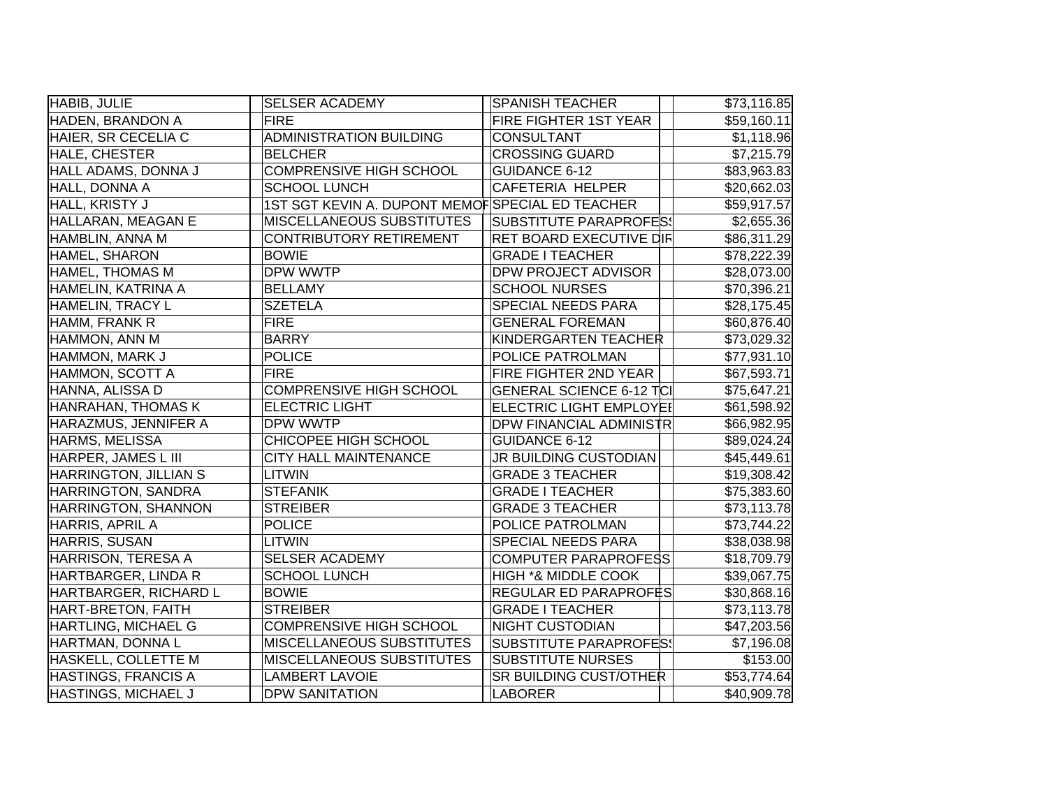| HABIB, JULIE                 | <b>SELSER ACADEMY</b>                           | <b>SPANISH TEACHER</b>          | \$73,116.85 |
|------------------------------|-------------------------------------------------|---------------------------------|-------------|
| HADEN, BRANDON A             | <b>FIRE</b>                                     | <b>FIRE FIGHTER 1ST YEAR</b>    | \$59,160.11 |
| HAIER, SR CECELIA C          | <b>ADMINISTRATION BUILDING</b>                  | <b>CONSULTANT</b>               | \$1,118.96  |
| HALE, CHESTER                | <b>BELCHER</b>                                  | <b>CROSSING GUARD</b>           | \$7,215.79  |
| HALL ADAMS, DONNA J          | <b>COMPRENSIVE HIGH SCHOOL</b>                  | <b>GUIDANCE 6-12</b>            | \$83,963.83 |
| HALL, DONNA A                | <b>SCHOOL LUNCH</b>                             | <b>CAFETERIA HELPER</b>         | \$20,662.03 |
| HALL, KRISTY J               | 1ST SGT KEVIN A. DUPONT MEMOFSPECIAL ED TEACHER |                                 | \$59,917.57 |
| HALLARAN, MEAGAN E           | MISCELLANEOUS SUBSTITUTES                       | <b>SUBSTITUTE PARAPROFES!</b>   | \$2,655.36  |
| HAMBLIN, ANNA M              | <b>CONTRIBUTORY RETIREMENT</b>                  | <b>RET BOARD EXECUTIVE DIF</b>  | \$86,311.29 |
| HAMEL, SHARON                | <b>BOWIE</b>                                    | <b>GRADE I TEACHER</b>          | \$78,222.39 |
| <b>HAMEL, THOMAS M</b>       | DPW WWTP                                        | <b>DPW PROJECT ADVISOR</b>      | \$28,073.00 |
| HAMELIN, KATRINA A           | <b>BELLAMY</b>                                  | <b>SCHOOL NURSES</b>            | \$70,396.21 |
| HAMELIN, TRACY L             | <b>SZETELA</b>                                  | SPECIAL NEEDS PARA              | \$28,175.45 |
| HAMM, FRANK R                | <b>FIRE</b>                                     | <b>GENERAL FOREMAN</b>          | \$60,876.40 |
| HAMMON, ANN M                | <b>BARRY</b>                                    | KINDERGARTEN TEACHER            | \$73,029.32 |
| HAMMON, MARK J               | <b>POLICE</b>                                   | POLICE PATROLMAN                | \$77,931.10 |
| HAMMON, SCOTT A              | <b>FIRE</b>                                     | FIRE FIGHTER 2ND YEAR           | \$67,593.71 |
| HANNA, ALISSA D              | <b>COMPRENSIVE HIGH SCHOOL</b>                  | <b>GENERAL SCIENCE 6-12 TCI</b> | \$75,647.21 |
| HANRAHAN, THOMAS K           | <b>ELECTRIC LIGHT</b>                           | <b>ELECTRIC LIGHT EMPLOYEI</b>  | \$61,598.92 |
| HARAZMUS, JENNIFER A         | DPW WWTP                                        | <b>DPW FINANCIAL ADMINISTR</b>  | \$66,982.95 |
| HARMS, MELISSA               | CHICOPEE HIGH SCHOOL                            | <b>GUIDANCE 6-12</b>            | \$89,024.24 |
| <b>HARPER, JAMES L III</b>   | CITY HALL MAINTENANCE                           | JR BUILDING CUSTODIAN           | \$45,449.61 |
| <b>HARRINGTON, JILLIAN S</b> | <b>LITWIN</b>                                   | <b>GRADE 3 TEACHER</b>          | \$19,308.42 |
| HARRINGTON, SANDRA           | <b>STEFANIK</b>                                 | <b>GRADE I TEACHER</b>          | \$75,383.60 |
| HARRINGTON, SHANNON          | <b>STREIBER</b>                                 | <b>GRADE 3 TEACHER</b>          | \$73,113.78 |
| HARRIS, APRIL A              | <b>POLICE</b>                                   | POLICE PATROLMAN                | \$73,744.22 |
| HARRIS, SUSAN                | <b>LITWIN</b>                                   | SPECIAL NEEDS PARA              | \$38,038.98 |
| HARRISON, TERESA A           | <b>SELSER ACADEMY</b>                           | <b>COMPUTER PARAPROFESS</b>     | \$18,709.79 |
| HARTBARGER, LINDA R          | <b>SCHOOL LUNCH</b>                             | <b>HIGH *&amp; MIDDLE COOK</b>  | \$39,067.75 |
| <b>HARTBARGER, RICHARD L</b> | <b>BOWIE</b>                                    | REGULAR ED PARAPROFËS           | \$30,868.16 |
| HART-BRETON, FAITH           | <b>STREIBER</b>                                 | <b>GRADE I TEACHER</b>          | \$73,113.78 |
| <b>HARTLING, MICHAEL G</b>   | COMPRENSIVE HIGH SCHOOL                         | NIGHT CUSTODIAN                 | \$47,203.56 |
| HARTMAN, DONNA L             | MISCELLANEOUS SUBSTITUTES                       | <b>SUBSTITUTE PARAPROFES!</b>   | \$7,196.08  |
| HASKELL, COLLETTE M          | MISCELLANEOUS SUBSTITUTES                       | <b>SUBSTITUTE NURSES</b>        | \$153.00    |
| HASTINGS, FRANCIS A          | <b>LAMBERT LAVOIE</b>                           | <b>SR BUILDING CUST/OTHER</b>   | \$53,774.64 |
| <b>HASTINGS, MICHAEL J</b>   | <b>DPW SANITATION</b>                           | LABORER                         | \$40,909.78 |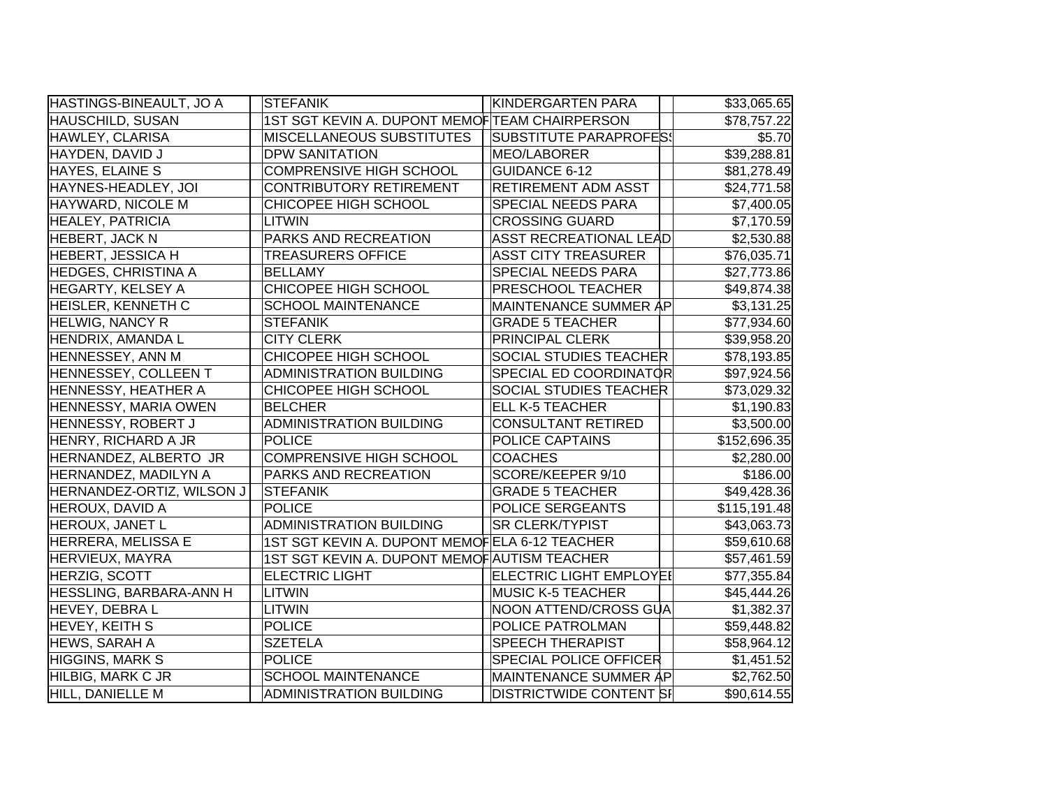| HASTINGS-BINEAULT, JO A        | <b>STEFANIK</b>                               | <b>KINDERGARTEN PARA</b>       | \$33,065.65  |
|--------------------------------|-----------------------------------------------|--------------------------------|--------------|
| HAUSCHILD, SUSAN               | 1ST SGT KEVIN A. DUPONT MEMOFTEAM CHAIRPERSON |                                | \$78,757.22  |
| HAWLEY, CLARISA                | <b>MISCELLANEOUS SUBSTITUTES</b>              | SUBSTITUTE PARAPROFES!         | \$5.70       |
| HAYDEN, DAVID J                | <b>DPW SANITATION</b>                         | MEO/LABORER                    | \$39,288.81  |
| HAYES, ELAINE S                | <b>COMPRENSIVE HIGH SCHOOL</b>                | <b>GUIDANCE 6-12</b>           | \$81,278.49  |
| HAYNES-HEADLEY, JOI            | <b>CONTRIBUTORY RETIREMENT</b>                | RETIREMENT ADM ASST            | \$24,771.58  |
| HAYWARD, NICOLE M              | CHICOPEE HIGH SCHOOL                          | SPECIAL NEEDS PARA             | \$7,400.05   |
| HEALEY, PATRICIA               | LITWIN                                        | <b>CROSSING GUARD</b>          | \$7,170.59   |
| <b>HEBERT, JACK N</b>          | PARKS AND RECREATION                          | ASST RECREATIONAL LEAD         | \$2,530.88   |
| <b>HEBERT, JESSICA H</b>       | <b>TREASURERS OFFICE</b>                      | <b>ASST CITY TREASURER</b>     | \$76,035.71  |
| <b>HEDGES, CHRISTINA A</b>     | <b>BELLAMY</b>                                | <b>SPECIAL NEEDS PARA</b>      | \$27,773.86  |
| <b>HEGARTY, KELSEY A</b>       | CHICOPEE HIGH SCHOOL                          | <b>PRESCHOOL TEACHER</b>       | \$49,874.38  |
| HEISLER, KENNETH C             | <b>SCHOOL MAINTENANCE</b>                     | MAINTENANCE SUMMER AP          | \$3,131.25   |
| <b>HELWIG, NANCY R</b>         | <b>STEFANIK</b>                               | <b>GRADE 5 TEACHER</b>         | \$77,934.60  |
| HENDRIX, AMANDA L              | <b>CITY CLERK</b>                             | PRINCIPAL CLERK                | \$39,958.20  |
| HENNESSEY, ANN M               | CHICOPEE HIGH SCHOOL                          | <b>SOCIAL STUDIES TEACHER</b>  | \$78,193.85  |
| HENNESSEY, COLLEEN T           | <b>ADMINISTRATION BUILDING</b>                | SPECIAL ED COORDINATOR         | \$97,924.56  |
| <b>HENNESSY, HEATHER A</b>     | CHICOPEE HIGH SCHOOL                          | <b>SOCIAL STUDIES TEACHER</b>  | \$73,029.32  |
| <b>HENNESSY, MARIA OWEN</b>    | <b>BELCHER</b>                                | <b>ELL K-5 TEACHER</b>         | \$1,190.83   |
| HENNESSY, ROBERT J             | <b>ADMINISTRATION BUILDING</b>                | <b>CONSULTANT RETIRED</b>      | \$3,500.00   |
| <b>HENRY, RICHARD A JR</b>     | POLICE                                        | <b>POLICE CAPTAINS</b>         | \$152,696.35 |
| HERNANDEZ, ALBERTO JR          | <b>COMPRENSIVE HIGH SCHOOL</b>                | <b>COACHES</b>                 | \$2,280.00   |
| HERNANDEZ, MADILYN A           | PARKS AND RECREATION                          | SCORE/KEEPER 9/10              | \$186.00     |
| HERNANDEZ-ORTIZ, WILSON J      | <b>STEFANIK</b>                               | <b>GRADE 5 TEACHER</b>         | \$49,428.36  |
| HEROUX, DAVID A                | <b>POLICE</b>                                 | POLICE SERGEANTS               | \$115,191.48 |
| HEROUX, JANET L                | ADMINISTRATION BUILDING                       | <b>SR CLERK/TYPIST</b>         | \$43,063.73  |
| HERRERA, MELISSA E             | 1ST SGT KEVIN A. DUPONT MEMOFELA 6-12 TEACHER |                                | \$59,610.68  |
| <b>HERVIEUX, MAYRA</b>         | 1ST SGT KEVIN A. DUPONT MEMOF AUTISM TEACHER  |                                | \$57,461.59  |
| HERZIG, SCOTT                  | <b>ELECTRIC LIGHT</b>                         | <b>ELECTRIC LIGHT EMPLOYEI</b> | \$77,355.84  |
| <b>HESSLING, BARBARA-ANN H</b> | LITWIN                                        | <b>MUSIC K-5 TEACHER</b>       | \$45,444.26  |
| HEVEY, DEBRA L                 | LITWIN                                        | NOON ATTEND/CROSS GUA          | \$1,382.37   |
| <b>HEVEY, KEITH S</b>          | <b>POLICE</b>                                 | POLICE PATROLMAN               | \$59,448.82  |
| <b>HEWS, SARAH A</b>           | <b>SZETELA</b>                                | <b>SPEECH THERAPIST</b>        | \$58,964.12  |
| <b>HIGGINS, MARK S</b>         | <b>POLICE</b>                                 | <b>SPECIAL POLICE OFFICER</b>  | \$1,451.52   |
| HILBIG, MARK C JR              | <b>SCHOOL MAINTENANCE</b>                     | MAINTENANCE SUMMER AP          | \$2,762.50   |
| HILL, DANIELLE M               | <b>ADMINISTRATION BUILDING</b>                | <b>DISTRICTWIDE CONTENT SI</b> | \$90,614.55  |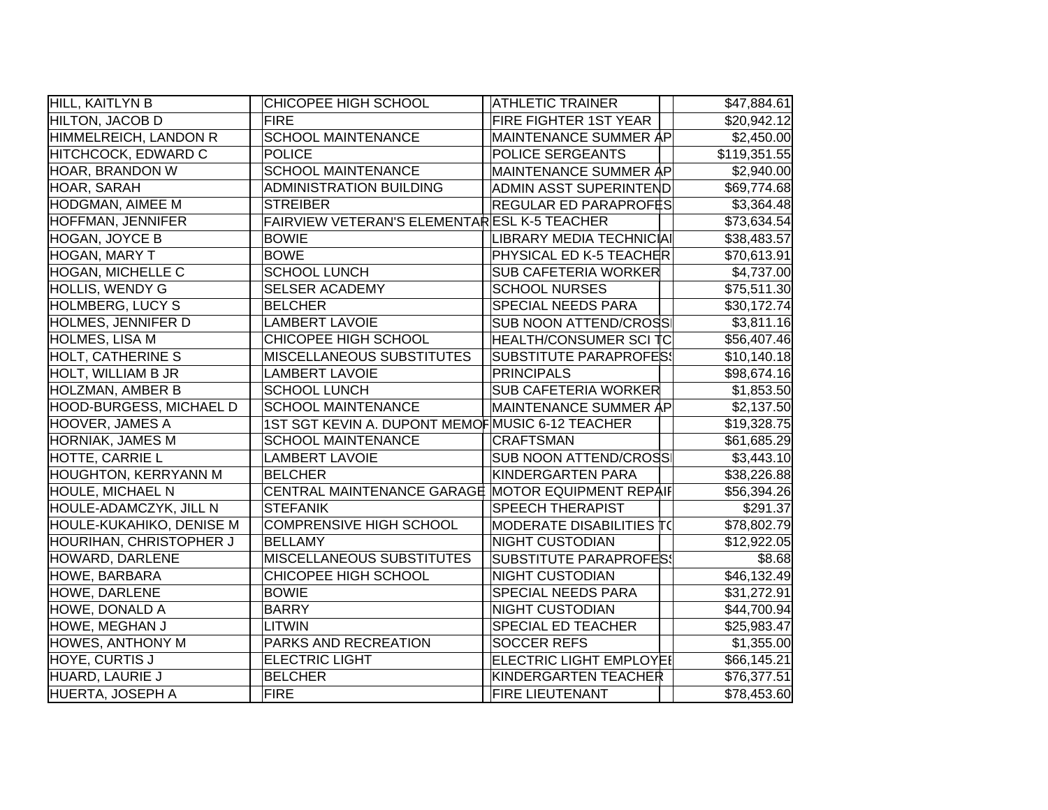| HILL, KAITLYN B                | CHICOPEE HIGH SCHOOL                              | <b>ATHLETIC TRAINER</b>        | \$47,884.61  |
|--------------------------------|---------------------------------------------------|--------------------------------|--------------|
| HILTON, JACOB D                | <b>FIRE</b>                                       | FIRE FIGHTER 1ST YEAR          | \$20,942.12  |
| HIMMELREICH, LANDON R          | <b>SCHOOL MAINTENANCE</b>                         | MAINTENANCE SUMMER ÅP          | \$2,450.00   |
| HITCHCOCK, EDWARD C            | <b>POLICE</b>                                     | POLICE SERGEANTS               | \$119,351.55 |
| HOAR, BRANDON W                | <b>SCHOOL MAINTENANCE</b>                         | <b>MAINTENANCE SUMMER AP</b>   | \$2,940.00   |
| HOAR, SARAH                    | ADMINISTRATION BUILDING                           | ADMIN ASST SUPERINTEND         | \$69,774.68  |
| <b>HODGMAN, AIMEE M</b>        | <b>STREIBER</b>                                   | <b>REGULAR ED PARAPROF</b> #S  | \$3,364.48   |
| HOFFMAN, JENNIFER              | FAIRVIEW VETERAN'S ELEMENTARESL K-5 TEACHER       |                                | \$73,634.54  |
| HOGAN, JOYCE B                 | <b>BOWIE</b>                                      | LIBRARY MEDIA TECHNICIAI       | \$38,483.57  |
| <b>HOGAN, MARY T</b>           | <b>BOWE</b>                                       | PHYSICAL ED K-5 TEACHER        | \$70,613.91  |
| <b>HOGAN, MICHELLE C</b>       | <b>SCHOOL LUNCH</b>                               | <b>SUB CAFETERIA WORKER</b>    | \$4,737.00   |
| <b>HOLLIS, WENDY G</b>         | <b>SELSER ACADEMY</b>                             | <b>SCHOOL NURSES</b>           | \$75,511.30  |
| <b>HOLMBERG, LUCY S</b>        | <b>BELCHER</b>                                    | <b>SPECIAL NEEDS PARA</b>      | \$30,172.74  |
| HOLMES, JENNIFER D             | <b>LAMBERT LAVOIE</b>                             | <b>SUB NOON ATTEND/CROSS</b>   | \$3,811.16   |
| HOLMES, LISA M                 | CHICOPEE HIGH SCHOOL                              | HEALTH/CONSUMER SCI TC         | \$56,407.46  |
| <b>HOLT, CATHERINE S</b>       | MISCELLANEOUS SUBSTITUTES                         | <b>SUBSTITUTE PARAPROFES!</b>  | \$10,140.18  |
| <b>HOLT, WILLIAM B JR</b>      | <b>LAMBERT LAVOIE</b>                             | <b>PRINCIPALS</b>              | \$98,674.16  |
| HOLZMAN, AMBER B               | <b>SCHOOL LUNCH</b>                               | <b>SUB CAFETERIA WORKER</b>    | \$1,853.50   |
| <b>HOOD-BURGESS, MICHAEL D</b> | <b>SCHOOL MAINTENANCE</b>                         | MAINTENANCE SUMMER AP          | \$2,137.50   |
| <b>HOOVER, JAMES A</b>         | 1ST SGT KEVIN A. DUPONT MEMOF MUSIC 6-12 TEACHER  |                                | \$19,328.75  |
| HORNIAK, JAMES M               | <b>SCHOOL MAINTENANCE</b>                         | CRAFTSMAN                      | \$61,685.29  |
| HOTTE, CARRIE L                | <b>LAMBERT LAVOIE</b>                             | <b>SUB NOON ATTEND/CROSS</b>   | \$3,443.10   |
| <b>HOUGHTON, KERRYANN M</b>    | <b>BELCHER</b>                                    | KINDERGARTEN PARA              | \$38,226.88  |
| <b>HOULE, MICHAEL N</b>        | CENTRAL MAINTENANCE GARAGE MOTOR EQUIPMENT REPAIF |                                | \$56,394.26  |
| HOULE-ADAMCZYK, JILL N         | <b>STEFANIK</b>                                   | <b>SPEECH THERAPIST</b>        | \$291.37     |
| HOULE-KUKAHIKO, DENISE M       | <b>COMPRENSIVE HIGH SCHOOL</b>                    | ∣MODERATE DISABILITIES ∏(      | \$78,802.79  |
| HOURIHAN, CHRISTOPHER J        | <b>BELLAMY</b>                                    | <b>NIGHT CUSTODIAN</b>         | \$12,922.05  |
| HOWARD, DARLENE                | MISCELLANEOUS SUBSTITUTES                         | <b>SUBSTITUTE PARAPROFES!</b>  | \$8.68       |
| HOWE, BARBARA                  | CHICOPEE HIGH SCHOOL                              | <b>NIGHT CUSTODIAN</b>         | \$46,132.49  |
| HOWE, DARLENE                  | <b>BOWIE</b>                                      | <b>SPECIAL NEEDS PARA</b>      | \$31,272.91  |
| <b>HOWE, DONALD A</b>          | <b>BARRY</b>                                      | <b>NIGHT CUSTODIAN</b>         | \$44,700.94  |
| HOWE, MEGHAN J                 | <b>LITWIN</b>                                     | <b>SPECIAL ED TEACHER</b>      | \$25,983.47  |
| <b>HOWES, ANTHONY M</b>        | PARKS AND RECREATION                              | <b>SOCCER REFS</b>             | \$1,355.00   |
| HOYE, CURTIS J                 | <b>ELECTRIC LIGHT</b>                             | <b>ELECTRIC LIGHT EMPLOYEI</b> | \$66,145.21  |
| HUARD, LAURIE J                | <b>BELCHER</b>                                    | KINDERGARTEN TEACHER           | \$76,377.51  |
| HUERTA, JOSEPH A               | <b>FIRE</b>                                       | <b>FIRE LIEUTENANT</b>         | \$78,453.60  |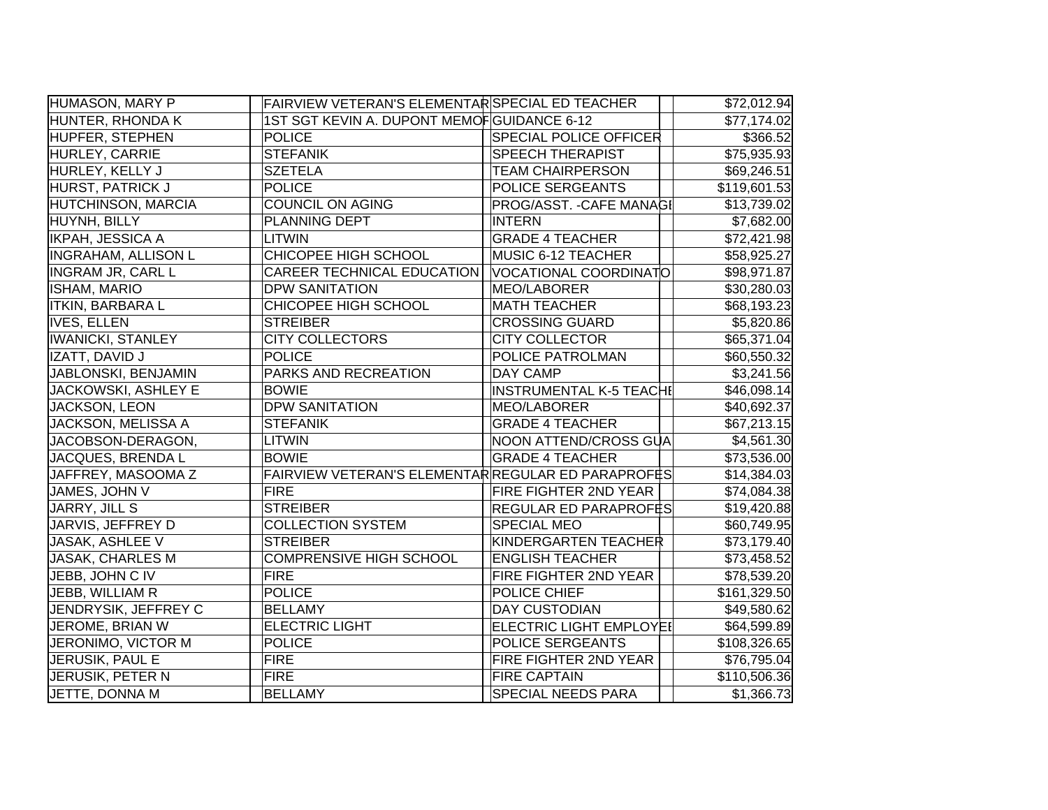| HUMASON, MARY P            | FAIRVIEW VETERAN'S ELEMENTAR SPECIAL ED TEACHER    |                                 | \$72,012.94  |
|----------------------------|----------------------------------------------------|---------------------------------|--------------|
| HUNTER, RHONDA K           | 1ST SGT KEVIN A. DUPONT MEMOFGUIDANCE 6-12         |                                 | \$77,174.02  |
| HUPFER, STEPHEN            | <b>POLICE</b>                                      | <b>SPECIAL POLICE OFFICER</b>   | \$366.52     |
| HURLEY, CARRIE             | <b>STEFANIK</b>                                    | <b>SPEECH THERAPIST</b>         | \$75,935.93  |
| HURLEY, KELLY J            | <b>SZETELA</b>                                     | <b>TEAM CHAIRPERSON</b>         | \$69,246.51  |
| <b>HURST, PATRICK J</b>    | <b>POLICE</b>                                      | POLICE SERGEANTS                | \$119,601.53 |
| <b>HUTCHINSON, MARCIA</b>  | <b>COUNCIL ON AGING</b>                            | <b>PROG/ASST. - CAFE MANAGI</b> | \$13,739.02  |
| HUYNH, BILLY               | PLANNING DEPT                                      | <b>INTERN</b>                   | \$7,682.00   |
| <b>IKPAH, JESSICA A</b>    | LITWIN                                             | <b>GRADE 4 TEACHER</b>          | \$72,421.98  |
| <b>INGRAHAM, ALLISON L</b> | CHICOPEE HIGH SCHOOL                               | MUSIC 6-12 TEACHER              | \$58,925.27  |
| <b>INGRAM JR, CARL L</b>   | <b>CAREER TECHNICAL EDUCATION</b>                  | VOCATIONAL COORDINATO           | \$98,971.87  |
| ISHAM, MARIO               | <b>DPW SANITATION</b>                              | MEO/LABORER                     | \$30,280.03  |
| <b>ITKIN, BARBARA L</b>    | CHICOPEE HIGH SCHOOL                               | <b>MATH TEACHER</b>             | \$68,193.23  |
| <b>IVES, ELLEN</b>         | <b>STREIBER</b>                                    | <b>CROSSING GUARD</b>           | \$5,820.86   |
| <b>IWANICKI, STANLEY</b>   | <b>CITY COLLECTORS</b>                             | <b>CITY COLLECTOR</b>           | \$65,371.04  |
| IZATT, DAVID J             | <b>POLICE</b>                                      | POLICE PATROLMAN                | \$60,550.32  |
| JABLONSKI, BENJAMIN        | PARKS AND RECREATION                               | DAY CAMP                        | \$3,241.56   |
| JACKOWSKI, ASHLEY E        | <b>BOWIE</b>                                       | <b>INSTRUMENTAL K-5 TEACHI</b>  | \$46,098.14  |
| JACKSON, LEON              | <b>DPW SANITATION</b>                              | MEO/LABORER                     | \$40,692.37  |
| JACKSON, MELISSA A         | <b>STEFANIK</b>                                    | <b>GRADE 4 TEACHER</b>          | \$67,213.15  |
| JACOBSON-DERAGON,          | LITWIN                                             | NOON ATTEND/CROSS GUA           | \$4,561.30   |
| JACQUES, BRENDA L          | <b>BOWIE</b>                                       | <b>GRADE 4 TEACHER</b>          | \$73,536.00  |
| JAFFREY, MASOOMA Z         | FAIRVIEW VETERAN'S ELEMENTAR REGULAR ED PARAPROFES |                                 | \$14,384.03  |
| JAMES, JOHN V              | <b>FIRE</b>                                        | <b>FIRE FIGHTER 2ND YEAR</b>    | \$74,084.38  |
| JARRY, JILL S              | <b>STREIBER</b>                                    | <b>REGULAR ED PARAPROFES</b>    | \$19,420.88  |
| JARVIS, JEFFREY D          | <b>COLLECTION SYSTEM</b>                           | <b>SPECIAL MEO</b>              | \$60,749.95  |
| JASAK, ASHLEE V            | <b>STREIBER</b>                                    | KINDERGARTEN TEACHER            | \$73,179.40  |
| <b>JASAK, CHARLES M</b>    | <b>COMPRENSIVE HIGH SCHOOL</b>                     | <b>ENGLISH TEACHER</b>          | \$73,458.52  |
| JEBB, JOHN C IV            | <b>FIRE</b>                                        | FIRE FIGHTER 2ND YEAR           | \$78,539.20  |
| JEBB, WILLIAM R            | <b>POLICE</b>                                      | POLICE CHIEF                    | \$161,329.50 |
| JENDRYSIK, JEFFREY C       | <b>BELLAMY</b>                                     | <b>DAY CUSTODIAN</b>            | \$49,580.62  |
| JEROME, BRIAN W            | <b>ELECTRIC LIGHT</b>                              | ELECTRIC LIGHT EMPLOYEI         | \$64,599.89  |
| JERONIMO, VICTOR M         | <b>POLICE</b>                                      | POLICE SERGEANTS                | \$108,326.65 |
| JERUSIK, PAUL E            | <b>FIRE</b>                                        | FIRE FIGHTER 2ND YEAR           | \$76,795.04  |
| JERUSIK, PETER N           | <b>FIRE</b>                                        | <b>FIRE CAPTAIN</b>             | \$110,506.36 |
| JETTE, DONNA M             | <b>BELLAMY</b>                                     | <b>SPECIAL NEEDS PARA</b>       | \$1,366.73   |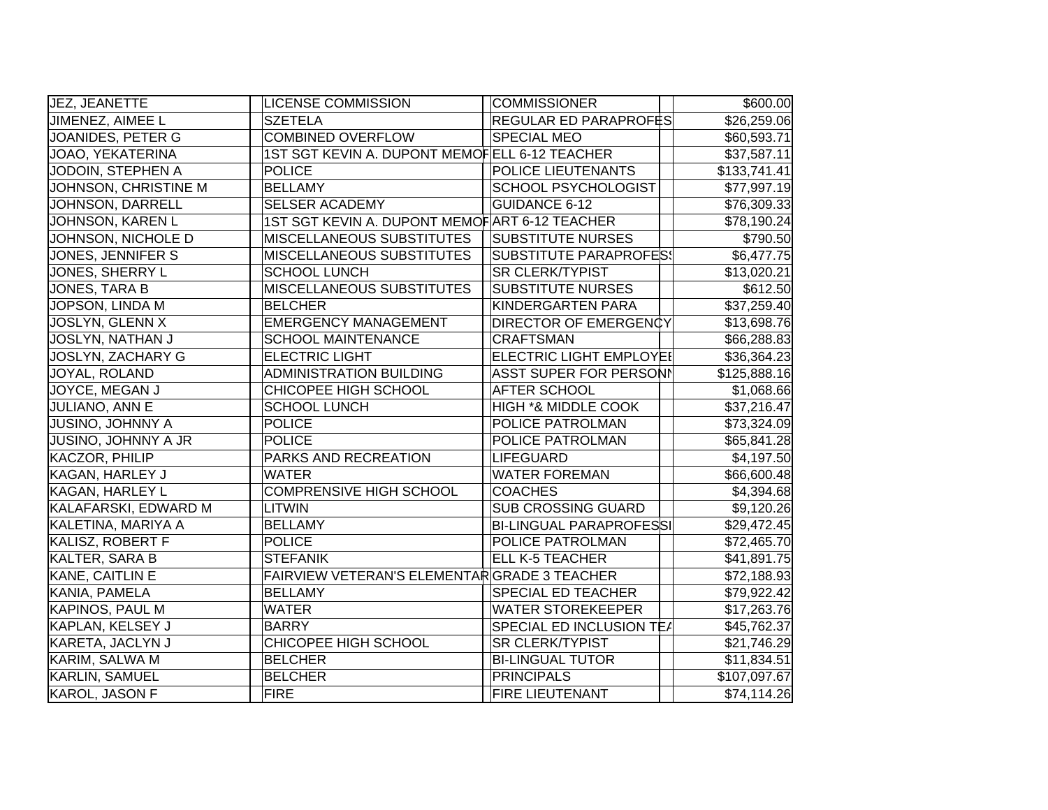| JEZ, JEANETTE           | <b>LICENSE COMMISSION</b>                     | <b>COMMISSIONER</b>            | \$600.00     |
|-------------------------|-----------------------------------------------|--------------------------------|--------------|
| JIMENEZ, AIMEE L        | <b>SZETELA</b>                                | REGULAR ED PARAPROFËS          | \$26,259.06  |
| JOANIDES, PETER G       | <b>COMBINED OVERFLOW</b>                      | <b>SPECIAL MEO</b>             | \$60,593.71  |
| JOAO, YEKATERINA        | 1ST SGT KEVIN A. DUPONT MEMOFELL 6-12 TEACHER |                                | \$37,587.11  |
| JODOIN, STEPHEN A       | <b>POLICE</b>                                 | <b>POLICE LIEUTENANTS</b>      | \$133,741.41 |
| JOHNSON, CHRISTINE M    | <b>BELLAMY</b>                                | <b>SCHOOL PSYCHOLOGIST</b>     | \$77,997.19  |
| JOHNSON, DARRELL        | SELSER ACADEMY                                | <b>GUIDANCE 6-12</b>           | \$76,309.33  |
| <b>JOHNSON, KAREN L</b> | 1ST SGT KEVIN A. DUPONT MEMOFART 6-12 TEACHER |                                | \$78,190.24  |
| JOHNSON, NICHOLE D      | MISCELLANEOUS SUBSTITUTES                     | <b>SUBSTITUTE NURSES</b>       | \$790.50     |
| JONES, JENNIFER S       | <b>MISCELLANEOUS SUBSTITUTES</b>              | <b>SUBSTITUTE PARAPROFES!</b>  | \$6,477.75   |
| JONES, SHERRY L         | <b>SCHOOL LUNCH</b>                           | <b>SR CLERK/TYPIST</b>         | \$13,020.21  |
| JONES, TARA B           | <b>MISCELLANEOUS SUBSTITUTES</b>              | <b>SUBSTITUTE NURSES</b>       | \$612.50     |
| JOPSON, LINDA M         | <b>BELCHER</b>                                | KINDERGARTEN PARA              | \$37,259.40  |
| JOSLYN, GLENN X         | <b>EMERGENCY MANAGEMENT</b>                   | <b>DIRECTOR OF EMERGENCY</b>   | \$13,698.76  |
| JOSLYN, NATHAN J        | <b>SCHOOL MAINTENANCE</b>                     | <b>CRAFTSMAN</b>               | \$66,288.83  |
| JOSLYN, ZACHARY G       | <b>ELECTRIC LIGHT</b>                         | <b>ELECTRIC LIGHT EMPLOYEI</b> | \$36,364.23  |
| JOYAL, ROLAND           | <b>ADMINISTRATION BUILDING</b>                | <b>ASST SUPER FOR PERSONI</b>  | \$125,888.16 |
| JOYCE, MEGAN J          | CHICOPEE HIGH SCHOOL                          | AFTER SCHOOL                   | \$1,068.66   |
| JULIANO, ANN E          | <b>SCHOOL LUNCH</b>                           | <b>HIGH *&amp; MIDDLE COOK</b> | \$37,216.47  |
| JUSINO, JOHNNY A        | <b>POLICE</b>                                 | POLICE PATROLMAN               | \$73,324.09  |
| JUSINO, JOHNNY A JR     | <b>POLICE</b>                                 | POLICE PATROLMAN               | \$65,841.28  |
| <b>KACZOR, PHILIP</b>   | PARKS AND RECREATION                          | LIFEGUARD                      | \$4,197.50   |
| <b>KAGAN, HARLEY J</b>  | <b>WATER</b>                                  | <b>WATER FOREMAN</b>           | \$66,600.48  |
| <b>KAGAN, HARLEY L</b>  | <b>COMPRENSIVE HIGH SCHOOL</b>                | <b>COACHES</b>                 | \$4,394.68   |
| KALAFARSKI, EDWARD M    | <b>LITWIN</b>                                 | <b>SUB CROSSING GUARD</b>      | \$9,120.26   |
| KALETINA, MARIYA A      | <b>BELLAMY</b>                                | <b>BI-LINGUAL PARAPROFESSI</b> | \$29,472.45  |
| KALISZ, ROBERT F        | <b>POLICE</b>                                 | POLICE PATROLMAN               | \$72,465.70  |
| KALTER, SARA B          | <b>STEFANIK</b>                               | <b>ELL K-5 TEACHER</b>         | \$41,891.75  |
| KANE, CAITLIN E         | FAIRVIEW VETERAN'S ELEMENTARGRADE 3 TEACHER   |                                | \$72,188.93  |
| KANIA, PAMELA           | <b>BELLAMY</b>                                | <b>SPECIAL ED TEACHER</b>      | \$79,922.42  |
| KAPINOS, PAUL M         | <b>WATER</b>                                  | <b>WATER STOREKEEPER</b>       | \$17,263.76  |
| KAPLAN, KELSEY J        | <b>BARRY</b>                                  | SPECIAL ED INCLUSION TEA       | \$45,762.37  |
| KARETA, JACLYN J        | CHICOPEE HIGH SCHOOL                          | <b>SR CLERK/TYPIST</b>         | \$21,746.29  |
| KARIM, SALWA M          | <b>BELCHER</b>                                | <b>BI-LINGUAL TUTOR</b>        | \$11,834.51  |
| <b>KARLIN, SAMUEL</b>   | <b>BELCHER</b>                                | <b>PRINCIPALS</b>              | \$107,097.67 |
| KAROL, JASON F          | <b>FIRE</b>                                   | <b>FIRE LIEUTENANT</b>         | \$74,114.26  |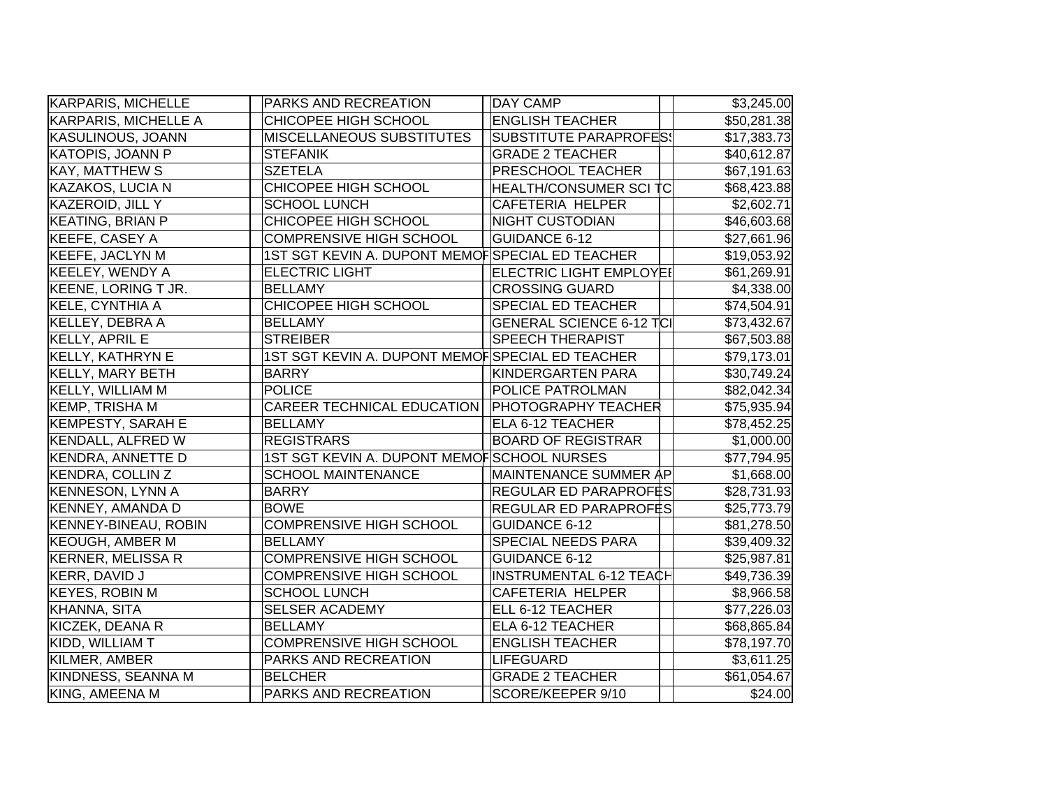| KARPARIS, MICHELLE          | PARKS AND RECREATION                             | <b>DAY CAMP</b>                 | \$3,245.00              |
|-----------------------------|--------------------------------------------------|---------------------------------|-------------------------|
| KARPARIS, MICHELLE A        | CHICOPEE HIGH SCHOOL                             | <b>ENGLISH TEACHER</b>          | \$50,281.38             |
| KASULINOUS, JOANN           | MISCELLANEOUS SUBSTITUTES                        | <b>SUBSTITUTE PARAPROFES!</b>   | \$17,383.73             |
| KATOPIS, JOANN P            | STEFANIK                                         | <b>GRADE 2 TEACHER</b>          | \$40,612.87             |
| <b>KAY, MATTHEW S</b>       | <b>SZETELA</b>                                   | <b>PRESCHOOL TEACHER</b>        | \$67,191.63             |
| KAZAKOS, LUCIA N            | CHICOPEE HIGH SCHOOL                             | <b>HEALTH/CONSUMER SCI TC</b>   | \$68,423.88             |
| KAZEROID, JILL Y            | <b>SCHOOL LUNCH</b>                              | CAFETERIA HELPER                | \$2,602.71              |
| <b>KEATING, BRIAN P</b>     | CHICOPEE HIGH SCHOOL                             | <b>NIGHT CUSTODIAN</b>          | $\overline{$46,603.68}$ |
| KEEFE, CASEY A              | COMPRENSIVE HIGH SCHOOL                          | <b>GUIDANCE 6-12</b>            | \$27,661.96             |
| <b>KEEFE, JACLYN M</b>      | 1ST SGT KEVIN A. DUPONT MEMOFSPECIAL ED TEACHER  |                                 | \$19,053.92             |
| <b>KEELEY, WENDY A</b>      | <b>ELECTRIC LIGHT</b>                            | <b>ELECTRIC LIGHT EMPLOYEI</b>  | \$61,269.91             |
| KEENE, LORING T JR.         | <b>BELLAMY</b>                                   | <b>CROSSING GUARD</b>           | \$4,338.00              |
| <b>KELE, CYNTHIA A</b>      | CHICOPEE HIGH SCHOOL                             | <b>SPECIAL ED TEACHER</b>       | \$74,504.91             |
| KELLEY, DEBRA A             | <b>BELLAMY</b>                                   | <b>GENERAL SCIENCE 6-12 TCI</b> | \$73,432.67             |
| <b>KELLY, APRIL E</b>       | <b>STREIBER</b>                                  | <b>SPEECH THERAPIST</b>         | \$67,503.88             |
| <b>KELLY, KATHRYN E</b>     | 1ST SGT KEVIN A. DUPONT MEMOFSPECIAL ED TEACHER  |                                 | \$79,173.01             |
| <b>KELLY, MARY BETH</b>     | <b>BARRY</b>                                     | KINDERGARTEN PARA               | \$30,749.24             |
| <b>KELLY, WILLIAM M</b>     | <b>POLICE</b>                                    | <b>POLICE PATROLMAN</b>         | \$82,042.34             |
| <b>KEMP, TRISHA M</b>       | CAREER TECHNICAL EDUCATION   PHOTOGRAPHY TEACHER |                                 | \$75,935.94             |
| <b>KEMPESTY, SARAH E</b>    | <b>BELLAMY</b>                                   | <b>ELA 6-12 TEACHER</b>         | \$78,452.25             |
| <b>KENDALL, ALFRED W</b>    | <b>REGISTRARS</b>                                | <b>BOARD OF REGISTRAR</b>       | \$1,000.00              |
| <b>KENDRA, ANNETTE D</b>    | 1ST SGT KEVIN A. DUPONT MEMOFSCHOOL NURSES       |                                 | \$77,794.95             |
| KENDRA, COLLIN Z            | <b>SCHOOL MAINTENANCE</b>                        | MAINTENANCE SUMMER AP           | \$1,668.00              |
| <b>KENNESON, LYNN A</b>     | <b>BARRY</b>                                     | <b>REGULAR ED PARAPROF</b> ‡S   | \$28,731.93             |
| <b>KENNEY, AMANDA D</b>     | <b>BOWE</b>                                      | REGULAR ED PARAPROFES           | \$25,773.79             |
| <b>KENNEY-BINEAU, ROBIN</b> | COMPRENSIVE HIGH SCHOOL                          | <b>GUIDANCE 6-12</b>            | \$81,278.50             |
| <b>KEOUGH, AMBER M</b>      | <b>BELLAMY</b>                                   | <b>SPECIAL NEEDS PARA</b>       | \$39,409.32             |
| <b>KERNER, MELISSA R</b>    | <b>COMPRENSIVE HIGH SCHOOL</b>                   | <b>GUIDANCE 6-12</b>            | \$25,987.81             |
| KERR, DAVID J               | <b>COMPRENSIVE HIGH SCHOOL</b>                   | <b>INSTRUMENTAL 6-12 TEACH</b>  | \$49,736.39             |
| <b>KEYES, ROBIN M</b>       | <b>SCHOOL LUNCH</b>                              | CAFETERIA HELPER                | \$8,966.58              |
| KHANNA, SITA                | <b>SELSER ACADEMY</b>                            | ELL 6-12 TEACHER                | \$77,226.03             |
| KICZEK, DEANA R             | <b>BELLAMY</b>                                   | ELA 6-12 TEACHER                | \$68,865.84             |
| KIDD, WILLIAM T             | COMPRENSIVE HIGH SCHOOL                          | <b>ENGLISH TEACHER</b>          | \$78,197.70             |
| KILMER, AMBER               | PARKS AND RECREATION                             | LIFEGUARD                       | \$3,611.25              |
| KINDNESS, SEANNA M          | <b>BELCHER</b>                                   | <b>GRADE 2 TEACHER</b>          | \$61,054.67             |
| KING, AMEENA M              | PARKS AND RECREATION                             | SCORE/KEEPER 9/10               | \$24.00                 |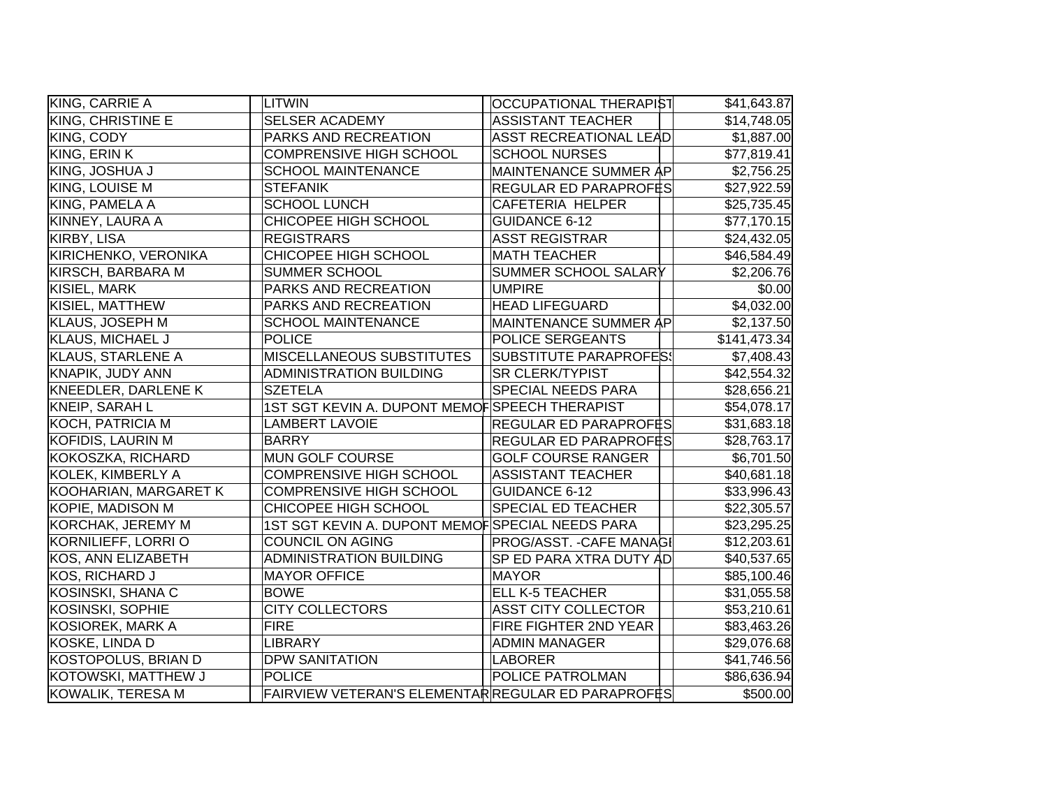| KING, CARRIE A           | LITWIN                                             | OCCUPATIONAL THERAPIST        | \$41,643.87  |
|--------------------------|----------------------------------------------------|-------------------------------|--------------|
| KING, CHRISTINE E        | <b>SELSER ACADEMY</b>                              | <b>ASSISTANT TEACHER</b>      | \$14,748.05  |
| KING, CODY               | PARKS AND RECREATION                               | <b>ASST RECREATIONAL LEAD</b> | \$1,887.00   |
| KING, ERIN K             | <b>COMPRENSIVE HIGH SCHOOL</b>                     | <b>SCHOOL NURSES</b>          | \$77,819.41  |
| KING, JOSHUA J           | <b>SCHOOL MAINTENANCE</b>                          | MAINTENANCE SUMMER AP         | \$2,756.25   |
| KING, LOUISE M           | <b>STEFANIK</b>                                    | REGULAR ED PARAPROFES         | \$27,922.59  |
| KING, PAMELA A           | <b>SCHOOL LUNCH</b>                                | <b>CAFETERIA HELPER</b>       | \$25,735.45  |
| KINNEY, LAURA A          | CHICOPEE HIGH SCHOOL                               | <b>GUIDANCE 6-12</b>          | \$77,170.15  |
| KIRBY, LISA              | <b>REGISTRARS</b>                                  | <b>ASST REGISTRAR</b>         | \$24,432.05  |
| KIRICHENKO, VERONIKA     | CHICOPEE HIGH SCHOOL                               | <b>MATH TEACHER</b>           | \$46,584.49  |
| KIRSCH, BARBARA M        | SUMMER SCHOOL                                      | SUMMER SCHOOL SALARY          | \$2,206.76   |
| KISIEL, MARK             | PARKS AND RECREATION                               | <b>UMPIRE</b>                 | \$0.00       |
| KISIEL, MATTHEW          | PARKS AND RECREATION                               | <b>HEAD LIFEGUARD</b>         | \$4,032.00   |
| <b>KLAUS, JOSEPH M</b>   | <b>SCHOOL MAINTENANCE</b>                          | MAINTENANCE SUMMER AP         | \$2,137.50   |
| <b>KLAUS, MICHAEL J</b>  | <b>POLICE</b>                                      | POLICE SERGEANTS              | \$141,473.34 |
| <b>KLAUS, STARLENE A</b> | MISCELLANEOUS SUBSTITUTES                          | <b>SUBSTITUTE PARAPROFES!</b> | \$7,408.43   |
| KNAPIK, JUDY ANN         | <b>ADMINISTRATION BUILDING</b>                     | <b>SR CLERK/TYPIST</b>        | \$42,554.32  |
| KNEEDLER, DARLENE K      | <b>SZETELA</b>                                     | <b>SPECIAL NEEDS PARA</b>     | \$28,656.21  |
| <b>KNEIP, SARAH L</b>    | 1ST SGT KEVIN A. DUPONT MEMOF SPEECH THERAPIST     |                               | \$54,078.17  |
| KOCH, PATRICIA M         | <b>LAMBERT LAVOIE</b>                              | REGULAR ED PARAPROFES         | \$31,683.18  |
| KOFIDIS, LAURIN M        | <b>BARRY</b>                                       | REGULAR ED PARAPROFES         | \$28,763.17  |
| KOKOSZKA, RICHARD        | <b>MUN GOLF COURSE</b>                             | <b>GOLF COURSE RANGER</b>     | \$6,701.50   |
| KOLEK, KIMBERLY A        | <b>COMPRENSIVE HIGH SCHOOL</b>                     | <b>ASSISTANT TEACHER</b>      | \$40,681.18  |
| KOOHARIAN, MARGARET K    | <b>COMPRENSIVE HIGH SCHOOL</b>                     | <b>GUIDANCE 6-12</b>          | \$33,996.43  |
| KOPIE, MADISON M         | CHICOPEE HIGH SCHOOL                               | SPECIAL ED TEACHER            | \$22,305.57  |
| KORCHAK, JEREMY M        | 1ST SGT KEVIN A. DUPONT MEMOFSPECIAL NEEDS PARA    |                               | \$23,295.25  |
| KORNILIEFF, LORRI O      | COUNCIL ON AGING                                   | PROG/ASST. - CAFE MANAGI      | \$12,203.61  |
| KOS, ANN ELIZABETH       | <b>ADMINISTRATION BUILDING</b>                     | SP ED PARA XTRA DUTY AD       | \$40,537.65  |
| KOS, RICHARD J           | <b>MAYOR OFFICE</b>                                | <b>MAYOR</b>                  | \$85,100.46  |
| KOSINSKI, SHANA C        | <b>BOWE</b>                                        | <b>ELL K-5 TEACHER</b>        | \$31,055.58  |
| KOSINSKI, SOPHIE         | <b>CITY COLLECTORS</b>                             | <b>ASST CITY COLLECTOR</b>    | \$53,210.61  |
| KOSIOREK, MARK A         | <b>FIRE</b>                                        | FIRE FIGHTER 2ND YEAR         | \$83,463.26  |
| KOSKE, LINDA D           | <b>LIBRARY</b>                                     | <b>ADMIN MANAGER</b>          | \$29,076.68  |
| KOSTOPOLUS, BRIAN D      | <b>DPW SANITATION</b>                              | <b>LABORER</b>                | \$41,746.56  |
| KOTOWSKI, MATTHEW J      | <b>POLICE</b>                                      | POLICE PATROLMAN              | \$86,636.94  |
| KOWALIK, TERESA M        | FAIRVIEW VETERAN'S ELEMENTAR REGULAR ED PARAPROFES |                               | \$500.00     |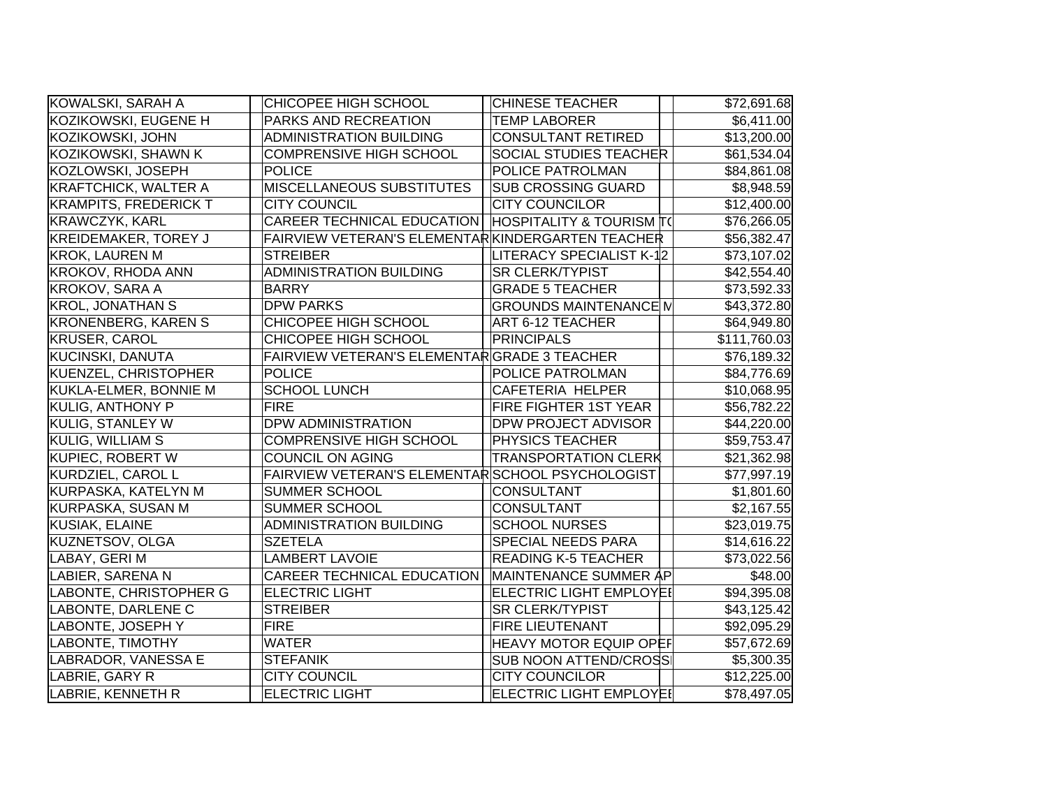| KOWALSKI, SARAH A            | CHICOPEE HIGH SCHOOL                             | <b>CHINESE TEACHER</b>              | \$72,691.68  |
|------------------------------|--------------------------------------------------|-------------------------------------|--------------|
| KOZIKOWSKI, EUGENE H         | PARKS AND RECREATION                             | <b>TEMP LABORER</b>                 | \$6,411.00   |
| KOZIKOWSKI, JOHN             | <b>ADMINISTRATION BUILDING</b>                   | <b>CONSULTANT RETIRED</b>           | \$13,200.00  |
| KOZIKOWSKI, SHAWN K          | <b>COMPRENSIVE HIGH SCHOOL</b>                   | <b>SOCIAL STUDIES TEACHER</b>       | \$61,534.04  |
| KOZLOWSKI, JOSEPH            | <b>POLICE</b>                                    | POLICE PATROLMAN                    | \$84,861.08  |
| <b>KRAFTCHICK, WALTER A</b>  | MISCELLANEOUS SUBSTITUTES                        | <b>SUB CROSSING GUARD</b>           | \$8,948.59   |
| <b>KRAMPITS, FREDERICK T</b> | <b>CITY COUNCIL</b>                              | <b>CITY COUNCILOR</b>               | \$12,400.00  |
| <b>KRAWCZYK, KARL</b>        | CAREER TECHNICAL EDUCATION                       | <b>HOSPITALITY &amp; TOURISM T(</b> | \$76,266.05  |
| <b>KREIDEMAKER, TOREY J</b>  | FAIRVIEW VETERAN'S ELEMENTARKINDERGARTEN TEACHER |                                     | \$56,382.47  |
| <b>KROK, LAUREN M</b>        | <b>STREIBER</b>                                  | LITERACY SPECIALIST K-12            | \$73,107.02  |
| <b>KROKOV, RHODA ANN</b>     | <b>ADMINISTRATION BUILDING</b>                   | <b>SR CLERK/TYPIST</b>              | \$42,554.40  |
| KROKOV, SARA A               | <b>BARRY</b>                                     | <b>GRADE 5 TEACHER</b>              | \$73,592.33  |
| <b>KROL, JONATHAN S</b>      | <b>DPW PARKS</b>                                 | <b>GROUNDS MAINTENANCE M</b>        | \$43,372.80  |
| <b>KRONENBERG, KAREN S</b>   | CHICOPEE HIGH SCHOOL                             | ART 6-12 TEACHER                    | \$64,949.80  |
| <b>KRUSER, CAROL</b>         | CHICOPEE HIGH SCHOOL                             | PRINCIPALS                          | \$111,760.03 |
| <b>KUCINSKI, DANUTA</b>      | FAIRVIEW VETERAN'S ELEMENTARGRADE 3 TEACHER      |                                     | \$76,189.32  |
| KUENZEL, CHRISTOPHER         | <b>POLICE</b>                                    | POLICE PATROLMAN                    | \$84,776.69  |
| KUKLA-ELMER, BONNIE M        | <b>SCHOOL LUNCH</b>                              | <b>CAFETERIA HELPER</b>             | \$10,068.95  |
| KULIG, ANTHONY P             | <b>FIRE</b>                                      | FIRE FIGHTER 1ST YEAR               | \$56,782.22  |
| KULIG, STANLEY W             | <b>DPW ADMINISTRATION</b>                        | <b>DPW PROJECT ADVISOR</b>          | \$44,220.00  |
| KULIG, WILLIAM S             | <b>COMPRENSIVE HIGH SCHOOL</b>                   | <b>PHYSICS TEACHER</b>              | \$59,753.47  |
| KUPIEC, ROBERT W             | <b>COUNCIL ON AGING</b>                          | <b>TRANSPORTATION CLERK</b>         | \$21,362.98  |
| KURDZIEL, CAROL L            | FAIRVIEW VETERAN'S ELEMENTAR SCHOOL PSYCHOLOGIST |                                     | \$77,997.19  |
| KURPASKA, KATELYN M          | <b>SUMMER SCHOOL</b>                             | <b>CONSULTANT</b>                   | \$1,801.60   |
| KURPASKA, SUSAN M            | <b>SUMMER SCHOOL</b>                             | <b>CONSULTANT</b>                   | \$2,167.55   |
| KUSIAK, ELAINE               | <b>ADMINISTRATION BUILDING</b>                   | <b>SCHOOL NURSES</b>                | \$23,019.75  |
| KUZNETSOV, OLGA              | <b>SZETELA</b>                                   | <b>SPECIAL NEEDS PARA</b>           | \$14,616.22  |
| LABAY, GERIM                 | <b>LAMBERT LAVOIE</b>                            | <b>READING K-5 TEACHER</b>          | \$73,022.56  |
| LABIER, SARENA N             | <b>CAREER TECHNICAL EDUCATION</b>                | MAINTENANCE SUMMER AP               | \$48.00      |
| LABONTE, CHRISTOPHER G       | <b>ELECTRIC LIGHT</b>                            | <b>ELECTRIC LIGHT EMPLOYEI</b>      | \$94,395.08  |
| LABONTE, DARLENE C           | <b>STREIBER</b>                                  | <b>SR CLERK/TYPIST</b>              | \$43,125.42  |
| LABONTE, JOSEPH Y            | <b>FIRE</b>                                      | <b>FIRE LIEUTENANT</b>              | \$92,095.29  |
| LABONTE, TIMOTHY             | <b>WATER</b>                                     | <b>HEAVY MOTOR EQUIP OPEF</b>       | \$57,672.69  |
| LABRADOR, VANESSA E          | <b>STEFANIK</b>                                  | <b>SUB NOON ATTEND/CROSS</b>        | \$5,300.35   |
| LABRIE, GARY R               | <b>CITY COUNCIL</b>                              | <b>CITY COUNCILOR</b>               | \$12,225.00  |
| LABRIE, KENNETH R            | <b>ELECTRIC LIGHT</b>                            | ELECTRIC LIGHT EMPLOYEI             | \$78,497.05  |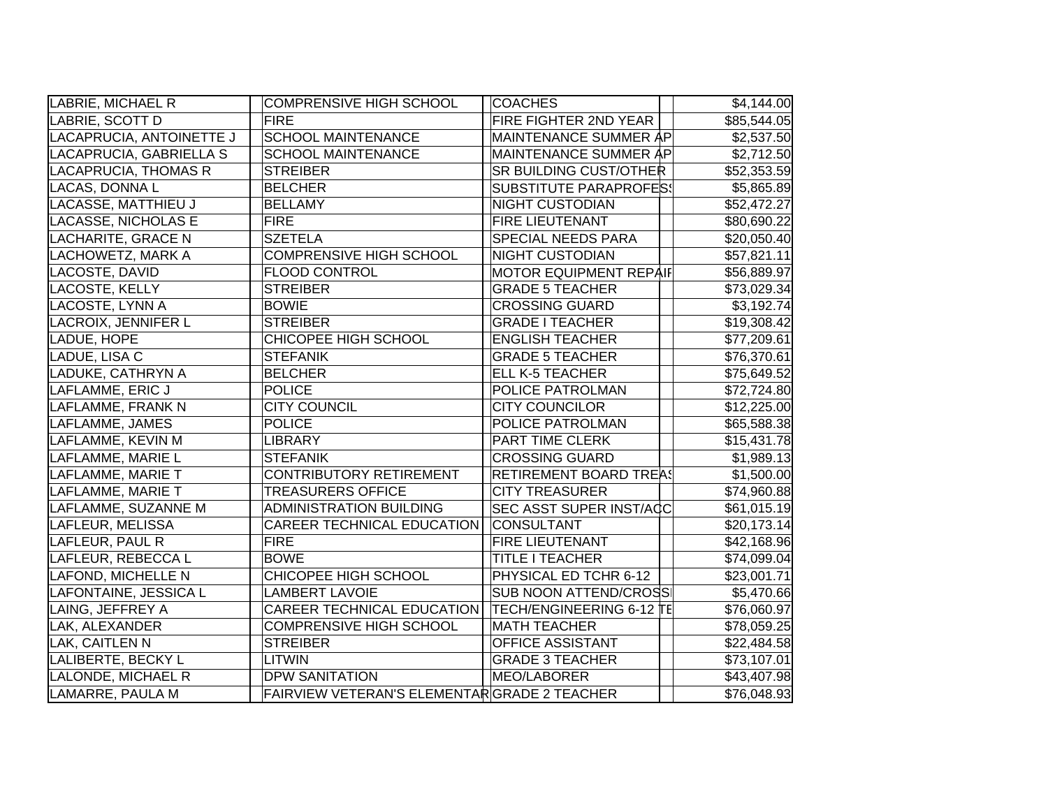| LABRIE, MICHAEL R          | <b>COMPRENSIVE HIGH SCHOOL</b>              | <b>COACHES</b>                 | $\overline{$}4,144.00$ |
|----------------------------|---------------------------------------------|--------------------------------|------------------------|
| LABRIE, SCOTT D            | <b>FIRE</b>                                 | FIRE FIGHTER 2ND YEAR          | \$85,544.05            |
| LACAPRUCIA, ANTOINETTE J   | <b>SCHOOL MAINTENANCE</b>                   | MAINTENANCE SUMMER AP          | \$2,537.50             |
| LACAPRUCIA, GABRIELLA S    | <b>SCHOOL MAINTENANCE</b>                   | MAINTENANCE SUMMER AP          | \$2,712.50             |
| LACAPRUCIA, THOMAS R       | <b>STREIBER</b>                             | <b>SR BUILDING CUST/OTHER</b>  | \$52,353.59            |
| LACAS, DONNA L             | <b>BELCHER</b>                              | <b>SUBSTITUTE PARAPROFES!</b>  | \$5,865.89             |
| LACASSE, MATTHIEU J        | <b>BELLAMY</b>                              | <b>NIGHT CUSTODIAN</b>         | \$52,472.27            |
| <b>LACASSE, NICHOLAS E</b> | <b>FIRE</b>                                 | <b>FIRE LIEUTENANT</b>         | \$80,690.22            |
| LACHARITE, GRACE N         | <b>SZETELA</b>                              | SPECIAL NEEDS PARA             | \$20,050.40            |
| LACHOWETZ, MARK A          | <b>COMPRENSIVE HIGH SCHOOL</b>              | <b>NIGHT CUSTODIAN</b>         | \$57,821.11            |
| LACOSTE, DAVID             | <b>FLOOD CONTROL</b>                        | <b>MOTOR EQUIPMENT REPAIF</b>  | \$56,889.97            |
| LACOSTE, KELLY             | <b>STREIBER</b>                             | <b>GRADE 5 TEACHER</b>         | \$73,029.34            |
| LACOSTE, LYNN A            | <b>BOWIE</b>                                | <b>CROSSING GUARD</b>          | \$3,192.74             |
| LACROIX, JENNIFER L        | <b>STREIBER</b>                             | <b>GRADE I TEACHER</b>         | \$19,308.42            |
| LADUE, HOPE                | CHICOPEE HIGH SCHOOL                        | <b>ENGLISH TEACHER</b>         | \$77,209.61            |
| LADUE, LISA C              | <b>STEFANIK</b>                             | <b>GRADE 5 TEACHER</b>         | \$76,370.61            |
| LADUKE, CATHRYN A          | <b>BELCHER</b>                              | <b>ELL K-5 TEACHER</b>         | \$75,649.52            |
| LAFLAMME, ERIC J           | <b>POLICE</b>                               | POLICE PATROLMAN               | \$72,724.80            |
| LAFLAMME, FRANK N          | <b>CITY COUNCIL</b>                         | <b>CITY COUNCILOR</b>          | \$12,225.00            |
| LAFLAMME, JAMES            | <b>POLICE</b>                               | <b>POLICE PATROLMAN</b>        | \$65,588.38            |
| LAFLAMME, KEVIN M          | <b>LIBRARY</b>                              | <b>PART TIME CLERK</b>         | \$15,431.78            |
| LAFLAMME, MARIE L          | <b>STEFANIK</b>                             | <b>CROSSING GUARD</b>          | \$1,989.13             |
| LAFLAMME, MARIE T          | <b>CONTRIBUTORY RETIREMENT</b>              | <b>RETIREMENT BOARD TREA!</b>  | \$1,500.00             |
| LAFLAMME, MARIE T          | <b>TREASURERS OFFICE</b>                    | <b>CITY TREASURER</b>          | \$74,960.88            |
| LAFLAMME, SUZANNE M        | <b>ADMINISTRATION BUILDING</b>              | <b>SEC ASST SUPER INST/ACC</b> | \$61,015.19            |
| LAFLEUR, MELISSA           | CAREER TECHNICAL EDUCATION                  | <b>CONSULTANT</b>              | \$20,173.14            |
| LAFLEUR, PAUL R            | <b>FIRE</b>                                 | <b>FIRE LIEUTENANT</b>         | \$42,168.96            |
| LAFLEUR, REBECCA L         | <b>BOWE</b>                                 | TITLE I TEACHER                | \$74,099.04            |
| LAFOND, MICHELLE N         | CHICOPEE HIGH SCHOOL                        | PHYSICAL ED TCHR 6-12          | \$23,001.71            |
| LAFONTAINE, JESSICA L      | <b>LAMBERT LAVOIE</b>                       | <b>SUB NOON ATTEND/CROSS</b>   | \$5,470.66             |
| LAING, JEFFREY A           | CAREER TECHNICAL EDUCATION                  | TECH/ENGINEERING 6-12 TE       | \$76,060.97            |
| LAK, ALEXANDER             | <b>COMPRENSIVE HIGH SCHOOL</b>              | <b>MATH TEACHER</b>            | \$78,059.25            |
| LAK, CAITLEN N             | <b>STREIBER</b>                             | <b>OFFICE ASSISTANT</b>        | \$22,484.58            |
| LALIBERTE, BECKY L         | <b>LITWIN</b>                               | <b>GRADE 3 TEACHER</b>         | \$73,107.01            |
| LALONDE, MICHAEL R         | <b>DPW SANITATION</b>                       | MEO/LABORER                    | \$43,407.98            |
| LAMARRE, PAULA M           | FAIRVIEW VETERAN'S ELEMENTARGRADE 2 TEACHER |                                | \$76,048.93            |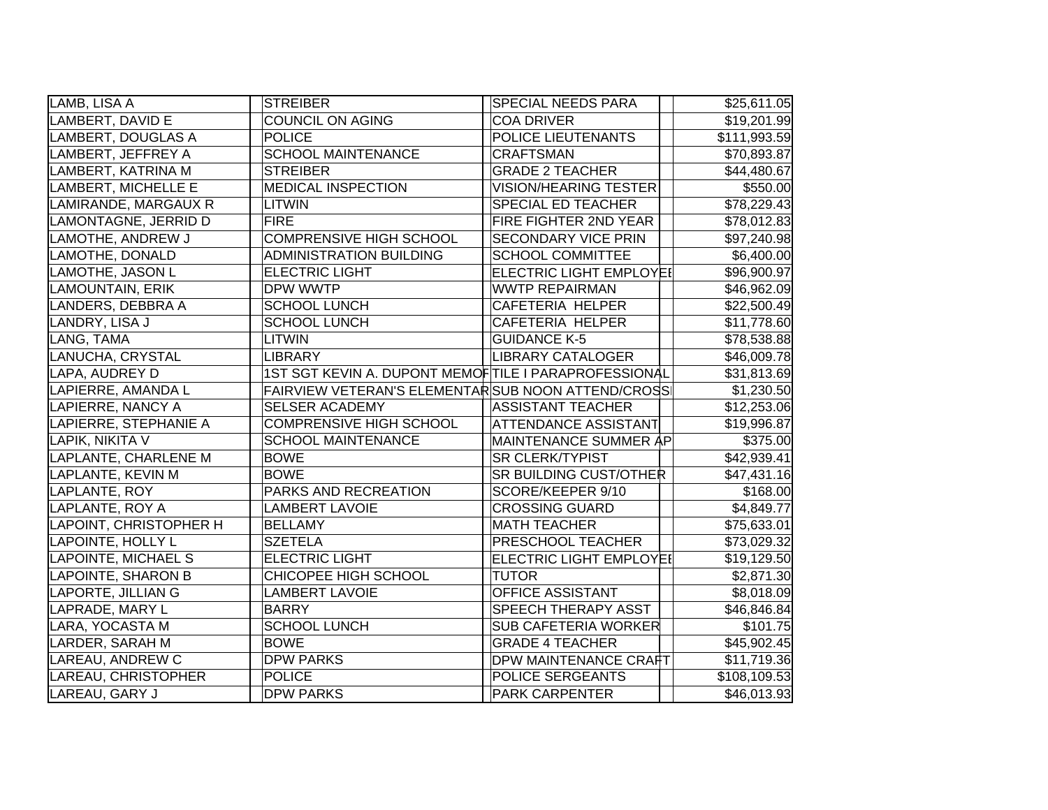| LAMB, LISA A             | <b>STREIBER</b>                                      | <b>SPECIAL NEEDS PARA</b>      | \$25,611.05  |
|--------------------------|------------------------------------------------------|--------------------------------|--------------|
| LAMBERT, DAVID E         | COUNCIL ON AGING                                     | <b>COA DRIVER</b>              | \$19,201.99  |
| LAMBERT, DOUGLAS A       | <b>POLICE</b>                                        | POLICE LIEUTENANTS             | \$111,993.59 |
| LAMBERT, JEFFREY A       | <b>SCHOOL MAINTENANCE</b>                            | <b>CRAFTSMAN</b>               | \$70,893.87  |
| LAMBERT, KATRINA M       | <b>STREIBER</b>                                      | <b>GRADE 2 TEACHER</b>         | \$44,480.67  |
| LAMBERT, MICHELLE E      | <b>MEDICAL INSPECTION</b>                            | <b>VISION/HEARING TESTER</b>   | \$550.00     |
| LAMIRANDE, MARGAUX R     | LITWIN                                               | SPECIAL ED TEACHER             | \$78,229.43  |
| LAMONTAGNE, JERRID D     | <b>FIRE</b>                                          | FIRE FIGHTER 2ND YEAR          | \$78,012.83  |
| LAMOTHE, ANDREW J        | <b>COMPRENSIVE HIGH SCHOOL</b>                       | SECONDARY VICE PRIN            | \$97,240.98  |
| LAMOTHE, DONALD          | <b>ADMINISTRATION BUILDING</b>                       | <b>SCHOOL COMMITTEE</b>        | \$6,400.00   |
| LAMOTHE, JASON L         | <b>ELECTRIC LIGHT</b>                                | <b>ELECTRIC LIGHT EMPLOYEI</b> | \$96,900.97  |
| LAMOUNTAIN, ERIK         | DPW WWTP                                             | <b>WWTP REPAIRMAN</b>          | \$46,962.09  |
| LANDERS, DEBBRA A        | <b>SCHOOL LUNCH</b>                                  | CAFETERIA HELPER               | \$22,500.49  |
| LANDRY, LISA J           | <b>SCHOOL LUNCH</b>                                  | CAFETERIA HELPER               | \$11,778.60  |
| LANG, TAMA               | <b>LITWIN</b>                                        | <b>GUIDANCE K-5</b>            | \$78,538.88  |
| LANUCHA, CRYSTAL         | <b>LIBRARY</b>                                       | <b>LIBRARY CATALOGER</b>       | \$46,009.78  |
| LAPA, AUDREY D           | 1ST SGT KEVIN A. DUPONT MEMOFTILE I PARAPROFESSIONAL |                                | \$31,813.69  |
| LAPIERRE, AMANDA L       | FAIRVIEW VETERAN'S ELEMENTARSUB NOON ATTEND/CROSS    |                                | \$1,230.50   |
| LAPIERRE, NANCY A        | <b>SELSER ACADEMY</b>                                | <b>ASSISTANT TEACHER</b>       | \$12,253.06  |
| LAPIERRE, STEPHANIE A    | <b>COMPRENSIVE HIGH SCHOOL</b>                       | <b>ATTENDANCE ASSISTANT</b>    | \$19,996.87  |
| LAPIK, NIKITA V          | <b>SCHOOL MAINTENANCE</b>                            | MAINTENANCE SUMMER AP          | \$375.00     |
| LAPLANTE, CHARLENE M     | <b>BOWE</b>                                          | <b>SR CLERK/TYPIST</b>         | \$42,939.41  |
| LAPLANTE, KEVIN M        | <b>BOWE</b>                                          | <b>SR BUILDING CUST/OTHER</b>  | \$47,431.16  |
| LAPLANTE, ROY            | PARKS AND RECREATION                                 | SCORE/KEEPER 9/10              | \$168.00     |
| LAPLANTE, ROY A          | <b>LAMBERT LAVOIE</b>                                | <b>CROSSING GUARD</b>          | \$4,849.77   |
| LAPOINT, CHRISTOPHER H   | <b>BELLAMY</b>                                       | <b>MATH TEACHER</b>            | \$75,633.01  |
| <b>LAPOINTE, HOLLY L</b> | <b>SZETELA</b>                                       | PRESCHOOL TEACHER              | \$73,029.32  |
| LAPOINTE, MICHAEL S      | <b>ELECTRIC LIGHT</b>                                | <b>ELECTRIC LIGHT EMPLOYEI</b> | \$19,129.50  |
| LAPOINTE, SHARON B       | CHICOPEE HIGH SCHOOL                                 | <b>TUTOR</b>                   | \$2,871.30   |
| LAPORTE, JILLIAN G       | <b>LAMBERT LAVOIE</b>                                | <b>OFFICE ASSISTANT</b>        | \$8,018.09   |
| LAPRADE, MARY L          | <b>BARRY</b>                                         | <b>SPEECH THERAPY ASST</b>     | \$46,846.84  |
| LARA, YOCASTA M          | <b>SCHOOL LUNCH</b>                                  | <b>SUB CAFETERIA WORKER</b>    | \$101.75     |
| LARDER, SARAH M          | <b>BOWE</b>                                          | <b>GRADE 4 TEACHER</b>         | \$45,902.45  |
| LAREAU, ANDREW C         | <b>DPW PARKS</b>                                     | <b>DPW MAINTENANCE CRAFT</b>   | \$11,719.36  |
| LAREAU, CHRISTOPHER      | POLICE                                               | POLICE SERGEANTS               | \$108,109.53 |
| LAREAU, GARY J           | <b>DPW PARKS</b>                                     | <b>PARK CARPENTER</b>          | \$46,013.93  |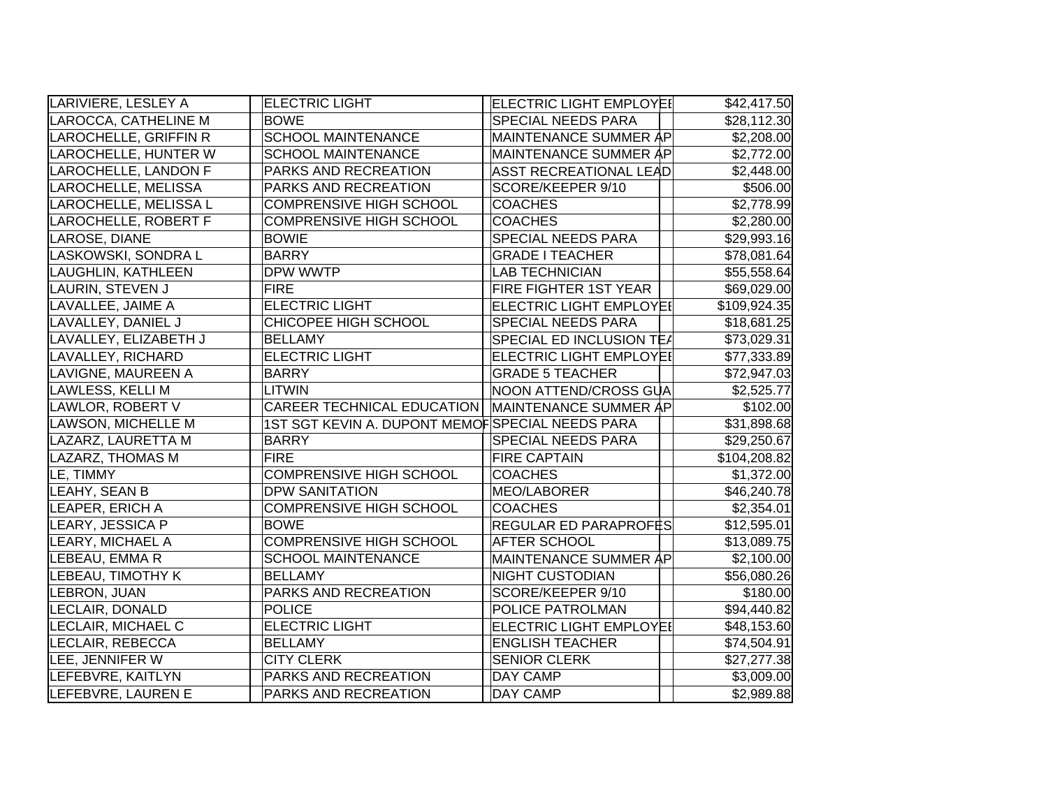| LARIVIERE, LESLEY A   | <b>ELECTRIC LIGHT</b>                              | <b>ELECTRIC LIGHT EMPLOYEI</b> | \$42,417.50  |
|-----------------------|----------------------------------------------------|--------------------------------|--------------|
| LAROCCA, CATHELINE M  | <b>BOWE</b>                                        | <b>SPECIAL NEEDS PARA</b>      | \$28,112.30  |
| LAROCHELLE, GRIFFIN R | <b>SCHOOL MAINTENANCE</b>                          | <b>MAINTENANCE SUMMER AP</b>   | \$2,208.00   |
| LAROCHELLE, HUNTER W  | <b>SCHOOL MAINTENANCE</b>                          | MAINTENANCE SUMMER ÅP          | \$2,772.00   |
| LAROCHELLE, LANDON F  | PARKS AND RECREATION                               | ASST RECREATIONAL LEAD         | \$2,448.00   |
| LAROCHELLE, MELISSA   | PARKS AND RECREATION                               | SCORE/KEEPER 9/10              | \$506.00     |
| LAROCHELLE, MELISSA L | <b>COMPRENSIVE HIGH SCHOOL</b>                     | <b>COACHES</b>                 | \$2,778.99   |
| LAROCHELLE, ROBERT F  | <b>COMPRENSIVE HIGH SCHOOL</b>                     | <b>COACHES</b>                 | \$2,280.00   |
| LAROSE, DIANE         | <b>BOWIE</b>                                       | SPECIAL NEEDS PARA             | \$29,993.16  |
| LASKOWSKI, SONDRA L   | <b>BARRY</b>                                       | <b>GRADE I TEACHER</b>         | \$78,081.64  |
| LAUGHLIN, KATHLEEN    | DPW WWTP                                           | <b>LAB TECHNICIAN</b>          | \$55,558.64  |
| LAURIN, STEVEN J      | <b>FIRE</b>                                        | <b>FIRE FIGHTER 1ST YEAR</b>   | \$69,029.00  |
| LAVALLEE, JAIME A     | <b>ELECTRIC LIGHT</b>                              | <b>ELECTRIC LIGHT EMPLOYEI</b> | \$109,924.35 |
| LAVALLEY, DANIEL J    | CHICOPEE HIGH SCHOOL                               | SPECIAL NEEDS PARA             | \$18,681.25  |
| LAVALLEY, ELIZABETH J | <b>BELLAMY</b>                                     | SPECIAL ED INCLUSION TEA       | \$73,029.31  |
| LAVALLEY, RICHARD     | <b>ELECTRIC LIGHT</b>                              | ELECTRIC LIGHT EMPLOYEI        | \$77,333.89  |
| LAVIGNE, MAUREEN A    | <b>BARRY</b>                                       | <b>GRADE 5 TEACHER</b>         | \$72,947.03  |
| LAWLESS, KELLI M      | <b>LITWIN</b>                                      | NOON ATTEND/CROSS GUA          | \$2,525.77   |
| LAWLOR, ROBERT V      | CAREER TECHNICAL EDUCATION   MAINTENANCE SUMMER AP |                                | \$102.00     |
| LAWSON, MICHELLE M    | 1ST SGT KEVIN A. DUPONT MEMOFSPECIAL NEEDS PARA    |                                | \$31,898.68  |
| LAZARZ, LAURETTA M    | <b>BARRY</b>                                       | <b>SPECIAL NEEDS PARA</b>      | \$29,250.67  |
| LAZARZ, THOMAS M      | <b>FIRE</b>                                        | <b>FIRE CAPTAIN</b>            | \$104,208.82 |
| LE, TIMMY             | <b>COMPRENSIVE HIGH SCHOOL</b>                     | <b>COACHES</b>                 | \$1,372.00   |
| LEAHY, SEAN B         | <b>DPW SANITATION</b>                              | MEO/LABORER                    | \$46,240.78  |
| LEAPER, ERICH A       | <b>COMPRENSIVE HIGH SCHOOL</b>                     | <b>COACHES</b>                 | \$2,354.01   |
| LEARY, JESSICA P      | <b>BOWE</b>                                        | REGULAR ED PARAPROFES          | \$12,595.01  |
| LEARY, MICHAEL A      | <b>COMPRENSIVE HIGH SCHOOL</b>                     | <b>AFTER SCHOOL</b>            | \$13,089.75  |
| LEBEAU, EMMA R        | <b>SCHOOL MAINTENANCE</b>                          | <b>MAINTENANCE SUMMER AP</b>   | \$2,100.00   |
| LEBEAU, TIMOTHY K     | <b>BELLAMY</b>                                     | <b>NIGHT CUSTODIAN</b>         | \$56,080.26  |
| LEBRON, JUAN          | PARKS AND RECREATION                               | SCORE/KEEPER 9/10              | \$180.00     |
| LECLAIR, DONALD       | <b>POLICE</b>                                      | POLICE PATROLMAN               | \$94,440.82  |
| LECLAIR, MICHAEL C    | <b>ELECTRIC LIGHT</b>                              | <b>ELECTRIC LIGHT EMPLOYEI</b> | \$48,153.60  |
| LECLAIR, REBECCA      | <b>BELLAMY</b>                                     | <b>ENGLISH TEACHER</b>         | \$74,504.91  |
| LEE, JENNIFER W       | <b>CITY CLERK</b>                                  | <b>SENIOR CLERK</b>            | \$27,277.38  |
| LEFEBVRE, KAITLYN     | PARKS AND RECREATION                               | <b>DAY CAMP</b>                | \$3,009.00   |
| LEFEBVRE, LAUREN E    | PARKS AND RECREATION                               | DAY CAMP                       | \$2,989.88   |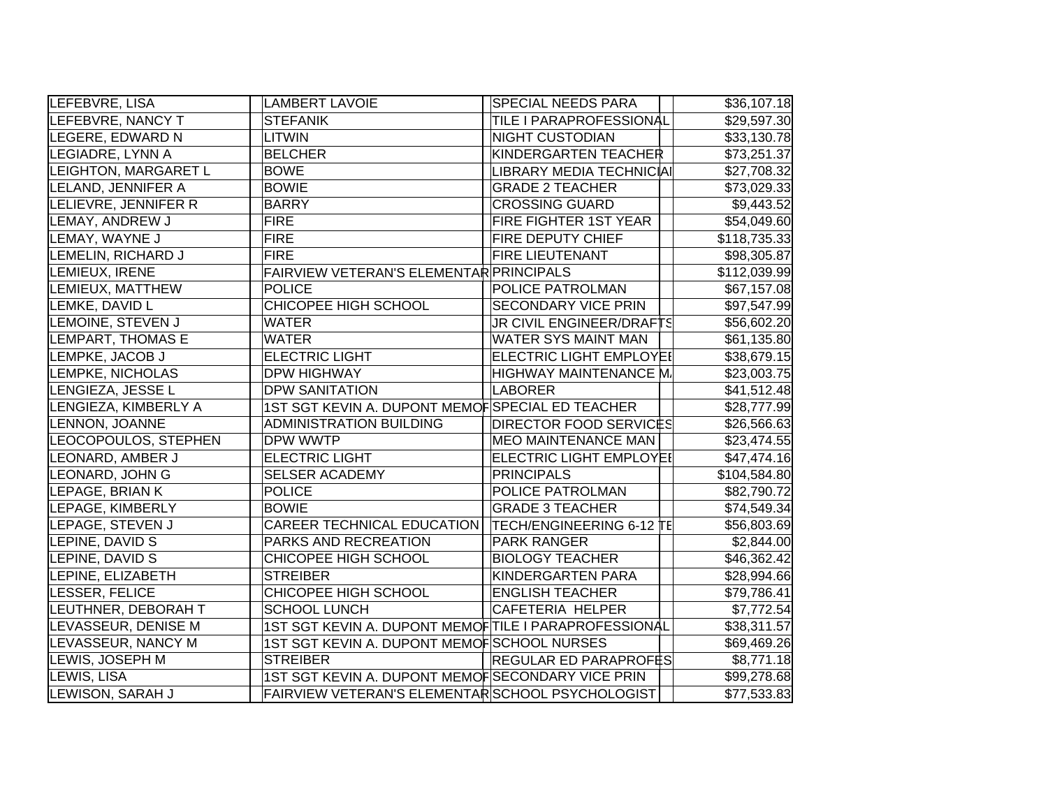| LEFEBVRE, LISA          | <b>LAMBERT LAVOIE</b>                                | <b>SPECIAL NEEDS PARA</b>      | \$36,107.18  |
|-------------------------|------------------------------------------------------|--------------------------------|--------------|
| LEFEBVRE, NANCY T       | <b>STEFANIK</b>                                      | TILE I PARAPROFESSIONAL        | \$29,597.30  |
| LEGERE, EDWARD N        | <b>LITWIN</b>                                        | <b>NIGHT CUSTODIAN</b>         | \$33,130.78  |
| LEGIADRE, LYNN A        | <b>BELCHER</b>                                       | KINDERGARTEN TEACHER           | \$73,251.37  |
| LEIGHTON, MARGARET L    | <b>BOWE</b>                                          | LIBRARY MEDIA TECHNICIAI       | \$27,708.32  |
| LELAND, JENNIFER A      | <b>BOWIE</b>                                         | <b>GRADE 2 TEACHER</b>         | \$73,029.33  |
| LELIEVRE, JENNIFER R    | <b>BARRY</b>                                         | <b>CROSSING GUARD</b>          | \$9,443.52   |
| LEMAY, ANDREW J         | <b>FIRE</b>                                          | <b>FIRE FIGHTER 1ST YEAR</b>   | \$54,049.60  |
| LEMAY, WAYNE J          | <b>FIRE</b>                                          | <b>FIRE DEPUTY CHIEF</b>       | \$118,735.33 |
| LEMELIN, RICHARD J      | <b>FIRE</b>                                          | <b>FIRE LIEUTENANT</b>         | \$98,305.87  |
| LEMIEUX, IRENE          | FAIRVIEW VETERAN'S ELEMENTAR PRINCIPALS              |                                | \$112,039.99 |
| LEMIEUX, MATTHEW        | <b>POLICE</b>                                        | POLICE PATROLMAN               | \$67,157.08  |
| LEMKE, DAVID L          | CHICOPEE HIGH SCHOOL                                 | <b>SECONDARY VICE PRIN</b>     | \$97,547.99  |
| LEMOINE, STEVEN J       | <b>WATER</b>                                         | JR CIVIL ENGINEER/DRAFTS       | \$56,602.20  |
| LEMPART, THOMAS E       | <b>WATER</b>                                         | <b>WATER SYS MAINT MAN</b>     | \$61,135.80  |
| LEMPKE, JACOB J         | <b>ELECTRIC LIGHT</b>                                | <b>ELECTRIC LIGHT EMPLOYEI</b> | \$38,679.15  |
| <b>LEMPKE, NICHOLAS</b> | <b>DPW HIGHWAY</b>                                   | HIGHWAY MAINTENANCE M.         | \$23,003.75  |
| LENGIEZA, JESSE L       | <b>DPW SANITATION</b>                                | LABORER                        | \$41,512.48  |
| LENGIEZA, KIMBERLY A    | 1ST SGT KEVIN A. DUPONT MEMOF SPECIAL ED TEACHER     |                                | \$28,777.99  |
| LENNON, JOANNE          | <b>ADMINISTRATION BUILDING</b>                       | <b>DIRECTOR FOOD SERVICES</b>  | \$26,566.63  |
| LEOCOPOULOS, STEPHEN    | DPW WWTP                                             | <b>MEO MAINTENANCE MAN</b>     | \$23,474.55  |
| LEONARD, AMBER J        | <b>ELECTRIC LIGHT</b>                                | <b>ELECTRIC LIGHT EMPLOYEI</b> | \$47,474.16  |
| LEONARD, JOHN G         | <b>SELSER ACADEMY</b>                                | <b>PRINCIPALS</b>              | \$104,584.80 |
| LEPAGE, BRIAN K         | <b>POLICE</b>                                        | POLICE PATROLMAN               | \$82,790.72  |
| LEPAGE, KIMBERLY        | <b>BOWIE</b>                                         | <b>GRADE 3 TEACHER</b>         | \$74,549.34  |
| LEPAGE, STEVEN J        | CAREER TECHNICAL EDUCATION                           | TECH/ENGINEERING 6-12 TE       | \$56,803.69  |
| LEPINE, DAVID S         | PARKS AND RECREATION                                 | <b>PARK RANGER</b>             | \$2,844.00   |
| LEPINE, DAVID S         | CHICOPEE HIGH SCHOOL                                 | <b>BIOLOGY TEACHER</b>         | \$46,362.42  |
| LEPINE, ELIZABETH       | <b>STREIBER</b>                                      | KINDERGARTEN PARA              | \$28,994.66  |
| LESSER, FELICE          | CHICOPEE HIGH SCHOOL                                 | <b>ENGLISH TEACHER</b>         | \$79,786.41  |
| LEUTHNER, DEBORAH T     | <b>SCHOOL LUNCH</b>                                  | <b>CAFETERIA HELPER</b>        | \$7,772.54   |
| LEVASSEUR, DENISE M     | 1ST SGT KEVIN A. DUPONT MEMOFTILE I PARAPROFESSIONAL |                                | \$38,311.57  |
| LEVASSEUR, NANCY M      | 1ST SGT KEVIN A. DUPONT MEMOF SCHOOL NURSES          |                                | \$69,469.26  |
| LEWIS, JOSEPH M         | <b>STREIBER</b>                                      | <b>REGULAR ED PARAPROFES</b>   | \$8,771.18   |
| LEWIS, LISA             | 1ST SGT KEVIN A. DUPONT MEMOFSECONDARY VICE PRIN     |                                | \$99,278.68  |
| LEWISON, SARAH J        | FAIRVIEW VETERAN'S ELEMENTAR SCHOOL PSYCHOLOGIST     |                                | \$77,533.83  |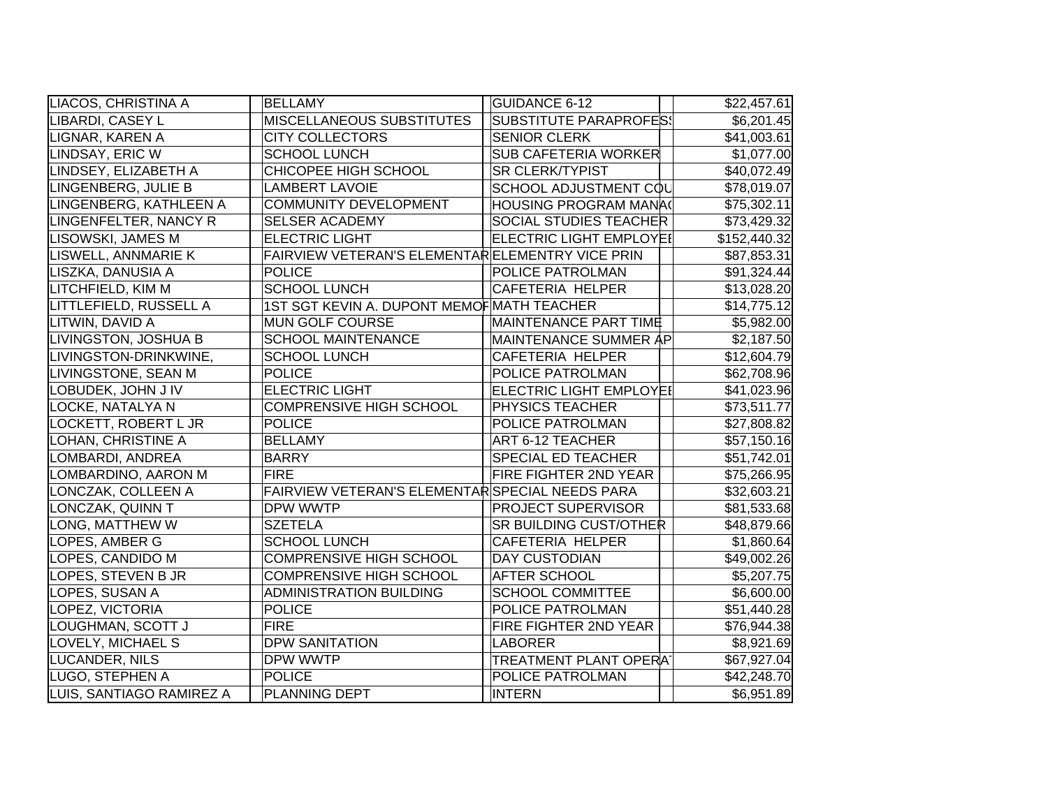| LIACOS, CHRISTINA A      | <b>BELLAMY</b>                                  | <b>GUIDANCE 6-12</b>           | \$22,457.61  |
|--------------------------|-------------------------------------------------|--------------------------------|--------------|
| LIBARDI, CASEY L         | <b>MISCELLANEOUS SUBSTITUTES</b>                | <b>SUBSTITUTE PARAPROFES!</b>  | \$6,201.45   |
| LIGNAR, KAREN A          | <b>CITY COLLECTORS</b>                          | <b>SENIOR CLERK</b>            | \$41,003.61  |
| LINDSAY, ERIC W          | <b>SCHOOL LUNCH</b>                             | <b>SUB CAFETERIA WORKER</b>    | \$1,077.00   |
| LINDSEY, ELIZABETH A     | CHICOPEE HIGH SCHOOL                            | <b>SR CLERK/TYPIST</b>         | \$40,072.49  |
| LINGENBERG, JULIE B      | <b>LAMBERT LAVOIE</b>                           | SCHOOL ADJUSTMENT COL          | \$78,019.07  |
| LINGENBERG, KATHLEEN A   | COMMUNITY DEVELOPMENT                           | HOUSING PROGRAM MANA(          | \$75,302.11  |
| LINGENFELTER, NANCY R    | <b>SELSER ACADEMY</b>                           | <b>SOCIAL STUDIES TEACHER</b>  | \$73,429.32  |
| LISOWSKI, JAMES M        | <b>ELECTRIC LIGHT</b>                           | <b>ELECTRIC LIGHT EMPLOYEI</b> | \$152,440.32 |
| LISWELL, ANNMARIE K      | FAIRVIEW VETERAN'S ELEMENTARELEMENTRY VICE PRIN |                                | \$87,853.31  |
| LISZKA, DANUSIA A        | POLICE                                          | <b>POLICE PATROLMAN</b>        | \$91,324.44  |
| LITCHFIELD, KIM M        | <b>SCHOOL LUNCH</b>                             | CAFETERIA HELPER               | \$13,028.20  |
| LITTLEFIELD, RUSSELL A   | 1ST SGT KEVIN A. DUPONT MEMOF MATH TEACHER      |                                | \$14,775.12  |
| LITWIN, DAVID A          | <b>MUN GOLF COURSE</b>                          | <b>MAINTENANCE PART TIME</b>   | \$5,982.00   |
| LIVINGSTON, JOSHUA B     | <b>SCHOOL MAINTENANCE</b>                       | MAINTENANCE SUMMER AP          | \$2,187.50   |
| LIVINGSTON-DRINKWINE,    | <b>SCHOOL LUNCH</b>                             | <b>CAFETERIA HELPER</b>        | \$12,604.79  |
| LIVINGSTONE, SEAN M      | <b>POLICE</b>                                   | <b>POLICE PATROLMAN</b>        | \$62,708.96  |
| LOBUDEK, JOHN J IV       | <b>ELECTRIC LIGHT</b>                           | <b>ELECTRIC LIGHT EMPLOYEI</b> | \$41,023.96  |
| LOCKE, NATALYA N         | <b>COMPRENSIVE HIGH SCHOOL</b>                  | <b>PHYSICS TEACHER</b>         | \$73,511.77  |
| LOCKETT, ROBERT L JR     | POLICE                                          | <b>POLICE PATROLMAN</b>        | \$27,808.82  |
| LOHAN, CHRISTINE A       | <b>BELLAMY</b>                                  | <b>ART 6-12 TEACHER</b>        | \$57,150.16  |
| LOMBARDI, ANDREA         | <b>BARRY</b>                                    | <b>SPECIAL ED TEACHER</b>      | \$51,742.01  |
| LOMBARDINO, AARON M      | <b>FIRE</b>                                     | <b>FIRE FIGHTER 2ND YEAR</b>   | \$75,266.95  |
| LONCZAK, COLLEEN A       | FAIRVIEW VETERAN'S ELEMENTAR SPECIAL NEEDS PARA |                                | \$32,603.21  |
| LONCZAK, QUINN T         | <b>DPW WWTP</b>                                 | <b>PROJECT SUPERVISOR</b>      | \$81,533.68  |
| LONG, MATTHEW W          | <b>SZETELA</b>                                  | <b>SR BUILDING CUST/OTHER</b>  | \$48,879.66  |
| LOPES, AMBER G           | <b>SCHOOL LUNCH</b>                             | CAFETERIA HELPER               | \$1,860.64   |
| LOPES, CANDIDO M         | <b>COMPRENSIVE HIGH SCHOOL</b>                  | <b>DAY CUSTODIAN</b>           | \$49,002.26  |
| LOPES, STEVEN B JR       | <b>COMPRENSIVE HIGH SCHOOL</b>                  | <b>AFTER SCHOOL</b>            | \$5,207.75   |
| LOPES, SUSAN A           | <b>ADMINISTRATION BUILDING</b>                  | <b>SCHOOL COMMITTEE</b>        | \$6,600.00   |
| LOPEZ, VICTORIA          | <b>POLICE</b>                                   | POLICE PATROLMAN               | \$51,440.28  |
| LOUGHMAN, SCOTT J        | <b>FIRE</b>                                     | <b>FIRE FIGHTER 2ND YEAR</b>   | \$76,944.38  |
| LOVELY, MICHAEL S        | <b>DPW SANITATION</b>                           | <b>LABORER</b>                 | \$8,921.69   |
| LUCANDER, NILS           | DPW WWTP                                        | TREATMENT PLANT OPERAT         | \$67,927.04  |
| LUGO, STEPHEN A          | <b>POLICE</b>                                   | <b>POLICE PATROLMAN</b>        | \$42,248.70  |
| LUIS, SANTIAGO RAMIREZ A | PLANNING DEPT                                   | <b>INTERN</b>                  | \$6,951.89   |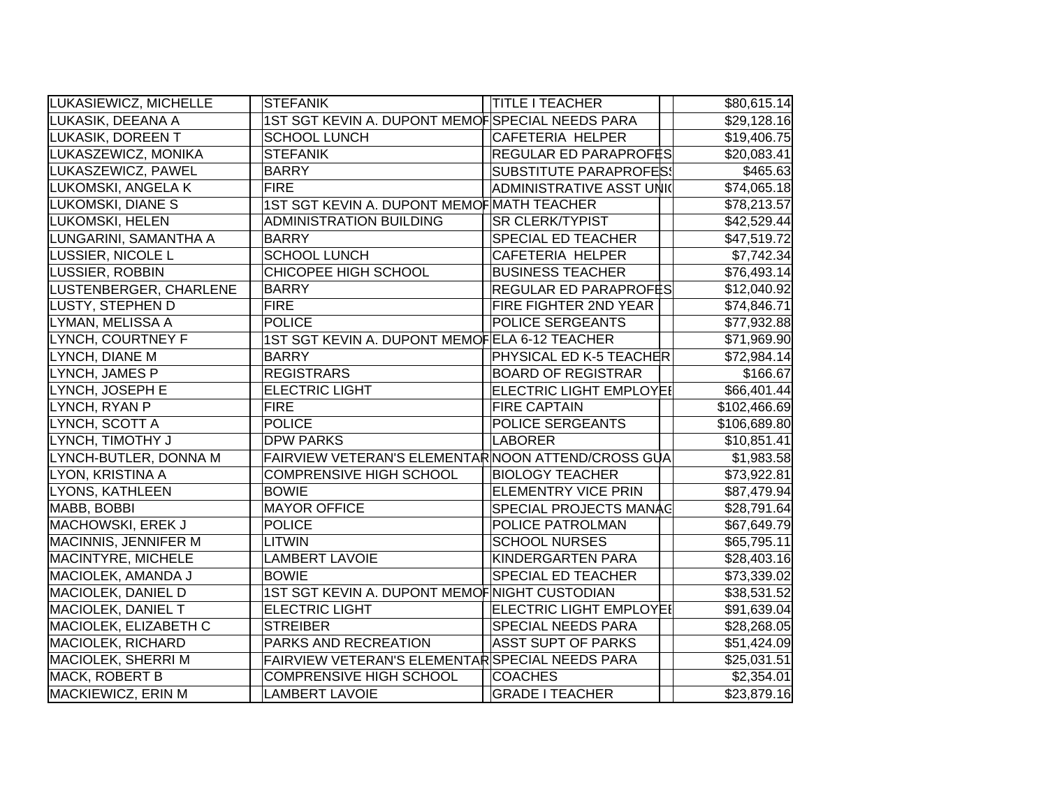| LUKASIEWICZ, MICHELLE     | <b>STEFANIK</b>                                    | <b>TITLE I TEACHER</b>         | \$80,615.14  |
|---------------------------|----------------------------------------------------|--------------------------------|--------------|
| LUKASIK, DEEANA A         | 1ST SGT KEVIN A. DUPONT MEMOFSPECIAL NEEDS PARA    |                                | \$29,128.16  |
| LUKASIK, DOREEN T         | <b>SCHOOL LUNCH</b>                                | CAFETERIA HELPER               | \$19,406.75  |
| LUKASZEWICZ, MONIKA       | <b>STEFANIK</b>                                    | <b>REGULAR ED PARAPROF</b> ES  | \$20,083.41  |
| LUKASZEWICZ, PAWEL        | <b>BARRY</b>                                       | <b>SUBSTITUTE PARAPROFES!</b>  | \$465.63     |
| LUKOMSKI, ANGELA K        | <b>FIRE</b>                                        | ADMINISTRATIVE ASST UNIC       | \$74,065.18  |
| LUKOMSKI, DIANE S         | 1ST SGT KEVIN A. DUPONT MEMOF MATH TEACHER         |                                | \$78,213.57  |
| LUKOMSKI, HELEN           | <b>ADMINISTRATION BUILDING</b>                     | <b>SR CLERK/TYPIST</b>         | \$42,529.44  |
| LUNGARINI, SAMANTHA A     | <b>BARRY</b>                                       | <b>SPECIAL ED TEACHER</b>      | \$47,519.72  |
| LUSSIER, NICOLE L         | <b>SCHOOL LUNCH</b>                                | <b>CAFETERIA HELPER</b>        | \$7,742.34   |
| LUSSIER, ROBBIN           | CHICOPEE HIGH SCHOOL                               | <b>BUSINESS TEACHER</b>        | \$76,493.14  |
| LUSTENBERGER, CHARLENE    | <b>BARRY</b>                                       | <b>REGULAR ED PARAPROF</b> ËS  | \$12,040.92  |
| <b>LUSTY, STEPHEN D</b>   | <b>FIRE</b>                                        | FIRE FIGHTER 2ND YEAR          | \$74,846.71  |
| LYMAN, MELISSA A          | <b>POLICE</b>                                      | POLICE SERGEANTS               | \$77,932.88  |
| LYNCH, COURTNEY F         | 1ST SGT KEVIN A. DUPONT MEMOFELA 6-12 TEACHER      |                                | \$71,969.90  |
| LYNCH, DIANE M            | <b>BARRY</b>                                       | PHYSICAL ED K-5 TEACHER        | \$72,984.14  |
| LYNCH, JAMES P            | <b>REGISTRARS</b>                                  | <b>BOARD OF REGISTRAR</b>      | \$166.67     |
| LYNCH, JOSEPH E           | <b>ELECTRIC LIGHT</b>                              | ELECTRIC LIGHT EMPLOYEI        | \$66,401.44  |
| LYNCH, RYAN P             | <b>FIRE</b>                                        | <b>FIRE CAPTAIN</b>            | \$102,466.69 |
| LYNCH, SCOTT A            | <b>POLICE</b>                                      | POLICE SERGEANTS               | \$106,689.80 |
| LYNCH, TIMOTHY J          | <b>DPW PARKS</b>                                   | LABORER                        | \$10,851.41  |
| LYNCH-BUTLER, DONNA M     | FAIRVIEW VETERAN'S ELEMENTAR NOON ATTEND/CROSS GUA |                                | \$1,983.58   |
| LYON, KRISTINA A          | <b>COMPRENSIVE HIGH SCHOOL</b>                     | <b>BIOLOGY TEACHER</b>         | \$73,922.81  |
| LYONS, KATHLEEN           | <b>BOWIE</b>                                       | <b>ELEMENTRY VICE PRIN</b>     | \$87,479.94  |
| MABB, BOBBI               | <b>MAYOR OFFICE</b>                                | <b>SPECIAL PROJECTS MANAG</b>  | \$28,791.64  |
| MACHOWSKI, EREK J         | <b>POLICE</b>                                      | POLICE PATROLMAN               | \$67,649.79  |
| MACINNIS, JENNIFER M      | <b>LITWIN</b>                                      | <b>SCHOOL NURSES</b>           | \$65,795.11  |
| <b>MACINTYRE, MICHELE</b> | <b>LAMBERT LAVOIE</b>                              | KINDERGARTEN PARA              | \$28,403.16  |
| MACIOLEK, AMANDA J        | <b>BOWIE</b>                                       | <b>SPECIAL ED TEACHER</b>      | \$73,339.02  |
| MACIOLEK, DANIEL D        | 1ST SGT KEVIN A. DUPONT MEMOF NIGHT CUSTODIAN      |                                | \$38,531.52  |
| MACIOLEK, DANIEL T        | <b>ELECTRIC LIGHT</b>                              | <b>ELECTRIC LIGHT EMPLOYEI</b> | \$91,639.04  |
| MACIOLEK, ELIZABETH C     | <b>STREIBER</b>                                    | <b>SPECIAL NEEDS PARA</b>      | \$28,268.05  |
| <b>MACIOLEK, RICHARD</b>  | PARKS AND RECREATION                               | <b>ASST SUPT OF PARKS</b>      | \$51,424.09  |
| MACIOLEK, SHERRI M        | FAIRVIEW VETERAN'S ELEMENTAR SPECIAL NEEDS PARA    |                                | \$25,031.51  |
| MACK, ROBERT B            | <b>COMPRENSIVE HIGH SCHOOL</b>                     | <b>COACHES</b>                 | \$2,354.01   |
| MACKIEWICZ, ERIN M        | <b>LAMBERT LAVOIE</b>                              | <b>GRADE I TEACHER</b>         | \$23,879.16  |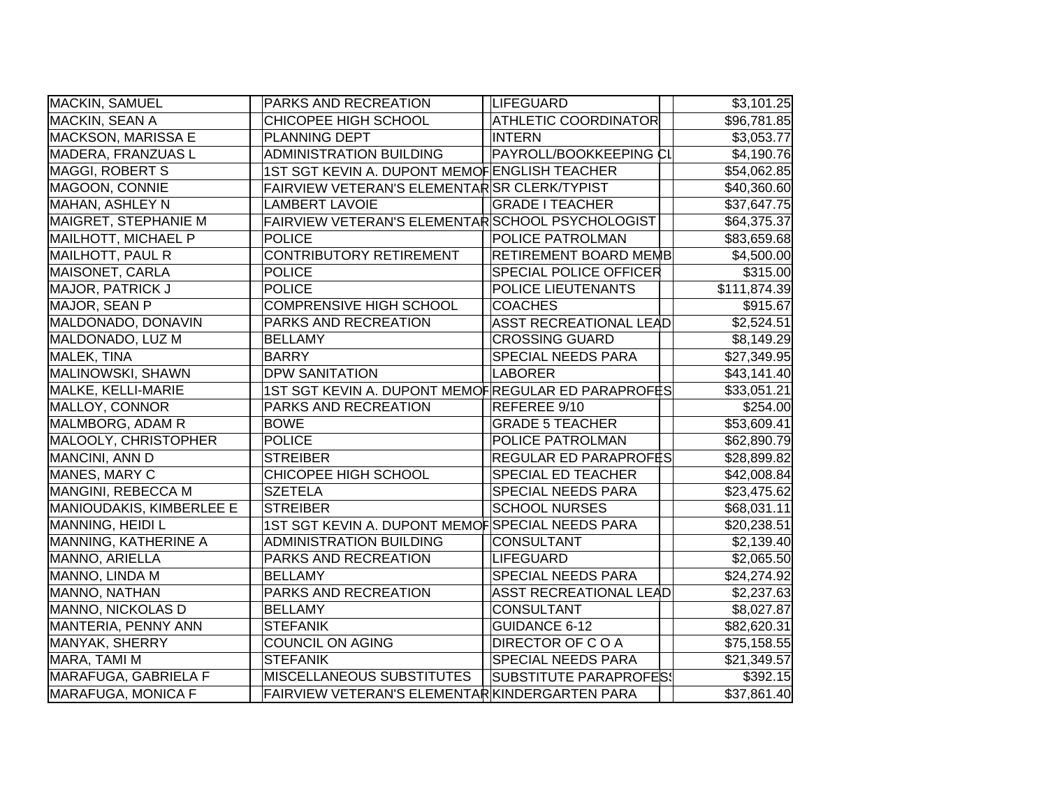| MACKIN, SAMUEL                  | <b>PARKS AND RECREATION</b>                        | LIFEGUARD                     | \$3,101.25   |
|---------------------------------|----------------------------------------------------|-------------------------------|--------------|
| MACKIN, SEAN A                  | CHICOPEE HIGH SCHOOL                               | <b>ATHLETIC COORDINATOR</b>   | \$96,781.85  |
| <b>MACKSON, MARISSA E</b>       | PLANNING DEPT                                      | <b>INTERN</b>                 | \$3,053.77   |
| MADERA, FRANZUAS L              | <b>ADMINISTRATION BUILDING</b>                     | PAYROLL/BOOKKEEPING CI        | \$4,190.76   |
| MAGGI, ROBERT S                 | 1ST SGT KEVIN A. DUPONT MEMOFENGLISH TEACHER       |                               | \$54,062.85  |
| MAGOON, CONNIE                  | FAIRVIEW VETERAN'S ELEMENTARSR CLERK/TYPIST        |                               | \$40,360.60  |
| MAHAN, ASHLEY N                 | <b>LAMBERT LAVOIE</b>                              | <b>GRADE I TEACHER</b>        | \$37,647.75  |
| MAIGRET, STEPHANIE M            | FAIRVIEW VETERAN'S ELEMENTAR SCHOOL PSYCHOLOGIST   |                               | \$64,375.37  |
| <b>MAILHOTT, MICHAEL P</b>      | <b>POLICE</b>                                      | POLICE PATROLMAN              | \$83,659.68  |
| MAILHOTT, PAUL R                | <b>CONTRIBUTORY RETIREMENT</b>                     | RETIREMENT BOARD MEMB         | \$4,500.00   |
| MAISONET, CARLA                 | <b>POLICE</b>                                      | <b>SPECIAL POLICE OFFICER</b> | \$315.00     |
| MAJOR, PATRICK J                | <b>POLICE</b>                                      | POLICE LIEUTENANTS            | \$111,874.39 |
| MAJOR, SEAN P                   | <b>COMPRENSIVE HIGH SCHOOL</b>                     | <b>COACHES</b>                | \$915.67     |
| MALDONADO, DONAVIN              | PARKS AND RECREATION                               | <b>ASST RECREATIONAL LEAD</b> | \$2,524.51   |
| MALDONADO, LUZ M                | <b>BELLAMY</b>                                     | <b>CROSSING GUARD</b>         | \$8,149.29   |
| MALEK, TINA                     | <b>BARRY</b>                                       | SPECIAL NEEDS PARA            | \$27,349.95  |
| MALINOWSKI, SHAWN               | <b>DPW SANITATION</b>                              | <b>LABORER</b>                | \$43,141.40  |
| <b>MALKE, KELLI-MARIE</b>       | 1ST SGT KEVIN A. DUPONT MEMOFREGULAR ED PARAPROFES |                               | \$33,051.21  |
| <b>MALLOY, CONNOR</b>           | PARKS AND RECREATION                               | REFEREE 9/10                  | \$254.00     |
| MALMBORG, ADAM R                | <b>BOWE</b>                                        | <b>GRADE 5 TEACHER</b>        | \$53,609.41  |
| MALOOLY, CHRISTOPHER            | <b>POLICE</b>                                      | POLICE PATROLMAN              | \$62,890.79  |
| MANCINI, ANN D                  | <b>STREIBER</b>                                    | REGULAR ED PARAPROFES         | \$28,899.82  |
| MANES, MARY C                   | CHICOPEE HIGH SCHOOL                               | <b>SPECIAL ED TEACHER</b>     | \$42,008.84  |
| MANGINI, REBECCA M              | <b>SZETELA</b>                                     | <b>SPECIAL NEEDS PARA</b>     | \$23,475.62  |
| <b>MANIOUDAKIS, KIMBERLEE E</b> | <b>STREIBER</b>                                    | <b>SCHOOL NURSES</b>          | \$68,031.11  |
| MANNING, HEIDI L                | 1ST SGT KEVIN A. DUPONT MEMOFSPECIAL NEEDS PARA    |                               | \$20,238.51  |
| MANNING, KATHERINE A            | <b>ADMINISTRATION BUILDING</b>                     | <b>CONSULTANT</b>             | \$2,139.40   |
| MANNO, ARIELLA                  | PARKS AND RECREATION                               | <b>LIFEGUARD</b>              | \$2,065.50   |
| MANNO, LINDA M                  | <b>BELLAMY</b>                                     | SPECIAL NEEDS PARA            | \$24,274.92  |
| MANNO, NATHAN                   | <b>PARKS AND RECREATION</b>                        | <b>ASST RECREATIONAL LEAD</b> | \$2,237.63   |
| MANNO, NICKOLAS D               | <b>BELLAMY</b>                                     | <b>CONSULTANT</b>             | \$8,027.87   |
| MANTERIA, PENNY ANN             | <b>STEFANIK</b>                                    | <b>GUIDANCE 6-12</b>          | \$82,620.31  |
| MANYAK, SHERRY                  | <b>COUNCIL ON AGING</b>                            | <b>DIRECTOR OF COA</b>        | \$75,158.55  |
| MARA, TAMI M                    | <b>STEFANIK</b>                                    | <b>SPECIAL NEEDS PARA</b>     | \$21,349.57  |
| MARAFUGA, GABRIELA F            | <b>MISCELLANEOUS SUBSTITUTES</b>                   | SUBSTITUTE PARAPROFES!        | \$392.15     |
| <b>MARAFUGA, MONICA F</b>       | FAIRVIEW VETERAN'S ELEMENTARKKINDERGARTEN PARA     |                               | \$37,861.40  |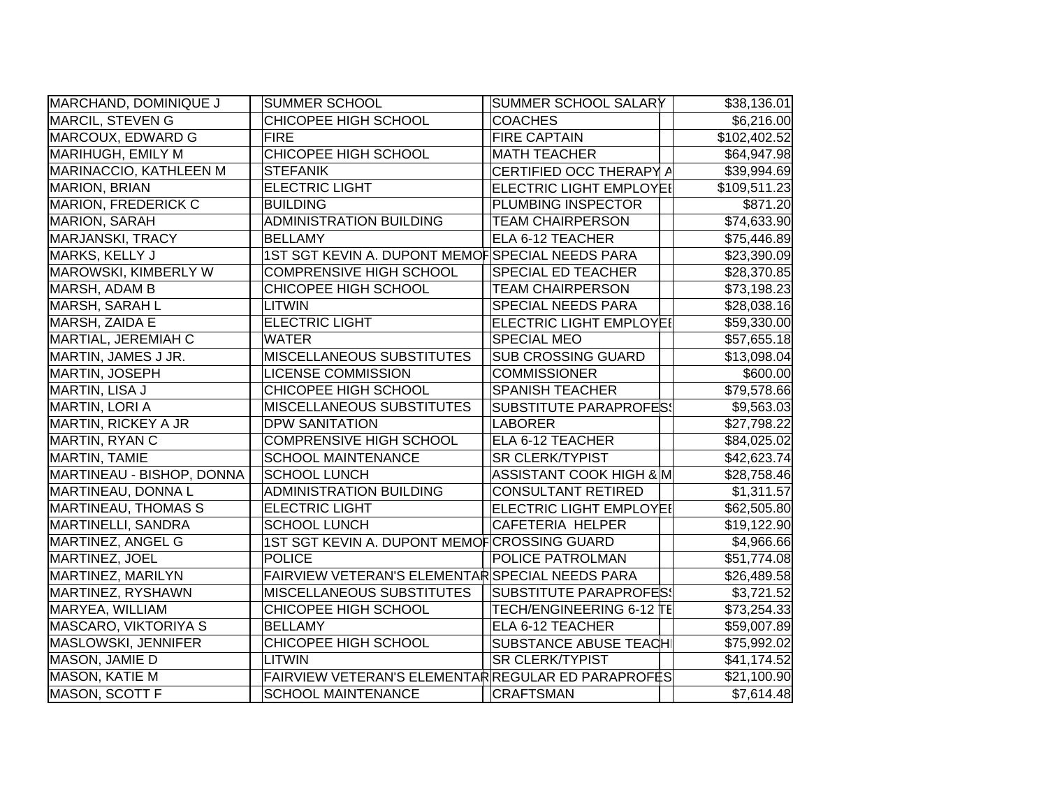| MARCHAND, DOMINIQUE J      | SUMMER SCHOOL                                      | SUMMER SCHOOL SALARY           | \$38,136.01  |
|----------------------------|----------------------------------------------------|--------------------------------|--------------|
| MARCIL, STEVEN G           | CHICOPEE HIGH SCHOOL                               | <b>COACHES</b>                 | \$6,216.00   |
| MARCOUX, EDWARD G          | <b>FIRE</b>                                        | <b>FIRE CAPTAIN</b>            | \$102,402.52 |
| MARIHUGH, EMILY M          | CHICOPEE HIGH SCHOOL                               | <b>MATH TEACHER</b>            | \$64,947.98  |
| MARINACCIO, KATHLEEN M     | <b>STEFANIK</b>                                    | CERTIFIED OCC THERAPY A        | \$39,994.69  |
| MARION, BRIAN              | <b>ELECTRIC LIGHT</b>                              | <b>ELECTRIC LIGHT EMPLOYEI</b> | \$109,511.23 |
| <b>MARION, FREDERICK C</b> | <b>BUILDING</b>                                    | PLUMBING INSPECTOR             | \$871.20     |
| <b>MARION, SARAH</b>       | <b>ADMINISTRATION BUILDING</b>                     | <b>TEAM CHAIRPERSON</b>        | \$74,633.90  |
| MARJANSKI, TRACY           | <b>BELLAMY</b>                                     | ELA 6-12 TEACHER               | \$75,446.89  |
| MARKS, KELLY J             | 1ST SGT KEVIN A. DUPONT MEMOFSPECIAL NEEDS PARA    |                                | \$23,390.09  |
| MAROWSKI, KIMBERLY W       | <b>COMPRENSIVE HIGH SCHOOL</b>                     | SPECIAL ED TEACHER             | \$28,370.85  |
| MARSH, ADAM B              | CHICOPEE HIGH SCHOOL                               | <b>TEAM CHAIRPERSON</b>        | \$73,198.23  |
| MARSH, SARAH L             | <b>LITWIN</b>                                      | SPECIAL NEEDS PARA             | \$28,038.16  |
| MARSH, ZAIDA E             | <b>ELECTRIC LIGHT</b>                              | <b>ELECTRIC LIGHT EMPLOYEI</b> | \$59,330.00  |
| MARTIAL, JEREMIAH C        | <b>WATER</b>                                       | <b>SPECIAL MEO</b>             | \$57,655.18  |
| MARTIN, JAMES J JR.        | MISCELLANEOUS SUBSTITUTES                          | <b>SUB CROSSING GUARD</b>      | \$13,098.04  |
| MARTIN, JOSEPH             | <b>LICENSE COMMISSION</b>                          | <b>COMMISSIONER</b>            | \$600.00     |
| MARTIN, LISA J             | CHICOPEE HIGH SCHOOL                               | <b>SPANISH TEACHER</b>         | \$79,578.66  |
| MARTIN, LORI A             | <b>MISCELLANEOUS SUBSTITUTES</b>                   | <b>SUBSTITUTE PARAPROFES!</b>  | \$9,563.03   |
| MARTIN, RICKEY A JR        | <b>DPW SANITATION</b>                              | <b>LABORER</b>                 | \$27,798.22  |
| MARTIN, RYAN C             | <b>COMPRENSIVE HIGH SCHOOL</b>                     | ELA 6-12 TEACHER               | \$84,025.02  |
| MARTIN, TAMIE              | <b>SCHOOL MAINTENANCE</b>                          | <b>SR CLERK/TYPIST</b>         | \$42,623.74  |
| MARTINEAU - BISHOP, DONNA  | <b>SCHOOL LUNCH</b>                                | ASSISTANT COOK HIGH & M        | \$28,758.46  |
| MARTINEAU, DONNA L         | <b>ADMINISTRATION BUILDING</b>                     | <b>CONSULTANT RETIRED</b>      | \$1,311.57   |
| MARTINEAU, THOMAS S        | <b>ELECTRIC LIGHT</b>                              | ELECTRIC LIGHT EMPLOYEI        | \$62,505.80  |
| MARTINELLI, SANDRA         | <b>SCHOOL LUNCH</b>                                | <b>CAFETERIA HELPER</b>        | \$19,122.90  |
| MARTINEZ, ANGEL G          | 1ST SGT KEVIN A. DUPONT MEMOF CROSSING GUARD       |                                | \$4,966.66   |
| MARTINEZ, JOEL             | <b>POLICE</b>                                      | POLICE PATROLMAN               | \$51,774.08  |
| MARTINEZ, MARILYN          | FAIRVIEW VETERAN'S ELEMENTAR SPECIAL NEEDS PARA    |                                | \$26,489.58  |
| MARTINEZ, RYSHAWN          | MISCELLANEOUS SUBSTITUTES                          | <b>SUBSTITUTE PARAPROFES!</b>  | \$3,721.52   |
| MARYEA, WILLIAM            | CHICOPEE HIGH SCHOOL                               | TECH/ENGINEERING 6-12 TE       | \$73,254.33  |
| MASCARO, VIKTORIYA S       | <b>BELLAMY</b>                                     | ELA 6-12 TEACHER               | \$59,007.89  |
| MASLOWSKI, JENNIFER        | CHICOPEE HIGH SCHOOL                               | SUBSTANCE ABUSE TEACH          | \$75,992.02  |
| MASON, JAMIE D             | <b>LITWIN</b>                                      | <b>SR CLERK/TYPIST</b>         | \$41,174.52  |
| MASON, KATIE M             | FAIRVIEW VETERAN'S ELEMENTAR REGULAR ED PARAPROFES |                                | \$21,100.90  |
| MASON, SCOTT F             | <b>SCHOOL MAINTENANCE</b>                          | <b>CRAFTSMAN</b>               | \$7,614.48   |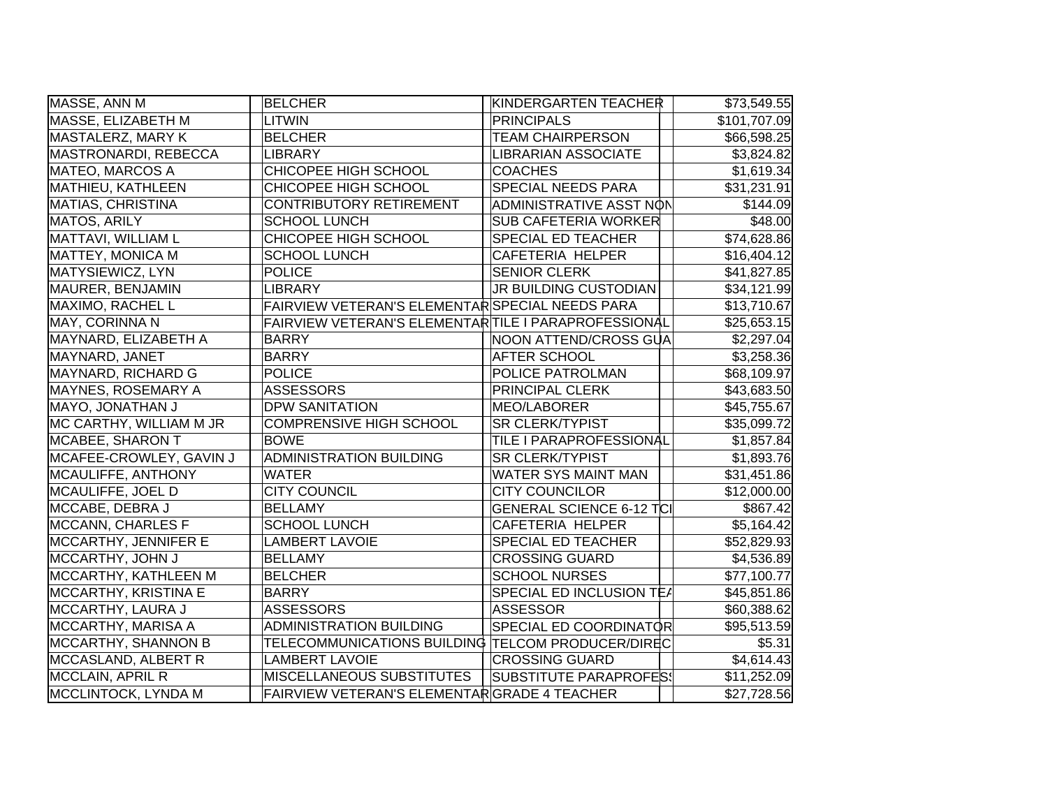| MASSE, ANN M                | <b>BELCHER</b>                                       | KINDERGARTEN TEACHER            | \$73,549.55  |
|-----------------------------|------------------------------------------------------|---------------------------------|--------------|
| MASSE, ELIZABETH M          | <b>LITWIN</b>                                        | <b>PRINCIPALS</b>               | \$101,707.09 |
| MASTALERZ, MARY K           | <b>BELCHER</b>                                       | <b>TEAM CHAIRPERSON</b>         | \$66,598.25  |
| MASTRONARDI, REBECCA        | <b>LIBRARY</b>                                       | <b>LIBRARIAN ASSOCIATE</b>      | \$3,824.82   |
| MATEO, MARCOS A             | CHICOPEE HIGH SCHOOL                                 | <b>COACHES</b>                  | \$1,619.34   |
| MATHIEU, KATHLEEN           | CHICOPEE HIGH SCHOOL                                 | <b>SPECIAL NEEDS PARA</b>       | \$31,231.91  |
| <b>MATIAS, CHRISTINA</b>    | <b>CONTRIBUTORY RETIREMENT</b>                       | ADMINISTRATIVE ASST NON         | \$144.09     |
| <b>MATOS, ARILY</b>         | <b>SCHOOL LUNCH</b>                                  | <b>SUB CAFETERIA WORKER</b>     | \$48.00      |
| MATTAVI, WILLIAM L          | CHICOPEE HIGH SCHOOL                                 | SPECIAL ED TEACHER              | \$74,628.86  |
| MATTEY, MONICA M            | <b>SCHOOL LUNCH</b>                                  | <b>CAFETERIA HELPER</b>         | \$16,404.12  |
| MATYSIEWICZ, LYN            | <b>POLICE</b>                                        | <b>SENIOR CLERK</b>             | \$41,827.85  |
| MAURER, BENJAMIN            | <b>LIBRARY</b>                                       | JR BUILDING CUSTODIAN           | \$34,121.99  |
| MAXIMO, RACHEL L            | FAIRVIEW VETERAN'S ELEMENTAR SPECIAL NEEDS PARA      |                                 | \$13,710.67  |
| MAY, CORINNA N              | FAIRVIEW VETERAN'S ELEMENTAR TILE I PARAPROFESSIONAL |                                 | \$25,653.15  |
| MAYNARD, ELIZABETH A        | <b>BARRY</b>                                         | NOON ATTEND/CROSS GUA           | \$2,297.04   |
| MAYNARD, JANET              | <b>BARRY</b>                                         | <b>AFTER SCHOOL</b>             | \$3,258.36   |
| MAYNARD, RICHARD G          | <b>POLICE</b>                                        | POLICE PATROLMAN                | \$68,109.97  |
| MAYNES, ROSEMARY A          | <b>ASSESSORS</b>                                     | <b>PRINCIPAL CLERK</b>          | \$43,683.50  |
| MAYO, JONATHAN J            | <b>DPW SANITATION</b>                                | MEO/LABORER                     | \$45,755.67  |
| MC CARTHY, WILLIAM M JR     | <b>COMPRENSIVE HIGH SCHOOL</b>                       | <b>SR CLERK/TYPIST</b>          | \$35,099.72  |
| MCABEE, SHARON T            | <b>BOWE</b>                                          | <b>TILE I PARAPROFESSIONAL</b>  | \$1,857.84   |
| MCAFEE-CROWLEY, GAVIN J     | <b>ADMINISTRATION BUILDING</b>                       | <b>SR CLERK/TYPIST</b>          | \$1,893.76   |
| MCAULIFFE, ANTHONY          | <b>WATER</b>                                         | <b>WATER SYS MAINT MAN</b>      | \$31,451.86  |
| MCAULIFFE, JOEL D           | <b>CITY COUNCIL</b>                                  | <b>CITY COUNCILOR</b>           | \$12,000.00  |
| MCCABE, DEBRA J             | <b>BELLAMY</b>                                       | <b>GENERAL SCIENCE 6-12 TCI</b> | \$867.42     |
| MCCANN, CHARLES F           | <b>SCHOOL LUNCH</b>                                  | <b>CAFETERIA HELPER</b>         | \$5,164.42   |
| MCCARTHY, JENNIFER E        | <b>LAMBERT LAVOIE</b>                                | SPECIAL ED TEACHER              | \$52,829.93  |
| MCCARTHY, JOHN J            | <b>BELLAMY</b>                                       | <b>CROSSING GUARD</b>           | \$4,536.89   |
| MCCARTHY, KATHLEEN M        | <b>BELCHER</b>                                       | <b>SCHOOL NURSES</b>            | \$77,100.77  |
| <b>MCCARTHY, KRISTINA E</b> | <b>BARRY</b>                                         | SPECIAL ED INCLUSION TE/        | \$45,851.86  |
| MCCARTHY, LAURA J           | <b>ASSESSORS</b>                                     | <b>ASSESSOR</b>                 | \$60,388.62  |
| MCCARTHY, MARISA A          | ADMINISTRATION BUILDING                              | SPECIAL ED COORDINATOR          | \$95,513.59  |
| MCCARTHY, SHANNON B         | TELECOMMUNICATIONS BUILDING TELCOM PRODUCER/DIREC    |                                 | \$5.31       |
| MCCASLAND, ALBERT R         | <b>LAMBERT LAVOIE</b>                                | <b>CROSSING GUARD</b>           | \$4,614.43   |
| MCCLAIN, APRIL R            | MISCELLANEOUS SUBSTITUTES                            | <b>SUBSTITUTE PARAPROFES!</b>   | \$11,252.09  |
| MCCLINTOCK, LYNDA M         | FAIRVIEW VETERAN'S ELEMENTARGRADE 4 TEACHER          |                                 | \$27,728.56  |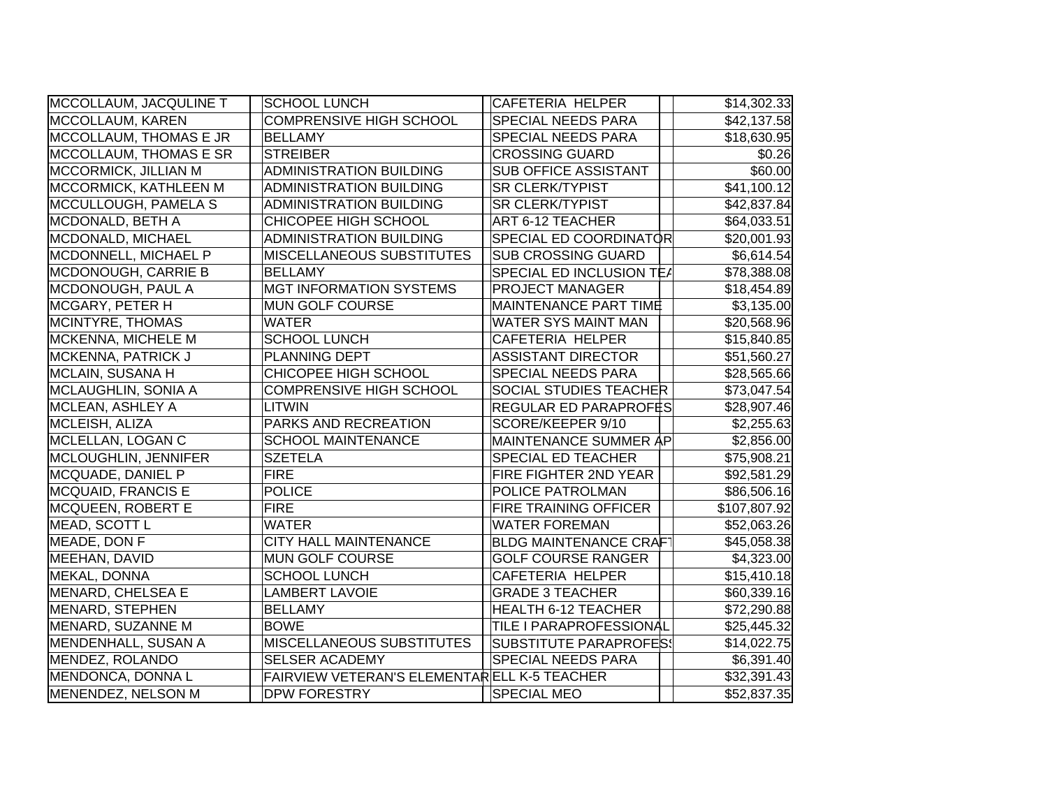| MCCOLLAUM, JACQULINE T        | <b>SCHOOL LUNCH</b>                         | CAFETERIA HELPER                | \$14,302.33  |
|-------------------------------|---------------------------------------------|---------------------------------|--------------|
| MCCOLLAUM, KAREN              | <b>COMPRENSIVE HIGH SCHOOL</b>              | <b>SPECIAL NEEDS PARA</b>       | \$42,137.58  |
| MCCOLLAUM, THOMAS E JR        | <b>BELLAMY</b>                              | <b>SPECIAL NEEDS PARA</b>       | \$18,630.95  |
| <b>MCCOLLAUM, THOMAS E SR</b> | <b>STREIBER</b>                             | <b>CROSSING GUARD</b>           | \$0.26       |
| MCCORMICK, JILLIAN M          | <b>ADMINISTRATION BUILDING</b>              | <b>SUB OFFICE ASSISTANT</b>     | \$60.00      |
| MCCORMICK, KATHLEEN M         | <b>ADMINISTRATION BUILDING</b>              | <b>SR CLERK/TYPIST</b>          | \$41,100.12  |
| MCCULLOUGH, PAMELA S          | <b>ADMINISTRATION BUILDING</b>              | <b>SR CLERK/TYPIST</b>          | \$42,837.84  |
| MCDONALD, BETH A              | CHICOPEE HIGH SCHOOL                        | <b>ART 6-12 TEACHER</b>         | \$64,033.51  |
| MCDONALD, MICHAEL             | <b>ADMINISTRATION BUILDING</b>              | SPECIAL ED COORDINATOR          | \$20,001.93  |
| MCDONNELL, MICHAEL P          | <b>MISCELLANEOUS SUBSTITUTES</b>            | <b>SUB CROSSING GUARD</b>       | \$6,614.54   |
| MCDONOUGH, CARRIE B           | <b>BELLAMY</b>                              | <b>SPECIAL ED INCLUSION TEA</b> | \$78,388.08  |
| MCDONOUGH, PAUL A             | <b>MGT INFORMATION SYSTEMS</b>              | <b>PROJECT MANAGER</b>          | \$18,454.89  |
| MCGARY, PETER H               | <b>MUN GOLF COURSE</b>                      | <b>MAINTENANCE PART TIME</b>    | \$3,135.00   |
| MCINTYRE, THOMAS              | <b>WATER</b>                                | <b>WATER SYS MAINT MAN</b>      | \$20,568.96  |
| MCKENNA, MICHELE M            | <b>SCHOOL LUNCH</b>                         | <b>CAFETERIA HELPER</b>         | \$15,840.85  |
| <b>MCKENNA, PATRICK J</b>     | PLANNING DEPT                               | <b>ASSISTANT DIRECTOR</b>       | \$51,560.27  |
| MCLAIN, SUSANA H              | CHICOPEE HIGH SCHOOL                        | <b>SPECIAL NEEDS PARA</b>       | \$28,565.66  |
| MCLAUGHLIN, SONIA A           | <b>COMPRENSIVE HIGH SCHOOL</b>              | <b>SOCIAL STUDIES TEACHER</b>   | \$73,047.54  |
| MCLEAN, ASHLEY A              | <b>LITWIN</b>                               | REGULAR ED PARAPROFES           | \$28,907.46  |
| MCLEISH, ALIZA                | PARKS AND RECREATION                        | SCORE/KEEPER 9/10               | \$2,255.63   |
| MCLELLAN, LOGAN C             | <b>SCHOOL MAINTENANCE</b>                   | MAINTENANCE SUMMER AP           | \$2,856.00   |
| MCLOUGHLIN, JENNIFER          | <b>SZETELA</b>                              | <b>SPECIAL ED TEACHER</b>       | \$75,908.21  |
| MCQUADE, DANIEL P             | <b>FIRE</b>                                 | <b>FIRE FIGHTER 2ND YEAR</b>    | \$92,581.29  |
| <b>MCQUAID, FRANCIS E</b>     | <b>POLICE</b>                               | <b>POLICE PATROLMAN</b>         | \$86,506.16  |
| MCQUEEN, ROBERT E             | <b>FIRE</b>                                 | <b>FIRE TRAINING OFFICER</b>    | \$107,807.92 |
| MEAD, SCOTT L                 | <b>WATER</b>                                | <b>WATER FOREMAN</b>            | \$52,063.26  |
| MEADE, DON F                  | <b>CITY HALL MAINTENANCE</b>                | <b>BLDG MAINTENANCE CRAF</b>    | \$45,058.38  |
| MEEHAN, DAVID                 | <b>MUN GOLF COURSE</b>                      | <b>GOLF COURSE RANGER</b>       | \$4,323.00   |
| MEKAL, DONNA                  | <b>SCHOOL LUNCH</b>                         | <b>CAFETERIA HELPER</b>         | \$15,410.18  |
| MENARD, CHELSEA E             | <b>LAMBERT LAVOIE</b>                       | <b>GRADE 3 TEACHER</b>          | \$60,339.16  |
| MENARD, STEPHEN               | <b>BELLAMY</b>                              | <b>HEALTH 6-12 TEACHER</b>      | \$72,290.88  |
| MENARD, SUZANNE M             | <b>BOWE</b>                                 | TILE I PARAPROFESSIONAL         | \$25,445.32  |
| MENDENHALL, SUSAN A           | <b>MISCELLANEOUS SUBSTITUTES</b>            | <b>SUBSTITUTE PARAPROFES!</b>   | \$14,022.75  |
| MENDEZ, ROLANDO               | <b>SELSER ACADEMY</b>                       | <b>SPECIAL NEEDS PARA</b>       | \$6,391.40   |
| MENDONCA, DONNA L             | FAIRVIEW VETERAN'S ELEMENTARELL K-5 TEACHER |                                 | \$32,391.43  |
| MENENDEZ, NELSON M            | <b>DPW FORESTRY</b>                         | <b>SPECIAL MEO</b>              | \$52,837.35  |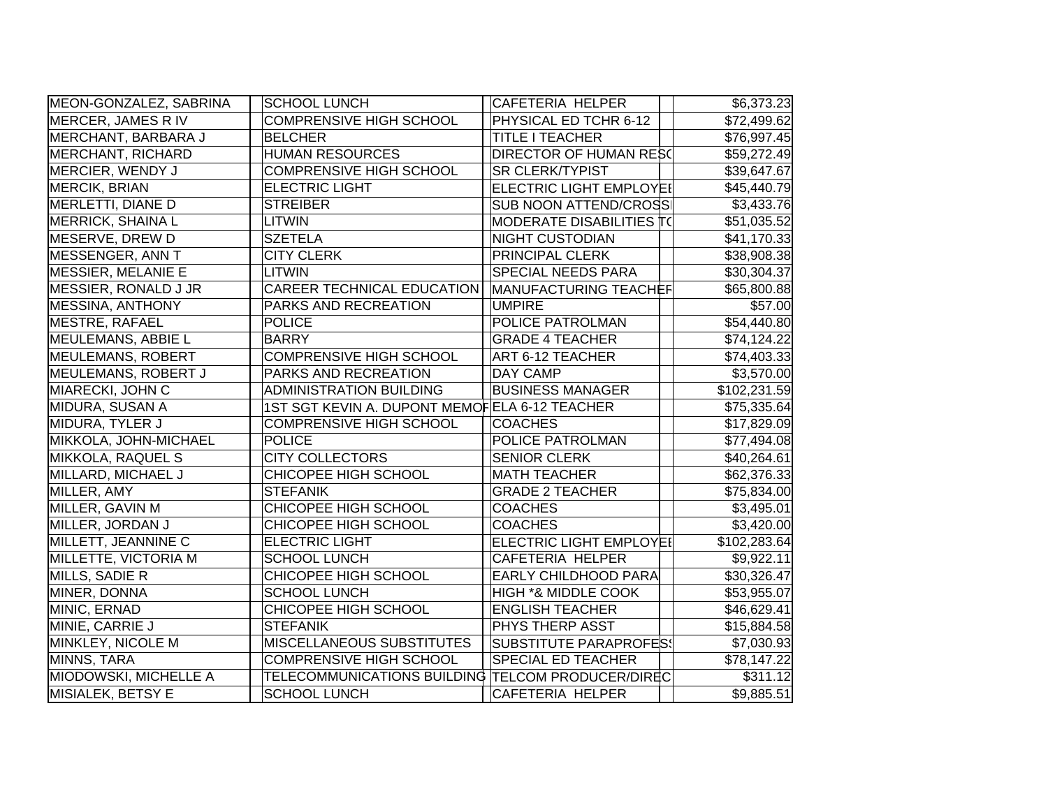| MEON-GONZALEZ, SABRINA    | <b>SCHOOL LUNCH</b>                               | <b>CAFETERIA HELPER</b>        | \$6,373.23   |
|---------------------------|---------------------------------------------------|--------------------------------|--------------|
| <b>MERCER, JAMES RIV</b>  | <b>COMPRENSIVE HIGH SCHOOL</b>                    | PHYSICAL ED TCHR 6-12          | \$72,499.62  |
| MERCHANT, BARBARA J       | <b>BELCHER</b>                                    | <b>TITLE I TEACHER</b>         | \$76,997.45  |
| <b>MERCHANT, RICHARD</b>  | <b>HUMAN RESOURCES</b>                            | <b>DIRECTOR OF HUMAN RESC</b>  | \$59,272.49  |
| MERCIER, WENDY J          | <b>COMPRENSIVE HIGH SCHOOL</b>                    | <b>SR CLERK/TYPIST</b>         | \$39,647.67  |
| <b>MERCIK, BRIAN</b>      | <b>ELECTRIC LIGHT</b>                             | ELECTRIC LIGHT EMPLOYEI        | \$45,440.79  |
| MERLETTI, DIANE D         | <b>STREIBER</b>                                   | <b>SUB NOON ATTEND/CROSS</b>   | \$3,433.76   |
| <b>MERRICK, SHAINA L</b>  | LITWIN                                            | MODERATE DISABILITIES T(       | \$51,035.52  |
| MESERVE, DREW D           | <b>SZETELA</b>                                    | <b>NIGHT CUSTODIAN</b>         | \$41,170.33  |
| MESSENGER, ANN T          | <b>CITY CLERK</b>                                 | PRINCIPAL CLERK                | \$38,908.38  |
| <b>MESSIER, MELANIE E</b> | LITWIN                                            | <b>SPECIAL NEEDS PARA</b>      | \$30,304.37  |
| MESSIER, RONALD J JR      | CAREER TECHNICAL EDUCATION                        | MANUFACTURING TEACHEF          | \$65,800.88  |
| <b>MESSINA, ANTHONY</b>   | PARKS AND RECREATION                              | <b>UMPIRE</b>                  | \$57.00      |
| <b>MESTRE, RAFAEL</b>     | <b>POLICE</b>                                     | POLICE PATROLMAN               | \$54,440.80  |
| <b>MEULEMANS, ABBIE L</b> | <b>BARRY</b>                                      | <b>GRADE 4 TEACHER</b>         | \$74,124.22  |
| <b>MEULEMANS, ROBERT</b>  | COMPRENSIVE HIGH SCHOOL                           | <b>ART 6-12 TEACHER</b>        | \$74,403.33  |
| MEULEMANS, ROBERT J       | PARKS AND RECREATION                              | <b>DAY CAMP</b>                | \$3,570.00   |
| MIARECKI, JOHN C          | <b>ADMINISTRATION BUILDING</b>                    | <b>BUSINESS MANAGER</b>        | \$102,231.59 |
| MIDURA, SUSAN A           | 1ST SGT KEVIN A. DUPONT MEMOFELA 6-12 TEACHER     |                                | \$75,335.64  |
| MIDURA, TYLER J           | <b>COMPRENSIVE HIGH SCHOOL</b>                    | <b>COACHES</b>                 | \$17,829.09  |
| MIKKOLA, JOHN-MICHAEL     | <b>POLICE</b>                                     | POLICE PATROLMAN               | \$77,494.08  |
| MIKKOLA, RAQUEL S         | <b>CITY COLLECTORS</b>                            | <b>SENIOR CLERK</b>            | \$40,264.61  |
| MILLARD, MICHAEL J        | <b>CHICOPEE HIGH SCHOOL</b>                       | <b>MATH TEACHER</b>            | \$62,376.33  |
| MILLER, AMY               | <b>STEFANIK</b>                                   | <b>GRADE 2 TEACHER</b>         | \$75,834.00  |
| MILLER, GAVIN M           | CHICOPEE HIGH SCHOOL                              | <b>COACHES</b>                 | \$3,495.01   |
| MILLER, JORDAN J          | <b>CHICOPEE HIGH SCHOOL</b>                       | <b>COACHES</b>                 | \$3,420.00   |
| MILLETT, JEANNINE C       | <b>ELECTRIC LIGHT</b>                             | <b>ELECTRIC LIGHT EMPLOYE!</b> | \$102,283.64 |
| MILLETTE, VICTORIA M      | <b>SCHOOL LUNCH</b>                               | <b>CAFETERIA HELPER</b>        | \$9,922.11   |
| MILLS, SADIE R            | CHICOPEE HIGH SCHOOL                              | <b>EARLY CHILDHOOD PARA</b>    | \$30,326.47  |
| MINER, DONNA              | <b>SCHOOL LUNCH</b>                               | <b>HIGH *&amp; MIDDLE COOK</b> | \$53,955.07  |
| MINIC, ERNAD              | CHICOPEE HIGH SCHOOL                              | <b>ENGLISH TEACHER</b>         | \$46,629.41  |
| MINIE, CARRIE J           | <b>STEFANIK</b>                                   | PHYS THERP ASST                | \$15,884.58  |
| MINKLEY, NICOLE M         | <b>MISCELLANEOUS SUBSTITUTES</b>                  | SUBSTITUTE PARAPROFES!         | \$7,030.93   |
| MINNS, TARA               | <b>COMPRENSIVE HIGH SCHOOL</b>                    | <b>SPECIAL ED TEACHER</b>      | \$78,147.22  |
| MIODOWSKI, MICHELLE A     | TELECOMMUNICATIONS BUILDING TELCOM PRODUCER/DIREC |                                | \$311.12     |
| MISIALEK, BETSY E         | <b>SCHOOL LUNCH</b>                               | <b>CAFETERIA HELPER</b>        | \$9,885.51   |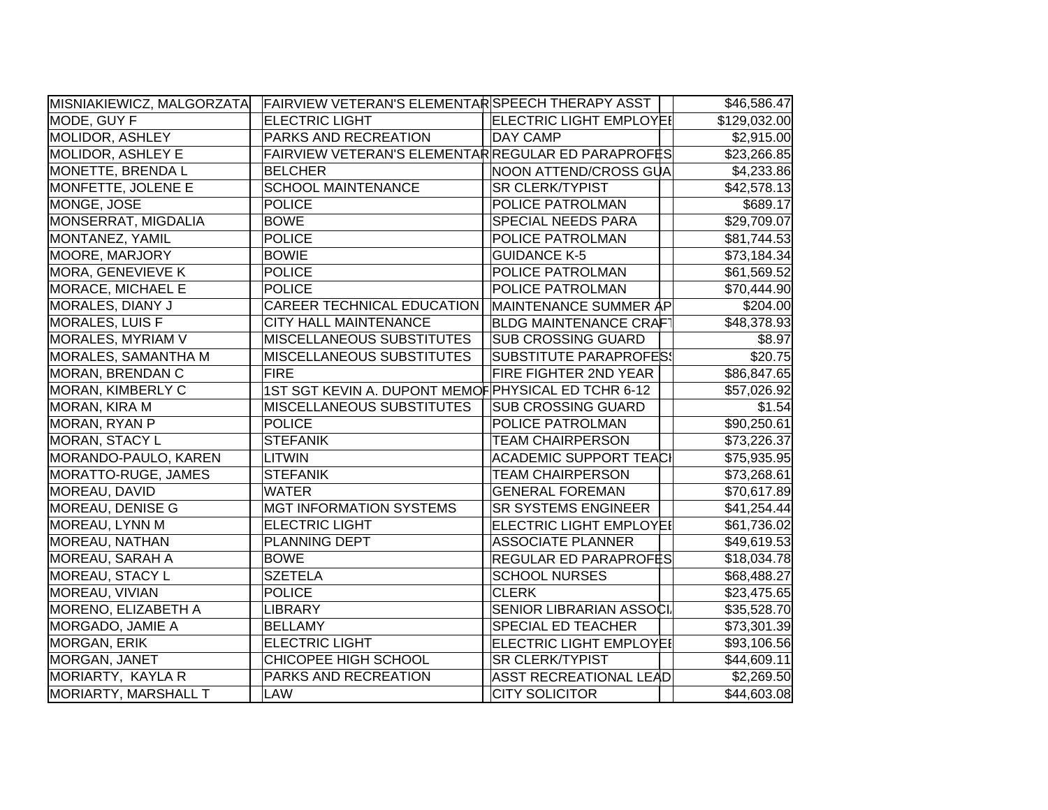| MISNIAKIEWICZ, MALGORZATA  | FAIRVIEW VETERAN'S ELEMENTAR SPEECH THERAPY ASST    |                                | \$46,586.47  |
|----------------------------|-----------------------------------------------------|--------------------------------|--------------|
| MODE, GUY F                | <b>ELECTRIC LIGHT</b>                               | <b>ELECTRIC LIGHT EMPLOYEI</b> | \$129,032.00 |
| <b>MOLIDOR, ASHLEY</b>     | PARKS AND RECREATION                                | <b>DAY CAMP</b>                | \$2,915.00   |
| <b>MOLIDOR, ASHLEY E</b>   | FAIRVIEW VETERAN'S ELEMENTAR REGULAR ED PARAPROFES  |                                | \$23,266.85  |
| MONETTE, BRENDA L          | BELCHER                                             | NOON ATTEND/CROSS GUA          | \$4,233.86   |
| MONFETTE, JOLENE E         | <b>SCHOOL MAINTENANCE</b>                           | <b>SR CLERK/TYPIST</b>         | \$42,578.13  |
| MONGE, JOSE                | <b>POLICE</b>                                       | POLICE PATROLMAN               | \$689.17     |
| MONSERRAT, MIGDALIA        | <b>BOWE</b>                                         | SPECIAL NEEDS PARA             | \$29,709.07  |
| MONTANEZ, YAMIL            | <b>POLICE</b>                                       | POLICE PATROLMAN               | \$81,744.53  |
| MOORE, MARJORY             | <b>BOWIE</b>                                        | <b>GUIDANCE K-5</b>            | \$73,184.34  |
| MORA, GENEVIEVE K          | <b>POLICE</b>                                       | POLICE PATROLMAN               | \$61,569.52  |
| MORACE, MICHAEL E          | <b>POLICE</b>                                       | POLICE PATROLMAN               | \$70,444.90  |
| MORALES, DIANY J           | CAREER TECHNICAL EDUCATION                          | MAINTENANCE SUMMER AP          | \$204.00     |
| MORALES, LUIS F            | CITY HALL MAINTENANCE                               | <b>BLDG MAINTENANCE CRAFT</b>  | \$48,378.93  |
| MORALES, MYRIAM V          | MISCELLANEOUS SUBSTITUTES                           | <b>SUB CROSSING GUARD</b>      | \$8.97       |
| <b>MORALES, SAMANTHA M</b> | MISCELLANEOUS SUBSTITUTES                           | <b>SUBSTITUTE PARAPROFES!</b>  | \$20.75      |
| MORAN, BRENDAN C           | <b>FIRE</b>                                         | FIRE FIGHTER 2ND YEAR          | \$86,847.65  |
| MORAN, KIMBERLY C          | 1ST SGT KEVIN A. DUPONT MEMOF PHYSICAL ED TCHR 6-12 |                                | \$57,026.92  |
| MORAN, KIRA M              | MISCELLANEOUS SUBSTITUTES                           | <b>SUB CROSSING GUARD</b>      | \$1.54       |
| MORAN, RYAN P              | <b>POLICE</b>                                       | POLICE PATROLMAN               | \$90,250.61  |
| <b>MORAN, STACY L</b>      | <b>STEFANIK</b>                                     | <b>TEAM CHAIRPERSON</b>        | \$73,226.37  |
| MORANDO-PAULO, KAREN       | LITWIN                                              | <b>ACADEMIC SUPPORT TEACI</b>  | \$75,935.95  |
| MORATTO-RUGE, JAMES        | <b>STEFANIK</b>                                     | <b>TEAM CHAIRPERSON</b>        | \$73,268.61  |
| MOREAU, DAVID              | <b>WATER</b>                                        | <b>GENERAL FOREMAN</b>         | \$70,617.89  |
| MOREAU, DENISE G           | <b>MGT INFORMATION SYSTEMS</b>                      | <b>SR SYSTEMS ENGINEER</b>     | \$41,254.44  |
| MOREAU, LYNN M             | <b>ELECTRIC LIGHT</b>                               | <b>ELECTRIC LIGHT EMPLOYE!</b> | \$61,736.02  |
| MOREAU, NATHAN             | PLANNING DEPT                                       | <b>ASSOCIATE PLANNER</b>       | \$49,619.53  |
| MOREAU, SARAH A            | <b>BOWE</b>                                         | REGULAR ED PARAPROFES          | \$18,034.78  |
| MOREAU, STACY L            | <b>SZETELA</b>                                      | <b>SCHOOL NURSES</b>           | \$68,488.27  |
| MOREAU, VIVIAN             | <b>POLICE</b>                                       | <b>CLERK</b>                   | \$23,475.65  |
| MORENO, ELIZABETH A        | LIBRARY                                             | SENIOR LIBRARIAN ASSOCI.       | \$35,528.70  |
| MORGADO, JAMIE A           | <b>BELLAMY</b>                                      | SPECIAL ED TEACHER             | \$73,301.39  |
| MORGAN, ERIK               | <b>ELECTRIC LIGHT</b>                               | ELECTRIC LIGHT EMPLOYEI        | \$93,106.56  |
| MORGAN, JANET              | CHICOPEE HIGH SCHOOL                                | <b>SR CLERK/TYPIST</b>         | \$44,609.11  |
| MORIARTY, KAYLA R          | PARKS AND RECREATION                                | <b>ASST RECREATIONAL LEAD</b>  | \$2,269.50   |
| MORIARTY, MARSHALL T       | LAW                                                 | <b>CITY SOLICITOR</b>          | \$44,603.08  |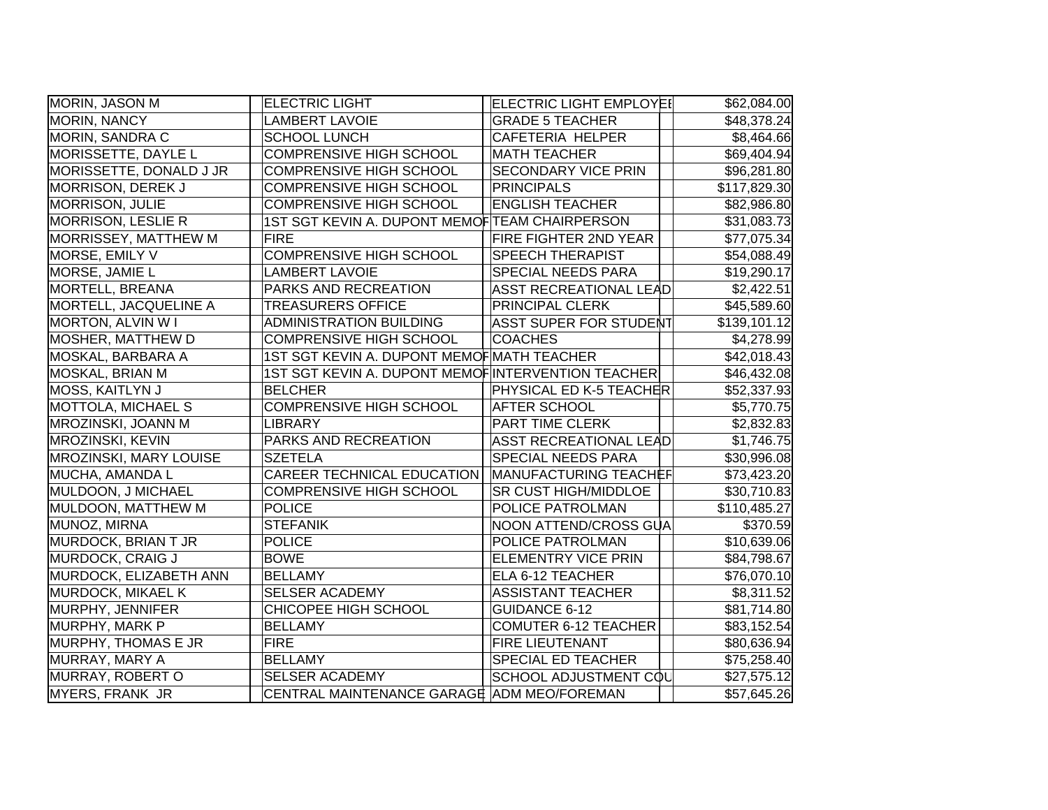| MORIN, JASON M                | <b>ELECTRIC LIGHT</b>                             | <b>ELECTRIC LIGHT EMPLOYEI</b> | \$62,084.00  |
|-------------------------------|---------------------------------------------------|--------------------------------|--------------|
| MORIN, NANCY                  | <b>LAMBERT LAVOIE</b>                             | <b>GRADE 5 TEACHER</b>         | \$48,378.24  |
| MORIN, SANDRA C               | <b>SCHOOL LUNCH</b>                               | <b>CAFETERIA HELPER</b>        | \$8,464.66   |
| MORISSETTE, DAYLE L           | <b>COMPRENSIVE HIGH SCHOOL</b>                    | <b>MATH TEACHER</b>            | \$69,404.94  |
| MORISSETTE, DONALD J JR       | <b>COMPRENSIVE HIGH SCHOOL</b>                    | <b>SECONDARY VICE PRIN</b>     | \$96,281.80  |
| <b>MORRISON, DEREK J</b>      | <b>COMPRENSIVE HIGH SCHOOL</b>                    | <b>PRINCIPALS</b>              | \$117,829.30 |
| <b>MORRISON, JULIE</b>        | <b>COMPRENSIVE HIGH SCHOOL</b>                    | <b>ENGLISH TEACHER</b>         | \$82,986.80  |
| <b>MORRISON, LESLIE R</b>     | 1ST SGT KEVIN A. DUPONT MEMOF TEAM CHAIRPERSON    |                                | \$31,083.73  |
| <b>MORRISSEY, MATTHEW M</b>   | <b>FIRE</b>                                       | FIRE FIGHTER 2ND YEAR          | \$77,075.34  |
| MORSE, EMILY V                | <b>COMPRENSIVE HIGH SCHOOL</b>                    | <b>SPEECH THERAPIST</b>        | \$54,088.49  |
| MORSE, JAMIE L                | <b>LAMBERT LAVOIE</b>                             | SPECIAL NEEDS PARA             | \$19,290.17  |
| <b>MORTELL, BREANA</b>        | PARKS AND RECREATION                              | ASST RECREATIONAL LEAD         | \$2,422.51   |
| MORTELL, JACQUELINE A         | <b>TREASURERS OFFICE</b>                          | <b>PRINCIPAL CLERK</b>         | \$45,589.60  |
| MORTON, ALVIN W I             | <b>ADMINISTRATION BUILDING</b>                    | <b>ASST SUPER FOR STUDENT</b>  | \$139,101.12 |
| MOSHER, MATTHEW D             | <b>COMPRENSIVE HIGH SCHOOL</b>                    | <b>COACHES</b>                 | \$4,278.99   |
| MOSKAL, BARBARA A             | 1ST SGT KEVIN A. DUPONT MEMOF MATH TEACHER        |                                | \$42,018.43  |
| MOSKAL, BRIAN M               | 1ST SGT KEVIN A. DUPONT MEMOFINTERVENTION TEACHER |                                | \$46,432.08  |
| MOSS, KAITLYN J               | <b>BELCHER</b>                                    | <b>PHYSICAL ED K-5 TEACHER</b> | \$52,337.93  |
| <b>MOTTOLA, MICHAEL S</b>     | <b>COMPRENSIVE HIGH SCHOOL</b>                    | <b>AFTER SCHOOL</b>            | \$5,770.75   |
| <b>MROZINSKI, JOANN M</b>     | LIBRARY                                           | <b>PART TIME CLERK</b>         | \$2,832.83   |
| <b>MROZINSKI, KEVIN</b>       | PARKS AND RECREATION                              | <b>ASST RECREATIONAL LEAD</b>  | \$1,746.75   |
| <b>MROZINSKI, MARY LOUISE</b> | <b>SZETELA</b>                                    | <b>SPECIAL NEEDS PARA</b>      | \$30,996.08  |
| MUCHA, AMANDA L               | <b>CAREER TECHNICAL EDUCATION</b>                 | MANUFACTURING TEACHEF          | \$73,423.20  |
| MULDOON, J MICHAEL            | <b>COMPRENSIVE HIGH SCHOOL</b>                    | <b>SR CUST HIGH/MIDDLOE</b>    | \$30,710.83  |
| MULDOON, MATTHEW M            | <b>POLICE</b>                                     | POLICE PATROLMAN               | \$110,485.27 |
| <b>MUNOZ, MIRNA</b>           | <b>STEFANIK</b>                                   | NOON ATTEND/CROSS GUA          | \$370.59     |
| MURDOCK, BRIAN T JR           | <b>POLICE</b>                                     | POLICE PATROLMAN               | \$10,639.06  |
| MURDOCK, CRAIG J              | <b>BOWE</b>                                       | <b>ELEMENTRY VICE PRIN</b>     | \$84,798.67  |
| MURDOCK, ELIZABETH ANN        | <b>BELLAMY</b>                                    | ELA 6-12 TEACHER               | \$76,070.10  |
| <b>MURDOCK, MIKAEL K</b>      | <b>SELSER ACADEMY</b>                             | <b>ASSISTANT TEACHER</b>       | \$8,311.52   |
| MURPHY, JENNIFER              | CHICOPEE HIGH SCHOOL                              | <b>GUIDANCE 6-12</b>           | \$81,714.80  |
| MURPHY, MARK P                | <b>BELLAMY</b>                                    | <b>COMUTER 6-12 TEACHER</b>    | \$83,152.54  |
| MURPHY, THOMAS E JR           | <b>FIRE</b>                                       | <b>FIRE LIEUTENANT</b>         | \$80,636.94  |
| MURRAY, MARY A                | <b>BELLAMY</b>                                    | <b>SPECIAL ED TEACHER</b>      | \$75,258.40  |
| MURRAY, ROBERT O              | <b>SELSER ACADEMY</b>                             | SCHOOL ADJUSTMENT COL          | \$27,575.12  |
| <b>MYERS, FRANK JR</b>        | CENTRAL MAINTENANCE GARAGE ADM MEO/FOREMAN        |                                | \$57,645.26  |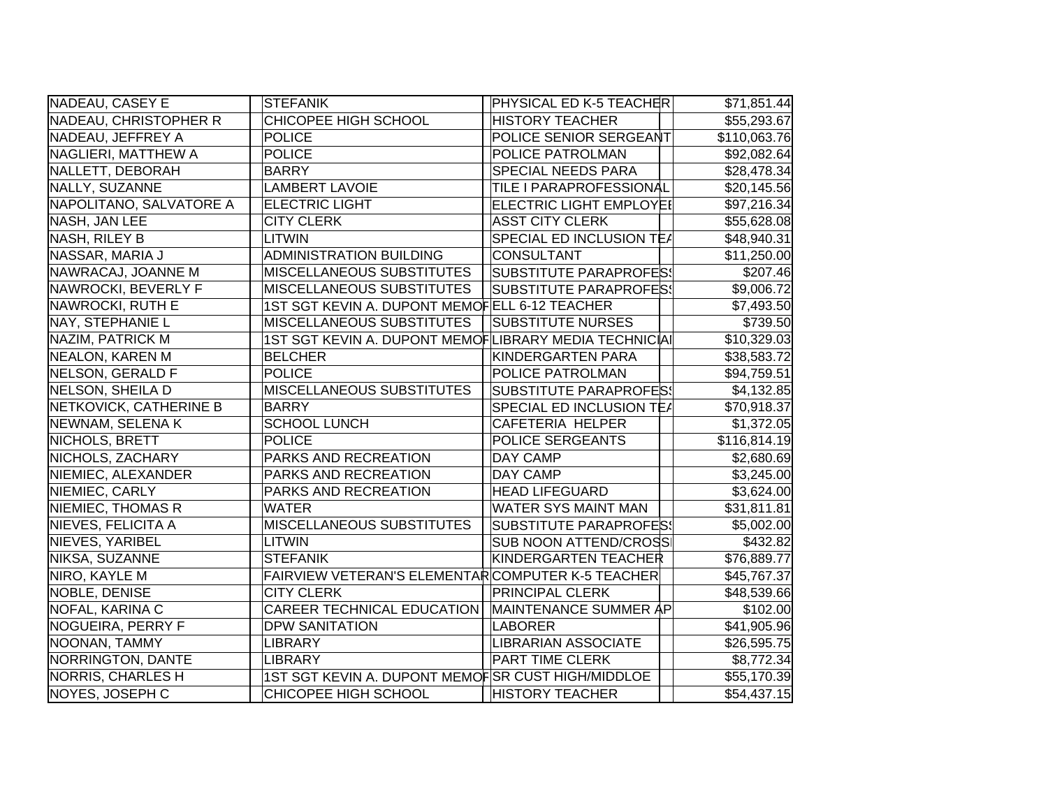| NADEAU, CASEY E          | <b>STEFANIK</b>                                       | PHYSICAL ED K-5 TEACHER        | \$71,851.44              |
|--------------------------|-------------------------------------------------------|--------------------------------|--------------------------|
| NADEAU, CHRISTOPHER R    | <b>CHICOPEE HIGH SCHOOL</b>                           | <b>HISTORY TEACHER</b>         | \$55,293.67              |
| NADEAU, JEFFREY A        | <b>POLICE</b>                                         | POLICE SENIOR SERGEANT         | \$110,063.76             |
| NAGLIERI, MATTHEW A      | <b>POLICE</b>                                         | POLICE PATROLMAN               | \$92,082.64              |
| NALLETT, DEBORAH         | <b>BARRY</b>                                          | SPECIAL NEEDS PARA             | \$28,478.34              |
| NALLY, SUZANNE           | <b>LAMBERT LAVOIE</b>                                 | TILE I PARAPROFESSIONAL        | \$20,145.56              |
| NAPOLITANO, SALVATORE A  | <b>ELECTRIC LIGHT</b>                                 | <b>ELECTRIC LIGHT EMPLOYE!</b> | \$97,216.34              |
| NASH, JAN LEE            | <b>CITY CLERK</b>                                     | <b>ASST CITY CLERK</b>         | \$55,628.08              |
| NASH, RILEY B            | <b>LITWIN</b>                                         | SPECIAL ED INCLUSION TE/       | \$48,940.31              |
| NASSAR, MARIA J          | <b>ADMINISTRATION BUILDING</b>                        | <b>CONSULTANT</b>              | $\overline{$11,250.00}$  |
| NAWRACAJ, JOANNE M       | MISCELLANEOUS SUBSTITUTES                             | SUBSTITUTE PARAPROFES!         | \$207.46                 |
| NAWROCKI, BEVERLY F      | MISCELLANEOUS SUBSTITUTES                             | <b>SUBSTITUTE PARAPROFES!</b>  | \$9,006.72               |
| NAWROCKI, RUTH E         | 1ST SGT KEVIN A. DUPONT MEMOFELL 6-12 TEACHER         |                                | \$7,493.50               |
| NAY, STEPHANIE L         | MISCELLANEOUS SUBSTITUTES                             | <b>SUBSTITUTE NURSES</b>       | \$739.50                 |
| NAZIM, PATRICK M         | 1ST SGT KEVIN A. DUPONT MEMOFLIBRARY MEDIA TECHNICIAI |                                | \$10,329.03              |
| NEALON, KAREN M          | <b>BELCHER</b>                                        | KINDERGARTEN PARA              | \$38,583.72              |
| NELSON, GERALD F         | <b>POLICE</b>                                         | POLICE PATROLMAN               | \$94,759.51              |
| NELSON, SHEILA D         | <b>MISCELLANEOUS SUBSTITUTES</b>                      | <b>SUBSTITUTE PARAPROFES!</b>  | \$4,132.85               |
| NETKOVICK, CATHERINE B   | <b>BARRY</b>                                          | SPECIAL ED INCLUSION TEA       | \$70,918.37              |
| NEWNAM, SELENA K         | <b>SCHOOL LUNCH</b>                                   | CAFETERIA HELPER               | \$1,372.05               |
| NICHOLS, BRETT           | <b>POLICE</b>                                         | POLICE SERGEANTS               | $\overline{$}116,814.19$ |
| NICHOLS, ZACHARY         | PARKS AND RECREATION                                  | DAY CAMP                       | \$2,680.69               |
| NIEMIEC, ALEXANDER       | PARKS AND RECREATION                                  | DAY CAMP                       | \$3,245.00               |
| NIEMIEC, CARLY           | PARKS AND RECREATION                                  | <b>HEAD LIFEGUARD</b>          | \$3,624.00               |
| <b>NIEMIEC, THOMAS R</b> | <b>WATER</b>                                          | WATER SYS MAINT MAN            | \$31,811.81              |
| NIEVES, FELICITA A       | MISCELLANEOUS SUBSTITUTES                             | <b>SUBSTITUTE PARAPROFES!</b>  | \$5,002.00               |
| NIEVES, YARIBEL          | <b>LITWIN</b>                                         | SUB NOON ATTEND/CROSS          | \$432.82                 |
| NIKSA, SUZANNE           | <b>STEFANIK</b>                                       | KINDERGARTEN TEACHER           | \$76,889.77              |
| NIRO, KAYLE M            | FAIRVIEW VETERAN'S ELEMENTARCOMPUTER K-5 TEACHER      |                                | \$45,767.37              |
| NOBLE, DENISE            | <b>CITY CLERK</b>                                     | <b>PRINCIPAL CLERK</b>         | \$48,539.66              |
| NOFAL, KARINA C          | CAREER TECHNICAL EDUCATION                            | MAINTENANCE SUMMER AP          | \$102.00                 |
| NOGUEIRA, PERRY F        | <b>DPW SANITATION</b>                                 | <b>LABORER</b>                 | \$41,905.96              |
| NOONAN, TAMMY            | <b>LIBRARY</b>                                        | <b>LIBRARIAN ASSOCIATE</b>     | \$26,595.75              |
| NORRINGTON, DANTE        | <b>LIBRARY</b>                                        | PART TIME CLERK                | \$8,772.34               |
| NORRIS, CHARLES H        | 1ST SGT KEVIN A. DUPONT MEMOFSR CUST HIGH/MIDDLOE     |                                | \$55,170.39              |
| NOYES, JOSEPH C          | CHICOPEE HIGH SCHOOL                                  | <b>HISTORY TEACHER</b>         | \$54,437.15              |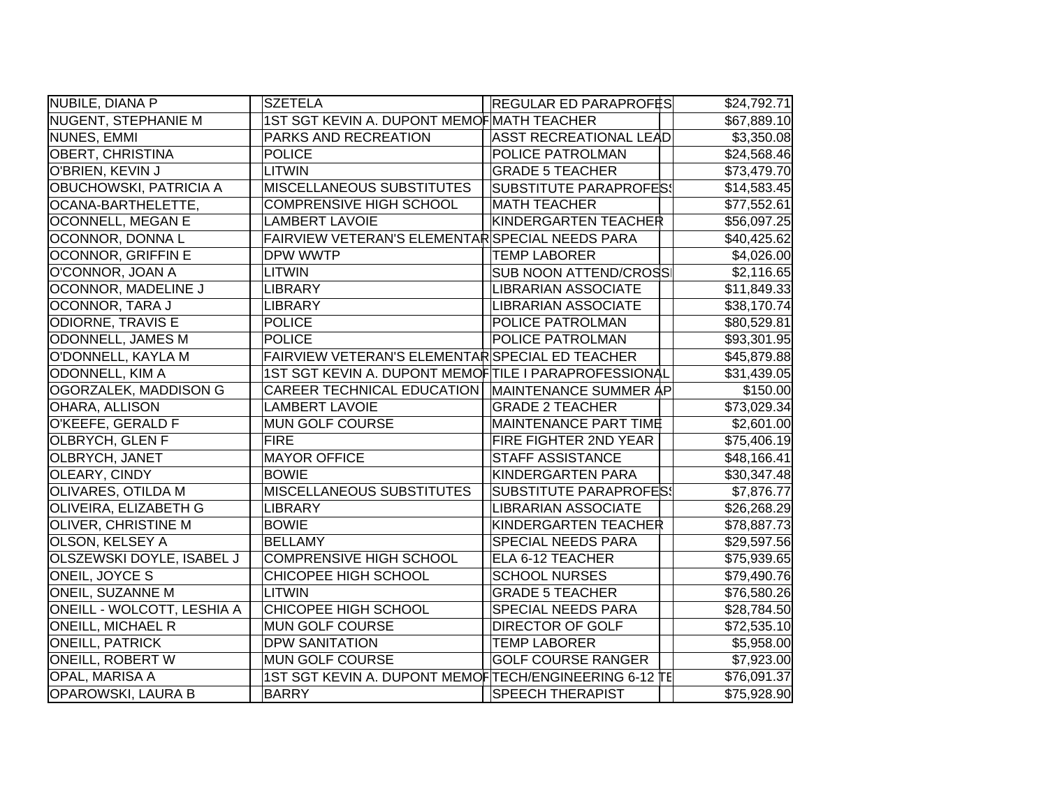| NUBILE, DIANA P                   | <b>SZETELA</b>                                        | <b>REGULAR ED PARAPROFES</b>  | \$24,792.71             |
|-----------------------------------|-------------------------------------------------------|-------------------------------|-------------------------|
| <b>NUGENT, STEPHANIE M</b>        | 1ST SGT KEVIN A. DUPONT MEMOF MATH TEACHER            |                               | \$67,889.10             |
| NUNES, EMMI                       | PARKS AND RECREATION                                  | <b>ASST RECREATIONAL LEAD</b> | \$3,350.08              |
| <b>OBERT, CHRISTINA</b>           | <b>POLICE</b>                                         | POLICE PATROLMAN              | \$24,568.46             |
| O'BRIEN, KEVIN J                  | <b>LITWIN</b>                                         | <b>GRADE 5 TEACHER</b>        | \$73,479.70             |
| <b>OBUCHOWSKI, PATRICIA A</b>     | MISCELLANEOUS SUBSTITUTES                             | SUBSTITUTE PARAPROFES!        | \$14,583.45             |
| OCANA-BARTHELETTE,                | <b>COMPRENSIVE HIGH SCHOOL</b>                        | <b>MATH TEACHER</b>           | \$77,552.61             |
| <b>OCONNELL, MEGAN E</b>          | <b>LAMBERT LAVOIE</b>                                 | KINDERGARTEN TEACHER          | \$56,097.25             |
| OCONNOR, DONNA L                  | FAIRVIEW VETERAN'S ELEMENTAR SPECIAL NEEDS PARA       |                               | \$40,425.62             |
| <b>OCONNOR, GRIFFIN E</b>         | DPW WWTP                                              | <b>TEMP LABORER</b>           | \$4,026.00              |
| O'CONNOR, JOAN A                  | <b>LITWIN</b>                                         | <b>SUB NOON ATTEND/CROSS</b>  | \$2,116.65              |
| OCONNOR, MADELINE J               | <b>LIBRARY</b>                                        | <b>LIBRARIAN ASSOCIATE</b>    | \$11,849.33             |
| OCONNOR, TARA J                   | <b>LIBRARY</b>                                        | <b>LIBRARIAN ASSOCIATE</b>    | \$38,170.74             |
| <b>ODIORNE, TRAVIS E</b>          | <b>POLICE</b>                                         | POLICE PATROLMAN              | \$80,529.81             |
| ODONNELL, JAMES M                 | <b>POLICE</b>                                         | POLICE PATROLMAN              | \$93,301.95             |
| O'DONNELL, KAYLA M                | FAIRVIEW VETERAN'S ELEMENTAR SPECIAL ED TEACHER       |                               | \$45,879.88             |
| ODONNELL, KIM A                   | 1ST SGT KEVIN A. DUPONT MEMOFTILE I PARAPROFESSIONAL  |                               | \$31,439.05             |
| <b>OGORZALEK, MADDISON G</b>      | CAREER TECHNICAL EDUCATION   MAINTENANCE SUMMER AP    |                               | \$150.00                |
| OHARA, ALLISON                    | <b>LAMBERT LAVOIE</b>                                 | <b>GRADE 2 TEACHER</b>        | \$73,029.34             |
| O'KEEFE, GERALD F                 | MUN GOLF COURSE                                       | <b>MAINTENANCE PART TIME</b>  | \$2,601.00              |
| <b>OLBRYCH, GLEN F</b>            | <b>FIRE</b>                                           | <b>FIRE FIGHTER 2ND YEAR</b>  | \$75,406.19             |
| OLBRYCH, JANET                    | <b>MAYOR OFFICE</b>                                   | <b>STAFF ASSISTANCE</b>       | \$48,166.41             |
| <b>OLEARY, CINDY</b>              | <b>BOWIE</b>                                          | KINDERGARTEN PARA             | \$30,347.48             |
| <b>OLIVARES, OTILDA M</b>         | <b>MISCELLANEOUS SUBSTITUTES</b>                      | <b>SUBSTITUTE PARAPROFES!</b> | \$7,876.77              |
| <b>OLIVEIRA, ELIZABETH G</b>      | <b>LIBRARY</b>                                        | <b>LIBRARIAN ASSOCIATE</b>    | \$26,268.29             |
| <b>OLIVER, CHRISTINE M</b>        | <b>BOWIE</b>                                          | KINDERGARTEN TEACHER          | \$78,887.73             |
| <b>OLSON, KELSEY A</b>            | <b>BELLAMY</b>                                        | <b>SPECIAL NEEDS PARA</b>     | \$29,597.56             |
| OLSZEWSKI DOYLE, ISABEL J         | <b>COMPRENSIVE HIGH SCHOOL</b>                        | ELA 6-12 TEACHER              | \$75,939.65             |
| <b>ONEIL, JOYCE S</b>             | CHICOPEE HIGH SCHOOL                                  | <b>SCHOOL NURSES</b>          | \$79,490.76             |
| <b>ONEIL, SUZANNE M</b>           | <b>LITWIN</b>                                         | <b>GRADE 5 TEACHER</b>        | \$76,580.26             |
| <b>ONEILL - WOLCOTT, LESHIA A</b> | CHICOPEE HIGH SCHOOL                                  | SPECIAL NEEDS PARA            | \$28,784.50             |
| <b>ONEILL, MICHAEL R</b>          | MUN GOLF COURSE                                       | <b>DIRECTOR OF GOLF</b>       | \$72,535.10             |
| <b>ONEILL, PATRICK</b>            | <b>DPW SANITATION</b>                                 | <b>TEMP LABORER</b>           | \$5,958.00              |
| <b>ONEILL, ROBERT W</b>           | MUN GOLF COURSE                                       | <b>GOLF COURSE RANGER</b>     | \$7,923.00              |
| OPAL, MARISA A                    | 1ST SGT KEVIN A. DUPONT MEMOFTECH/ENGINEERING 6-12 TE |                               | \$76,091.37             |
| <b>OPAROWSKI, LAURA B</b>         | <b>BARRY</b>                                          | <b>SPEECH THERAPIST</b>       | $\overline{$75,928.90}$ |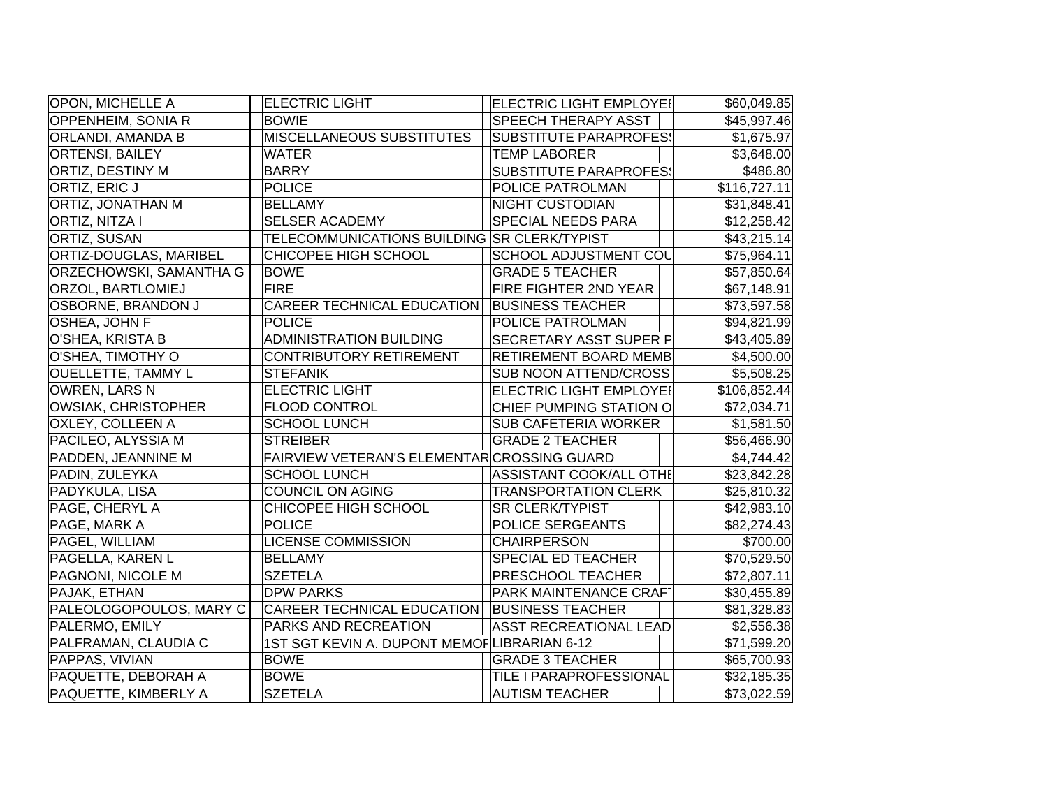| <b>OPON, MICHELLE A</b>        | <b>ELECTRIC LIGHT</b>                         | <b>ELECTRIC LIGHT EMPLOYEI</b> | \$60,049.85  |
|--------------------------------|-----------------------------------------------|--------------------------------|--------------|
| OPPENHEIM, SONIA R             | <b>BOWIE</b>                                  | <b>SPEECH THERAPY ASST</b>     | \$45,997.46  |
| <b>ORLANDI, AMANDA B</b>       | MISCELLANEOUS SUBSTITUTES                     | <b>SUBSTITUTE PARAPROFES!</b>  | \$1,675.97   |
| <b>ORTENSI, BAILEY</b>         | WATER                                         | <b>TEMP LABORER</b>            | \$3,648.00   |
| ORTIZ, DESTINY M               | <b>BARRY</b>                                  | SUBSTITUTE PARAPROFES!         | \$486.80     |
| <b>ORTIZ, ERIC J</b>           | <b>POLICE</b>                                 | POLICE PATROLMAN               | \$116,727.11 |
| ORTIZ, JONATHAN M              | <b>BELLAMY</b>                                | <b>NIGHT CUSTODIAN</b>         | \$31,848.41  |
| <b>ORTIZ, NITZA I</b>          | <b>SELSER ACADEMY</b>                         | <b>SPECIAL NEEDS PARA</b>      | \$12,258.42  |
| <b>ORTIZ, SUSAN</b>            | TELECOMMUNICATIONS BUILDING SR CLERK/TYPIST   |                                | \$43,215.14  |
| ORTIZ-DOUGLAS, MARIBEL         | CHICOPEE HIGH SCHOOL                          | SCHOOL ADJUSTMENT COL          | \$75,964.11  |
| <b>ORZECHOWSKI, SAMANTHA G</b> | <b>BOWE</b>                                   | <b>GRADE 5 TEACHER</b>         | \$57,850.64  |
| ORZOL, BARTLOMIEJ              | <b>FIRE</b>                                   | <b>FIRE FIGHTER 2ND YEAR</b>   | \$67,148.91  |
| <b>OSBORNE, BRANDON J</b>      | <b>CAREER TECHNICAL EDUCATION</b>             | <b>BUSINESS TEACHER</b>        | \$73,597.58  |
| OSHEA, JOHN F                  | <b>POLICE</b>                                 | POLICE PATROLMAN               | \$94,821.99  |
| O'SHEA, KRISTA B               | <b>ADMINISTRATION BUILDING</b>                | <b>SECRETARY ASST SUPER P</b>  | \$43,405.89  |
| O'SHEA, TIMOTHY O              | <b>CONTRIBUTORY RETIREMENT</b>                | <b>RETIREMENT BOARD MEMB</b>   | \$4,500.00   |
| <b>OUELLETTE, TAMMY L</b>      | <b>STEFANIK</b>                               | <b>SUB NOON ATTEND/CROSS</b>   | \$5,508.25   |
| OWREN, LARS N                  | <b>ELECTRIC LIGHT</b>                         | ELECTRIC LIGHT EMPLOYEI        | \$106,852.44 |
| <b>OWSIAK, CHRISTOPHER</b>     | FLOOD CONTROL                                 | CHIEF PUMPING STATION O        | \$72,034.71  |
| <b>OXLEY, COLLEEN A</b>        | <b>SCHOOL LUNCH</b>                           | <b>SUB CAFETERIA WORKER</b>    | \$1,581.50   |
| PACILEO, ALYSSIA M             | <b>STREIBER</b>                               | <b>GRADE 2 TEACHER</b>         | \$56,466.90  |
| PADDEN, JEANNINE M             | FAIRVIEW VETERAN'S ELEMENTAR CROSSING GUARD   |                                | \$4,744.42   |
| PADIN, ZULEYKA                 | <b>SCHOOL LUNCH</b>                           | ASSISTANT COOK/ALL OTHE        | \$23,842.28  |
| PADYKULA, LISA                 | <b>COUNCIL ON AGING</b>                       | <b>TRANSPORTATION CLERK</b>    | \$25,810.32  |
| PAGE, CHERYL A                 | CHICOPEE HIGH SCHOOL                          | <b>SR CLERK/TYPIST</b>         | \$42,983.10  |
| PAGE, MARK A                   | <b>POLICE</b>                                 | POLICE SERGEANTS               | \$82,274.43  |
| PAGEL, WILLIAM                 | <b>LICENSE COMMISSION</b>                     | <b>CHAIRPERSON</b>             | \$700.00     |
| PAGELLA, KAREN L               | <b>BELLAMY</b>                                | <b>SPECIAL ED TEACHER</b>      | \$70,529.50  |
| PAGNONI, NICOLE M              | <b>SZETELA</b>                                | <b>PRESCHOOL TEACHER</b>       | \$72,807.11  |
| PAJAK, ETHAN                   | <b>DPW PARKS</b>                              | <b>PARK MAINTENANCE CRAF</b>   | \$30,455.89  |
| PALEOLOGOPOULOS, MARY C        | CAREER TECHNICAL EDUCATION   BUSINESS TEACHER |                                | \$81,328.83  |
| PALERMO, EMILY                 | PARKS AND RECREATION                          | <b>ASST RECREATIONAL LEAD</b>  | \$2,556.38   |
| PALFRAMAN, CLAUDIA C           | 1ST SGT KEVIN A. DUPONT MEMOFLIBRARIAN 6-12   |                                | \$71,599.20  |
| PAPPAS, VIVIAN                 | <b>BOWE</b>                                   | <b>GRADE 3 TEACHER</b>         | \$65,700.93  |
| PAQUETTE, DEBORAH A            | <b>BOWE</b>                                   | TILE I PARAPROFESSIONAL        | \$32,185.35  |
| PAQUETTE, KIMBERLY A           | <b>SZETELA</b>                                | <b>AUTISM TEACHER</b>          | \$73,022.59  |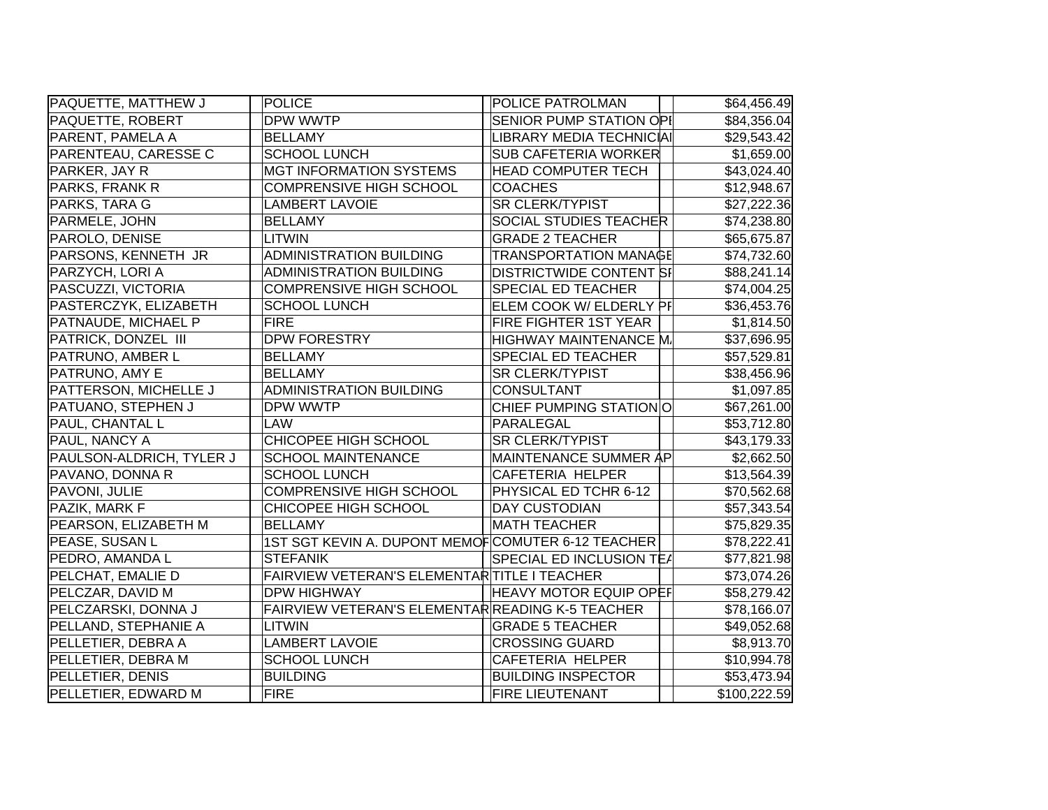| <b>PAQUETTE, MATTHEW J</b> | POLICE                                            | POLICE PATROLMAN                | \$64,456.49  |
|----------------------------|---------------------------------------------------|---------------------------------|--------------|
| PAQUETTE, ROBERT           | DPW WWTP                                          | <b>SENIOR PUMP STATION OPI</b>  | \$84,356.04  |
| PARENT, PAMELA A           | <b>BELLAMY</b>                                    | LIBRARY MEDIA TECHNICIAI        | \$29,543.42  |
| PARENTEAU, CARESSE C       | <b>SCHOOL LUNCH</b>                               | <b>SUB CAFETERIA WORKER</b>     | \$1,659.00   |
| PARKER, JAY R              | <b>MGT INFORMATION SYSTEMS</b>                    | <b>HEAD COMPUTER TECH</b>       | \$43,024.40  |
| PARKS, FRANK R             | <b>COMPRENSIVE HIGH SCHOOL</b>                    | <b>COACHES</b>                  | \$12,948.67  |
| PARKS, TARA G              | <b>LAMBERT LAVOIE</b>                             | <b>SR CLERK/TYPIST</b>          | \$27,222.36  |
| PARMELE, JOHN              | <b>BELLAMY</b>                                    | <b>SOCIAL STUDIES TEACHER</b>   | \$74,238.80  |
| PAROLO, DENISE             | LITWIN                                            | <b>GRADE 2 TEACHER</b>          | \$65,675.87  |
| PARSONS, KENNETH JR        | <b>ADMINISTRATION BUILDING</b>                    | <b>TRANSPORTATION MANAGE</b>    | \$74,732.60  |
| PARZYCH, LORI A            | <b>ADMINISTRATION BUILDING</b>                    | <b>DISTRICTWIDE CONTENT SI</b>  | \$88,241.14  |
| PASCUZZI, VICTORIA         | <b>COMPRENSIVE HIGH SCHOOL</b>                    | <b>SPECIAL ED TEACHER</b>       | \$74,004.25  |
| PASTERCZYK, ELIZABETH      | <b>SCHOOL LUNCH</b>                               | ELEM COOK W/ ELDERLY PF         | \$36,453.76  |
| PATNAUDE, MICHAEL P        | <b>FIRE</b>                                       | FIRE FIGHTER 1ST YEAR           | \$1,814.50   |
| PATRICK, DONZEL III        | <b>DPW FORESTRY</b>                               | HIGHWAY MAINTENANCE M.          | \$37,696.95  |
| PATRUNO, AMBER L           | <b>BELLAMY</b>                                    | SPECIAL ED TEACHER              | \$57,529.81  |
| PATRUNO, AMY E             | <b>BELLAMY</b>                                    | <b>SR CLERK/TYPIST</b>          | \$38,456.96  |
| PATTERSON, MICHELLE J      | <b>ADMINISTRATION BUILDING</b>                    | <b>CONSULTANT</b>               | \$1,097.85   |
| PATUANO, STEPHEN J         | DPW WWTP                                          | CHIEF PUMPING STATION O         | \$67,261.00  |
| PAUL, CHANTAL L            | LAW                                               | PARALEGAL                       | \$53,712.80  |
| PAUL, NANCY A              | CHICOPEE HIGH SCHOOL                              | <b>SR CLERK/TYPIST</b>          | \$43,179.33  |
| PAULSON-ALDRICH, TYLER J   | <b>SCHOOL MAINTENANCE</b>                         | MAINTENANCE SUMMER AP           | \$2,662.50   |
| PAVANO, DONNA R            | <b>SCHOOL LUNCH</b>                               | <b>CAFETERIA HELPER</b>         | \$13,564.39  |
| PAVONI, JULIE              | <b>COMPRENSIVE HIGH SCHOOL</b>                    | PHYSICAL ED TCHR 6-12           | \$70,562.68  |
| PAZIK, MARK F              | CHICOPEE HIGH SCHOOL                              | <b>DAY CUSTODIAN</b>            | \$57,343.54  |
| PEARSON, ELIZABETH M       | <b>BELLAMY</b>                                    | <b>MATH TEACHER</b>             | \$75,829.35  |
| PEASE, SUSAN L             | 1ST SGT KEVIN A. DUPONT MEMOFCOMUTER 6-12 TEACHER |                                 | \$78,222.41  |
| PEDRO, AMANDA L            | <b>STEFANIK</b>                                   | <b>SPECIAL ED INCLUSION TEA</b> | \$77,821.98  |
| PELCHAT, EMALIE D          | FAIRVIEW VETERAN'S ELEMENTAR TITLE I TEACHER      |                                 | \$73,074.26  |
| PELCZAR, DAVID M           | <b>DPW HIGHWAY</b>                                | <b>HEAVY MOTOR EQUIP OPEF</b>   | \$58,279.42  |
| PELCZARSKI, DONNA J        | FAIRVIEW VETERAN'S ELEMENTAR READING K-5 TEACHER  |                                 | \$78,166.07  |
| PELLAND, STEPHANIE A       | LITWIN                                            | <b>GRADE 5 TEACHER</b>          | \$49,052.68  |
| PELLETIER, DEBRA A         | <b>LAMBERT LAVOIE</b>                             | <b>CROSSING GUARD</b>           | \$8,913.70   |
| PELLETIER, DEBRA M         | <b>SCHOOL LUNCH</b>                               | <b>CAFETERIA HELPER</b>         | \$10,994.78  |
| PELLETIER, DENIS           | <b>BUILDING</b>                                   | <b>BUILDING INSPECTOR</b>       | \$53,473.94  |
| PELLETIER, EDWARD M        | <b>FIRE</b>                                       | <b>FIRE LIEUTENANT</b>          | \$100,222.59 |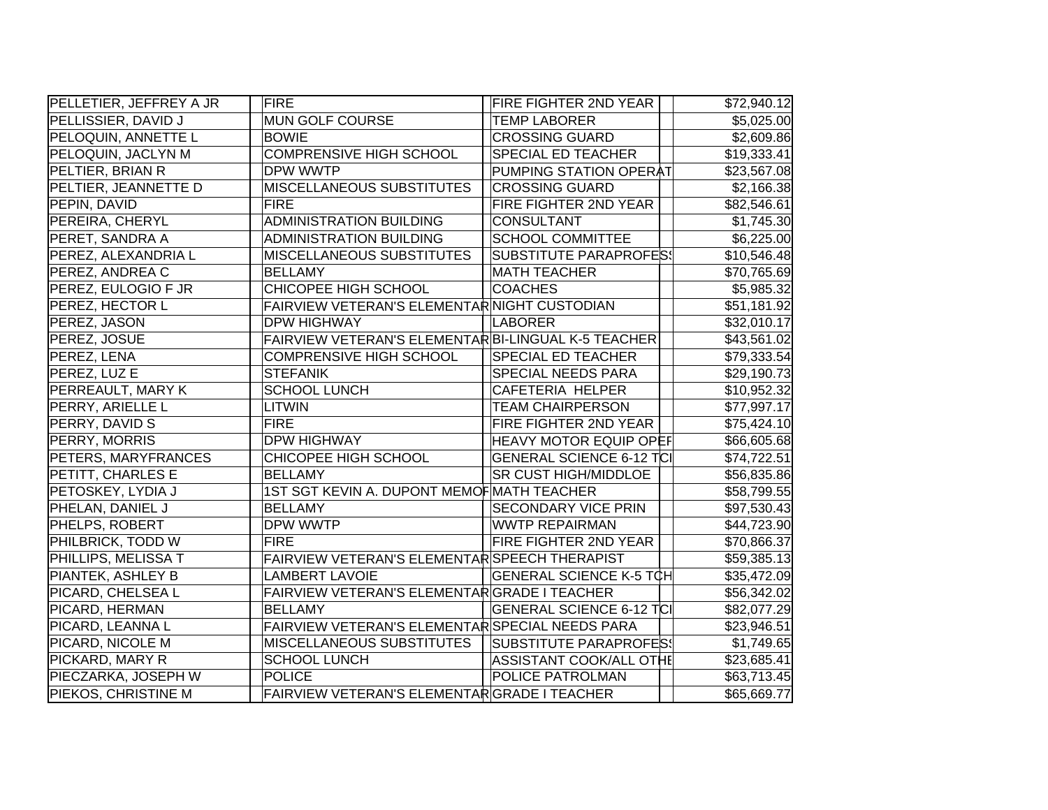| PELLETIER, JEFFREY A JR | FIRE                                                | <b>FIRE FIGHTER 2ND YEAR</b>    | \$72,940.12 |
|-------------------------|-----------------------------------------------------|---------------------------------|-------------|
| PELLISSIER, DAVID J     | MUN GOLF COURSE                                     | <b>TEMP LABORER</b>             | \$5,025.00  |
| PELOQUIN, ANNETTE L     | <b>BOWIE</b>                                        | <b>CROSSING GUARD</b>           | \$2,609.86  |
| PELOQUIN, JACLYN M      | <b>COMPRENSIVE HIGH SCHOOL</b>                      | <b>SPECIAL ED TEACHER</b>       | \$19,333.41 |
| PELTIER, BRIAN R        | DPW WWTP                                            | PUMPING STATION OPERAT          | \$23,567.08 |
| PELTIER, JEANNETTE D    | MISCELLANEOUS SUBSTITUTES                           | <b>CROSSING GUARD</b>           | \$2,166.38  |
| PEPIN, DAVID            | <b>FIRE</b>                                         | FIRE FIGHTER 2ND YEAR           | \$82,546.61 |
| PEREIRA, CHERYL         | <b>ADMINISTRATION BUILDING</b>                      | <b>CONSULTANT</b>               | \$1,745.30  |
| PERET, SANDRA A         | ADMINISTRATION BUILDING                             | <b>SCHOOL COMMITTEE</b>         | \$6,225.00  |
| PEREZ, ALEXANDRIA L     | <b>MISCELLANEOUS SUBSTITUTES</b>                    | SUBSTITUTE PARAPROFES!          | \$10,546.48 |
| PEREZ, ANDREA C         | <b>BELLAMY</b>                                      | <b>MATH TEACHER</b>             | \$70,765.69 |
| PEREZ, EULOGIO F JR     | CHICOPEE HIGH SCHOOL                                | <b>COACHES</b>                  | \$5,985.32  |
| <b>PEREZ, HECTOR L</b>  | FAIRVIEW VETERAN'S ELEMENTAR NIGHT CUSTODIAN        |                                 | \$51,181.92 |
| PEREZ, JASON            | <b>DPW HIGHWAY</b>                                  | LABORER                         | \$32,010.17 |
| PEREZ, JOSUE            | FAIRVIEW VETERAN'S ELEMENTAR BI-LINGUAL K-5 TEACHER |                                 | \$43,561.02 |
| PEREZ, LENA             | <b>COMPRENSIVE HIGH SCHOOL</b>                      | <b>SPECIAL ED TEACHER</b>       | \$79,333.54 |
| PEREZ, LUZ E            | <b>STEFANIK</b>                                     | <b>SPECIAL NEEDS PARA</b>       | \$29,190.73 |
| PERREAULT, MARY K       | <b>SCHOOL LUNCH</b>                                 | <b>CAFETERIA HELPER</b>         | \$10,952.32 |
| <b>PERRY, ARIELLE L</b> | LITWIN                                              | <b>TEAM CHAIRPERSON</b>         | \$77,997.17 |
| PERRY, DAVID S          | <b>FIRE</b>                                         | FIRE FIGHTER 2ND YEAR           | \$75,424.10 |
| PERRY, MORRIS           | <b>DPW HIGHWAY</b>                                  | <b>HEAVY MOTOR EQUIP OPEF</b>   | \$66,605.68 |
| PETERS, MARYFRANCES     | CHICOPEE HIGH SCHOOL                                | <b>GENERAL SCIENCE 6-12 TCI</b> | \$74,722.51 |
| PETITT, CHARLES E       | <b>BELLAMY</b>                                      | <b>SR CUST HIGH/MIDDLOE</b>     | \$56,835.86 |
| PETOSKEY, LYDIA J       | 1ST SGT KEVIN A. DUPONT MEMOF MATH TEACHER          |                                 | \$58,799.55 |
| PHELAN, DANIEL J        | <b>BELLAMY</b>                                      | <b>SECONDARY VICE PRIN</b>      | \$97,530.43 |
| PHELPS, ROBERT          | <b>DPW WWTP</b>                                     | <b>WWTP REPAIRMAN</b>           | \$44,723.90 |
| PHILBRICK, TODD W       | <b>FIRE</b>                                         | <b>FIRE FIGHTER 2ND YEAR</b>    | \$70,866.37 |
| PHILLIPS, MELISSA T     | FAIRVIEW VETERAN'S ELEMENTAR SPEECH THERAPIST       |                                 | \$59,385.13 |
| PIANTEK, ASHLEY B       | <b>LAMBERT LAVOIE</b>                               | <b>GENERAL SCIENCE K-5 TCH</b>  | \$35,472.09 |
| PICARD, CHELSEA L       | FAIRVIEW VETERAN'S ELEMENTARGRADE I TEACHER         |                                 | \$56,342.02 |
| PICARD, HERMAN          | <b>BELLAMY</b>                                      | <b>GENERAL SCIENCE 6-12 TCI</b> | \$82,077.29 |
| PICARD, LEANNA L        | FAIRVIEW VETERAN'S ELEMENTAR SPECIAL NEEDS PARA     |                                 | \$23,946.51 |
| PICARD, NICOLE M        | <b>MISCELLANEOUS SUBSTITUTES</b>                    | SUBSTITUTE PARAPROFES!          | \$1,749.65  |
| PICKARD, MARY R         | <b>SCHOOL LUNCH</b>                                 | ASSISTANT COOK/ALL OTHE         | \$23,685.41 |
| PIECZARKA, JOSEPH W     | <b>POLICE</b>                                       | POLICE PATROLMAN                | \$63,713.45 |
| PIEKOS, CHRISTINE M     | FAIRVIEW VETERAN'S ELEMENTARGRADE I TEACHER         |                                 | \$65,669.77 |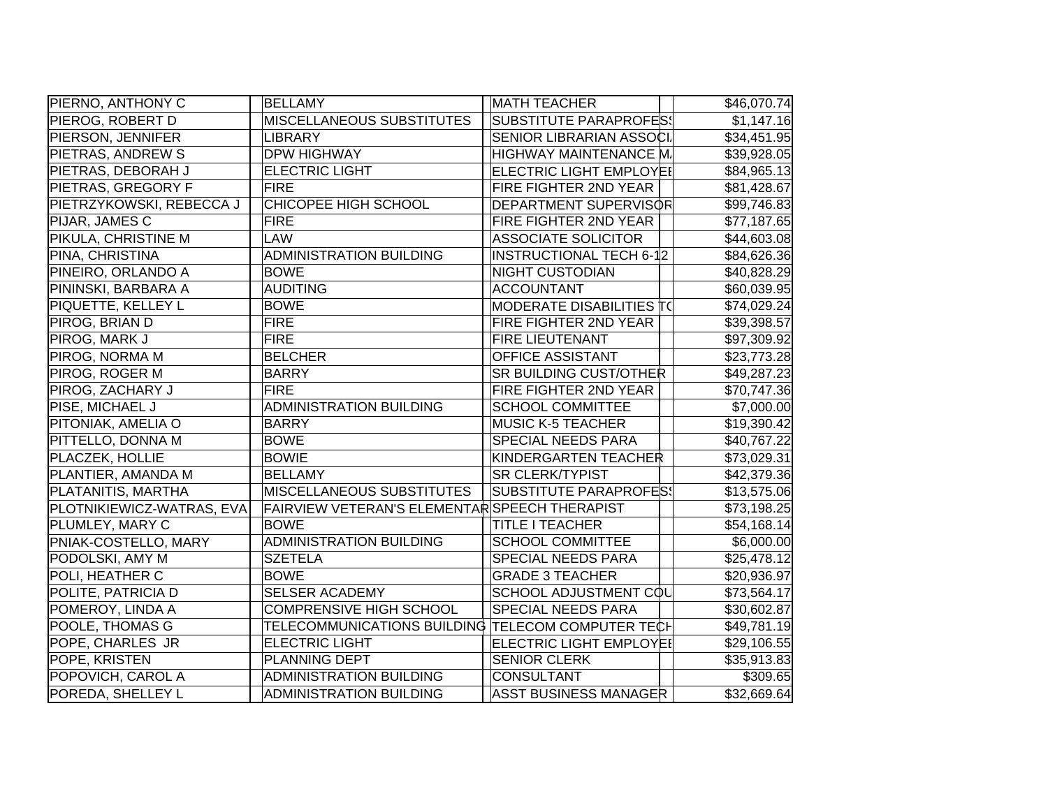| PIERNO, ANTHONY C         | <b>BELLAMY</b>                                    | <b>MATH TEACHER</b>             | \$46,070.74 |
|---------------------------|---------------------------------------------------|---------------------------------|-------------|
| PIEROG, ROBERT D          | <b>MISCELLANEOUS SUBSTITUTES</b>                  | <b>SUBSTITUTE PARAPROFES!</b>   | \$1,147.16  |
| PIERSON, JENNIFER         | <b>LIBRARY</b>                                    | <b>SENIOR LIBRARIAN ASSOCI.</b> | \$34,451.95 |
| PIETRAS, ANDREW S         | <b>DPW HIGHWAY</b>                                | <b>HIGHWAY MAINTENANCE M.</b>   | \$39,928.05 |
| PIETRAS, DEBORAH J        | <b>ELECTRIC LIGHT</b>                             | <b>ELECTRIC LIGHT EMPLOYEI</b>  | \$84,965.13 |
| PIETRAS, GREGORY F        | <b>FIRE</b>                                       | FIRE FIGHTER 2ND YEAR           | \$81,428.67 |
| PIETRZYKOWSKI, REBECCA J  | <b>CHICOPEE HIGH SCHOOL</b>                       | DEPARTMENT SUPERVISOR           | \$99,746.83 |
| PIJAR, JAMES C            | <b>FIRE</b>                                       | FIRE FIGHTER 2ND YEAR           | \$77,187.65 |
| PIKULA, CHRISTINE M       | LAW                                               | <b>ASSOCIATE SOLICITOR</b>      | \$44,603.08 |
| PINA, CHRISTINA           | <b>ADMINISTRATION BUILDING</b>                    | <b>INSTRUCTIONAL TECH 6-12</b>  | \$84,626.36 |
| PINEIRO, ORLANDO A        | <b>BOWE</b>                                       | <b>NIGHT CUSTODIAN</b>          | \$40,828.29 |
| PININSKI, BARBARA A       | <b>AUDITING</b>                                   | <b>ACCOUNTANT</b>               | \$60,039.95 |
| <b>PIQUETTE, KELLEY L</b> | <b>BOWE</b>                                       | <b>MODERATE DISABILITIES T(</b> | \$74,029.24 |
| PIROG, BRIAN D            | <b>FIRE</b>                                       | FIRE FIGHTER 2ND YEAR           | \$39,398.57 |
| PIROG, MARK J             | <b>FIRE</b>                                       | <b>FIRE LIEUTENANT</b>          | \$97,309.92 |
| PIROG, NORMA M            | <b>BELCHER</b>                                    | OFFICE ASSISTANT                | \$23,773.28 |
| PIROG, ROGER M            | <b>BARRY</b>                                      | <b>SR BUILDING CUST/OTHER</b>   | \$49,287.23 |
| PIROG, ZACHARY J          | <b>FIRE</b>                                       | FIRE FIGHTER 2ND YEAR           | \$70,747.36 |
| PISE, MICHAEL J           | <b>ADMINISTRATION BUILDING</b>                    | <b>SCHOOL COMMITTEE</b>         | \$7,000.00  |
| PITONIAK, AMELIA O        | <b>BARRY</b>                                      | <b>MUSIC K-5 TEACHER</b>        | \$19,390.42 |
| PITTELLO, DONNA M         | <b>BOWE</b>                                       | <b>SPECIAL NEEDS PARA</b>       | \$40,767.22 |
| PLACZEK, HOLLIE           | <b>BOWIE</b>                                      | KINDERGARTEN TEACHER            | \$73,029.31 |
| PLANTIER, AMANDA M        | <b>BELLAMY</b>                                    | <b>SR CLERK/TYPIST</b>          | \$42,379.36 |
| PLATANITIS, MARTHA        | <b>MISCELLANEOUS SUBSTITUTES</b>                  | SUBSTITUTE PARAPROFES!          | \$13,575.06 |
| PLOTNIKIEWICZ-WATRAS, EVA | FAIRVIEW VETERAN'S ELEMENTAR SPEECH THERAPIST     |                                 | \$73,198.25 |
| PLUMLEY, MARY C           | <b>BOWE</b>                                       | <b>TITLE I TEACHER</b>          | \$54,168.14 |
| PNIAK-COSTELLO, MARY      | <b>ADMINISTRATION BUILDING</b>                    | <b>SCHOOL COMMITTEE</b>         | \$6,000.00  |
| PODOLSKI, AMY M           | <b>SZETELA</b>                                    | SPECIAL NEEDS PARA              | \$25,478.12 |
| POLI, HEATHER C           | <b>BOWE</b>                                       | <b>GRADE 3 TEACHER</b>          | \$20,936.97 |
| POLITE, PATRICIA D        | <b>SELSER ACADEMY</b>                             | SCHOOL ADJUSTMENT COL           | \$73,564.17 |
| POMEROY, LINDA A          | <b>COMPRENSIVE HIGH SCHOOL</b>                    | SPECIAL NEEDS PARA              | \$30,602.87 |
| POOLE, THOMAS G           | TELECOMMUNICATIONS BUILDING TELECOM COMPUTER TECH |                                 | \$49,781.19 |
| POPE, CHARLES JR          | <b>ELECTRIC LIGHT</b>                             | <b>ELECTRIC LIGHT EMPLOYEI</b>  | \$29,106.55 |
| POPE, KRISTEN             | PLANNING DEPT                                     | <b>SENIOR CLERK</b>             | \$35,913.83 |
| POPOVICH, CAROL A         | <b>ADMINISTRATION BUILDING</b>                    | <b>CONSULTANT</b>               | \$309.65    |
| POREDA, SHELLEY L         | <b>ADMINISTRATION BUILDING</b>                    | <b>ASST BUSINESS MANAGER</b>    | \$32,669.64 |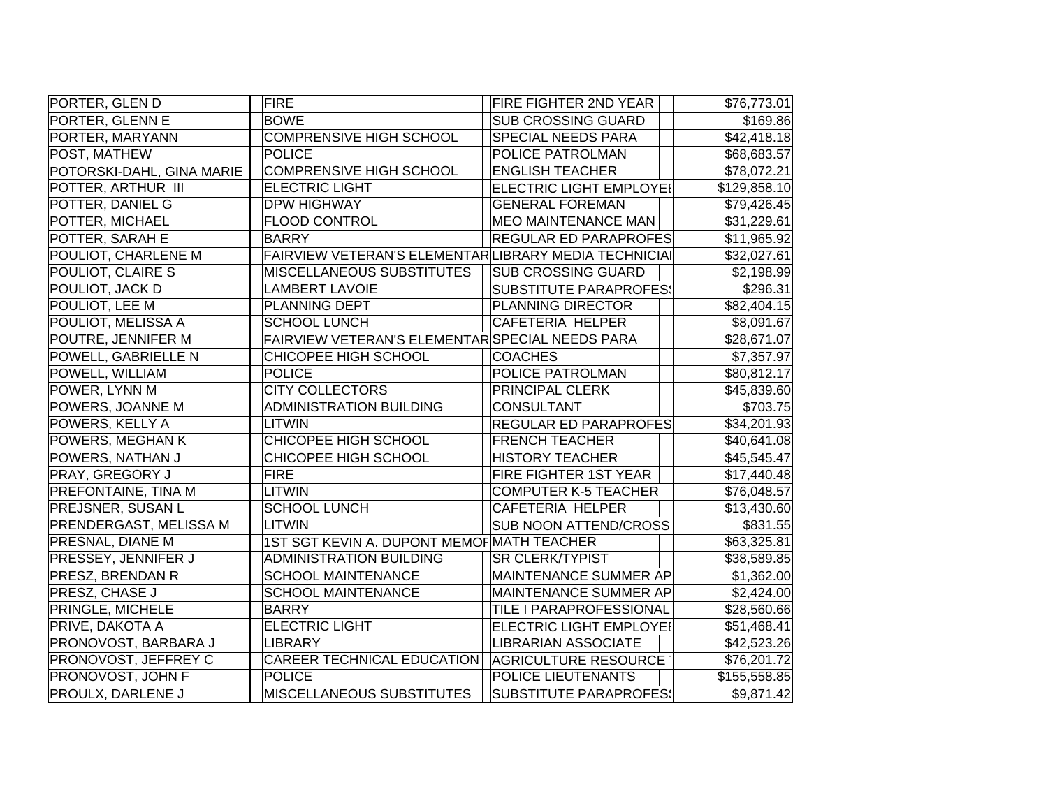| PORTER, GLEN D             | <b>FIRE</b>                                          | FIRE FIGHTER 2ND YEAR          | \$76,773.01  |
|----------------------------|------------------------------------------------------|--------------------------------|--------------|
| PORTER, GLENN E            | <b>BOWE</b>                                          | <b>SUB CROSSING GUARD</b>      | \$169.86     |
| PORTER, MARYANN            | COMPRENSIVE HIGH SCHOOL                              | SPECIAL NEEDS PARA             | \$42,418.18  |
| POST, MATHEW               | <b>POLICE</b>                                        | POLICE PATROLMAN               | \$68,683.57  |
| POTORSKI-DAHL, GINA MARIE  | <b>COMPRENSIVE HIGH SCHOOL</b>                       | <b>ENGLISH TEACHER</b>         | \$78,072.21  |
| POTTER, ARTHUR III         | <b>ELECTRIC LIGHT</b>                                | <b>ELECTRIC LIGHT EMPLOYE!</b> | \$129,858.10 |
| POTTER, DANIEL G           | <b>DPW HIGHWAY</b>                                   | <b>GENERAL FOREMAN</b>         | \$79,426.45  |
| POTTER, MICHAEL            | <b>FLOOD CONTROL</b>                                 | <b>MEO MAINTENANCE MAN</b>     | \$31,229.61  |
| POTTER, SARAH E            | <b>BARRY</b>                                         | REGULAR ED PARAPROFES          | \$11,965.92  |
| POULIOT, CHARLENE M        | FAIRVIEW VETERAN'S ELEMENTARLIBRARY MEDIA TECHNICIAI |                                | \$32,027.61  |
| POULIOT, CLAIRE S          | <b>MISCELLANEOUS SUBSTITUTES</b>                     | <b>SUB CROSSING GUARD</b>      | \$2,198.99   |
| POULIOT, JACK D            | <b>LAMBERT LAVOIE</b>                                | <b>SUBSTITUTE PARAPROFES!</b>  | \$296.31     |
| POULIOT, LEE M             | PLANNING DEPT                                        | PLANNING DIRECTOR              | \$82,404.15  |
| POULIOT, MELISSA A         | <b>SCHOOL LUNCH</b>                                  | CAFETERIA HELPER               | \$8,091.67   |
| POUTRE, JENNIFER M         | FAIRVIEW VETERAN'S ELEMENTAR SPECIAL NEEDS PARA      |                                | \$28,671.07  |
| POWELL, GABRIELLE N        | CHICOPEE HIGH SCHOOL                                 | <b>COACHES</b>                 | \$7,357.97   |
| POWELL, WILLIAM            | <b>POLICE</b>                                        | POLICE PATROLMAN               | \$80,812.17  |
| POWER, LYNN M              | <b>CITY COLLECTORS</b>                               | PRINCIPAL CLERK                | \$45,839.60  |
| POWERS, JOANNE M           | <b>ADMINISTRATION BUILDING</b>                       | <b>CONSULTANT</b>              | \$703.75     |
| POWERS, KELLY A            | <b>LITWIN</b>                                        | REGULAR ED PARAPROFES          | \$34,201.93  |
| POWERS, MEGHAN K           | CHICOPEE HIGH SCHOOL                                 | <b>FRENCH TEACHER</b>          | \$40,641.08  |
| POWERS, NATHAN J           | CHICOPEE HIGH SCHOOL                                 | <b>HISTORY TEACHER</b>         | \$45,545.47  |
| <b>PRAY, GREGORY J</b>     | <b>FIRE</b>                                          | FIRE FIGHTER 1ST YEAR          | \$17,440.48  |
| PREFONTAINE, TINA M        | <b>LITWIN</b>                                        | <b>COMPUTER K-5 TEACHER</b>    | \$76,048.57  |
| <b>PREJSNER, SUSAN L</b>   | <b>SCHOOL LUNCH</b>                                  | <b>CAFETERIA HELPER</b>        | \$13,430.60  |
| PRENDERGAST, MELISSA M     | <b>LITWIN</b>                                        | <b>SUB NOON ATTEND/CROSS</b>   | \$831.55     |
| PRESNAL, DIANE M           | 1ST SGT KEVIN A. DUPONT MEMOF MATH TEACHER           |                                | \$63,325.81  |
| <b>PRESSEY, JENNIFER J</b> | <b>ADMINISTRATION BUILDING</b>                       | <b>SR CLERK/TYPIST</b>         | \$38,589.85  |
| <b>PRESZ, BRENDAN R</b>    | <b>SCHOOL MAINTENANCE</b>                            | MAINTENANCE SUMMER AP          | \$1,362.00   |
| <b>PRESZ, CHASE J</b>      | <b>SCHOOL MAINTENANCE</b>                            | MAINTENANCE SUMMER AP          | \$2,424.00   |
| <b>PRINGLE, MICHELE</b>    | <b>BARRY</b>                                         | TILE I PARAPROFESSIONAL        | \$28,560.66  |
| PRIVE, DAKOTA A            | <b>ELECTRIC LIGHT</b>                                | ELECTRIC LIGHT EMPLOYEI        | \$51,468.41  |
| PRONOVOST, BARBARA J       | <b>LIBRARY</b>                                       | <b>LIBRARIAN ASSOCIATE</b>     | \$42,523.26  |
| PRONOVOST, JEFFREY C       | <b>CAREER TECHNICAL EDUCATION</b>                    | <b>AGRICULTURE RESOURCE</b>    | \$76,201.72  |
| PRONOVOST, JOHN F          | <b>POLICE</b>                                        | POLICE LIEUTENANTS             | \$155,558.85 |
| <b>PROULX, DARLENE J</b>   | <b>MISCELLANEOUS SUBSTITUTES</b>                     | <b>SUBSTITUTE PARAPROFES!</b>  | \$9,871.42   |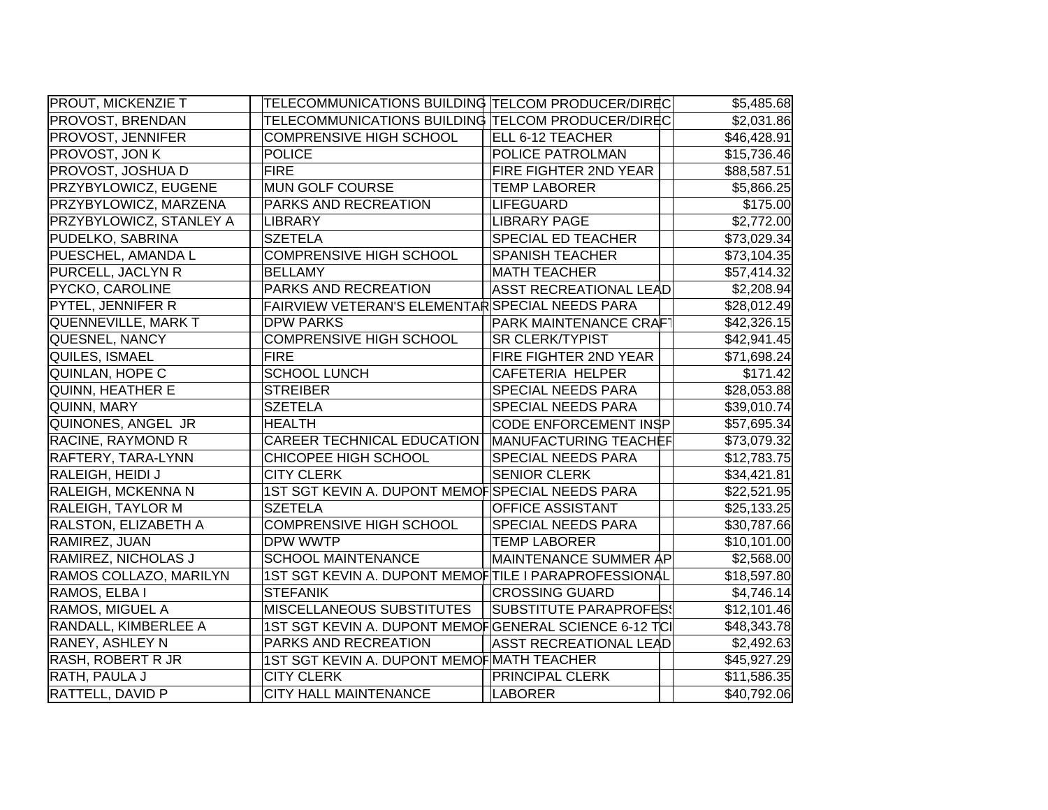| <b>PROUT, MICKENZIE T</b>   | TELECOMMUNICATIONS BUILDING TELCOM PRODUCER/DIREC     |                               | \$5,485.68  |
|-----------------------------|-------------------------------------------------------|-------------------------------|-------------|
| PROVOST, BRENDAN            | TELECOMMUNICATIONS BUILDING TELCOM PRODUCER/DIREC     |                               | \$2,031.86  |
| <b>PROVOST, JENNIFER</b>    | <b>COMPRENSIVE HIGH SCHOOL</b>                        | ELL 6-12 TEACHER              | \$46,428.91 |
| PROVOST, JON K              | <b>POLICE</b>                                         | POLICE PATROLMAN              | \$15,736.46 |
| <b>PROVOST, JOSHUA D</b>    | <b>FIRE</b>                                           | FIRE FIGHTER 2ND YEAR         | \$88,587.51 |
| <b>PRZYBYLOWICZ, EUGENE</b> | MUN GOLF COURSE                                       | <b>TEMP LABORER</b>           | \$5,866.25  |
| PRZYBYLOWICZ, MARZENA       | PARKS AND RECREATION                                  | <b>LIFEGUARD</b>              | \$175.00    |
| PRZYBYLOWICZ, STANLEY A     | LIBRARY                                               | <b>LIBRARY PAGE</b>           | \$2,772.00  |
| PUDELKO, SABRINA            | <b>SZETELA</b>                                        | <b>SPECIAL ED TEACHER</b>     | \$73,029.34 |
| PUESCHEL, AMANDA L          | <b>COMPRENSIVE HIGH SCHOOL</b>                        | <b>SPANISH TEACHER</b>        | \$73,104.35 |
| PURCELL, JACLYN R           | <b>BELLAMY</b>                                        | <b>MATH TEACHER</b>           | \$57,414.32 |
| <b>PYCKO, CAROLINE</b>      | PARKS AND RECREATION                                  | <b>ASST RECREATIONAL LEAD</b> | \$2,208.94  |
| PYTEL, JENNIFER R           | FAIRVIEW VETERAN'S ELEMENTAR SPECIAL NEEDS PARA       |                               | \$28,012.49 |
| QUENNEVILLE, MARK T         | <b>DPW PARKS</b>                                      | PARK MAINTENANCE CRAFT        | \$42,326.15 |
| QUESNEL, NANCY              | <b>COMPRENSIVE HIGH SCHOOL</b>                        | <b>SR CLERK/TYPIST</b>        | \$42,941.45 |
| QUILES, ISMAEL              | <b>FIRE</b>                                           | FIRE FIGHTER 2ND YEAR         | \$71,698.24 |
| QUINLAN, HOPE C             | <b>SCHOOL LUNCH</b>                                   | CAFETERIA HELPER              | \$171.42    |
| QUINN, HEATHER E            | <b>STREIBER</b>                                       | <b>SPECIAL NEEDS PARA</b>     | \$28,053.88 |
| QUINN, MARY                 | <b>SZETELA</b>                                        | SPECIAL NEEDS PARA            | \$39,010.74 |
| QUINONES, ANGEL JR          | <b>HEALTH</b>                                         | CODE ENFORCEMENT INSP         | \$57,695.34 |
| <b>RACINE, RAYMOND R</b>    | <b>CAREER TECHNICAL EDUCATION</b>                     | MANUFACTURING TEACHEF         | \$73,079.32 |
| RAFTERY, TARA-LYNN          | CHICOPEE HIGH SCHOOL                                  | <b>SPECIAL NEEDS PARA</b>     | \$12,783.75 |
| RALEIGH, HEIDI J            | <b>CITY CLERK</b>                                     | <b>SENIOR CLERK</b>           | \$34,421.81 |
| RALEIGH, MCKENNA N          | 1ST SGT KEVIN A. DUPONT MEMOFSPECIAL NEEDS PARA       |                               | \$22,521.95 |
| <b>RALEIGH, TAYLOR M</b>    | <b>SZETELA</b>                                        | <b>OFFICE ASSISTANT</b>       | \$25,133.25 |
| RALSTON, ELIZABETH A        | <b>COMPRENSIVE HIGH SCHOOL</b>                        | SPECIAL NEEDS PARA            | \$30,787.66 |
| RAMIREZ, JUAN               | DPW WWTP                                              | <b>TEMP LABORER</b>           | \$10,101.00 |
| RAMIREZ, NICHOLAS J         | <b>SCHOOL MAINTENANCE</b>                             | MAINTENANCE SUMMER AP         | \$2,568.00  |
| RAMOS COLLAZO, MARILYN      | 1ST SGT KEVIN A. DUPONT MEMOFTILE I PARAPROFESSIONAL  |                               | \$18,597.80 |
| RAMOS, ELBA I               | <b>STEFANIK</b>                                       | <b>CROSSING GUARD</b>         | \$4,746.14  |
| RAMOS, MIGUEL A             | <b>MISCELLANEOUS SUBSTITUTES</b>                      | SUBSTITUTE PARAPROFES!        | \$12,101.46 |
| RANDALL, KIMBERLEE A        | 1ST SGT KEVIN A. DUPONT MEMOFGENERAL SCIENCE 6-12 TCI |                               | \$48,343.78 |
| <b>RANEY, ASHLEY N</b>      | PARKS AND RECREATION                                  | <b>ASST RECREATIONAL LEAD</b> | \$2,492.63  |
| <b>RASH, ROBERT R JR</b>    | 1ST SGT KEVIN A. DUPONT MEMOF MATH TEACHER            |                               | \$45,927.29 |
| RATH, PAULA J               | <b>CITY CLERK</b>                                     | <b>PRINCIPAL CLERK</b>        | \$11,586.35 |
| <b>RATTELL, DAVID P</b>     | <b>CITY HALL MAINTENANCE</b>                          | <b>LABORER</b>                | \$40,792.06 |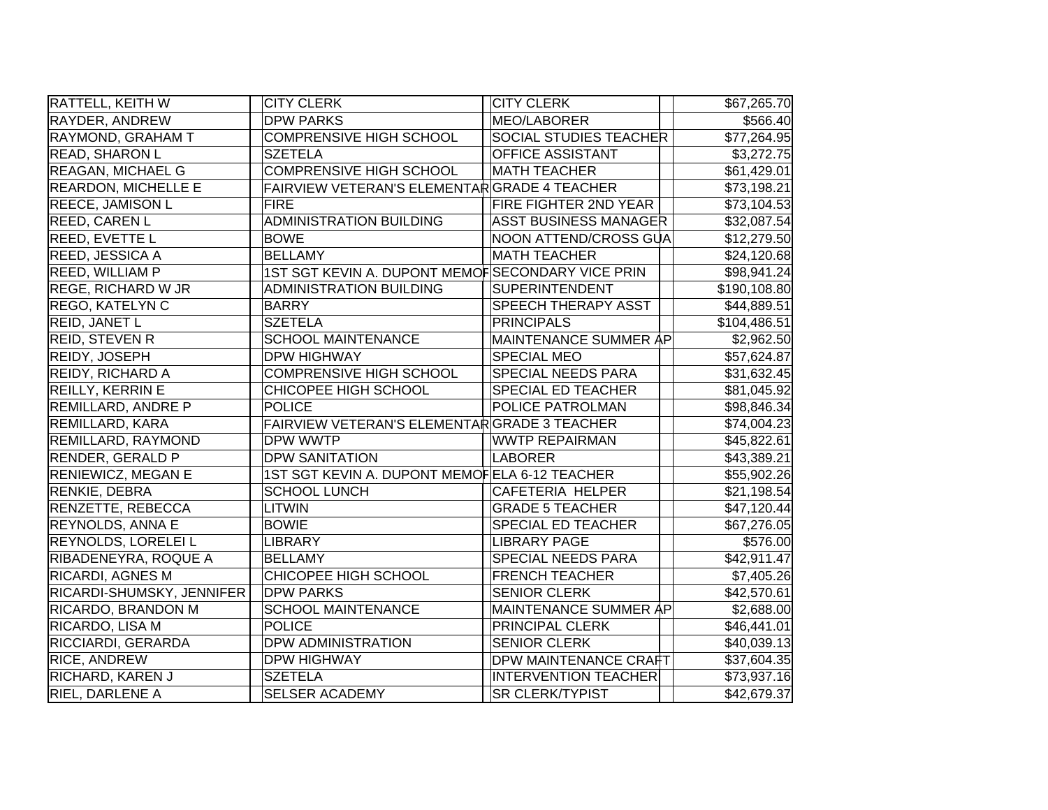| <b>RATTELL, KEITH W</b>    | <b>CITY CLERK</b>                                | <b>CITY CLERK</b>             | \$67,265.70  |
|----------------------------|--------------------------------------------------|-------------------------------|--------------|
| RAYDER, ANDREW             | <b>DPW PARKS</b>                                 | MEO/LABORER                   | \$566.40     |
| RAYMOND, GRAHAM T          | <b>COMPRENSIVE HIGH SCHOOL</b>                   | <b>SOCIAL STUDIES TEACHER</b> | \$77,264.95  |
| <b>READ, SHARON L</b>      | <b>SZETELA</b>                                   | <b>OFFICE ASSISTANT</b>       | \$3,272.75   |
| <b>REAGAN, MICHAEL G</b>   | <b>COMPRENSIVE HIGH SCHOOL</b>                   | <b>MATH TEACHER</b>           | \$61,429.01  |
| <b>REARDON, MICHELLE E</b> | FAIRVIEW VETERAN'S ELEMENTARGRADE 4 TEACHER      |                               | \$73,198.21  |
| <b>REECE, JAMISON L</b>    | <b>FIRE</b>                                      | <b>FIRE FIGHTER 2ND YEAR</b>  | \$73,104.53  |
| <b>REED, CAREN L</b>       | <b>ADMINISTRATION BUILDING</b>                   | <b>ASST BUSINESS MANAGER</b>  | \$32,087.54  |
| <b>REED, EVETTE L</b>      | <b>BOWE</b>                                      | NOON ATTEND/CROSS GUA         | \$12,279.50  |
| <b>REED, JESSICA A</b>     | <b>BELLAMY</b>                                   | <b>MATH TEACHER</b>           | \$24,120.68  |
| <b>REED, WILLIAM P</b>     | 1ST SGT KEVIN A. DUPONT MEMOFSECONDARY VICE PRIN |                               | \$98,941.24  |
| <b>REGE, RICHARD W JR</b>  | <b>ADMINISTRATION BUILDING</b>                   | SUPERINTENDENT                | \$190,108.80 |
| <b>REGO, KATELYN C</b>     | <b>BARRY</b>                                     | SPEECH THERAPY ASST           | \$44,889.51  |
| <b>REID, JANET L</b>       | <b>SZETELA</b>                                   | <b>PRINCIPALS</b>             | \$104,486.51 |
| <b>REID, STEVEN R</b>      | <b>SCHOOL MAINTENANCE</b>                        | MAINTENANCE SUMMER AP         | \$2,962.50   |
| <b>REIDY, JOSEPH</b>       | <b>DPW HIGHWAY</b>                               | <b>SPECIAL MEO</b>            | \$57,624.87  |
| <b>REIDY, RICHARD A</b>    | <b>COMPRENSIVE HIGH SCHOOL</b>                   | SPECIAL NEEDS PARA            | \$31,632.45  |
| <b>REILLY, KERRIN E</b>    | CHICOPEE HIGH SCHOOL                             | <b>SPECIAL ED TEACHER</b>     | \$81,045.92  |
| <b>REMILLARD, ANDRE P</b>  | <b>POLICE</b>                                    | <b>POLICE PATROLMAN</b>       | \$98,846.34  |
| <b>REMILLARD, KARA</b>     | FAIRVIEW VETERAN'S ELEMENTARGRADE 3 TEACHER      |                               | \$74,004.23  |
| <b>REMILLARD, RAYMOND</b>  | <b>DPW WWTP</b>                                  | <b>WWTP REPAIRMAN</b>         | \$45,822.61  |
| <b>RENDER, GERALD P</b>    | <b>DPW SANITATION</b>                            | LABORER                       | \$43,389.21  |
| <b>RENIEWICZ, MEGAN E</b>  | 1ST SGT KEVIN A. DUPONT MEMOFELA 6-12 TEACHER    |                               | \$55,902.26  |
| <b>RENKIE, DEBRA</b>       | <b>SCHOOL LUNCH</b>                              | CAFETERIA HELPER              | \$21,198.54  |
| RENZETTE, REBECCA          | <b>LITWIN</b>                                    | <b>GRADE 5 TEACHER</b>        | \$47,120.44  |
| <b>REYNOLDS, ANNA E</b>    | <b>BOWIE</b>                                     | SPECIAL ED TEACHER            | \$67,276.05  |
| <b>REYNOLDS, LORELEI L</b> | <b>LIBRARY</b>                                   | <b>LIBRARY PAGE</b>           | \$576.00     |
| RIBADENEYRA, ROQUE A       | <b>BELLAMY</b>                                   | SPECIAL NEEDS PARA            | \$42,911.47  |
| <b>RICARDI, AGNES M</b>    | CHICOPEE HIGH SCHOOL                             | <b>FRENCH TEACHER</b>         | \$7,405.26   |
| RICARDI-SHUMSKY, JENNIFER  | <b>DPW PARKS</b>                                 | <b>SENIOR CLERK</b>           | \$42,570.61  |
| <b>RICARDO, BRANDON M</b>  | <b>SCHOOL MAINTENANCE</b>                        | MAINTENANCE SUMMER AP         | \$2,688.00   |
| RICARDO, LISA M            | <b>POLICE</b>                                    | PRINCIPAL CLERK               | \$46,441.01  |
| <b>RICCIARDI, GERARDA</b>  | <b>DPW ADMINISTRATION</b>                        | <b>SENIOR CLERK</b>           | \$40,039.13  |
| <b>RICE, ANDREW</b>        | <b>DPW HIGHWAY</b>                               | <b>DPW MAINTENANCE CRAFT</b>  | \$37,604.35  |
| <b>RICHARD, KAREN J</b>    | <b>SZETELA</b>                                   | <b>INTERVENTION TEACHER</b>   | \$73,937.16  |
| <b>RIEL, DARLENE A</b>     | <b>SELSER ACADEMY</b>                            | <b>SR CLERK/TYPIST</b>        | \$42,679.37  |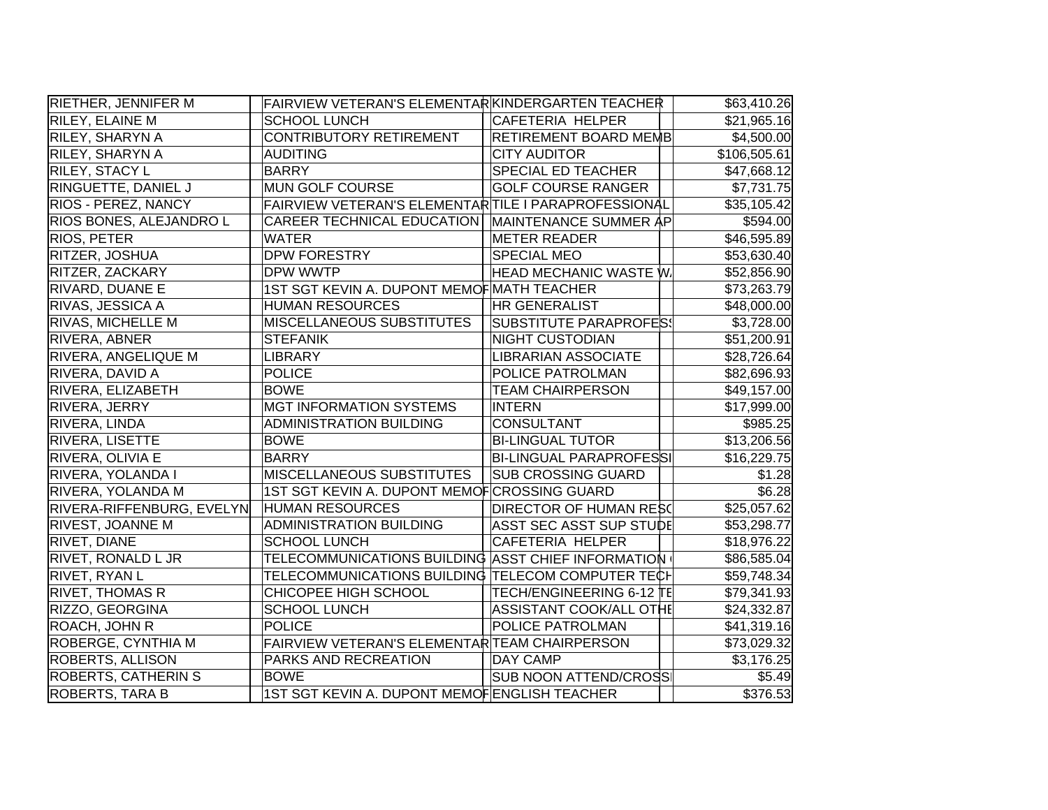| <b>RIETHER, JENNIFER M</b> | FAIRVIEW VETERAN'S ELEMENTARKINDERGARTEN TEACHER     |                                | \$63,410.26             |
|----------------------------|------------------------------------------------------|--------------------------------|-------------------------|
| RILEY, ELAINE M            | <b>SCHOOL LUNCH</b>                                  | CAFETERIA HELPER               | \$21,965.16             |
| RILEY, SHARYN A            | CONTRIBUTORY RETIREMENT                              | <b>RETIREMENT BOARD MEMB</b>   | \$4,500.00              |
| RILEY, SHARYN A            | <b>AUDITING</b>                                      | <b>CITY AUDITOR</b>            | \$106,505.61            |
| <b>RILEY, STACY L</b>      | <b>BARRY</b>                                         | SPECIAL ED TEACHER             | \$47,668.12             |
| RINGUETTE, DANIEL J        | MUN GOLF COURSE                                      | <b>GOLF COURSE RANGER</b>      | \$7,731.75              |
| <b>RIOS - PEREZ, NANCY</b> | FAIRVIEW VETERAN'S ELEMENTAR TILE I PARAPROFESSIONAL |                                | \$35,105.42             |
| RIOS BONES, ALEJANDRO L    | <b>CAREER TECHNICAL EDUCATION</b>                    | MAINTENANCE SUMMER AP          | \$594.00                |
| <b>RIOS, PETER</b>         | <b>WATER</b>                                         | <b>METER READER</b>            | \$46,595.89             |
| <b>RITZER, JOSHUA</b>      | <b>DPW FORESTRY</b>                                  | <b>SPECIAL MEO</b>             | \$53,630.40             |
| RITZER, ZACKARY            | DPW WWTP                                             | <b>HEAD MECHANIC WASTE W.</b>  | \$52,856.90             |
| RIVARD, DUANE E            | 1ST SGT KEVIN A. DUPONT MEMOF MATH TEACHER           |                                | \$73,263.79             |
| RIVAS, JESSICA A           | <b>HUMAN RESOURCES</b>                               | <b>HR GENERALIST</b>           | \$48,000.00             |
| <b>RIVAS, MICHELLE M</b>   | MISCELLANEOUS SUBSTITUTES                            | <b>SUBSTITUTE PARAPROFES!</b>  | \$3,728.00              |
| <b>RIVERA, ABNER</b>       | <b>STEFANIK</b>                                      | NIGHT CUSTODIAN                | \$51,200.91             |
| RIVERA, ANGELIQUE M        | <b>LIBRARY</b>                                       | <b>LIBRARIAN ASSOCIATE</b>     | \$28,726.64             |
| RIVERA, DAVID A            | <b>POLICE</b>                                        | POLICE PATROLMAN               | \$82,696.93             |
| RIVERA, ELIZABETH          | <b>BOWE</b>                                          | <b>TEAM CHAIRPERSON</b>        | \$49,157.00             |
| RIVERA, JERRY              | <b>MGT INFORMATION SYSTEMS</b>                       | <b>INTERN</b>                  | \$17,999.00             |
| <b>RIVERA, LINDA</b>       | <b>ADMINISTRATION BUILDING</b>                       | <b>CONSULTANT</b>              | \$985.25                |
| <b>RIVERA, LISETTE</b>     | <b>BOWE</b>                                          | <b>BI-LINGUAL TUTOR</b>        | \$13,206.56             |
| RIVERA, OLIVIA E           | <b>BARRY</b>                                         | <b>BI-LINGUAL PARAPROFESSI</b> | \$16,229.75             |
| RIVERA, YOLANDA I          | <b>MISCELLANEOUS SUBSTITUTES</b>                     | <b>SUB CROSSING GUARD</b>      | \$1.28                  |
| RIVERA, YOLANDA M          | 1ST SGT KEVIN A. DUPONT MEMOF CROSSING GUARD         |                                | \$6.28                  |
| RIVERA-RIFFENBURG, EVELYN  | <b>HUMAN RESOURCES</b>                               | DIRECTOR OF HUMAN RESO         | \$25,057.62             |
| <b>RIVEST, JOANNE M</b>    | <b>ADMINISTRATION BUILDING</b>                       | ASST SEC ASST SUP STUDE        | \$53,298.77             |
| <b>RIVET, DIANE</b>        | <b>SCHOOL LUNCH</b>                                  | CAFETERIA HELPER               | \$18,976.22             |
| <b>RIVET, RONALD L JR</b>  | TELECOMMUNICATIONS BUILDING ASST CHIEF INFORMATION   |                                | \$86,585.04             |
| <b>RIVET, RYAN L</b>       | TELECOMMUNICATIONS BUILDING TELECOM COMPUTER TECH    |                                | \$59,748.34             |
| <b>RIVET, THOMAS R</b>     | CHICOPEE HIGH SCHOOL                                 | TECH/ENGINEERING 6-12 TE       | \$79,341.93             |
| RIZZO, GEORGINA            | <b>SCHOOL LUNCH</b>                                  | ASSISTANT COOK/ALL OTHE        | \$24,332.87             |
| ROACH, JOHN R              | <b>POLICE</b>                                        | POLICE PATROLMAN               | \$41,319.16             |
| ROBERGE, CYNTHIA M         | FAIRVIEW VETERAN'S ELEMENTAR TEAM CHAIRPERSON        |                                | \$73,029.32             |
| <b>ROBERTS, ALLISON</b>    | PARKS AND RECREATION                                 | DAY CAMP                       | $\overline{\$3,176.25}$ |
| <b>ROBERTS, CATHERIN S</b> | <b>BOWE</b>                                          | <b>SUB NOON ATTEND/CROSS</b>   | \$5.49                  |
| <b>ROBERTS, TARA B</b>     | 1ST SGT KEVIN A. DUPONT MEMOFENGLISH TEACHER         |                                | \$376.53                |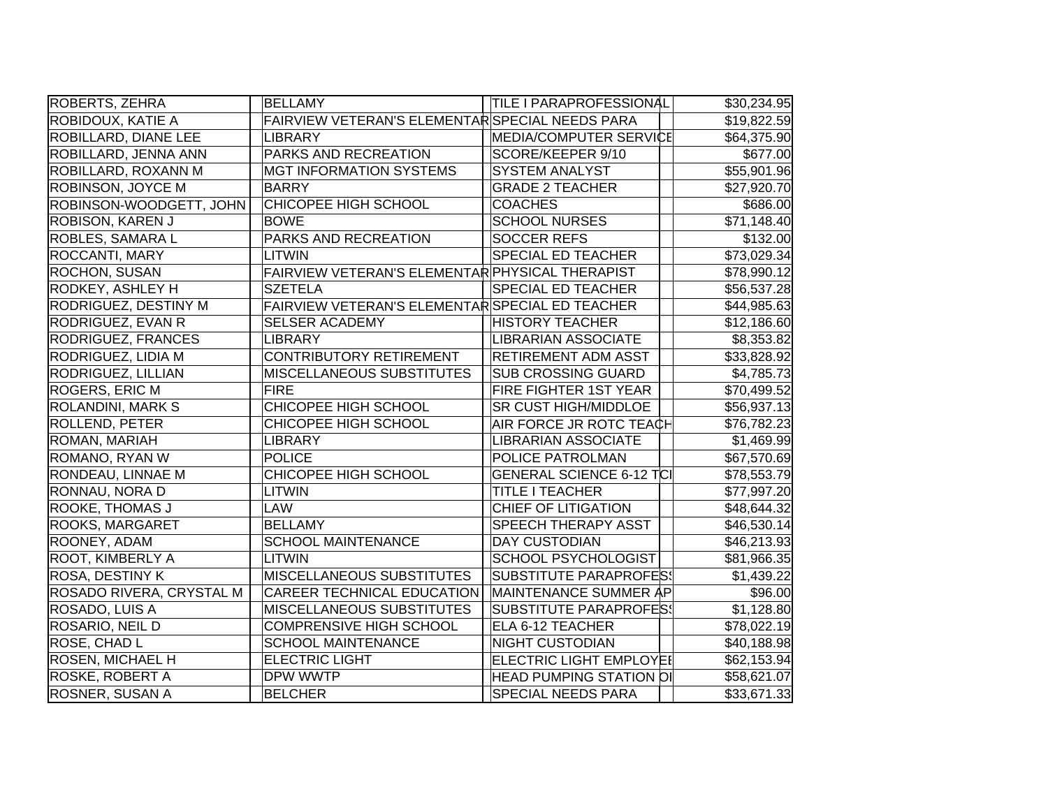| ROBERTS, ZEHRA              | <b>BELLAMY</b>                                  | <b>TILE I PARAPROFESSIONAL</b>  | \$30,234.95 |
|-----------------------------|-------------------------------------------------|---------------------------------|-------------|
| ROBIDOUX, KATIE A           | FAIRVIEW VETERAN'S ELEMENTAR SPECIAL NEEDS PARA |                                 | \$19,822.59 |
| <b>ROBILLARD, DIANE LEE</b> | LIBRARY                                         | MEDIA/COMPUTER SERVICE          | \$64,375.90 |
| ROBILLARD, JENNA ANN        | PARKS AND RECREATION                            | SCORE/KEEPER 9/10               | \$677.00    |
| ROBILLARD, ROXANN M         | <b>MGT INFORMATION SYSTEMS</b>                  | <b>SYSTEM ANALYST</b>           | \$55,901.96 |
| ROBINSON, JOYCE M           | <b>BARRY</b>                                    | <b>GRADE 2 TEACHER</b>          | \$27,920.70 |
| ROBINSON-WOODGETT, JOHN     | CHICOPEE HIGH SCHOOL                            | <b>COACHES</b>                  | \$686.00    |
| <b>ROBISON, KAREN J</b>     | <b>BOWE</b>                                     | <b>SCHOOL NURSES</b>            | \$71,148.40 |
| <b>ROBLES, SAMARA L</b>     | PARKS AND RECREATION                            | <b>SOCCER REFS</b>              | \$132.00    |
| ROCCANTI, MARY              | <b>LITWIN</b>                                   | <b>SPECIAL ED TEACHER</b>       | \$73,029.34 |
| <b>ROCHON, SUSAN</b>        | FAIRVIEW VETERAN'S ELEMENTAR PHYSICAL THERAPIST |                                 | \$78,990.12 |
| RODKEY, ASHLEY H            | <b>SZETELA</b>                                  | <b>SPECIAL ED TEACHER</b>       | \$56,537.28 |
| RODRIGUEZ, DESTINY M        | FAIRVIEW VETERAN'S ELEMENTAR SPECIAL ED TEACHER |                                 | \$44,985.63 |
| RODRIGUEZ, EVAN R           | <b>SELSER ACADEMY</b>                           | <b>HISTORY TEACHER</b>          | \$12,186.60 |
| <b>RODRIGUEZ, FRANCES</b>   | LIBRARY                                         | <b>LIBRARIAN ASSOCIATE</b>      | \$8,353.82  |
| RODRIGUEZ, LIDIA M          | <b>CONTRIBUTORY RETIREMENT</b>                  | <b>RETIREMENT ADM ASST</b>      | \$33,828.92 |
| RODRIGUEZ, LILLIAN          | MISCELLANEOUS SUBSTITUTES                       | <b>SUB CROSSING GUARD</b>       | \$4,785.73  |
| <b>ROGERS, ERIC M</b>       | <b>FIRE</b>                                     | <b>FIRE FIGHTER 1ST YEAR</b>    | \$70,499.52 |
| <b>ROLANDINI, MARK S</b>    | CHICOPEE HIGH SCHOOL                            | SR CUST HIGH/MIDDLOE            | \$56,937.13 |
| <b>ROLLEND, PETER</b>       | CHICOPEE HIGH SCHOOL                            | AIR FORCE JR ROTC TEACH         | \$76,782.23 |
| ROMAN, MARIAH               | <b>LIBRARY</b>                                  | <b>LIBRARIAN ASSOCIATE</b>      | \$1,469.99  |
| ROMANO, RYAN W              | <b>POLICE</b>                                   | POLICE PATROLMAN                | \$67,570.69 |
| <b>RONDEAU, LINNAE M</b>    | CHICOPEE HIGH SCHOOL                            | <b>GENERAL SCIENCE 6-12 TCI</b> | \$78,553.79 |
| RONNAU, NORA D              | <b>LITWIN</b>                                   | <b>TITLE I TEACHER</b>          | \$77,997.20 |
| <b>ROOKE, THOMAS J</b>      | LAW                                             | <b>CHIEF OF LITIGATION</b>      | \$48,644.32 |
| ROOKS, MARGARET             | <b>BELLAMY</b>                                  | SPEECH THERAPY ASST             | \$46,530.14 |
| ROONEY, ADAM                | <b>SCHOOL MAINTENANCE</b>                       | <b>DAY CUSTODIAN</b>            | \$46,213.93 |
| ROOT, KIMBERLY A            | <b>LITWIN</b>                                   | SCHOOL PSYCHOLOGIST             | \$81,966.35 |
| ROSA, DESTINY K             | <b>MISCELLANEOUS SUBSTITUTES</b>                | SUBSTITUTE PARAPROFES!          | \$1,439.22  |
| ROSADO RIVERA, CRYSTAL M    | <b>CAREER TECHNICAL EDUCATION</b>               | MAINTENANCE SUMMER AP           | \$96.00     |
| ROSADO, LUIS A              | MISCELLANEOUS SUBSTITUTES                       | <b>SUBSTITUTE PARAPROFES!</b>   | \$1,128.80  |
| <b>ROSARIO, NEIL D</b>      | COMPRENSIVE HIGH SCHOOL                         | ELA 6-12 TEACHER                | \$78,022.19 |
| <b>ROSE, CHAD L</b>         | <b>SCHOOL MAINTENANCE</b>                       | <b>NIGHT CUSTODIAN</b>          | \$40,188.98 |
| <b>ROSEN, MICHAEL H</b>     | <b>ELECTRIC LIGHT</b>                           | ELECTRIC LIGHT EMPLOYEI         | \$62,153.94 |
| <b>ROSKE, ROBERT A</b>      | <b>DPW WWTP</b>                                 | <b>HEAD PUMPING STATION OF</b>  | \$58,621.07 |
| <b>ROSNER, SUSAN A</b>      | <b>BELCHER</b>                                  | <b>SPECIAL NEEDS PARA</b>       | \$33,671.33 |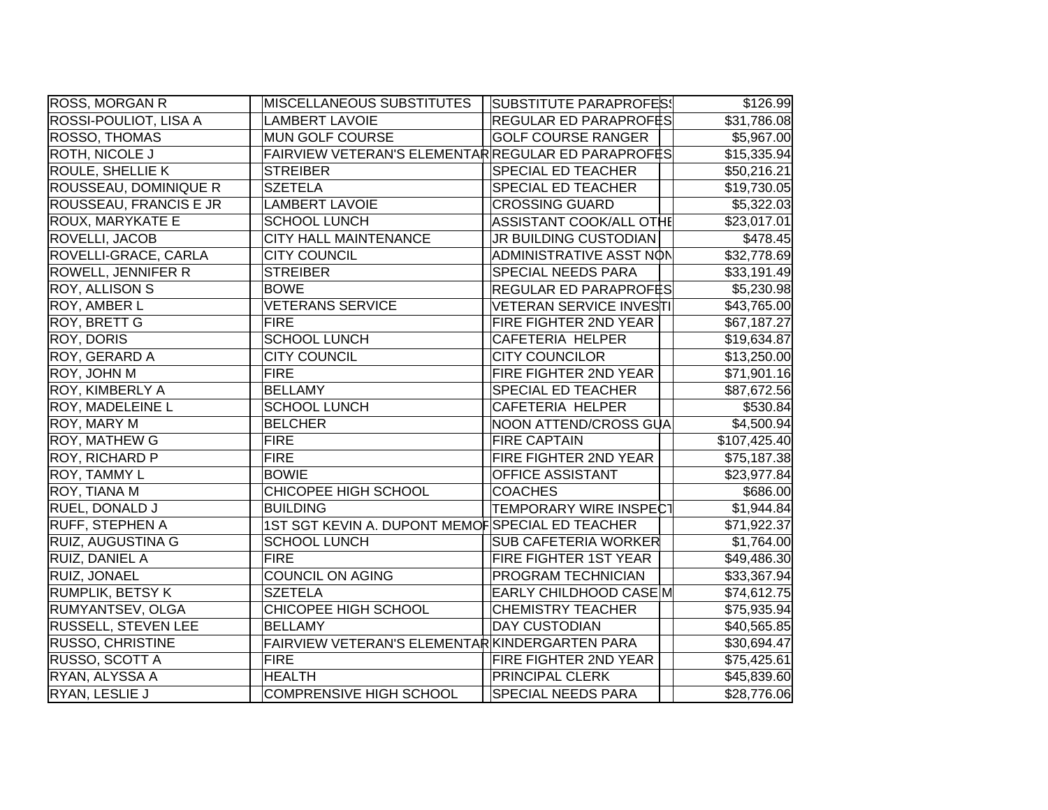| ROSS, MORGAN R             | MISCELLANEOUS SUBSTITUTES                          | <b>SUBSTITUTE PARAPROFES!</b> | \$126.99                 |
|----------------------------|----------------------------------------------------|-------------------------------|--------------------------|
| ROSSI-POULIOT, LISA A      | <b>LAMBERT LAVOIE</b>                              | REGULAR ED PARAPROFËS         | \$31,786.08              |
| ROSSO, THOMAS              | MUN GOLF COURSE                                    | <b>GOLF COURSE RANGER</b>     | \$5,967.00               |
| <b>ROTH, NICOLE J</b>      | FAIRVIEW VETERAN'S ELEMENTAR REGULAR ED PARAPROFES |                               | \$15,335.94              |
| <b>ROULE, SHELLIE K</b>    | <b>STREIBER</b>                                    | <b>SPECIAL ED TEACHER</b>     | \$50,216.21              |
| ROUSSEAU, DOMINIQUE R      | <b>SZETELA</b>                                     | <b>SPECIAL ED TEACHER</b>     | \$19,730.05              |
| ROUSSEAU, FRANCIS E JR     | <b>LAMBERT LAVOIE</b>                              | <b>CROSSING GUARD</b>         | $\overline{$5,322.03}$   |
| <b>ROUX, MARYKATE E</b>    | <b>SCHOOL LUNCH</b>                                | ASSISTANT COOK/ALL OTHE       | \$23,017.01              |
| ROVELLI, JACOB             | <b>CITY HALL MAINTENANCE</b>                       | JR BUILDING CUSTODIAN         | \$478.45                 |
| ROVELLI-GRACE, CARLA       | <b>CITY COUNCIL</b>                                | ADMINISTRATIVE ASST NON       | \$32,778.69              |
| <b>ROWELL, JENNIFER R</b>  | <b>STREIBER</b>                                    | <b>SPECIAL NEEDS PARA</b>     | \$33,191.49              |
| <b>ROY, ALLISON S</b>      | <b>BOWE</b>                                        | REGULAR ED PARAPROFES         | \$5,230.98               |
| <b>ROY, AMBER L</b>        | <b>VETERANS SERVICE</b>                            | VETERAN SERVICE INVESTI       | \$43,765.00              |
| <b>ROY, BRETT G</b>        | <b>FIRE</b>                                        | FIRE FIGHTER 2ND YEAR         | \$67,187.27              |
| <b>ROY, DORIS</b>          | <b>SCHOOL LUNCH</b>                                | <b>CAFETERIA HELPER</b>       | \$19,634.87              |
| ROY, GERARD A              | <b>CITY COUNCIL</b>                                | <b>CITY COUNCILOR</b>         | \$13,250.00              |
| <b>ROY, JOHN M</b>         | <b>FIRE</b>                                        | FIRE FIGHTER 2ND YEAR         | \$71,901.16              |
| <b>ROY, KIMBERLY A</b>     | <b>BELLAMY</b>                                     | <b>SPECIAL ED TEACHER</b>     | \$87,672.56              |
| <b>ROY, MADELEINE L</b>    | <b>SCHOOL LUNCH</b>                                | CAFETERIA HELPER              | \$530.84                 |
| <b>ROY, MARY M</b>         | <b>BELCHER</b>                                     | NOON ATTEND/CROSS GUA         | $\overline{$4,500.94}$   |
| <b>ROY, MATHEW G</b>       | <b>FIRE</b>                                        | <b>FIRE CAPTAIN</b>           | \$107,425.40             |
| <b>ROY, RICHARD P</b>      | <b>FIRE</b>                                        | FIRE FIGHTER 2ND YEAR         | \$75,187.38              |
| <b>ROY, TAMMY L</b>        | <b>BOWIE</b>                                       | <b>OFFICE ASSISTANT</b>       | \$23,977.84              |
| <b>ROY, TIANA M</b>        | CHICOPEE HIGH SCHOOL                               | <b>COACHES</b>                | \$686.00                 |
| <b>RUEL, DONALD J</b>      | <b>BUILDING</b>                                    | <b>TEMPORARY WIRE INSPECT</b> | \$1,944.84               |
| <b>RUFF, STEPHEN A</b>     | 1ST SGT KEVIN A. DUPONT MEMOFSPECIAL ED TEACHER    |                               | $\overline{\$71,922.37}$ |
| <b>RUIZ, AUGUSTINA G</b>   | <b>SCHOOL LUNCH</b>                                | <b>SUB CAFETERIA WORKER</b>   | \$1,764.00               |
| <b>RUIZ, DANIEL A</b>      | <b>FIRE</b>                                        | FIRE FIGHTER 1ST YEAR         | \$49,486.30              |
| <b>RUIZ, JONAEL</b>        | <b>COUNCIL ON AGING</b>                            | PROGRAM TECHNICIAN            | \$33,367.94              |
| <b>RUMPLIK, BETSY K</b>    | <b>SZETELA</b>                                     | EARLY CHILDHOOD CASE M        | \$74,612.75              |
| RUMYANTSEV, OLGA           | CHICOPEE HIGH SCHOOL                               | <b>CHEMISTRY TEACHER</b>      | \$75,935.94              |
| <b>RUSSELL, STEVEN LEE</b> | <b>BELLAMY</b>                                     | <b>DAY CUSTODIAN</b>          | \$40,565.85              |
| <b>RUSSO, CHRISTINE</b>    | FAIRVIEW VETERAN'S ELEMENTARKINDERGARTEN PARA      |                               | \$30,694.47              |
| RUSSO, SCOTT A             | <b>FIRE</b>                                        | FIRE FIGHTER 2ND YEAR         | \$75,425.61              |
| RYAN, ALYSSA A             | <b>HEALTH</b>                                      | <b>PRINCIPAL CLERK</b>        | \$45,839.60              |
| RYAN, LESLIE J             | <b>COMPRENSIVE HIGH SCHOOL</b>                     | <b>SPECIAL NEEDS PARA</b>     | \$28,776.06              |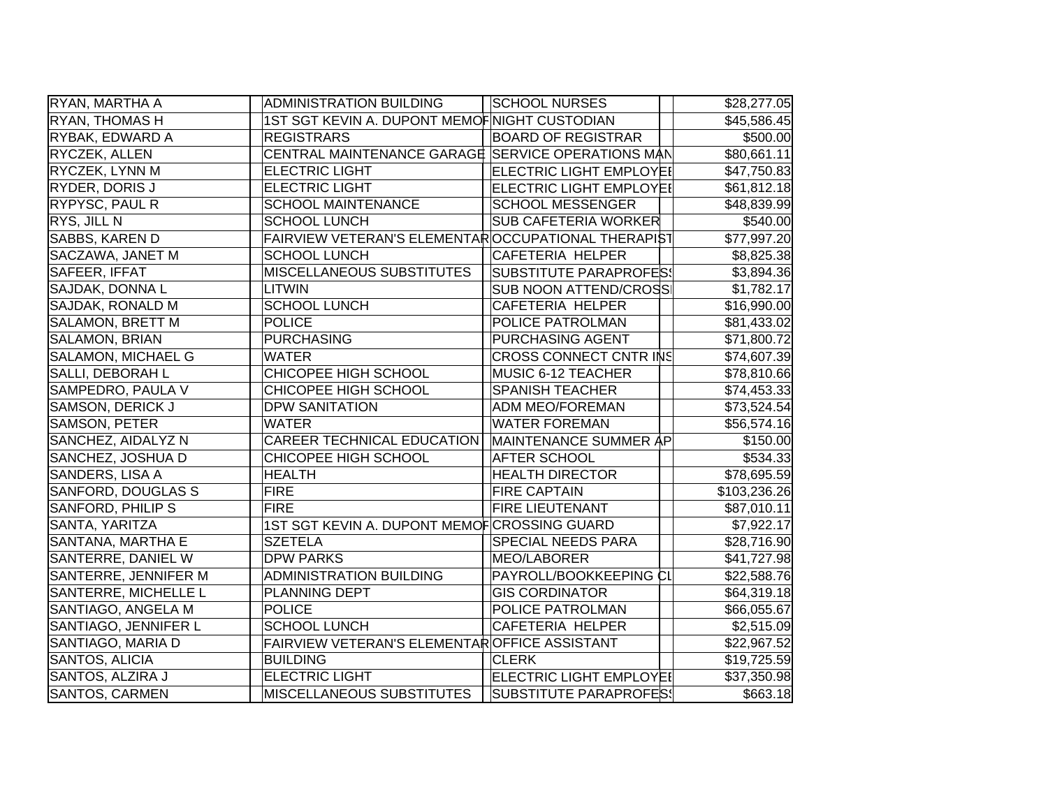| RYAN, MARTHA A              | <b>ADMINISTRATION BUILDING</b>                     | <b>SCHOOL NURSES</b>           | \$28,277.05  |
|-----------------------------|----------------------------------------------------|--------------------------------|--------------|
| <b>RYAN, THOMAS H</b>       | 1ST SGT KEVIN A. DUPONT MEMOF NIGHT CUSTODIAN      |                                | \$45,586.45  |
| <b>RYBAK, EDWARD A</b>      | <b>REGISTRARS</b>                                  | <b>BOARD OF REGISTRAR</b>      | \$500.00     |
| <b>RYCZEK, ALLEN</b>        | CENTRAL MAINTENANCE GARAGE SERVICE OPERATIONS MAN  |                                | \$80,661.11  |
| RYCZEK, LYNN M              | <b>ELECTRIC LIGHT</b>                              | <b>ELECTRIC LIGHT EMPLOYEI</b> | \$47,750.83  |
| <b>RYDER, DORIS J</b>       | <b>ELECTRIC LIGHT</b>                              | <b>ELECTRIC LIGHT EMPLOYEI</b> | \$61,812.18  |
| RYPYSC, PAUL R              | <b>SCHOOL MAINTENANCE</b>                          | <b>SCHOOL MESSENGER</b>        | \$48,839.99  |
| RYS, JILL N                 | <b>SCHOOL LUNCH</b>                                | <b>SUB CAFETERIA WORKER</b>    | \$540.00     |
| <b>SABBS, KAREN D</b>       | FAIRVIEW VETERAN'S ELEMENTAROCCUPATIONAL THERAPIST |                                | \$77,997.20  |
| SACZAWA, JANET M            | <b>SCHOOL LUNCH</b>                                | <b>CAFETERIA HELPER</b>        | \$8,825.38   |
| SAFEER, IFFAT               | MISCELLANEOUS SUBSTITUTES                          | <b>SUBSTITUTE PARAPROFES!</b>  | \$3,894.36   |
| SAJDAK, DONNA L             | <b>LITWIN</b>                                      | <b>SUB NOON ATTEND/CROSS</b>   | \$1,782.17   |
| SAJDAK, RONALD M            | <b>SCHOOL LUNCH</b>                                | <b>CAFETERIA HELPER</b>        | \$16,990.00  |
| SALAMON, BRETT M            | <b>POLICE</b>                                      | POLICE PATROLMAN               | \$81,433.02  |
| SALAMON, BRIAN              | <b>PURCHASING</b>                                  | PURCHASING AGENT               | \$71,800.72  |
| SALAMON, MICHAEL G          | <b>WATER</b>                                       | <b>CROSS CONNECT CNTR INS</b>  | \$74,607.39  |
| SALLI, DEBORAH L            | CHICOPEE HIGH SCHOOL                               | MUSIC 6-12 TEACHER             | \$78,810.66  |
| SAMPEDRO, PAULA V           | CHICOPEE HIGH SCHOOL                               | <b>SPANISH TEACHER</b>         | \$74,453.33  |
| SAMSON, DERICK J            | <b>DPW SANITATION</b>                              | <b>ADM MEO/FOREMAN</b>         | \$73,524.54  |
| SAMSON, PETER               | <b>WATER</b>                                       | <b>WATER FOREMAN</b>           | \$56,574.16  |
| SANCHEZ, AIDALYZ N          | CAREER TECHNICAL EDUCATION                         | MAINTENANCE SUMMER AP          | \$150.00     |
| SANCHEZ, JOSHUA D           | CHICOPEE HIGH SCHOOL                               | <b>AFTER SCHOOL</b>            | \$534.33     |
| SANDERS, LISA A             | <b>HEALTH</b>                                      | <b>HEALTH DIRECTOR</b>         | \$78,695.59  |
| SANFORD, DOUGLAS S          | <b>FIRE</b>                                        | <b>FIRE CAPTAIN</b>            | \$103,236.26 |
| SANFORD, PHILIP S           | <b>FIRE</b>                                        | <b>FIRE LIEUTENANT</b>         | \$87,010.11  |
| SANTA, YARITZA              | 1ST SGT KEVIN A. DUPONT MEMOF CROSSING GUARD       |                                | \$7,922.17   |
| SANTANA, MARTHA E           | <b>SZETELA</b>                                     | SPECIAL NEEDS PARA             | \$28,716.90  |
| SANTERRE, DANIEL W          | <b>DPW PARKS</b>                                   | MEO/LABORER                    | \$41,727.98  |
| SANTERRE, JENNIFER M        | <b>ADMINISTRATION BUILDING</b>                     | PAYROLL/BOOKKEEPING CL         | \$22,588.76  |
| <b>SANTERRE, MICHELLE L</b> | PLANNING DEPT                                      | <b>GIS CORDINATOR</b>          | \$64,319.18  |
| SANTIAGO, ANGELA M          | <b>POLICE</b>                                      | POLICE PATROLMAN               | \$66,055.67  |
| SANTIAGO, JENNIFER L        | <b>SCHOOL LUNCH</b>                                | CAFETERIA HELPER               | \$2,515.09   |
| SANTIAGO, MARIA D           | FAIRVIEW VETERAN'S ELEMENTAROFFICE ASSISTANT       |                                | \$22,967.52  |
| SANTOS, ALICIA              | <b>BUILDING</b>                                    | <b>CLERK</b>                   | \$19,725.59  |
| SANTOS, ALZIRA J            | <b>ELECTRIC LIGHT</b>                              | <b>ELECTRIC LIGHT EMPLOYEI</b> | \$37,350.98  |
| SANTOS, CARMEN              | <b>MISCELLANEOUS SUBSTITUTES</b>                   | SUBSTITUTE PARAPROFES!         | \$663.18     |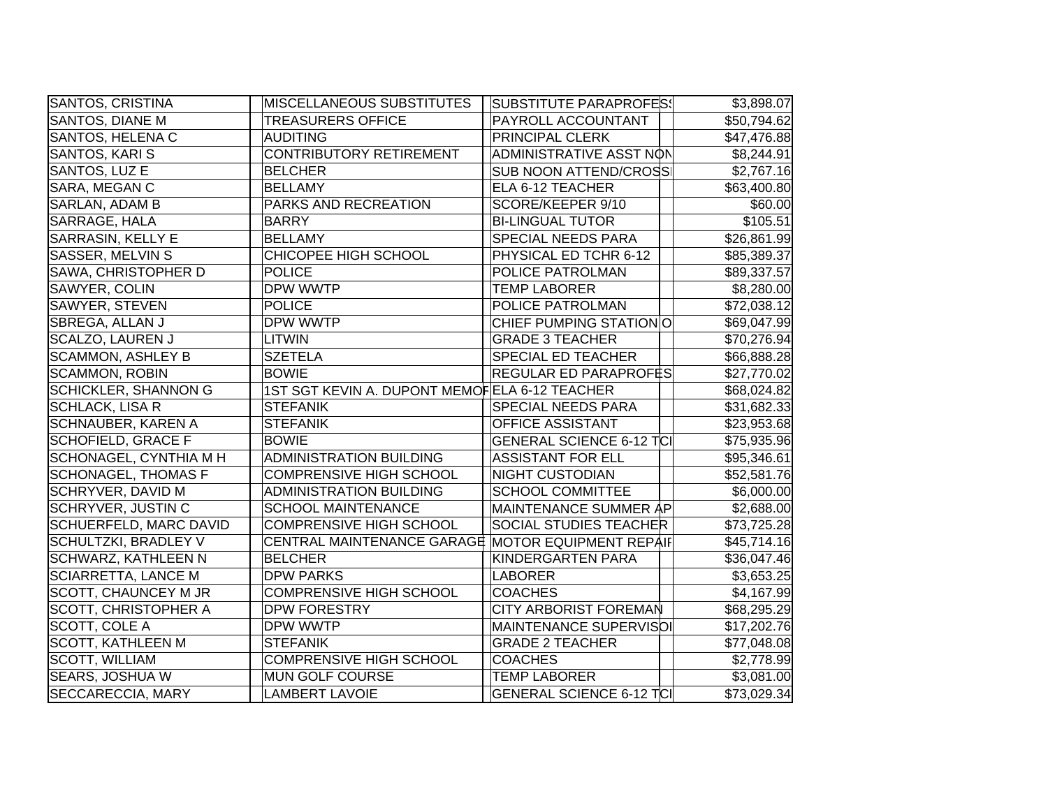| SANTOS, CRISTINA              | <b>MISCELLANEOUS SUBSTITUTES</b>                  | <b>SUBSTITUTE PARAPROFES!</b>   | \$3,898.07  |
|-------------------------------|---------------------------------------------------|---------------------------------|-------------|
| SANTOS, DIANE M               | <b>TREASURERS OFFICE</b>                          | PAYROLL ACCOUNTANT              | \$50,794.62 |
| SANTOS, HELENA C              | <b>AUDITING</b>                                   | <b>PRINCIPAL CLERK</b>          | \$47,476.88 |
| SANTOS, KARI S                | CONTRIBUTORY RETIREMENT                           | ADMINISTRATIVE ASST NON         | \$8,244.91  |
| SANTOS, LUZ E                 | <b>BELCHER</b>                                    | <b>SUB NOON ATTEND/CROSS</b>    | \$2,767.16  |
| SARA, MEGAN C                 | <b>BELLAMY</b>                                    | ELA 6-12 TEACHER                | \$63,400.80 |
| SARLAN, ADAM B                | PARKS AND RECREATION                              | SCORE/KEEPER 9/10               | \$60.00     |
| SARRAGE, HALA                 | <b>BARRY</b>                                      | <b>BI-LINGUAL TUTOR</b>         | \$105.51    |
| <b>SARRASIN, KELLY E</b>      | <b>BELLAMY</b>                                    | SPECIAL NEEDS PARA              | \$26,861.99 |
| <b>SASSER, MELVIN S</b>       | <b>CHICOPEE HIGH SCHOOL</b>                       | PHYSICAL ED TCHR 6-12           | \$85,389.37 |
| SAWA, CHRISTOPHER D           | <b>POLICE</b>                                     | POLICE PATROLMAN                | \$89,337.57 |
| SAWYER, COLIN                 | DPW WWTP                                          | <b>TEMP LABORER</b>             | \$8,280.00  |
| SAWYER, STEVEN                | <b>POLICE</b>                                     | POLICE PATROLMAN                | \$72,038.12 |
| SBREGA, ALLAN J               | DPW WWTP                                          | CHIEF PUMPING STATIONO          | \$69,047.99 |
| <b>SCALZO, LAUREN J</b>       | <b>LITWIN</b>                                     | <b>GRADE 3 TEACHER</b>          | \$70,276.94 |
| <b>SCAMMON, ASHLEY B</b>      | <b>SZETELA</b>                                    | <b>SPECIAL ED TEACHER</b>       | \$66,888.28 |
| <b>SCAMMON, ROBIN</b>         | <b>BOWIE</b>                                      | <b>REGULAR ED PARAPROFËS</b>    | \$27,770.02 |
| <b>SCHICKLER, SHANNON G</b>   | 1ST SGT KEVIN A. DUPONT MEMOFELA 6-12 TEACHER     |                                 | \$68,024.82 |
| <b>SCHLACK, LISA R</b>        | <b>STEFANIK</b>                                   | <b>SPECIAL NEEDS PARA</b>       | \$31,682.33 |
| <b>SCHNAUBER, KAREN A</b>     | <b>STEFANIK</b>                                   | <b>OFFICE ASSISTANT</b>         | \$23,953.68 |
| <b>SCHOFIELD, GRACE F</b>     | <b>BOWIE</b>                                      | <b>GENERAL SCIENCE 6-12 TCI</b> | \$75,935.96 |
| SCHONAGEL, CYNTHIA M H        | <b>ADMINISTRATION BUILDING</b>                    | <b>ASSISTANT FOR ELL</b>        | \$95,346.61 |
| <b>SCHONAGEL, THOMAS F</b>    | <b>COMPRENSIVE HIGH SCHOOL</b>                    | <b>NIGHT CUSTODIAN</b>          | \$52,581.76 |
| <b>SCHRYVER, DAVID M</b>      | <b>ADMINISTRATION BUILDING</b>                    | <b>SCHOOL COMMITTEE</b>         | \$6,000.00  |
| <b>SCHRYVER, JUSTIN C</b>     | <b>SCHOOL MAINTENANCE</b>                         | MAINTENANCE SUMMER AP           | \$2,688.00  |
| <b>SCHUERFELD, MARC DAVID</b> | <b>COMPRENSIVE HIGH SCHOOL</b>                    | SOCIAL STUDIES TEACHER          | \$73,725.28 |
| <b>SCHULTZKI, BRADLEY V</b>   | CENTRAL MAINTENANCE GARAGE MOTOR EQUIPMENT REPAIF |                                 | \$45,714.16 |
| <b>SCHWARZ, KATHLEEN N</b>    | <b>BELCHER</b>                                    | KINDERGARTEN PARA               | \$36,047.46 |
| <b>SCIARRETTA, LANCE M</b>    | <b>DPW PARKS</b>                                  | LABORER                         | \$3,653.25  |
| <b>SCOTT, CHAUNCEY M JR</b>   | <b>COMPRENSIVE HIGH SCHOOL</b>                    | <b>COACHES</b>                  | \$4,167.99  |
| <b>SCOTT, CHRISTOPHER A</b>   | <b>DPW FORESTRY</b>                               | <b>CITY ARBORIST FOREMAN</b>    | \$68,295.29 |
| SCOTT, COLE A                 | DPW WWTP                                          | MAINTENANCE SUPERVISOI          | \$17,202.76 |
| <b>SCOTT, KATHLEEN M</b>      | <b>STEFANIK</b>                                   | <b>GRADE 2 TEACHER</b>          | \$77,048.08 |
| <b>SCOTT, WILLIAM</b>         | <b>COMPRENSIVE HIGH SCHOOL</b>                    | <b>COACHES</b>                  | \$2,778.99  |
| <b>SEARS, JOSHUA W</b>        | MUN GOLF COURSE                                   | <b>TEMP LABORER</b>             | \$3,081.00  |
| SECCARECCIA, MARY             | <b>LAMBERT LAVOIE</b>                             | <b>GENERAL SCIENCE 6-12 TCI</b> | \$73,029.34 |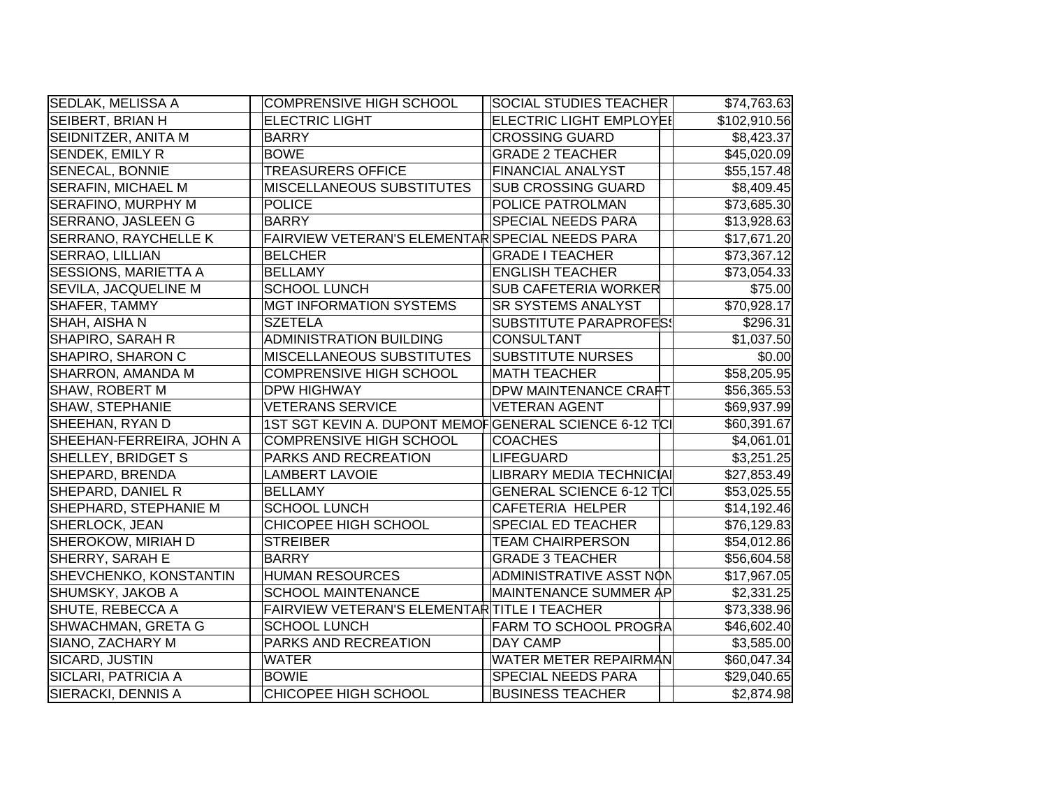| SEDLAK, MELISSA A           | <b>COMPRENSIVE HIGH SCHOOL</b>                        | <b>SOCIAL STUDIES TEACHER</b>   | \$74,763.63             |
|-----------------------------|-------------------------------------------------------|---------------------------------|-------------------------|
| <b>SEIBERT, BRIAN H</b>     | <b>ELECTRIC LIGHT</b>                                 | <b>ELECTRIC LIGHT EMPLOYEI</b>  | \$102,910.56            |
| SEIDNITZER, ANITA M         | <b>BARRY</b>                                          | <b>CROSSING GUARD</b>           | \$8,423.37              |
| SENDEK, EMILY R             | <b>BOWE</b>                                           | <b>GRADE 2 TEACHER</b>          | \$45,020.09             |
| <b>SENECAL, BONNIE</b>      | <b>TREASURERS OFFICE</b>                              | <b>FINANCIAL ANALYST</b>        | \$55,157.48             |
| <b>SERAFIN, MICHAEL M</b>   | MISCELLANEOUS SUBSTITUTES                             | <b>SUB CROSSING GUARD</b>       | \$8,409.45              |
| SERAFINO, MURPHY M          | <b>POLICE</b>                                         | <b>POLICE PATROLMAN</b>         | \$73,685.30             |
| SERRANO, JASLEEN G          | <b>BARRY</b>                                          | <b>SPECIAL NEEDS PARA</b>       | \$13,928.63             |
| <b>SERRANO, RAYCHELLE K</b> | FAIRVIEW VETERAN'S ELEMENTAR SPECIAL NEEDS PARA       |                                 | \$17,671.20             |
| SERRAO, LILLIAN             | <b>BELCHER</b>                                        | <b>GRADE I TEACHER</b>          | \$73,367.12             |
| <b>SESSIONS, MARIETTA A</b> | <b>BELLAMY</b>                                        | <b>ENGLISH TEACHER</b>          | \$73,054.33             |
| SEVILA, JACQUELINE M        | <b>SCHOOL LUNCH</b>                                   | <b>SUB CAFETERIA WORKER</b>     | \$75.00                 |
| SHAFER, TAMMY               | <b>MGT INFORMATION SYSTEMS</b>                        | <b>SR SYSTEMS ANALYST</b>       | \$70,928.17             |
| SHAH, AISHA N               | <b>SZETELA</b>                                        | <b>SUBSTITUTE PARAPROFES!</b>   | \$296.31                |
| SHAPIRO, SARAH R            | <b>ADMINISTRATION BUILDING</b>                        | <b>CONSULTANT</b>               | \$1,037.50              |
| SHAPIRO, SHARON C           | <b>MISCELLANEOUS SUBSTITUTES</b>                      | <b>SUBSTITUTE NURSES</b>        | \$0.00                  |
| SHARRON, AMANDA M           | <b>COMPRENSIVE HIGH SCHOOL</b>                        | <b>MATH TEACHER</b>             | \$58,205.95             |
| SHAW, ROBERT M              | <b>DPW HIGHWAY</b>                                    | <b>DPW MAINTENANCE CRAFT</b>    | $\overline{$}56,365.53$ |
| SHAW, STEPHANIE             | <b>VETERANS SERVICE</b>                               | <b>VETERAN AGENT</b>            | \$69,937.99             |
| SHEEHAN, RYAN D             | 1ST SGT KEVIN A. DUPONT MEMOFGENERAL SCIENCE 6-12 TCI |                                 | \$60,391.67             |
| SHEEHAN-FERREIRA, JOHN A    | <b>COMPRENSIVE HIGH SCHOOL</b>                        | <b>COACHES</b>                  | \$4,061.01              |
| SHELLEY, BRIDGET S          | PARKS AND RECREATION                                  | LIFEGUARD                       | \$3,251.25              |
| SHEPARD, BRENDA             | <b>LAMBERT LAVOIE</b>                                 | LIBRARY MEDIA TECHNICIAI        | \$27,853.49             |
| SHEPARD, DANIEL R           | <b>BELLAMY</b>                                        | <b>GENERAL SCIENCE 6-12 TCI</b> | \$53,025.55             |
| SHEPHARD, STEPHANIE M       | <b>SCHOOL LUNCH</b>                                   | <b>CAFETERIA HELPER</b>         | \$14,192.46             |
| SHERLOCK, JEAN              | CHICOPEE HIGH SCHOOL                                  | SPECIAL ED TEACHER              | \$76,129.83             |
| SHEROKOW, MIRIAH D          | <b>STREIBER</b>                                       | <b>TEAM CHAIRPERSON</b>         | \$54,012.86             |
| SHERRY, SARAH E             | <b>BARRY</b>                                          | <b>GRADE 3 TEACHER</b>          | \$56,604.58             |
| SHEVCHENKO, KONSTANTIN      | <b>HUMAN RESOURCES</b>                                | ADMINISTRATIVE ASST NON         | \$17,967.05             |
| SHUMSKY, JAKOB A            | <b>SCHOOL MAINTENANCE</b>                             | MAINTENANCE SUMMER AP           | \$2,331.25              |
| SHUTE, REBECCA A            | FAIRVIEW VETERAN'S ELEMENTAR TITLE I TEACHER          |                                 | \$73,338.96             |
| SHWACHMAN, GRETA G          | <b>SCHOOL LUNCH</b>                                   | <b>FARM TO SCHOOL PROGRA</b>    | \$46,602.40             |
| SIANO, ZACHARY M            | PARKS AND RECREATION                                  | DAY CAMP                        | \$3,585.00              |
| SICARD, JUSTIN              | <b>WATER</b>                                          | WATER METER REPAIRMAN           | \$60,047.34             |
| SICLARI, PATRICIA A         | <b>BOWIE</b>                                          | <b>SPECIAL NEEDS PARA</b>       | \$29,040.65             |
| SIERACKI, DENNIS A          | CHICOPEE HIGH SCHOOL                                  | <b>BUSINESS TEACHER</b>         | \$2,874.98              |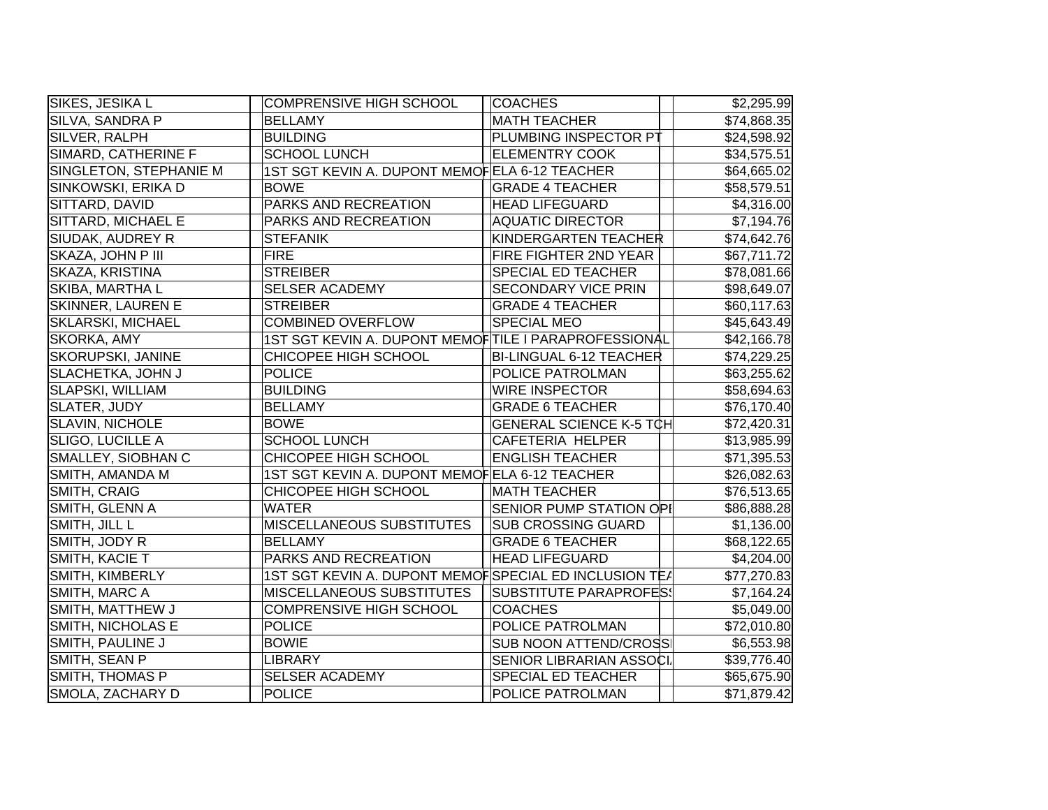| SIKES, JESIKA L          | <b>COMPRENSIVE HIGH SCHOOL</b>                        |                                 |             |
|--------------------------|-------------------------------------------------------|---------------------------------|-------------|
|                          |                                                       | <b>COACHES</b>                  | \$2,295.99  |
| SILVA, SANDRA P          | <b>BELLAMY</b>                                        | <b>MATH TEACHER</b>             | \$74,868.35 |
| SILVER, RALPH            | <b>BUILDING</b>                                       | PLUMBING INSPECTOR PT           | \$24,598.92 |
| SIMARD, CATHERINE F      | <b>SCHOOL LUNCH</b>                                   | <b>ELEMENTRY COOK</b>           | \$34,575.51 |
| SINGLETON, STEPHANIE M   | 1ST SGT KEVIN A. DUPONT MEMOFELA 6-12 TEACHER         |                                 | \$64,665.02 |
| SINKOWSKI, ERIKA D       | <b>BOWE</b>                                           | <b>GRADE 4 TEACHER</b>          | \$58,579.51 |
| SITTARD, DAVID           | PARKS AND RECREATION                                  | <b>HEAD LIFEGUARD</b>           | \$4,316.00  |
| SITTARD, MICHAEL E       | PARKS AND RECREATION                                  | <b>AQUATIC DIRECTOR</b>         | \$7,194.76  |
| SIUDAK, AUDREY R         | <b>STEFANIK</b>                                       | KINDERGARTEN TEACHER            | \$74,642.76 |
| SKAZA, JOHN P III        | <b>FIRE</b>                                           | FIRE FIGHTER 2ND YEAR           | \$67,711.72 |
| SKAZA, KRISTINA          | <b>STREIBER</b>                                       | <b>SPECIAL ED TEACHER</b>       | \$78,081.66 |
| SKIBA, MARTHA L          | <b>SELSER ACADEMY</b>                                 | <b>SECONDARY VICE PRIN</b>      | \$98,649.07 |
| <b>SKINNER, LAUREN E</b> | <b>STREIBER</b>                                       | <b>GRADE 4 TEACHER</b>          | \$60,117.63 |
| <b>SKLARSKI, MICHAEL</b> | <b>COMBINED OVERFLOW</b>                              | <b>SPECIAL MEO</b>              | \$45,643.49 |
| SKORKA, AMY              | 1ST SGT KEVIN A. DUPONT MEMOFTILE I PARAPROFESSIONAL  |                                 | \$42,166.78 |
| <b>SKORUPSKI, JANINE</b> | CHICOPEE HIGH SCHOOL                                  | <b>BI-LINGUAL 6-12 TEACHER</b>  | \$74,229.25 |
| SLACHETKA, JOHN J        | <b>POLICE</b>                                         | POLICE PATROLMAN                | \$63,255.62 |
| <b>SLAPSKI, WILLIAM</b>  | <b>BUILDING</b>                                       | <b>WIRE INSPECTOR</b>           | \$58,694.63 |
| <b>SLATER, JUDY</b>      | <b>BELLAMY</b>                                        | <b>GRADE 6 TEACHER</b>          | \$76,170.40 |
| <b>SLAVIN, NICHOLE</b>   | <b>BOWE</b>                                           | <b>GENERAL SCIENCE K-5 TCH</b>  | \$72,420.31 |
| SLIGO, LUCILLE A         | <b>SCHOOL LUNCH</b>                                   | <b>CAFETERIA HELPER</b>         | \$13,985.99 |
| SMALLEY, SIOBHAN C       | CHICOPEE HIGH SCHOOL                                  | <b>ENGLISH TEACHER</b>          | \$71,395.53 |
| SMITH, AMANDA M          | 1ST SGT KEVIN A. DUPONT MEMOFELA 6-12 TEACHER         |                                 | \$26,082.63 |
| SMITH, CRAIG             | CHICOPEE HIGH SCHOOL                                  | <b>MATH TEACHER</b>             | \$76,513.65 |
| SMITH, GLENN A           | <b>WATER</b>                                          | <b>SENIOR PUMP STATION OPI</b>  | \$86,888.28 |
| SMITH, JILL L            | <b>MISCELLANEOUS SUBSTITUTES</b>                      | <b>SUB CROSSING GUARD</b>       | \$1,136.00  |
| SMITH, JODY R            | <b>BELLAMY</b>                                        | <b>GRADE 6 TEACHER</b>          | \$68,122.65 |
| SMITH, KACIE T           | PARKS AND RECREATION                                  | <b>HEAD LIFEGUARD</b>           | \$4,204.00  |
| SMITH, KIMBERLY          | 1ST SGT KEVIN A. DUPONT MEMOFSPECIAL ED INCLUSION TEA |                                 | \$77,270.83 |
| SMITH, MARC A            | MISCELLANEOUS SUBSTITUTES                             | <b>SUBSTITUTE PARAPROFES!</b>   | \$7,164.24  |
| SMITH, MATTHEW J         | <b>COMPRENSIVE HIGH SCHOOL</b>                        | <b>COACHES</b>                  | \$5,049.00  |
| SMITH, NICHOLAS E        | <b>POLICE</b>                                         | POLICE PATROLMAN                | \$72,010.80 |
| SMITH, PAULINE J         | <b>BOWIE</b>                                          | <b>SUB NOON ATTEND/CROSS</b>    | \$6,553.98  |
| SMITH, SEAN P            | <b>LIBRARY</b>                                        | <b>SENIOR LIBRARIAN ASSOCI.</b> | \$39,776.40 |
| SMITH, THOMAS P          | <b>SELSER ACADEMY</b>                                 | <b>SPECIAL ED TEACHER</b>       | \$65,675.90 |
| SMOLA, ZACHARY D         | POLICE                                                | POLICE PATROLMAN                | \$71,879.42 |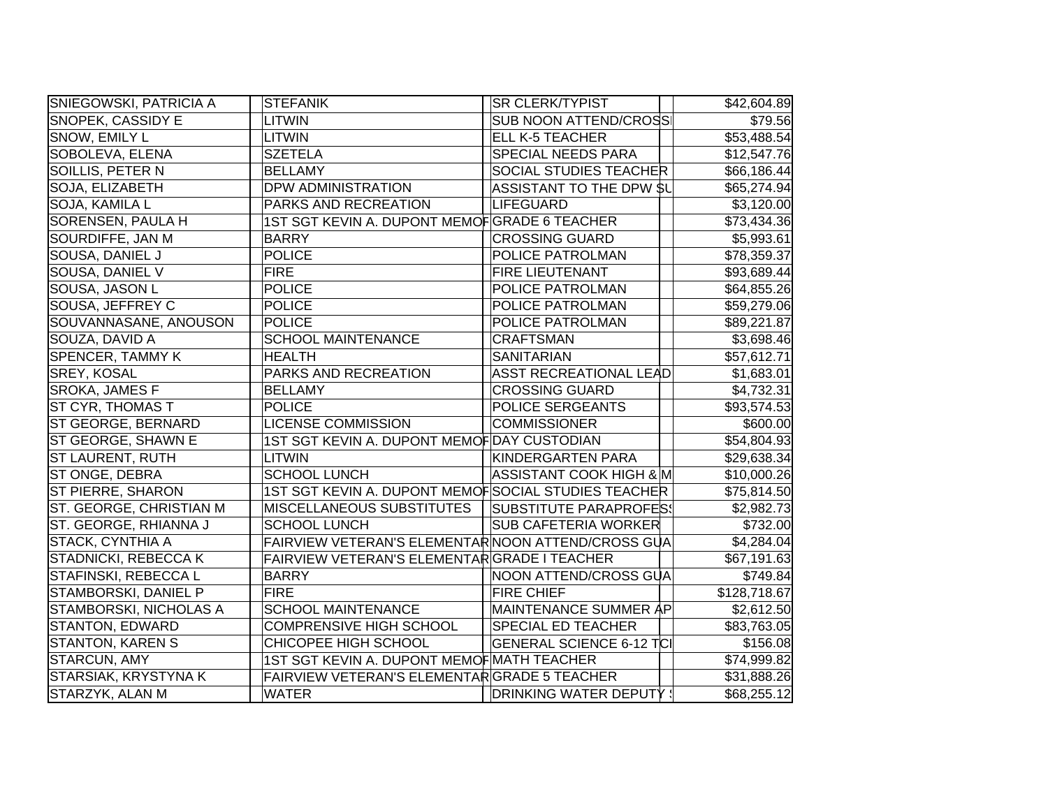| <b>SNIEGOWSKI, PATRICIA A</b> | <b>STEFANIK</b>                                     | <b>SR CLERK/TYPIST</b>        | \$42,604.89  |
|-------------------------------|-----------------------------------------------------|-------------------------------|--------------|
| SNOPEK, CASSIDY E             | <b>LITWIN</b>                                       | <b>SUB NOON ATTEND/CROSS</b>  | \$79.56      |
| SNOW, EMILY L                 | <b>LITWIN</b>                                       | <b>ELL K-5 TEACHER</b>        | \$53,488.54  |
| SOBOLEVA, ELENA               | <b>SZETELA</b>                                      | <b>SPECIAL NEEDS PARA</b>     | \$12,547.76  |
| SOILLIS, PETER N              | <b>BELLAMY</b>                                      | <b>SOCIAL STUDIES TEACHER</b> | \$66,186.44  |
| SOJA, ELIZABETH               | <b>DPW ADMINISTRATION</b>                           | ASSISTANT TO THE DPW \$L      | \$65,274.94  |
| SOJA, KAMILA L                | PARKS AND RECREATION                                | LIFEGUARD                     | \$3,120.00   |
| SORENSEN, PAULA H             | 1ST SGT KEVIN A. DUPONT MEMOFGRADE 6 TEACHER        |                               | \$73,434.36  |
| SOURDIFFE, JAN M              | <b>BARRY</b>                                        | <b>CROSSING GUARD</b>         | \$5,993.61   |
| SOUSA, DANIEL J               | <b>POLICE</b>                                       | <b>POLICE PATROLMAN</b>       | \$78,359.37  |
| SOUSA, DANIEL V               | <b>FIRE</b>                                         | <b>FIRE LIEUTENANT</b>        | \$93,689.44  |
| SOUSA, JASON L                | <b>POLICE</b>                                       | <b>POLICE PATROLMAN</b>       | \$64,855.26  |
| SOUSA, JEFFREY C              | POLICE                                              | POLICE PATROLMAN              | \$59,279.06  |
| SOUVANNASANE, ANOUSON         | <b>POLICE</b>                                       | POLICE PATROLMAN              | \$89,221.87  |
| SOUZA, DAVID A                | <b>SCHOOL MAINTENANCE</b>                           | <b>CRAFTSMAN</b>              | \$3,698.46   |
| <b>SPENCER, TAMMY K</b>       | <b>HEALTH</b>                                       | <b>SANITARIAN</b>             | \$57,612.71  |
| <b>SREY, KOSAL</b>            | PARKS AND RECREATION                                | ASST RECREATIONAL LEAD        | \$1,683.01   |
| <b>SROKA, JAMES F</b>         | <b>BELLAMY</b>                                      | <b>CROSSING GUARD</b>         | \$4,732.31   |
| ST CYR, THOMAS T              | <b>POLICE</b>                                       | <b>POLICE SERGEANTS</b>       | \$93,574.53  |
| <b>ST GEORGE, BERNARD</b>     | <b>LICENSE COMMISSION</b>                           | <b>COMMISSIONER</b>           | \$600.00     |
| ST GEORGE, SHAWN E            | 1ST SGT KEVIN A. DUPONT MEMOF DAY CUSTODIAN         |                               | \$54,804.93  |
| <b>ST LAURENT, RUTH</b>       | <b>LITWIN</b>                                       | KINDERGARTEN PARA             | \$29,638.34  |
| ST ONGE, DEBRA                | <b>SCHOOL LUNCH</b>                                 | ASSISTANT COOK HIGH & M       | \$10,000.26  |
| <b>ST PIERRE, SHARON</b>      | 1ST SGT KEVIN A. DUPONT MEMOFSOCIAL STUDIES TEACHER |                               | \$75,814.50  |
| ST. GEORGE, CHRISTIAN M       | MISCELLANEOUS SUBSTITUTES                           | <b>SUBSTITUTE PARAPROFES!</b> | \$2,982.73   |
| ST. GEORGE, RHIANNA J         | <b>SCHOOL LUNCH</b>                                 | <b>SUB CAFETERIA WORKER</b>   | \$732.00     |
| STACK, CYNTHIA A              | FAIRVIEW VETERAN'S ELEMENTAR NOON ATTEND/CROSS GUA  |                               | \$4,284.04   |
| STADNICKI, REBECCA K          | FAIRVIEW VETERAN'S ELEMENTARGRADE I TEACHER         |                               | \$67,191.63  |
| STAFINSKI, REBECCA L          | <b>BARRY</b>                                        | NOON ATTEND/CROSS GUA         | \$749.84     |
| STAMBORSKI, DANIEL P          | <b>FIRE</b>                                         | <b>FIRE CHIEF</b>             | \$128,718.67 |
| STAMBORSKI, NICHOLAS A        | <b>SCHOOL MAINTENANCE</b>                           | MAINTENANCE SUMMER AP         | \$2,612.50   |
| <b>STANTON, EDWARD</b>        | <b>COMPRENSIVE HIGH SCHOOL</b>                      | <b>SPECIAL ED TEACHER</b>     | \$83,763.05  |
| <b>STANTON, KAREN S</b>       | CHICOPEE HIGH SCHOOL                                | GENERAL SCIENCE 6-12 TCI      | \$156.08     |
| STARCUN, AMY                  | 1ST SGT KEVIN A. DUPONT MEMOF MATH TEACHER          |                               | \$74,999.82  |
| STARSIAK, KRYSTYNA K          | FAIRVIEW VETERAN'S ELEMENTARGRADE 5 TEACHER         |                               | \$31,888.26  |
| STARZYK, ALAN M               | <b>WATER</b>                                        | <b>DRINKING WATER DEPUTY:</b> | \$68,255.12  |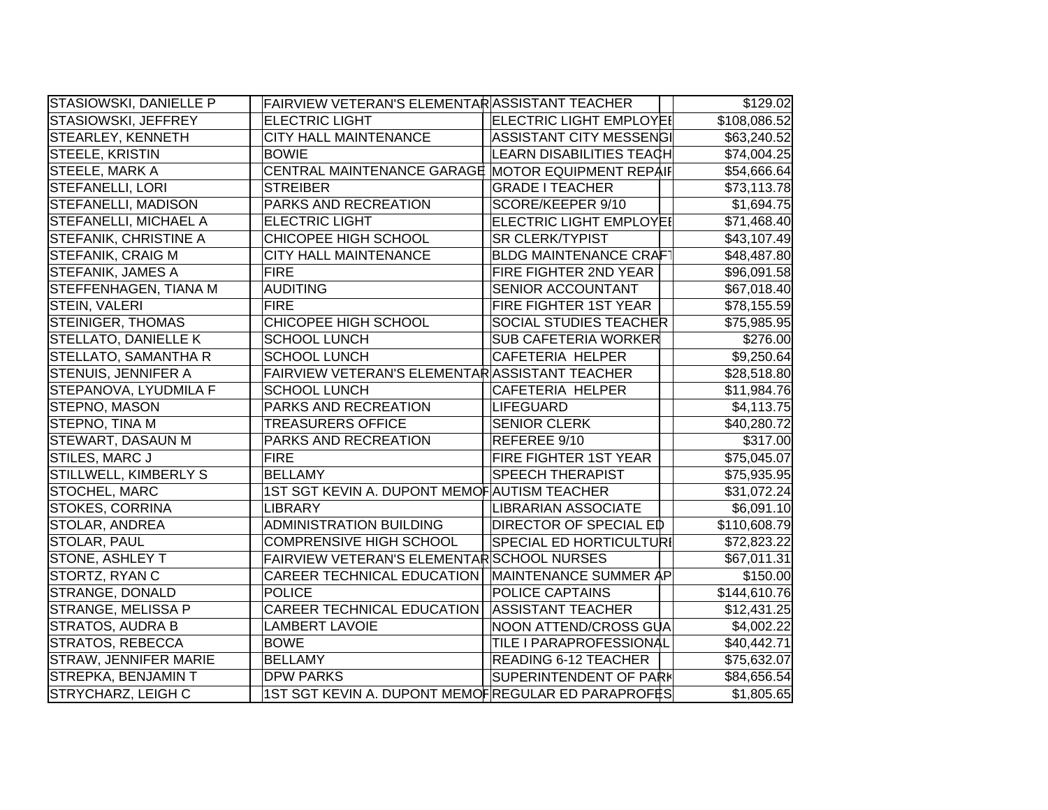| STASIOWSKI, DANIELLE P       | FAIRVIEW VETERAN'S ELEMENTAR ASSISTANT TEACHER     |                                | $\overline{$}129.02$ |
|------------------------------|----------------------------------------------------|--------------------------------|----------------------|
| STASIOWSKI, JEFFREY          | <b>ELECTRIC LIGHT</b>                              | <b>ELECTRIC LIGHT EMPLOYE!</b> | \$108,086.52         |
| STEARLEY, KENNETH            | <b>CITY HALL MAINTENANCE</b>                       | ASSISTANT CITY MESSENGI        | \$63,240.52          |
| STEELE, KRISTIN              | <b>BOWIE</b>                                       | LEARN DISABILITIES TEACH       | \$74,004.25          |
| <b>STEELE, MARK A</b>        | CENTRAL MAINTENANCE GARAGE MOTOR EQUIPMENT REPAIF  |                                | \$54,666.64          |
| <b>STEFANELLI, LORI</b>      | <b>STREIBER</b>                                    | <b>GRADE I TEACHER</b>         | \$73,113.78          |
| <b>STEFANELLI, MADISON</b>   | PARKS AND RECREATION                               | SCORE/KEEPER 9/10              | \$1,694.75           |
| <b>STEFANELLI, MICHAEL A</b> | <b>ELECTRIC LIGHT</b>                              | ELECTRIC LIGHT EMPLOYEI        | \$71,468.40          |
| STEFANIK, CHRISTINE A        | CHICOPEE HIGH SCHOOL                               | <b>SR CLERK/TYPIST</b>         | \$43,107.49          |
| STEFANIK, CRAIG M            | <b>CITY HALL MAINTENANCE</b>                       | <b>BLDG MAINTENANCE CRAFT</b>  | \$48,487.80          |
| <b>STEFANIK, JAMES A</b>     | <b>FIRE</b>                                        | FIRE FIGHTER 2ND YEAR          | \$96,091.58          |
| STEFFENHAGEN, TIANA M        | <b>AUDITING</b>                                    | SENIOR ACCOUNTANT              | \$67,018.40          |
| STEIN, VALERI                | <b>FIRE</b>                                        | FIRE FIGHTER 1ST YEAR          | \$78,155.59          |
| <b>STEINIGER, THOMAS</b>     | CHICOPEE HIGH SCHOOL                               | SOCIAL STUDIES TEACHER         | \$75,985.95          |
| STELLATO, DANIELLE K         | <b>SCHOOL LUNCH</b>                                | <b>SUB CAFETERIA WORKER</b>    | \$276.00             |
| STELLATO, SAMANTHA R         | <b>SCHOOL LUNCH</b>                                | <b>CAFETERIA HELPER</b>        | \$9,250.64           |
| STENUIS, JENNIFER A          | FAIRVIEW VETERAN'S ELEMENTARASSISTANT TEACHER      |                                | \$28,518.80          |
| STEPANOVA, LYUDMILA F        | <b>SCHOOL LUNCH</b>                                | <b>CAFETERIA HELPER</b>        | \$11,984.76          |
| <b>STEPNO, MASON</b>         | PARKS AND RECREATION                               | LIFEGUARD                      | \$4,113.75           |
| STEPNO, TINA M               | <b>TREASURERS OFFICE</b>                           | <b>SENIOR CLERK</b>            | \$40,280.72          |
| <b>STEWART, DASAUN M</b>     | PARKS AND RECREATION                               | REFEREE 9/10                   | \$317.00             |
| <b>STILES, MARC J</b>        | <b>FIRE</b>                                        | FIRE FIGHTER 1ST YEAR          | \$75,045.07          |
| STILLWELL, KIMBERLY S        | <b>BELLAMY</b>                                     | <b>SPEECH THERAPIST</b>        | \$75,935.95          |
| STOCHEL, MARC                | 1ST SGT KEVIN A. DUPONT MEMOF AUTISM TEACHER       |                                | \$31,072.24          |
| STOKES, CORRINA              | <b>LIBRARY</b>                                     | <b>LIBRARIAN ASSOCIATE</b>     | \$6,091.10           |
| STOLAR, ANDREA               | <b>ADMINISTRATION BUILDING</b>                     | <b>DIRECTOR OF SPECIAL ED</b>  | \$110,608.79         |
| STOLAR, PAUL                 | <b>COMPRENSIVE HIGH SCHOOL</b>                     | SPECIAL ED HORTICULTURI        | \$72,823.22          |
| STONE, ASHLEY T              | FAIRVIEW VETERAN'S ELEMENTAR SCHOOL NURSES         |                                | \$67,011.31          |
| STORTZ, RYAN C               | <b>CAREER TECHNICAL EDUCATION</b>                  | MAINTENANCE SUMMER AP          | \$150.00             |
| <b>STRANGE, DONALD</b>       | <b>POLICE</b>                                      | POLICE CAPTAINS                | \$144,610.76         |
| STRANGE, MELISSA P           | <b>CAREER TECHNICAL EDUCATION</b>                  | <b>ASSISTANT TEACHER</b>       | \$12,431.25          |
| STRATOS, AUDRA B             | <b>LAMBERT LAVOIE</b>                              | NOON ATTEND/CROSS GUA          | \$4,002.22           |
| STRATOS, REBECCA             | <b>BOWE</b>                                        | TILE I PARAPROFESSIONAL        | \$40,442.71          |
| STRAW, JENNIFER MARIE        | <b>BELLAMY</b>                                     | READING 6-12 TEACHER           | \$75,632.07          |
| STREPKA, BENJAMIN T          | <b>DPW PARKS</b>                                   | <b>SUPERINTENDENT OF PARK</b>  | \$84,656.54          |
| <b>STRYCHARZ, LEIGH C</b>    | 1ST SGT KEVIN A. DUPONT MEMOFREGULAR ED PARAPROFES |                                | \$1,805.65           |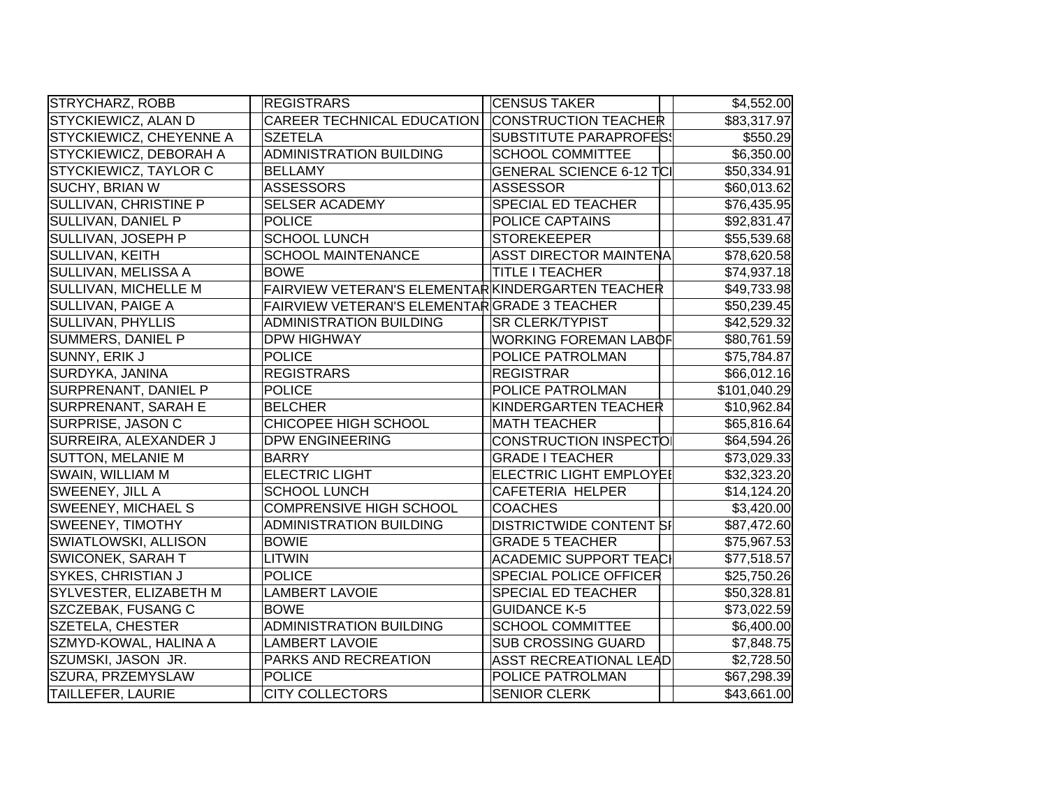| STRYCHARZ, ROBB             | <b>REGISTRARS</b>                                | <b>CENSUS TAKER</b>             | \$4,552.00   |
|-----------------------------|--------------------------------------------------|---------------------------------|--------------|
| STYCKIEWICZ, ALAN D         | CAREER TECHNICAL EDUCATION                       | <b>CONSTRUCTION TEACHER</b>     | \$83,317.97  |
| STYCKIEWICZ, CHEYENNE A     | <b>SZETELA</b>                                   | SUBSTITUTE PARAPROFES!          | \$550.29     |
| STYCKIEWICZ, DEBORAH A      | ADMINISTRATION BUILDING                          | <b>SCHOOL COMMITTEE</b>         | \$6,350.00   |
| STYCKIEWICZ, TAYLOR C       | <b>BELLAMY</b>                                   | <b>GENERAL SCIENCE 6-12 TCI</b> | \$50,334.91  |
| <b>SUCHY, BRIAN W</b>       | <b>ASSESSORS</b>                                 | ASSESSOR                        | \$60,013.62  |
| SULLIVAN, CHRISTINE P       | <b>SELSER ACADEMY</b>                            | <b>SPECIAL ED TEACHER</b>       | \$76,435.95  |
| SULLIVAN, DANIEL P          | <b>POLICE</b>                                    | <b>POLICE CAPTAINS</b>          | \$92,831.47  |
| SULLIVAN, JOSEPH P          | <b>SCHOOL LUNCH</b>                              | STOREKEEPER                     | \$55,539.68  |
| <b>SULLIVAN, KEITH</b>      | <b>SCHOOL MAINTENANCE</b>                        | ASST DIRECTOR MAINTENA          | \$78,620.58  |
| SULLIVAN, MELISSA A         | <b>BOWE</b>                                      | <b>TITLE I TEACHER</b>          | \$74,937.18  |
| SULLIVAN, MICHELLE M        | FAIRVIEW VETERAN'S ELEMENTARKINDERGARTEN TEACHER |                                 | \$49,733.98  |
| SULLIVAN, PAIGE A           | FAIRVIEW VETERAN'S ELEMENTARGRADE 3 TEACHER      |                                 | \$50,239.45  |
| <b>SULLIVAN, PHYLLIS</b>    | <b>ADMINISTRATION BUILDING</b>                   | <b>SR CLERK/TYPIST</b>          | \$42,529.32  |
| SUMMERS, DANIEL P           | <b>DPW HIGHWAY</b>                               | <b>WORKING FOREMAN LABOF</b>    | \$80,761.59  |
| SUNNY, ERIK J               | <b>POLICE</b>                                    | <b>POLICE PATROLMAN</b>         | \$75,784.87  |
| SURDYKA, JANINA             | <b>REGISTRARS</b>                                | <b>REGISTRAR</b>                | \$66,012.16  |
| <b>SURPRENANT, DANIEL P</b> | <b>POLICE</b>                                    | POLICE PATROLMAN                | \$101,040.29 |
| SURPRENANT, SARAH E         | <b>BELCHER</b>                                   | KINDERGARTEN TEACHER            | \$10,962.84  |
| SURPRISE, JASON C           | CHICOPEE HIGH SCHOOL                             | <b>MATH TEACHER</b>             | \$65,816.64  |
| SURREIRA, ALEXANDER J       | <b>DPW ENGINEERING</b>                           | CONSTRUCTION INSPECTO           | \$64,594.26  |
| <b>SUTTON, MELANIE M</b>    | <b>BARRY</b>                                     | <b>GRADE I TEACHER</b>          | \$73,029.33  |
| SWAIN, WILLIAM M            | <b>ELECTRIC LIGHT</b>                            | <b>ELECTRIC LIGHT EMPLOYEI</b>  | \$32,323.20  |
| SWEENEY, JILL A             | <b>SCHOOL LUNCH</b>                              | <b>CAFETERIA HELPER</b>         | \$14,124.20  |
| <b>SWEENEY, MICHAEL S</b>   | <b>COMPRENSIVE HIGH SCHOOL</b>                   | <b>COACHES</b>                  | \$3,420.00   |
| <b>SWEENEY, TIMOTHY</b>     | <b>ADMINISTRATION BUILDING</b>                   | <b>DISTRICTWIDE CONTENT SI</b>  | \$87,472.60  |
| SWIATLOWSKI, ALLISON        | <b>BOWIE</b>                                     | <b>GRADE 5 TEACHER</b>          | \$75,967.53  |
| <b>SWICONEK, SARAH T</b>    | <b>LITWIN</b>                                    | <b>ACADEMIC SUPPORT TEACI</b>   | \$77,518.57  |
| SYKES, CHRISTIAN J          | <b>POLICE</b>                                    | <b>SPECIAL POLICE OFFICER</b>   | \$25,750.26  |
| SYLVESTER, ELIZABETH M      | <b>LAMBERT LAVOIE</b>                            | <b>SPECIAL ED TEACHER</b>       | \$50,328.81  |
| SZCZEBAK, FUSANG C          | <b>BOWE</b>                                      | <b>GUIDANCE K-5</b>             | \$73,022.59  |
| SZETELA, CHESTER            | <b>ADMINISTRATION BUILDING</b>                   | <b>SCHOOL COMMITTEE</b>         | \$6,400.00   |
| SZMYD-KOWAL, HALINA A       | <b>LAMBERT LAVOIE</b>                            | <b>SUB CROSSING GUARD</b>       | \$7,848.75   |
| SZUMSKI, JASON JR.          | PARKS AND RECREATION                             | <b>ASST RECREATIONAL LEAD</b>   | \$2,728.50   |
| SZURA, PRZEMYSLAW           | <b>POLICE</b>                                    | <b>POLICE PATROLMAN</b>         | \$67,298.39  |
| <b>TAILLEFER, LAURIE</b>    | <b>CITY COLLECTORS</b>                           | <b>SENIOR CLERK</b>             | \$43,661.00  |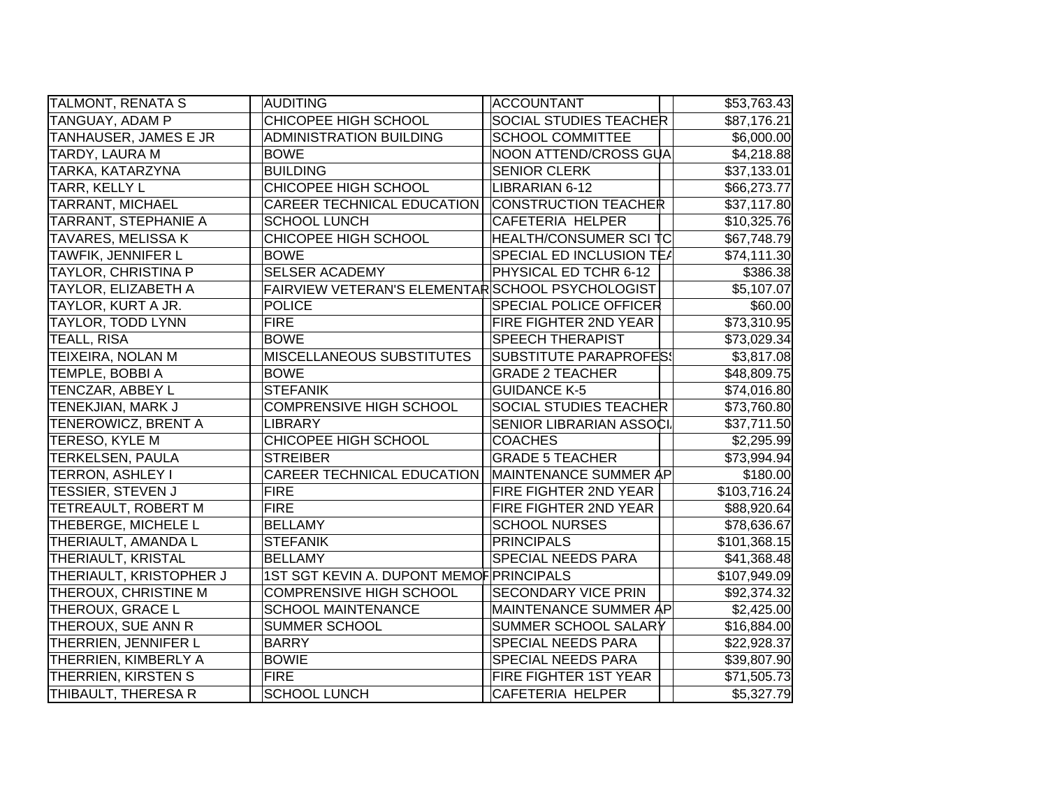| TALMONT, RENATA S          | AUDITING                                         | ACCOUNTANT                    | \$53,763.43  |
|----------------------------|--------------------------------------------------|-------------------------------|--------------|
| TANGUAY, ADAM P            | CHICOPEE HIGH SCHOOL                             | SOCIAL STUDIES TEACHER        | \$87,176.21  |
| TANHAUSER, JAMES E JR      | <b>ADMINISTRATION BUILDING</b>                   | <b>SCHOOL COMMITTEE</b>       | \$6,000.00   |
| TARDY, LAURA M             | <b>BOWE</b>                                      | NOON ATTEND/CROSS GUA         | \$4,218.88   |
| TARKA, KATARZYNA           | <b>BUILDING</b>                                  | <b>SENIOR CLERK</b>           | \$37,133.01  |
| TARR, KELLY L              | CHICOPEE HIGH SCHOOL                             | LIBRARIAN 6-12                | \$66,273.77  |
| <b>TARRANT, MICHAEL</b>    | <b>CAREER TECHNICAL EDUCATION</b>                | <b>CONSTRUCTION TEACHER</b>   | \$37,117.80  |
| TARRANT, STEPHANIE A       | <b>SCHOOL LUNCH</b>                              | <b>CAFETERIA HELPER</b>       | \$10,325.76  |
| <b>TAVARES, MELISSA K</b>  | CHICOPEE HIGH SCHOOL                             | HEALTH/CONSUMER SCI TC        | \$67,748.79  |
| TAWFIK, JENNIFER L         | <b>BOWE</b>                                      | SPECIAL ED INCLUSION TEA      | \$74,111.30  |
| <b>TAYLOR, CHRISTINA P</b> | <b>SELSER ACADEMY</b>                            | PHYSICAL ED TCHR 6-12         | \$386.38     |
| TAYLOR, ELIZABETH A        | FAIRVIEW VETERAN'S ELEMENTAR SCHOOL PSYCHOLOGIST |                               | \$5,107.07   |
| TAYLOR, KURT A JR.         | <b>POLICE</b>                                    | <b>SPECIAL POLICE OFFICER</b> | \$60.00      |
| TAYLOR, TODD LYNN          | <b>FIRE</b>                                      | FIRE FIGHTER 2ND YEAR         | \$73,310.95  |
| TEALL, RISA                | <b>BOWE</b>                                      | <b>SPEECH THERAPIST</b>       | \$73,029.34  |
| TEIXEIRA, NOLAN M          | MISCELLANEOUS SUBSTITUTES                        | <b>SUBSTITUTE PARAPROFES!</b> | \$3,817.08   |
| <b>TEMPLE, BOBBI A</b>     | <b>BOWE</b>                                      | <b>GRADE 2 TEACHER</b>        | \$48,809.75  |
| TENCZAR, ABBEY L           | <b>STEFANIK</b>                                  | <b>GUIDANCE K-5</b>           | \$74,016.80  |
| TENEKJIAN, MARK J          | <b>COMPRENSIVE HIGH SCHOOL</b>                   | SOCIAL STUDIES TEACHER        | \$73,760.80  |
| <b>TENEROWICZ, BRENT A</b> | <b>LIBRARY</b>                                   | SENIOR LIBRARIAN ASSOCI.      | \$37,711.50  |
| <b>TERESO, KYLE M</b>      | CHICOPEE HIGH SCHOOL                             | <b>COACHES</b>                | \$2,295.99   |
| <b>TERKELSEN, PAULA</b>    | <b>STREIBER</b>                                  | <b>GRADE 5 TEACHER</b>        | \$73,994.94  |
| <b>TERRON, ASHLEY I</b>    | <b>CAREER TECHNICAL EDUCATION</b>                | MAINTENANCE SUMMER AP         | \$180.00     |
| <b>TESSIER, STEVEN J</b>   | <b>FIRE</b>                                      | FIRE FIGHTER 2ND YEAR         | \$103,716.24 |
| TETREAULT, ROBERT M        | <b>FIRE</b>                                      | FIRE FIGHTER 2ND YEAR         | \$88,920.64  |
| THEBERGE, MICHELE L        | <b>BELLAMY</b>                                   | <b>SCHOOL NURSES</b>          | \$78,636.67  |
| THERIAULT, AMANDA L        | <b>STEFANIK</b>                                  | <b>PRINCIPALS</b>             | \$101,368.15 |
| THERIAULT, KRISTAL         | <b>BELLAMY</b>                                   | <b>SPECIAL NEEDS PARA</b>     | \$41,368.48  |
| THERIAULT, KRISTOPHER J    | 1ST SGT KEVIN A. DUPONT MEMOF PRINCIPALS         |                               | \$107,949.09 |
| THEROUX, CHRISTINE M       | <b>COMPRENSIVE HIGH SCHOOL</b>                   | <b>SECONDARY VICE PRIN</b>    | \$92,374.32  |
| THEROUX, GRACE L           | <b>SCHOOL MAINTENANCE</b>                        | MAINTENANCE SUMMER AP         | \$2,425.00   |
| THEROUX, SUE ANN R         | SUMMER SCHOOL                                    | SUMMER SCHOOL SALARY          | \$16,884.00  |
| THERRIEN, JENNIFER L       | <b>BARRY</b>                                     | SPECIAL NEEDS PARA            | \$22,928.37  |
| THERRIEN, KIMBERLY A       | <b>BOWIE</b>                                     | SPECIAL NEEDS PARA            | \$39,807.90  |
| THERRIEN, KIRSTEN S        | <b>FIRE</b>                                      | FIRE FIGHTER 1ST YEAR         | \$71,505.73  |
| THIBAULT, THERESA R        | <b>SCHOOL LUNCH</b>                              | <b>CAFETERIA HELPER</b>       | \$5,327.79   |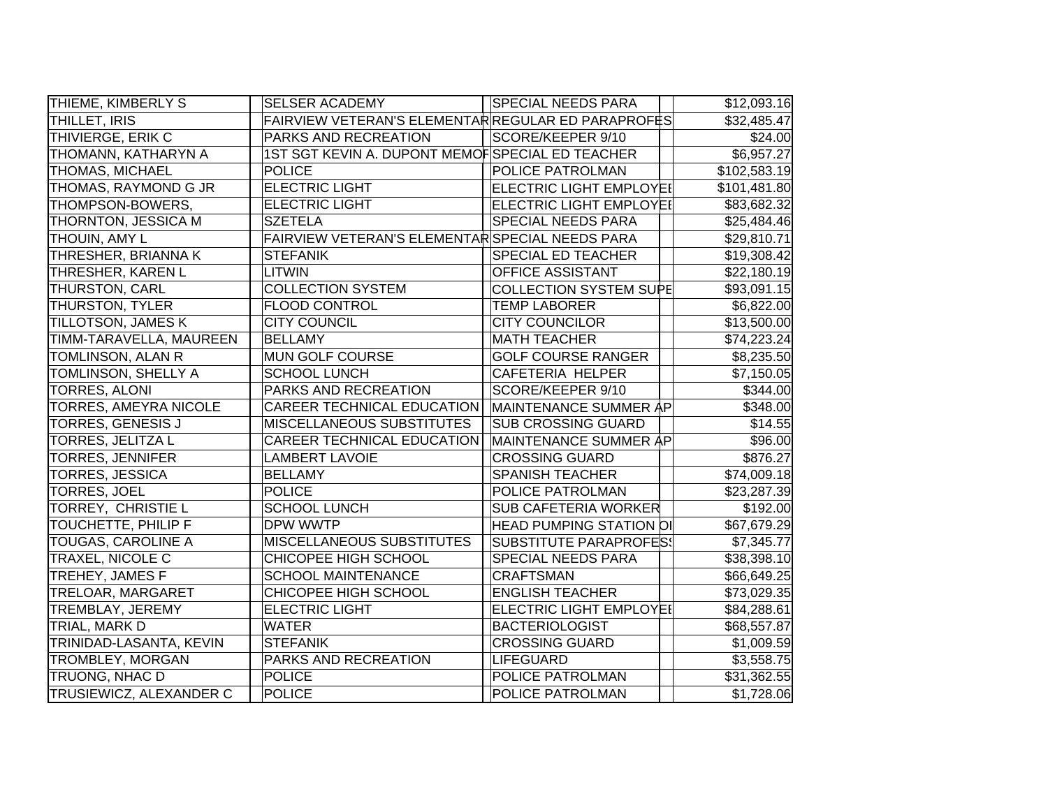| THIEME, KIMBERLY S             | <b>SELSER ACADEMY</b>                              | <b>SPECIAL NEEDS PARA</b>      | \$12,093.16  |
|--------------------------------|----------------------------------------------------|--------------------------------|--------------|
| THILLET, IRIS                  | FAIRVIEW VETERAN'S ELEMENTAR REGULAR ED PARAPROFES |                                | \$32,485.47  |
| THIVIERGE, ERIK C              | PARKS AND RECREATION                               | SCORE/KEEPER 9/10              | \$24.00      |
| THOMANN, KATHARYN A            | 1ST SGT KEVIN A. DUPONT MEMOFSPECIAL ED TEACHER    |                                | \$6,957.27   |
| THOMAS, MICHAEL                | <b>POLICE</b>                                      | <b>POLICE PATROLMAN</b>        | \$102,583.19 |
| THOMAS, RAYMOND G JR           | <b>ELECTRIC LIGHT</b>                              | ELECTRIC LIGHT EMPLOYEI        | \$101,481.80 |
| THOMPSON-BOWERS,               | <b>ELECTRIC LIGHT</b>                              | <b>ELECTRIC LIGHT EMPLOYEI</b> | \$83,682.32  |
| THORNTON, JESSICA M            | <b>SZETELA</b>                                     | <b>SPECIAL NEEDS PARA</b>      | \$25,484.46  |
| <b>THOUIN, AMY L</b>           | FAIRVIEW VETERAN'S ELEMENTAR SPECIAL NEEDS PARA    |                                | \$29,810.71  |
| THRESHER, BRIANNA K            | <b>STEFANIK</b>                                    | <b>SPECIAL ED TEACHER</b>      | \$19,308.42  |
| <b>THRESHER, KAREN L</b>       | <b>LITWIN</b>                                      | <b>OFFICE ASSISTANT</b>        | \$22,180.19  |
| <b>THURSTON, CARL</b>          | <b>COLLECTION SYSTEM</b>                           | <b>COLLECTION SYSTEM SUPE</b>  | \$93,091.15  |
| THURSTON, TYLER                | <b>FLOOD CONTROL</b>                               | <b>TEMP LABORER</b>            | \$6,822.00   |
| TILLOTSON, JAMES K             | <b>CITY COUNCIL</b>                                | <b>CITY COUNCILOR</b>          | \$13,500.00  |
| TIMM-TARAVELLA, MAUREEN        | <b>BELLAMY</b>                                     | <b>MATH TEACHER</b>            | \$74,223.24  |
| TOMLINSON, ALAN R              | MUN GOLF COURSE                                    | <b>GOLF COURSE RANGER</b>      | \$8,235.50   |
| TOMLINSON, SHELLY A            | <b>SCHOOL LUNCH</b>                                | <b>CAFETERIA HELPER</b>        | \$7,150.05   |
| <b>TORRES, ALONI</b>           | PARKS AND RECREATION                               | SCORE/KEEPER 9/10              | \$344.00     |
| <b>TORRES, AMEYRA NICOLE</b>   | <b>CAREER TECHNICAL EDUCATION</b>                  | MAINTENANCE SUMMER AP          | \$348.00     |
| <b>TORRES, GENESIS J</b>       | MISCELLANEOUS SUBSTITUTES                          | <b>SUB CROSSING GUARD</b>      | \$14.55      |
| <b>TORRES, JELITZA L</b>       | <b>CAREER TECHNICAL EDUCATION</b>                  | MAINTENANCE SUMMER AP          | \$96.00      |
| <b>TORRES, JENNIFER</b>        | <b>LAMBERT LAVOIE</b>                              | <b>CROSSING GUARD</b>          | \$876.27     |
| <b>TORRES, JESSICA</b>         | <b>BELLAMY</b>                                     | <b>SPANISH TEACHER</b>         | \$74,009.18  |
| <b>TORRES, JOEL</b>            | <b>POLICE</b>                                      | <b>POLICE PATROLMAN</b>        | \$23,287.39  |
| TORREY, CHRISTIE L             | <b>SCHOOL LUNCH</b>                                | <b>SUB CAFETERIA WORKER</b>    | \$192.00     |
| TOUCHETTE, PHILIP F            | DPW WWTP                                           | HEAD PUMPING STATION OI        | \$67,679.29  |
| TOUGAS, CAROLINE A             | MISCELLANEOUS SUBSTITUTES                          | SUBSTITUTE PARAPROFES!         | \$7,345.77   |
| TRAXEL, NICOLE C               | CHICOPEE HIGH SCHOOL                               | SPECIAL NEEDS PARA             | \$38,398.10  |
| TREHEY, JAMES F                | <b>SCHOOL MAINTENANCE</b>                          | <b>CRAFTSMAN</b>               | \$66,649.25  |
| TRELOAR, MARGARET              | CHICOPEE HIGH SCHOOL                               | <b>ENGLISH TEACHER</b>         | \$73,029.35  |
| TREMBLAY, JEREMY               | <b>ELECTRIC LIGHT</b>                              | <b>ELECTRIC LIGHT EMPLOYEI</b> | \$84,288.61  |
| TRIAL, MARK D                  | <b>WATER</b>                                       | <b>BACTERIOLOGIST</b>          | \$68,557.87  |
| TRINIDAD-LASANTA, KEVIN        | <b>STEFANIK</b>                                    | <b>CROSSING GUARD</b>          | \$1,009.59   |
| <b>TROMBLEY, MORGAN</b>        | PARKS AND RECREATION                               | LIFEGUARD                      | \$3,558.75   |
| TRUONG, NHAC D                 | <b>POLICE</b>                                      | POLICE PATROLMAN               | \$31,362.55  |
| <b>TRUSIEWICZ, ALEXANDER C</b> | <b>POLICE</b>                                      | <b>POLICE PATROLMAN</b>        | \$1,728.06   |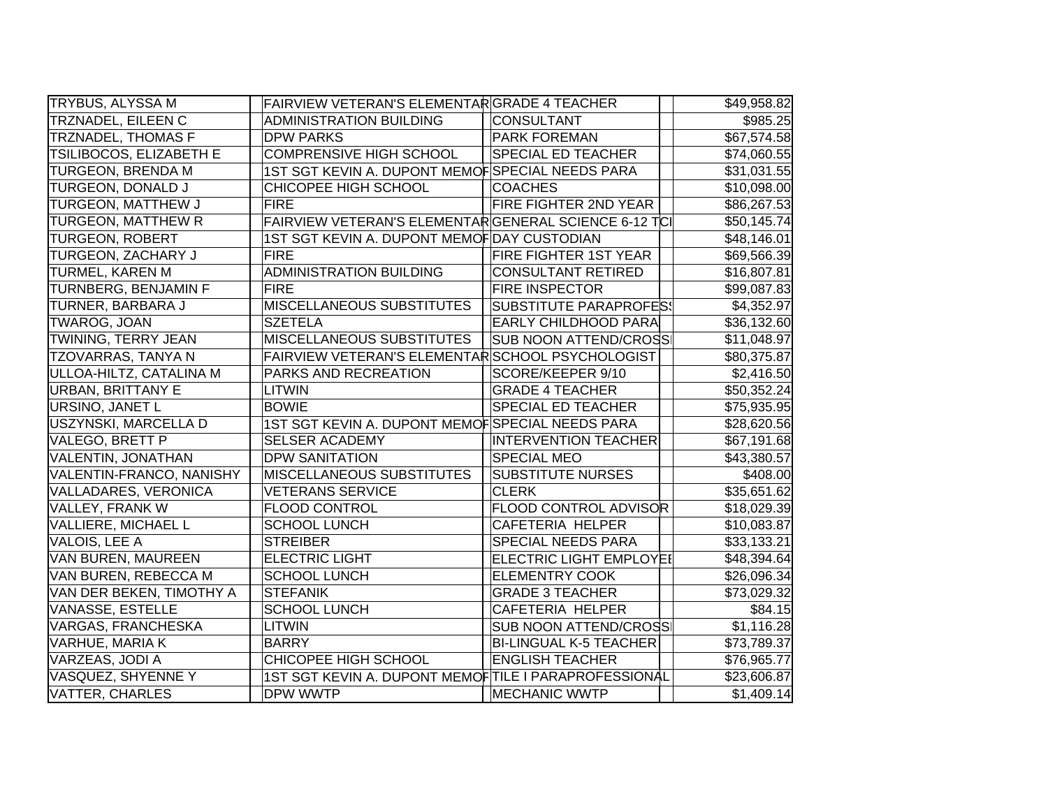| <b>TRYBUS, ALYSSA M</b>    | FAIRVIEW VETERAN'S ELEMENTARGRADE 4 TEACHER          |                                | \$49,958.82 |
|----------------------------|------------------------------------------------------|--------------------------------|-------------|
| <b>TRZNADEL, EILEEN C</b>  | ADMINISTRATION BUILDING                              | <b>CONSULTANT</b>              | \$985.25    |
| TRZNADEL, THOMAS F         | <b>DPW PARKS</b>                                     | <b>PARK FOREMAN</b>            | \$67,574.58 |
| TSILIBOCOS, ELIZABETH E    | <b>COMPRENSIVE HIGH SCHOOL</b>                       | <b>SPECIAL ED TEACHER</b>      | \$74,060.55 |
| TURGEON, BRENDA M          | 1ST SGT KEVIN A. DUPONT MEMOFSPECIAL NEEDS PARA      |                                | \$31,031.55 |
| TURGEON, DONALD J          | CHICOPEE HIGH SCHOOL                                 | <b>COACHES</b>                 | \$10,098.00 |
| TURGEON, MATTHEW J         | <b>FIRE</b>                                          | <b>FIRE FIGHTER 2ND YEAR</b>   | \$86,267.53 |
| <b>TURGEON, MATTHEW R</b>  | FAIRVIEW VETERAN'S ELEMENTARGENERAL SCIENCE 6-12 TCI |                                | \$50,145.74 |
| <b>TURGEON, ROBERT</b>     | 1ST SGT KEVIN A. DUPONT MEMOFDAY CUSTODIAN           |                                | \$48,146.01 |
| TURGEON, ZACHARY J         | <b>FIRE</b>                                          | FIRE FIGHTER 1ST YEAR          | \$69,566.39 |
| TURMEL, KAREN M            | <b>ADMINISTRATION BUILDING</b>                       | CONSULTANT RETIRED             | \$16,807.81 |
| TURNBERG, BENJAMIN F       | <b>FIRE</b>                                          | <b>FIRE INSPECTOR</b>          | \$99,087.83 |
| TURNER, BARBARA J          | <b>MISCELLANEOUS SUBSTITUTES</b>                     | SUBSTITUTE PARAPROFES          | \$4,352.97  |
| TWAROG, JOAN               | <b>SZETELA</b>                                       | <b>EARLY CHILDHOOD PARA</b>    | \$36,132.60 |
| TWINING, TERRY JEAN        | MISCELLANEOUS SUBSTITUTES                            | <b>SUB NOON ATTEND/CROSS</b>   | \$11,048.97 |
| TZOVARRAS, TANYA N         | FAIRVIEW VETERAN'S ELEMENTAR SCHOOL PSYCHOLOGIST     |                                | \$80,375.87 |
| ULLOA-HILTZ, CATALINA M    | PARKS AND RECREATION                                 | SCORE/KEEPER 9/10              | \$2,416.50  |
| <b>URBAN, BRITTANY E</b>   | <b>LITWIN</b>                                        | <b>GRADE 4 TEACHER</b>         | \$50,352.24 |
| URSINO, JANET L            | <b>BOWIE</b>                                         | <b>SPECIAL ED TEACHER</b>      | \$75,935.95 |
| USZYNSKI, MARCELLA D       | 1ST SGT KEVIN A. DUPONT MEMOFSPECIAL NEEDS PARA      |                                | \$28,620.56 |
| VALEGO, BRETT P            | <b>SELSER ACADEMY</b>                                | <b>INTERVENTION TEACHER</b>    | \$67,191.68 |
| VALENTIN, JONATHAN         | <b>DPW SANITATION</b>                                | <b>SPECIAL MEO</b>             | \$43,380.57 |
| VALENTIN-FRANCO, NANISHY   | <b>MISCELLANEOUS SUBSTITUTES</b>                     | <b>SUBSTITUTE NURSES</b>       | \$408.00    |
| VALLADARES, VERONICA       | <b>VETERANS SERVICE</b>                              | <b>CLERK</b>                   | \$35,651.62 |
| <b>VALLEY, FRANK W</b>     | FLOOD CONTROL                                        | <b>FLOOD CONTROL ADVISOR</b>   | \$18,029.39 |
| <b>VALLIERE, MICHAEL L</b> | <b>SCHOOL LUNCH</b>                                  | <b>CAFETERIA HELPER</b>        | \$10,083.87 |
| VALOIS, LEE A              | <b>STREIBER</b>                                      | SPECIAL NEEDS PARA             | \$33,133.21 |
| VAN BUREN, MAUREEN         | <b>ELECTRIC LIGHT</b>                                | <b>ELECTRIC LIGHT EMPLOYEI</b> | \$48,394.64 |
| VAN BUREN, REBECCA M       | <b>SCHOOL LUNCH</b>                                  | <b>ELEMENTRY COOK</b>          | \$26,096.34 |
| VAN DER BEKEN, TIMOTHY A   | <b>STEFANIK</b>                                      | <b>GRADE 3 TEACHER</b>         | \$73,029.32 |
| VANASSE, ESTELLE           | <b>SCHOOL LUNCH</b>                                  | CAFETERIA HELPER               | \$84.15     |
| VARGAS, FRANCHESKA         | <b>LITWIN</b>                                        | <b>SUB NOON ATTEND/CROSS</b>   | \$1,116.28  |
| VARHUE, MARIA K            | <b>BARRY</b>                                         | <b>BI-LINGUAL K-5 TEACHER</b>  | \$73,789.37 |
| VARZEAS, JODI A            | CHICOPEE HIGH SCHOOL                                 | <b>ENGLISH TEACHER</b>         | \$76,965.77 |
| VASQUEZ, SHYENNE Y         | 1ST SGT KEVIN A. DUPONT MEMOFTILE I PARAPROFESSIONAL |                                | \$23,606.87 |
| VATTER, CHARLES            | DPW WWTP                                             | <b>MECHANIC WWTP</b>           | \$1,409.14  |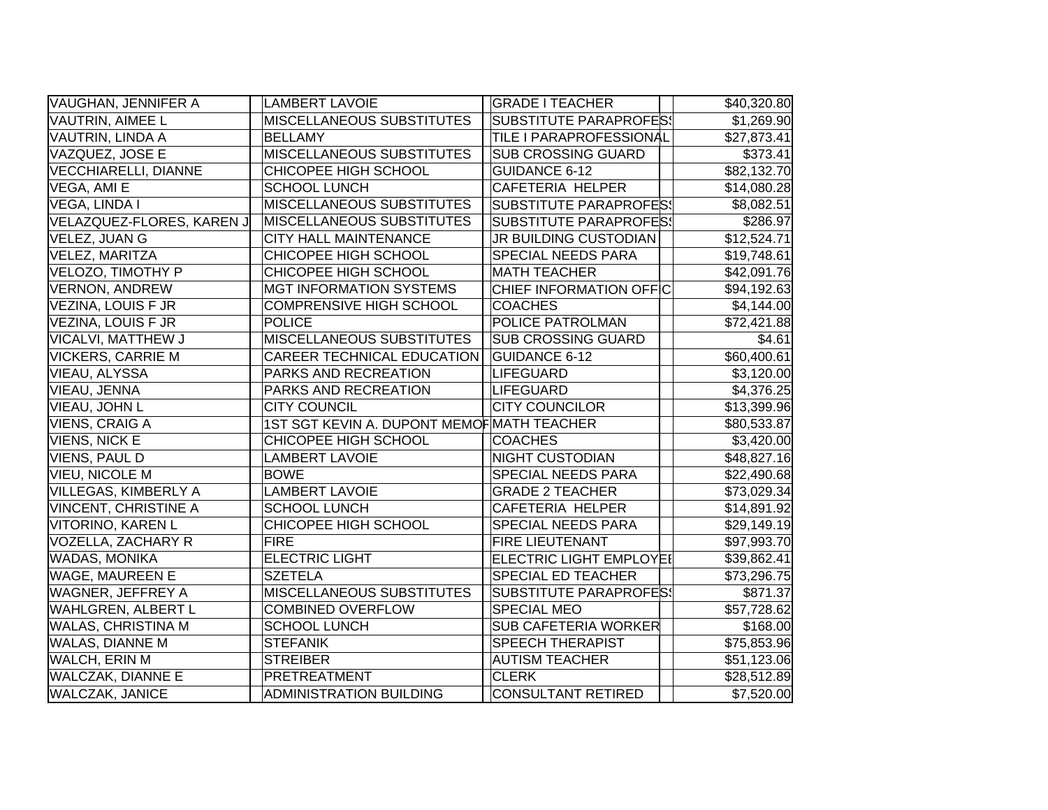| VAUGHAN, JENNIFER A         | <b>LAMBERT LAVOIE</b>                      | <b>GRADE I TEACHER</b>         | \$40,320.80 |
|-----------------------------|--------------------------------------------|--------------------------------|-------------|
| VAUTRIN, AIMEE L            | MISCELLANEOUS SUBSTITUTES                  | <b>SUBSTITUTE PARAPROFES!</b>  | \$1,269.90  |
| VAUTRIN, LINDA A            | <b>BELLAMY</b>                             | TILE I PARAPROFESSIONAL        | \$27,873.41 |
| VAZQUEZ, JOSE E             | <b>MISCELLANEOUS SUBSTITUTES</b>           | <b>SUB CROSSING GUARD</b>      | \$373.41    |
| <b>VECCHIARELLI, DIANNE</b> | CHICOPEE HIGH SCHOOL                       | <b>GUIDANCE 6-12</b>           | \$82,132.70 |
| VEGA, AMI E                 | <b>SCHOOL LUNCH</b>                        | CAFETERIA HELPER               | \$14,080.28 |
| VEGA, LINDA I               | MISCELLANEOUS SUBSTITUTES                  | <b>SUBSTITUTE PARAPROFESS</b>  | \$8,082.51  |
| VELAZQUEZ-FLORES, KAREN J   | <b>MISCELLANEOUS SUBSTITUTES</b>           | <b>SUBSTITUTE PARAPROFES!</b>  | \$286.97    |
| VELEZ, JUAN G               | CITY HALL MAINTENANCE                      | JR BUILDING CUSTODIAN          | \$12,524.71 |
| VELEZ, MARITZA              | CHICOPEE HIGH SCHOOL                       | SPECIAL NEEDS PARA             | \$19,748.61 |
| VELOZO, TIMOTHY P           | CHICOPEE HIGH SCHOOL                       | <b>MATH TEACHER</b>            | \$42,091.76 |
| <b>VERNON, ANDREW</b>       | <b>MGT INFORMATION SYSTEMS</b>             | CHIEF INFORMATION OFFIC        | \$94,192.63 |
| VEZINA, LOUIS F JR          | <b>COMPRENSIVE HIGH SCHOOL</b>             | <b>COACHES</b>                 | \$4,144.00  |
| VEZINA, LOUIS F JR          | <b>POLICE</b>                              | POLICE PATROLMAN               | \$72,421.88 |
| VICALVI, MATTHEW J          | MISCELLANEOUS SUBSTITUTES                  | <b>SUB CROSSING GUARD</b>      | \$4.61      |
| <b>VICKERS, CARRIE M</b>    | CAREER TECHNICAL EDUCATION                 | <b>GUIDANCE 6-12</b>           | \$60,400.61 |
| VIEAU, ALYSSA               | PARKS AND RECREATION                       | <b>LIFEGUARD</b>               | \$3,120.00  |
| VIEAU, JENNA                | PARKS AND RECREATION                       | <b>LIFEGUARD</b>               | \$4,376.25  |
| VIEAU, JOHN L               | <b>CITY COUNCIL</b>                        | <b>CITY COUNCILOR</b>          | \$13,399.96 |
| <b>VIENS, CRAIG A</b>       | 1ST SGT KEVIN A. DUPONT MEMOF MATH TEACHER |                                | \$80,533.87 |
| <b>VIENS, NICK E</b>        | CHICOPEE HIGH SCHOOL                       | <b>COACHES</b>                 | \$3,420.00  |
| <b>VIENS, PAUL D</b>        | <b>LAMBERT LAVOIE</b>                      | <b>NIGHT CUSTODIAN</b>         | \$48,827.16 |
| <b>VIEU, NICOLE M</b>       | <b>BOWE</b>                                | SPECIAL NEEDS PARA             | \$22,490.68 |
| VILLEGAS, KIMBERLY A        | <b>LAMBERT LAVOIE</b>                      | <b>GRADE 2 TEACHER</b>         | \$73,029.34 |
| <b>VINCENT, CHRISTINE A</b> | <b>SCHOOL LUNCH</b>                        | <b>CAFETERIA HELPER</b>        | \$14,891.92 |
| VITORINO, KAREN L           | CHICOPEE HIGH SCHOOL                       | SPECIAL NEEDS PARA             | \$29,149.19 |
| VOZELLA, ZACHARY R          | <b>FIRE</b>                                | FIRE LIEUTENANT                | \$97,993.70 |
| <b>WADAS, MONIKA</b>        | <b>ELECTRIC LIGHT</b>                      | <b>ELECTRIC LIGHT EMPLOYE!</b> | \$39,862.41 |
| <b>WAGE, MAUREEN E</b>      | <b>SZETELA</b>                             | SPECIAL ED TEACHER             | \$73,296.75 |
| <b>WAGNER, JEFFREY A</b>    | MISCELLANEOUS SUBSTITUTES                  | <b>SUBSTITUTE PARAPROFES!</b>  | \$871.37    |
| <b>WAHLGREN, ALBERT L</b>   | <b>COMBINED OVERFLOW</b>                   | <b>SPECIAL MEO</b>             | \$57,728.62 |
| <b>WALAS, CHRISTINA M</b>   | <b>SCHOOL LUNCH</b>                        | SUB CAFETERIA WORKER           | \$168.00    |
| <b>WALAS, DIANNE M</b>      | <b>STEFANIK</b>                            | <b>SPEECH THERAPIST</b>        | \$75,853.96 |
| <b>WALCH, ERIN M</b>        | <b>STREIBER</b>                            | <b>AUTISM TEACHER</b>          | \$51,123.06 |
| <b>WALCZAK, DIANNE E</b>    | PRETREATMENT                               | <b>CLERK</b>                   | \$28,512.89 |
| <b>WALCZAK, JANICE</b>      | <b>ADMINISTRATION BUILDING</b>             | <b>CONSULTANT RETIRED</b>      | \$7,520.00  |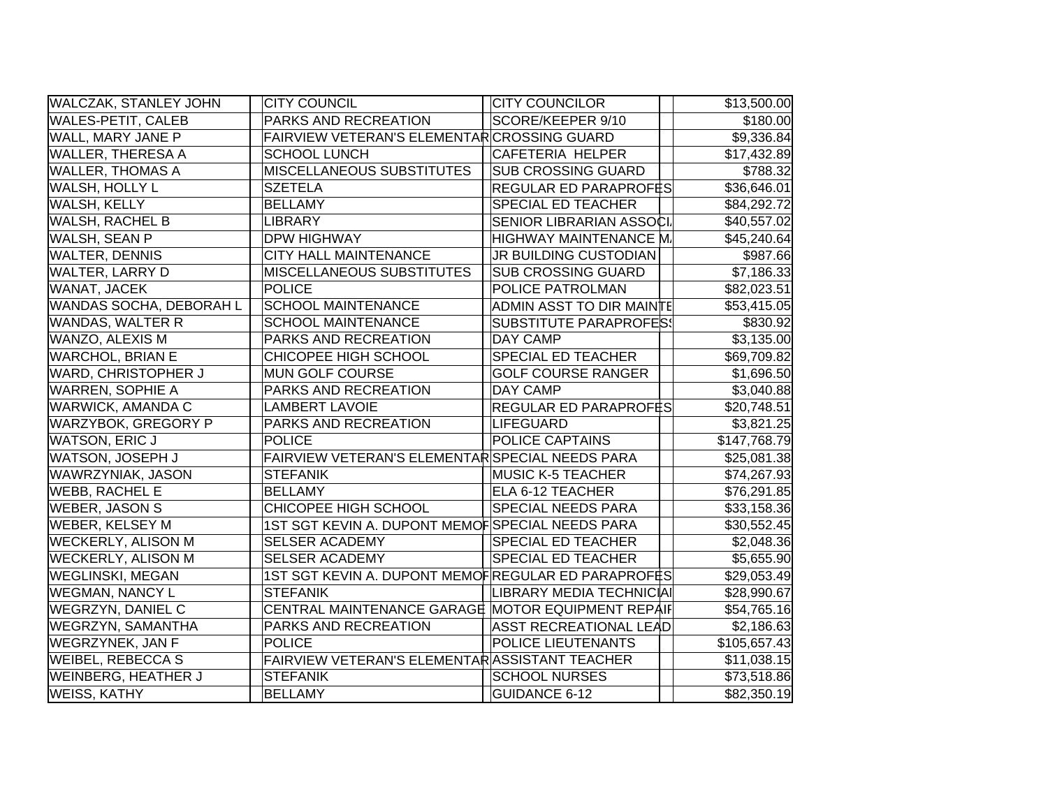| <b>WALCZAK, STANLEY JOHN</b> | <b>CITY COUNCIL</b>                                | <b>CITY COUNCILOR</b>           | \$13,500.00             |
|------------------------------|----------------------------------------------------|---------------------------------|-------------------------|
| <b>WALES-PETIT, CALEB</b>    | PARKS AND RECREATION                               | SCORE/KEEPER 9/10               | \$180.00                |
| WALL, MARY JANE P            | FAIRVIEW VETERAN'S ELEMENTAR CROSSING GUARD        |                                 | \$9,336.84              |
| <b>WALLER, THERESA A</b>     | <b>SCHOOL LUNCH</b>                                | CAFETERIA HELPER                | \$17,432.89             |
| <b>WALLER, THOMAS A</b>      | MISCELLANEOUS SUBSTITUTES                          | <b>SUB CROSSING GUARD</b>       | \$788.32                |
| <b>WALSH, HOLLY L</b>        | <b>SZETELA</b>                                     | REGULAR ED PARAPROFËS           | \$36,646.01             |
| <b>WALSH, KELLY</b>          | <b>BELLAMY</b>                                     | <b>SPECIAL ED TEACHER</b>       | \$84,292.72             |
| <b>WALSH, RACHEL B</b>       | <b>LIBRARY</b>                                     | <b>SENIOR LIBRARIAN ASSOCI.</b> | \$40,557.02             |
| WALSH, SEAN P                | <b>DPW HIGHWAY</b>                                 | HIGHWAY MAINTENANCE M.          | \$45,240.64             |
| <b>WALTER, DENNIS</b>        | <b>CITY HALL MAINTENANCE</b>                       | JR BUILDING CUSTODIAN           | \$987.66                |
| <b>WALTER, LARRY D</b>       | <b>MISCELLANEOUS SUBSTITUTES</b>                   | <b>SUB CROSSING GUARD</b>       | \$7,186.33              |
| WANAT, JACEK                 | <b>POLICE</b>                                      | POLICE PATROLMAN                | \$82,023.51             |
| WANDAS SOCHA, DEBORAH L      | <b>SCHOOL MAINTENANCE</b>                          | ADMIN ASST TO DIR MAINTE        | \$53,415.05             |
| <b>WANDAS, WALTER R</b>      | <b>SCHOOL MAINTENANCE</b>                          | <b>SUBSTITUTE PARAPROFES!</b>   | \$830.92                |
| WANZO, ALEXIS M              | PARKS AND RECREATION                               | <b>DAY CAMP</b>                 | \$3,135.00              |
| <b>WARCHOL, BRIAN E</b>      | CHICOPEE HIGH SCHOOL                               | <b>SPECIAL ED TEACHER</b>       | \$69,709.82             |
| <b>WARD, CHRISTOPHER J</b>   | MUN GOLF COURSE                                    | <b>GOLF COURSE RANGER</b>       | \$1,696.50              |
| <b>WARREN, SOPHIE A</b>      | PARKS AND RECREATION                               | <b>DAY CAMP</b>                 | \$3,040.88              |
| <b>WARWICK, AMANDA C</b>     | <b>LAMBERT LAVOIE</b>                              | REGULAR ED PARAPROFES           | \$20,748.51             |
| <b>WARZYBOK, GREGORY P</b>   | PARKS AND RECREATION                               | LIFEGUARD                       | \$3,821.25              |
| <b>WATSON, ERIC J</b>        | <b>POLICE</b>                                      | <b>POLICE CAPTAINS</b>          | \$147,768.79            |
| WATSON, JOSEPH J             | FAIRVIEW VETERAN'S ELEMENTAR SPECIAL NEEDS PARA    |                                 | \$25,081.38             |
| WAWRZYNIAK, JASON            | <b>STEFANIK</b>                                    | <b>MUSIC K-5 TEACHER</b>        | \$74,267.93             |
| <b>WEBB, RACHEL E</b>        | <b>BELLAMY</b>                                     | <b>ELA 6-12 TEACHER</b>         | \$76,291.85             |
| <b>WEBER, JASON S</b>        | CHICOPEE HIGH SCHOOL                               | <b>SPECIAL NEEDS PARA</b>       | \$33,158.36             |
| <b>WEBER, KELSEY M</b>       | 1ST SGT KEVIN A. DUPONT MEMOFSPECIAL NEEDS PARA    |                                 | \$30,552.45             |
| <b>WECKERLY, ALISON M</b>    | <b>SELSER ACADEMY</b>                              | <b>SPECIAL ED TEACHER</b>       | \$2,048.36              |
| <b>WECKERLY, ALISON M</b>    | <b>SELSER ACADEMY</b>                              | <b>SPECIAL ED TEACHER</b>       | \$5,655.90              |
| <b>WEGLINSKI, MEGAN</b>      | 1ST SGT KEVIN A. DUPONT MEMOFREGULAR ED PARAPROFES |                                 | \$29,053.49             |
| <b>WEGMAN, NANCY L</b>       | <b>STEFANIK</b>                                    | LIBRARY MEDIA TECHNICIAI        | \$28,990.67             |
| <b>WEGRZYN, DANIEL C</b>     | CENTRAL MAINTENANCE GARAGE MOTOR EQUIPMENT REPAIF  |                                 | \$54,765.16             |
| <b>WEGRZYN, SAMANTHA</b>     | PARKS AND RECREATION                               | <b>ASST RECREATIONAL LEAD</b>   | \$2,186.63              |
| <b>WEGRZYNEK, JAN F</b>      | <b>POLICE</b>                                      | <b>POLICE LIEUTENANTS</b>       | \$105,657.43            |
| <b>WEIBEL, REBECCA S</b>     | FAIRVIEW VETERAN'S ELEMENTAR ASSISTANT TEACHER     |                                 | \$11,038.15             |
| <b>WEINBERG, HEATHER J</b>   | <b>STEFANIK</b>                                    | <b>SCHOOL NURSES</b>            | $\overline{$}73,518.86$ |
| <b>WEISS, KATHY</b>          | <b>BELLAMY</b>                                     | <b>GUIDANCE 6-12</b>            | \$82,350.19             |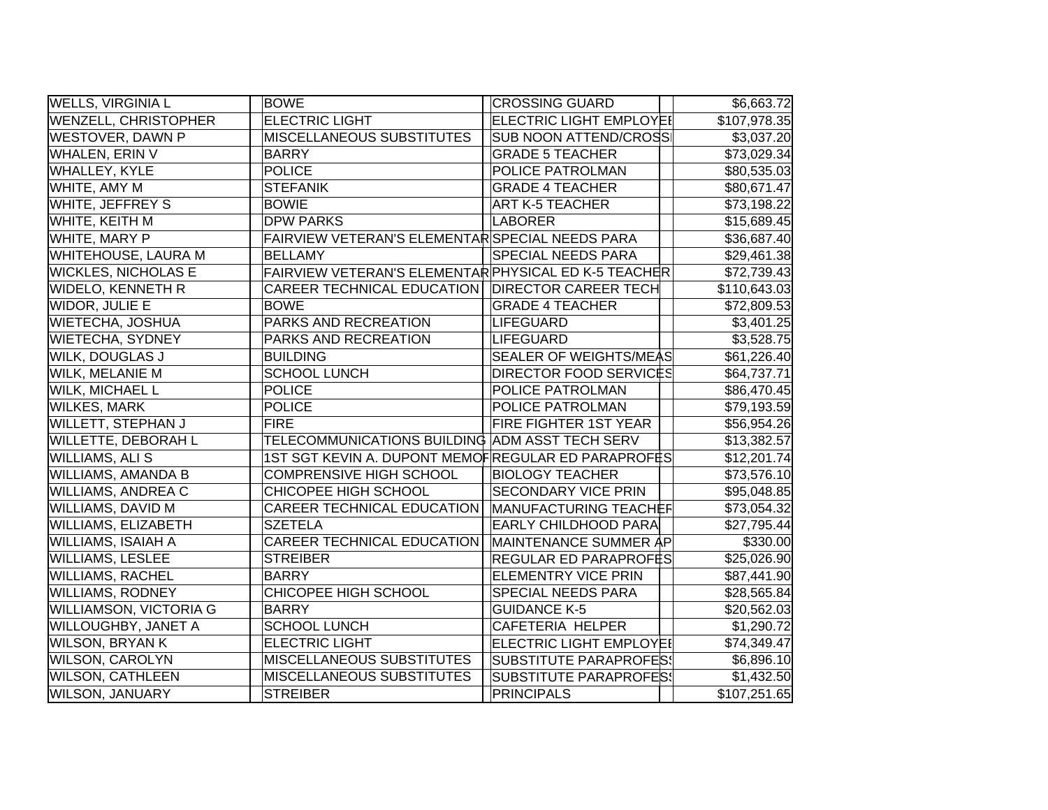| <b>WELLS, VIRGINIA L</b>      | <b>BOWE</b>                                          | <b>CROSSING GUARD</b>          | \$6,663.72              |
|-------------------------------|------------------------------------------------------|--------------------------------|-------------------------|
| <b>WENZELL, CHRISTOPHER</b>   | <b>ELECTRIC LIGHT</b>                                | <b>ELECTRIC LIGHT EMPLOYEI</b> | \$107,978.35            |
| WESTOVER, DAWN P              | <b>MISCELLANEOUS SUBSTITUTES</b>                     | <b>SUB NOON ATTEND/CROSS</b>   | \$3,037.20              |
| WHALEN, ERIN V                | <b>BARRY</b>                                         | <b>GRADE 5 TEACHER</b>         | \$73,029.34             |
| WHALLEY, KYLE                 | <b>POLICE</b>                                        | POLICE PATROLMAN               | \$80,535.03             |
| WHITE, AMY M                  | <b>STEFANIK</b>                                      | <b>GRADE 4 TEACHER</b>         | \$80,671.47             |
| WHITE, JEFFREY S              | <b>BOWIE</b>                                         | <b>ART K-5 TEACHER</b>         | \$73,198.22             |
| WHITE, KEITH M                | <b>DPW PARKS</b>                                     | <b>LABORER</b>                 | \$15,689.45             |
| <b>WHITE, MARY P</b>          | FAIRVIEW VETERAN'S ELEMENTAR SPECIAL NEEDS PARA      |                                | \$36,687.40             |
| WHITEHOUSE, LAURA M           | <b>BELLAMY</b>                                       | <b>SPECIAL NEEDS PARA</b>      | \$29,461.38             |
| <b>WICKLES, NICHOLAS E</b>    | FAIRVIEW VETERAN'S ELEMENTAR PHYSICAL ED K-5 TEACHER |                                | \$72,739.43             |
| <b>WIDELO, KENNETH R</b>      | CAREER TECHNICAL EDUCATION   DIRECTOR CAREER TECH    |                                | \$110,643.03            |
| WIDOR, JULIE E                | <b>BOWE</b>                                          | <b>GRADE 4 TEACHER</b>         | \$72,809.53             |
| WIETECHA, JOSHUA              | PARKS AND RECREATION                                 | LIFEGUARD                      | \$3,401.25              |
| <b>WIETECHA, SYDNEY</b>       | PARKS AND RECREATION                                 | LIFEGUARD                      | \$3,528.75              |
| WILK, DOUGLAS J               | <b>BUILDING</b>                                      | <b>SEALER OF WEIGHTS/MEAS</b>  | \$61,226.40             |
| WILK, MELANIE M               | <b>SCHOOL LUNCH</b>                                  | <b>DIRECTOR FOOD SERVICES</b>  | \$64,737.71             |
| <b>WILK, MICHAEL L</b>        | <b>POLICE</b>                                        | POLICE PATROLMAN               | \$86,470.45             |
| <b>WILKES, MARK</b>           | <b>POLICE</b>                                        | POLICE PATROLMAN               | \$79,193.59             |
| <b>WILLETT, STEPHAN J</b>     | <b>FIRE</b>                                          | <b>FIRE FIGHTER 1ST YEAR</b>   | \$56,954.26             |
| WILLETTE, DEBORAH L           | TELECOMMUNICATIONS BUILDING ADM ASST TECH SERV       |                                | \$13,382.57             |
| WILLIAMS, ALI S               | 1ST SGT KEVIN A. DUPONT MEMOFREGULAR ED PARAPROFES   |                                | \$12,201.74             |
| <b>WILLIAMS, AMANDA B</b>     | <b>COMPRENSIVE HIGH SCHOOL</b>                       | <b>BIOLOGY TEACHER</b>         | \$73,576.10             |
| <b>WILLIAMS, ANDREA C</b>     | CHICOPEE HIGH SCHOOL                                 | <b>SECONDARY VICE PRIN</b>     | \$95,048.85             |
| WILLIAMS, DAVID M             | <b>CAREER TECHNICAL EDUCATION</b>                    | MANUFACTURING TEACHEF          | \$73,054.32             |
| WILLIAMS, ELIZABETH           | <b>SZETELA</b>                                       | <b>EARLY CHILDHOOD PARA</b>    | \$27,795.44             |
| WILLIAMS, ISAIAH A            | <b>CAREER TECHNICAL EDUCATION</b>                    | MAINTENANCE SUMMER AP          | \$330.00                |
| <b>WILLIAMS, LESLEE</b>       | <b>STREIBER</b>                                      | <b>REGULAR ED PARAPROFES</b>   | \$25,026.90             |
| <b>WILLIAMS, RACHEL</b>       | <b>BARRY</b>                                         | <b>ELEMENTRY VICE PRIN</b>     | \$87,441.90             |
| <b>WILLIAMS, RODNEY</b>       | CHICOPEE HIGH SCHOOL                                 | <b>SPECIAL NEEDS PARA</b>      | $\overline{$}28,565.84$ |
| <b>WILLIAMSON, VICTORIA G</b> | <b>BARRY</b>                                         | <b>GUIDANCE K-5</b>            | \$20,562.03             |
| WILLOUGHBY, JANET A           | <b>SCHOOL LUNCH</b>                                  | <b>CAFETERIA HELPER</b>        | \$1,290.72              |
| <b>WILSON, BRYAN K</b>        | <b>ELECTRIC LIGHT</b>                                | <b>ELECTRIC LIGHT EMPLOYEI</b> | \$74,349.47             |
| <b>WILSON, CAROLYN</b>        | <b>MISCELLANEOUS SUBSTITUTES</b>                     | SUBSTITUTE PARAPROFES!         | \$6,896.10              |
| <b>WILSON, CATHLEEN</b>       | MISCELLANEOUS SUBSTITUTES                            | <b>SUBSTITUTE PARAPROFES!</b>  | \$1,432.50              |
| <b>WILSON, JANUARY</b>        | <b>STREIBER</b>                                      | <b>PRINCIPALS</b>              | \$107,251.65            |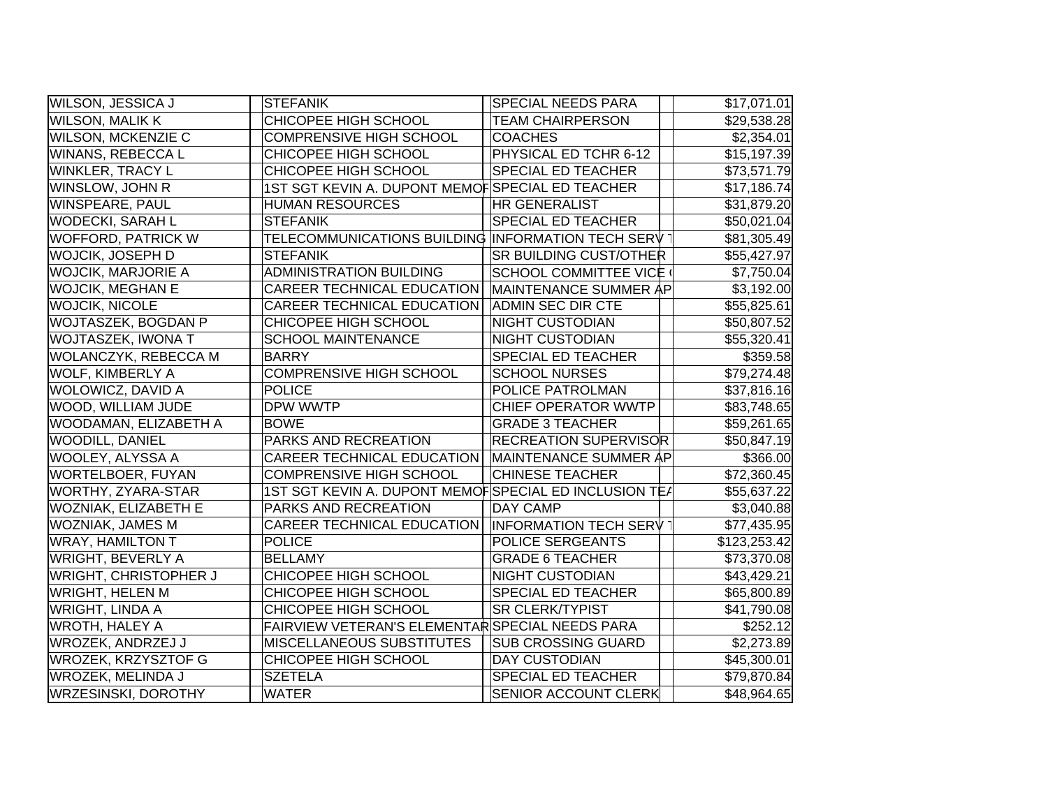| WILSON, JESSICA J            | <b>STEFANIK</b>                                       | <b>SPECIAL NEEDS PARA</b>     | \$17,071.01  |
|------------------------------|-------------------------------------------------------|-------------------------------|--------------|
| WILSON, MALIK K              | CHICOPEE HIGH SCHOOL                                  | <b>TEAM CHAIRPERSON</b>       | \$29,538.28  |
| WILSON, MCKENZIE C           | <b>COMPRENSIVE HIGH SCHOOL</b>                        | <b>COACHES</b>                | \$2,354.01   |
| WINANS, REBECCA L            | CHICOPEE HIGH SCHOOL                                  | PHYSICAL ED TCHR 6-12         | \$15,197.39  |
| WINKLER, TRACY L             | CHICOPEE HIGH SCHOOL                                  | <b>SPECIAL ED TEACHER</b>     | \$73,571.79  |
| WINSLOW, JOHN R              | 1ST SGT KEVIN A. DUPONT MEMOFSPECIAL ED TEACHER       |                               | \$17,186.74  |
| WINSPEARE, PAUL              | <b>HUMAN RESOURCES</b>                                | <b>HR GENERALIST</b>          | \$31,879.20  |
| <b>WODECKI, SARAH L</b>      | <b>STEFANIK</b>                                       | <b>SPECIAL ED TEACHER</b>     | \$50,021.04  |
| <b>WOFFORD, PATRICK W</b>    | TELECOMMUNICATIONS BUILDING INFORMATION TECH SERV     |                               | \$81,305.49  |
| WOJCIK, JOSEPH D             | <b>STEFANIK</b>                                       | <b>SR BUILDING CUST/OTHER</b> | \$55,427.97  |
| <b>WOJCIK, MARJORIE A</b>    | ADMINISTRATION BUILDING                               | SCHOOL COMMITTEE VICE         | \$7,750.04   |
| <b>WOJCIK, MEGHAN E</b>      | CAREER TECHNICAL EDUCATION                            | MAINTENANCE SUMMER AP         | \$3,192.00   |
| <b>WOJCIK, NICOLE</b>        | CAREER TECHNICAL EDUCATION                            | <b>ADMIN SEC DIR CTE</b>      | \$55,825.61  |
| <b>WOJTASZEK, BOGDAN P</b>   | CHICOPEE HIGH SCHOOL                                  | <b>NIGHT CUSTODIAN</b>        | \$50,807.52  |
| WOJTASZEK, IWONA T           | <b>SCHOOL MAINTENANCE</b>                             | <b>NIGHT CUSTODIAN</b>        | \$55,320.41  |
| WOLANCZYK, REBECCA M         | <b>BARRY</b>                                          | <b>SPECIAL ED TEACHER</b>     | \$359.58     |
| <b>WOLF, KIMBERLY A</b>      | <b>COMPRENSIVE HIGH SCHOOL</b>                        | <b>SCHOOL NURSES</b>          | \$79,274.48  |
| <b>WOLOWICZ, DAVID A</b>     | <b>POLICE</b>                                         | POLICE PATROLMAN              | \$37,816.16  |
| WOOD, WILLIAM JUDE           | <b>DPW WWTP</b>                                       | <b>CHIEF OPERATOR WWTP</b>    | \$83,748.65  |
| WOODAMAN, ELIZABETH A        | <b>BOWE</b>                                           | <b>GRADE 3 TEACHER</b>        | \$59,261.65  |
| <b>WOODILL, DANIEL</b>       | PARKS AND RECREATION                                  | <b>RECREATION SUPERVISOR</b>  | \$50,847.19  |
| WOOLEY, ALYSSA A             | <b>CAREER TECHNICAL EDUCATION</b>                     | MAINTENANCE SUMMER AP         | \$366.00     |
| <b>WORTELBOER, FUYAN</b>     | <b>COMPRENSIVE HIGH SCHOOL</b>                        | <b>CHINESE TEACHER</b>        | \$72,360.45  |
| WORTHY, ZYARA-STAR           | 1ST SGT KEVIN A. DUPONT MEMOFSPECIAL ED INCLUSION TEA |                               | \$55,637.22  |
| WOZNIAK, ELIZABETH E         | PARKS AND RECREATION                                  | <b>DAY CAMP</b>               | \$3,040.88   |
| WOZNIAK, JAMES M             | CAREER TECHNICAL EDUCATION                            | <b>INFORMATION TECH SERV</b>  | \$77,435.95  |
| <b>WRAY, HAMILTON T</b>      | <b>POLICE</b>                                         | POLICE SERGEANTS              | \$123,253.42 |
| <b>WRIGHT, BEVERLY A</b>     | <b>BELLAMY</b>                                        | <b>GRADE 6 TEACHER</b>        | \$73,370.08  |
| <b>WRIGHT, CHRISTOPHER J</b> | CHICOPEE HIGH SCHOOL                                  | <b>NIGHT CUSTODIAN</b>        | \$43,429.21  |
| WRIGHT, HELEN M              | CHICOPEE HIGH SCHOOL                                  | <b>SPECIAL ED TEACHER</b>     | \$65,800.89  |
| <b>WRIGHT, LINDA A</b>       | CHICOPEE HIGH SCHOOL                                  | <b>SR CLERK/TYPIST</b>        | \$41,790.08  |
| <b>WROTH, HALEY A</b>        | FAIRVIEW VETERAN'S ELEMENTAR SPECIAL NEEDS PARA       |                               | \$252.12     |
| <b>WROZEK, ANDRZEJ J</b>     | <b>MISCELLANEOUS SUBSTITUTES</b>                      | <b>SUB CROSSING GUARD</b>     | \$2,273.89   |
| <b>WROZEK, KRZYSZTOF G</b>   | CHICOPEE HIGH SCHOOL                                  | <b>DAY CUSTODIAN</b>          | \$45,300.01  |
| <b>WROZEK, MELINDA J</b>     | <b>SZETELA</b>                                        | <b>SPECIAL ED TEACHER</b>     | \$79,870.84  |
| <b>WRZESINSKI, DOROTHY</b>   | <b>WATER</b>                                          | <b>SENIOR ACCOUNT CLERK</b>   | \$48,964.65  |